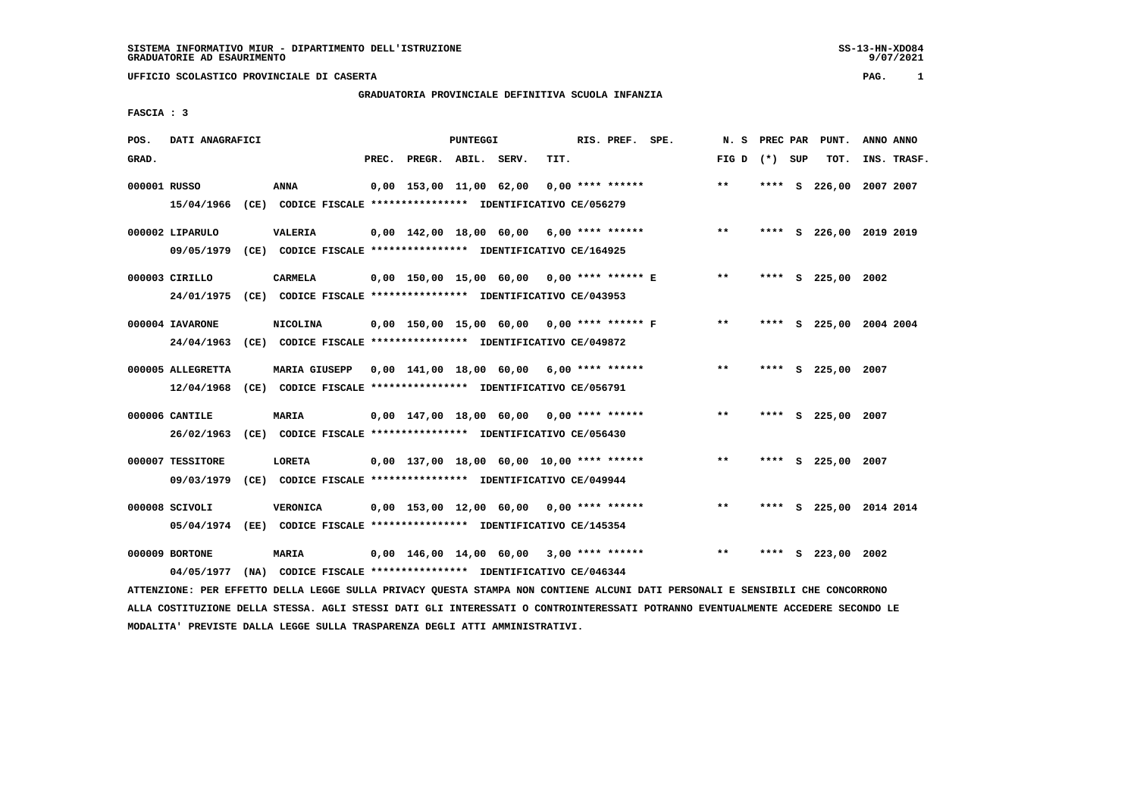# **GRADUATORIA PROVINCIALE DEFINITIVA SCUOLA INFANZIA**

 **FASCIA : 3**

| POS.         | DATI ANAGRAFICI   |                                                                                                                               |                                             | PUNTEGGI |      | RIS. PREF. SPE. |       |         |   | N. S PREC PAR PUNT. | ANNO ANNO               |
|--------------|-------------------|-------------------------------------------------------------------------------------------------------------------------------|---------------------------------------------|----------|------|-----------------|-------|---------|---|---------------------|-------------------------|
| GRAD.        |                   |                                                                                                                               | PREC. PREGR. ABIL. SERV.                    |          | TIT. |                 | FIG D | (*) SUP |   | TOT.                | INS. TRASF.             |
| 000001 RUSSO |                   | <b>ANNA</b>                                                                                                                   | $0,00$ 153,00 11,00 62,00 0,00 **** ******  |          |      |                 | $* *$ | ****    | s |                     | 226,00 2007 2007        |
|              | 15/04/1966        | (CE) CODICE FISCALE *************** IDENTIFICATIVO CE/056279                                                                  |                                             |          |      |                 |       |         |   |                     |                         |
|              | 000002 LIPARULO   | <b>VALERIA</b>                                                                                                                | $0,00$ 142,00 18,00 60,00 6,00 **** ******  |          |      |                 | $* *$ |         |   |                     | **** S 226,00 2019 2019 |
|              | 09/05/1979        | (CE) CODICE FISCALE **************** IDENTIFICATIVO CE/164925                                                                 |                                             |          |      |                 |       |         |   |                     |                         |
|              | 000003 CIRILLO    | <b>CARMELA</b>                                                                                                                | 0,00 150,00 15,00 60,00 0,00 **** ****** E  |          |      |                 | $* *$ |         |   | **** S 225,00 2002  |                         |
|              |                   | 24/01/1975 (CE) CODICE FISCALE *************** IDENTIFICATIVO CE/043953                                                       |                                             |          |      |                 |       |         |   |                     |                         |
|              | 000004 IAVARONE   | <b>NICOLINA</b>                                                                                                               | 0,00 150,00 15,00 60,00 0,00 **** ****** F  |          |      |                 | $***$ |         |   |                     | **** S 225,00 2004 2004 |
|              | 24/04/1963        | (CE) CODICE FISCALE **************** IDENTIFICATIVO CE/049872                                                                 |                                             |          |      |                 |       |         |   |                     |                         |
|              | 000005 ALLEGRETTA | <b>MARIA GIUSEPP</b>                                                                                                          | $0,00$ 141,00 18,00 60,00 6,00 **** ******  |          |      |                 | $***$ |         |   | **** S 225,00 2007  |                         |
|              | 12/04/1968        | (CE) CODICE FISCALE **************** IDENTIFICATIVO CE/056791                                                                 |                                             |          |      |                 |       |         |   |                     |                         |
|              | 000006 CANTILE    | <b>MARIA</b>                                                                                                                  | 0,00 147,00 18,00 60,00 0,00 **** ******    |          |      |                 | $* *$ |         |   | **** S 225,00 2007  |                         |
|              | 26/02/1963        | (CE) CODICE FISCALE **************** IDENTIFICATIVO CE/056430                                                                 |                                             |          |      |                 |       |         |   |                     |                         |
|              | 000007 TESSITORE  | <b>LORETA</b>                                                                                                                 | $0.00$ 137,00 18,00 60,00 10,00 **** ****** |          |      |                 | $* *$ |         |   | **** S 225,00       | 2007                    |
|              | 09/03/1979        | (CE) CODICE FISCALE *************** IDENTIFICATIVO CE/049944                                                                  |                                             |          |      |                 |       |         |   |                     |                         |
|              | 000008 SCIVOLI    | <b>VERONICA</b>                                                                                                               | $0,00$ 153,00 12,00 60,00 0,00 **** ******  |          |      |                 | $***$ |         |   |                     | **** S 225,00 2014 2014 |
|              |                   | 05/04/1974 (EE) CODICE FISCALE *************** IDENTIFICATIVO CE/145354                                                       |                                             |          |      |                 |       |         |   |                     |                         |
|              | 000009 BORTONE    | <b>MARIA</b>                                                                                                                  | $0,00$ 146,00 14,00 60,00 3,00 **** ******  |          |      |                 | $* *$ |         |   | **** S 223,00 2002  |                         |
|              | 04/05/1977        | (NA) CODICE FISCALE **************** IDENTIFICATIVO CE/046344                                                                 |                                             |          |      |                 |       |         |   |                     |                         |
|              |                   | ATTENZIONE: PER EFFETTO DELLA LEGGE SULLA PRIVACY QUESTA STAMPA NON CONTIENE ALCUNI DATI PERSONALI E SENSIBILI CHE CONCORRONO |                                             |          |      |                 |       |         |   |                     |                         |

 **ALLA COSTITUZIONE DELLA STESSA. AGLI STESSI DATI GLI INTERESSATI O CONTROINTERESSATI POTRANNO EVENTUALMENTE ACCEDERE SECONDO LE MODALITA' PREVISTE DALLA LEGGE SULLA TRASPARENZA DEGLI ATTI AMMINISTRATIVI.**

9/07/2021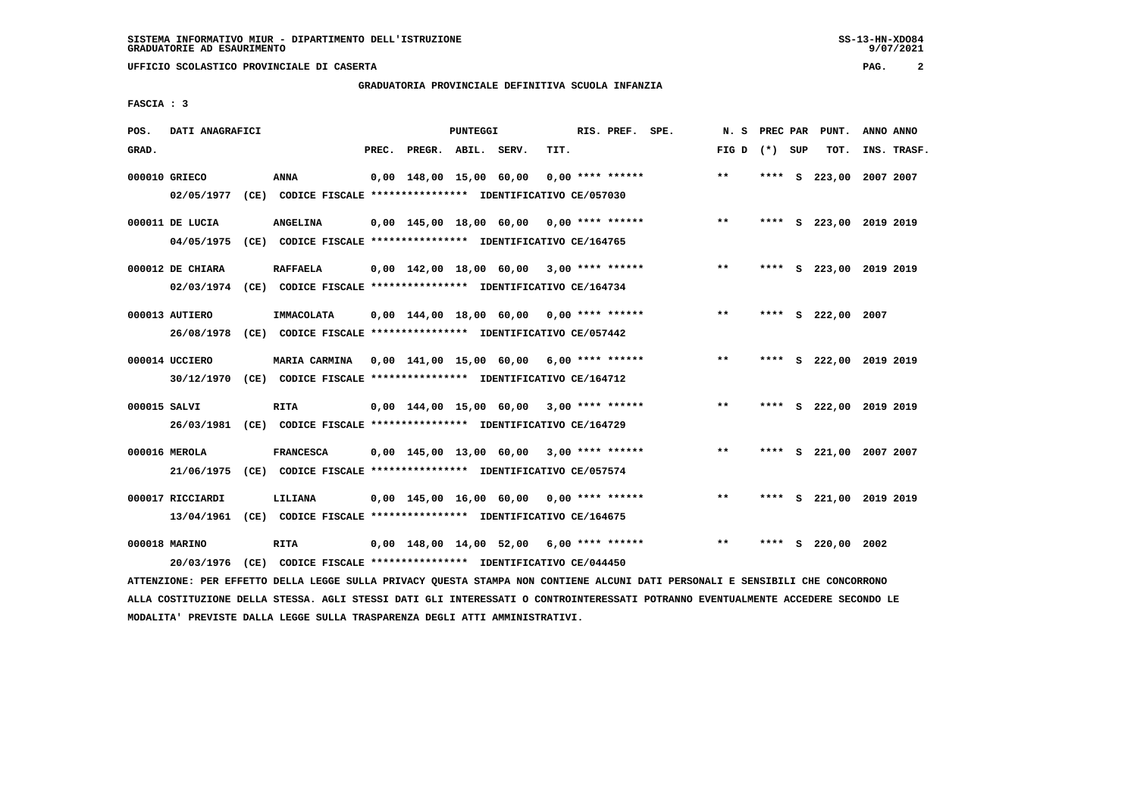# **GRADUATORIA PROVINCIALE DEFINITIVA SCUOLA INFANZIA**

 **FASCIA : 3**

| POS.         | DATI ANAGRAFICI                |                                                                                            |       |                         | PUNTEGGI |                                            |      | RIS. PREF. SPE.    | N.S   | PREC PAR |    | PUNT.                   | ANNO ANNO |             |
|--------------|--------------------------------|--------------------------------------------------------------------------------------------|-------|-------------------------|----------|--------------------------------------------|------|--------------------|-------|----------|----|-------------------------|-----------|-------------|
| GRAD.        |                                |                                                                                            | PREC. | PREGR. ABIL. SERV.      |          |                                            | TIT. |                    | FIG D | (*) SUP  |    | TOT.                    |           | INS. TRASF. |
|              | 000010 GRIECO<br>02/05/1977    | <b>ANNA</b><br>(CE) CODICE FISCALE **************** IDENTIFICATIVO CE/057030               |       | 0,00 148,00 15,00 60,00 |          |                                            |      | $0.00$ **** ****** | $* *$ |          |    | **** S 223,00 2007 2007 |           |             |
|              | 000011 DE LUCIA<br>04/05/1975  | <b>ANGELINA</b><br>(CE) CODICE FISCALE **************** IDENTIFICATIVO CE/164765           |       |                         |          | $0,00$ 145,00 18,00 60,00 0,00 **** ****** |      |                    | $***$ |          |    | **** S 223,00 2019 2019 |           |             |
|              | 000012 DE CHIARA               | <b>RAFFAELA</b><br>02/03/1974 (CE) CODICE FISCALE *************** IDENTIFICATIVO CE/164734 |       |                         |          | $0,00$ 142,00 18,00 60,00 3,00 **** ****** |      |                    | $***$ | ****     |    | S 223,00 2019 2019      |           |             |
|              | 000013 AUTIERO<br>26/08/1978   | IMMACOLATA<br>(CE) CODICE FISCALE **************** IDENTIFICATIVO CE/057442                |       |                         |          | $0.00$ 144.00 18.00 60.00 0.00 **** ****** |      |                    | $* *$ | ****     |    | S 222,00 2007           |           |             |
|              | 000014 UCCIERO                 | MARIA CARMINA<br>30/12/1970 (CE) CODICE FISCALE *************** IDENTIFICATIVO CE/164712   |       |                         |          | $0,00$ 141,00 15,00 60,00 6,00 **** ****** |      |                    | $***$ | ****     |    | S 222,00 2019 2019      |           |             |
| 000015 SALVI | 26/03/1981                     | <b>RITA</b><br>(CE) CODICE FISCALE **************** IDENTIFICATIVO CE/164729               |       |                         |          | $0,00$ 144,00 15,00 60,00 3,00 **** ****** |      |                    | $***$ | ****     |    | S 222,00 2019 2019      |           |             |
|              | 000016 MEROLA<br>21/06/1975    | <b>FRANCESCA</b><br>(CE) CODICE FISCALE **************** IDENTIFICATIVO CE/057574          |       |                         |          | $0.00$ 145.00 13.00 60.00 3.00 **** ****** |      |                    | $* *$ |          |    | **** S 221,00 2007 2007 |           |             |
|              | 000017 RICCIARDI<br>13/04/1961 | LILIANA<br>(CE) CODICE FISCALE *************** IDENTIFICATIVO CE/164675                    |       |                         |          | 0,00 145,00 16,00 60,00 0,00 **** ******   |      |                    | $* *$ | ****     |    | S 221,00 2019 2019      |           |             |
|              | 000018 MARINO                  | <b>RITA</b><br>20/03/1976 (CE) CODICE FISCALE *************** IDENTIFICATIVO CE/044450     |       |                         |          | 0,00 148,00 14,00 52,00                    |      | $6.00$ **** ****** | $***$ | ****     | s. | 220,00                  | 2002      |             |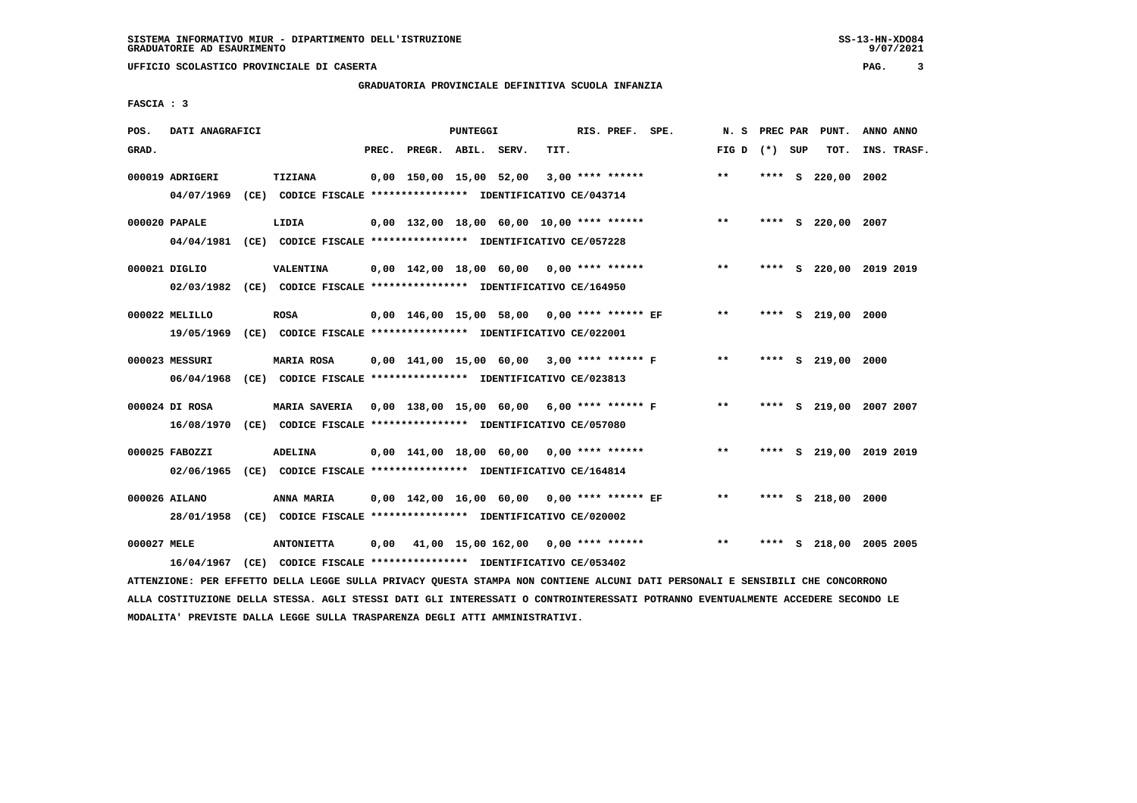# **GRADUATORIA PROVINCIALE DEFINITIVA SCUOLA INFANZIA**

 **FASCIA : 3**

| POS.        | DATI ANAGRAFICI |                                                                                                                               |       |                                             | PUNTEGGI |      | RIS. PREF. SPE.    |                                             | N.S               |        | PREC PAR PUNT.          | ANNO ANNO |             |
|-------------|-----------------|-------------------------------------------------------------------------------------------------------------------------------|-------|---------------------------------------------|----------|------|--------------------|---------------------------------------------|-------------------|--------|-------------------------|-----------|-------------|
| GRAD.       |                 |                                                                                                                               | PREC. | PREGR. ABIL. SERV.                          |          | TIT. |                    |                                             | FIG $D$ $(*)$ SUP |        | TOT.                    |           | INS. TRASF. |
|             | 000019 ADRIGERI | TIZIANA                                                                                                                       |       | 0,00 150,00 15,00 52,00                     |          |      | $3,00$ **** ****** |                                             | $* *$             | **** S | 220,00 2002             |           |             |
|             | 04/07/1969      | (CE) CODICE FISCALE **************** IDENTIFICATIVO CE/043714                                                                 |       |                                             |          |      |                    |                                             |                   |        |                         |           |             |
|             | 000020 PAPALE   | LIDIA                                                                                                                         |       | $0.00$ 132.00 18.00 60.00 10.00 **** ****** |          |      |                    |                                             | $***$             |        | **** S 220,00 2007      |           |             |
|             |                 | 04/04/1981 (CE) CODICE FISCALE *************** IDENTIFICATIVO CE/057228                                                       |       |                                             |          |      |                    |                                             |                   |        |                         |           |             |
|             | 000021 DIGLIO   | <b>VALENTINA</b>                                                                                                              |       | 0,00 142,00 18,00 60,00 0,00 **** ******    |          |      |                    |                                             | $* *$             |        | **** S 220,00 2019 2019 |           |             |
|             |                 | 02/03/1982 (CE) CODICE FISCALE *************** IDENTIFICATIVO CE/164950                                                       |       |                                             |          |      |                    |                                             |                   |        |                         |           |             |
|             | 000022 MELILLO  | <b>ROSA</b>                                                                                                                   |       |                                             |          |      |                    | 0,00 146,00 15,00 58,00 0,00 **** ****** EF | $***$             |        | **** S 219,00 2000      |           |             |
|             |                 | 19/05/1969 (CE) CODICE FISCALE *************** IDENTIFICATIVO CE/022001                                                       |       |                                             |          |      |                    |                                             |                   |        |                         |           |             |
|             | 000023 MESSURI  | <b>MARIA ROSA</b>                                                                                                             |       |                                             |          |      |                    | 0,00 141,00 15,00 60,00 3,00 **** ****** F  | $***$             |        | **** S 219,00 2000      |           |             |
|             | 06/04/1968      |                                                                                                                               |       |                                             |          |      |                    |                                             |                   |        |                         |           |             |
|             | 000024 DI ROSA  | MARIA SAVERIA 0,00 138,00 15,00 60,00 6,00 **** ****** F                                                                      |       |                                             |          |      |                    |                                             | $**$              |        | **** S 219,00 2007 2007 |           |             |
|             | 16/08/1970      | (CE) CODICE FISCALE **************** IDENTIFICATIVO CE/057080                                                                 |       |                                             |          |      |                    |                                             |                   |        |                         |           |             |
|             | 000025 FABOZZI  | <b>ADELINA</b>                                                                                                                |       | 0,00 141,00 18,00 60,00 0,00 **** ******    |          |      |                    |                                             | $***$             |        | **** S 219,00 2019 2019 |           |             |
|             | 02/06/1965      | (CE) CODICE FISCALE **************** IDENTIFICATIVO CE/164814                                                                 |       |                                             |          |      |                    |                                             |                   |        |                         |           |             |
|             | 000026 AILANO   | ANNA MARIA                                                                                                                    |       | 0,00 142,00 16,00 60,00 0,00 **** ****** EF |          |      |                    |                                             | $***$             |        | **** S 218,00 2000      |           |             |
|             |                 | 28/01/1958 (CE) CODICE FISCALE *************** IDENTIFICATIVO CE/020002                                                       |       |                                             |          |      |                    |                                             |                   |        |                         |           |             |
| 000027 MELE |                 | <b>ANTONIETTA</b>                                                                                                             | 0,00  | 41,00 15,00 162,00 0,00 **** ******         |          |      |                    |                                             | $***$             |        | **** S 218,00 2005 2005 |           |             |
|             |                 | 16/04/1967 (CE) CODICE FISCALE *************** IDENTIFICATIVO CE/053402                                                       |       |                                             |          |      |                    |                                             |                   |        |                         |           |             |
|             |                 | ATTENZIONE: PER EFFETTO DELLA LEGGE SULLA PRIVACY QUESTA STAMPA NON CONTIENE ALCUNI DATI PERSONALI E SENSIBILI CHE CONCORRONO |       |                                             |          |      |                    |                                             |                   |        |                         |           |             |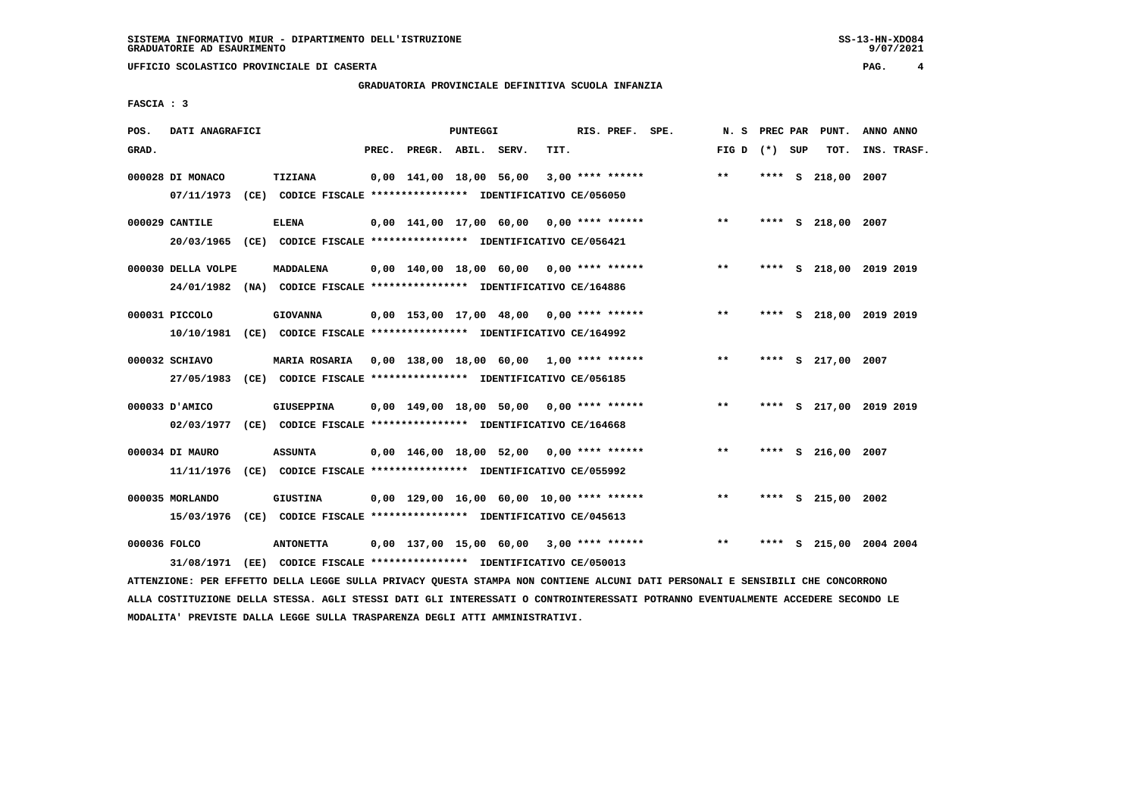# **GRADUATORIA PROVINCIALE DEFINITIVA SCUOLA INFANZIA**

 **FASCIA : 3**

| POS.         | DATI ANAGRAFICI                |                                                                                            |       |                         | PUNTEGGI |                                             |      | RIS. PREF. SPE.    |                                            | N. S            |      | PREC PAR PUNT.     | ANNO ANNO               |
|--------------|--------------------------------|--------------------------------------------------------------------------------------------|-------|-------------------------|----------|---------------------------------------------|------|--------------------|--------------------------------------------|-----------------|------|--------------------|-------------------------|
| GRAD.        |                                |                                                                                            | PREC. | PREGR. ABIL. SERV.      |          |                                             | TIT. |                    |                                            | FIG D $(*)$ SUP |      | TOT.               | INS. TRASF.             |
|              | 000028 DI MONACO<br>07/11/1973 | <b>TIZIANA</b><br>(CE) CODICE FISCALE **************** IDENTIFICATIVO CE/056050            |       | 0,00 141,00 18,00 56,00 |          |                                             |      | $3,00$ **** ****** |                                            | $***$           | **** | s 218,00           | 2007                    |
|              | 000029 CANTILE                 | <b>ELENA</b><br>20/03/1965 (CE) CODICE FISCALE *************** IDENTIFICATIVO CE/056421    |       |                         |          |                                             |      |                    | $0,00$ 141,00 17,00 60,00 0,00 **** ****** | $***$           |      | **** S 218,00 2007 |                         |
|              | 000030 DELLA VOLPE             | MADDALENA<br>24/01/1982 (NA) CODICE FISCALE *************** IDENTIFICATIVO CE/164886       |       |                         |          | 0,00 140,00 18,00 60,00 0,00 **** ******    |      |                    |                                            | $***$           |      |                    | **** S 218,00 2019 2019 |
|              | 000031 PICCOLO                 | <b>GIOVANNA</b><br>10/10/1981 (CE) CODICE FISCALE *************** IDENTIFICATIVO CE/164992 |       |                         |          | 0,00 153,00 17,00 48,00 0,00 **** ******    |      |                    |                                            | $***$           |      |                    | **** S 218,00 2019 2019 |
|              | 000032 SCHIAVO<br>27/05/1983   | <b>MARIA ROSARIA</b><br>(CE) CODICE FISCALE *************** IDENTIFICATIVO CE/056185       |       |                         |          | 0,00 138,00 18,00 60,00 1,00 **** ******    |      |                    |                                            | $* *$           |      | **** S 217,00 2007 |                         |
|              | 000033 D'AMICO                 | GIUSEPPINA<br>02/03/1977 (CE) CODICE FISCALE *************** IDENTIFICATIVO CE/164668      |       |                         |          | $0,00$ 149,00 18,00 50,00 0,00 **** ******  |      |                    |                                            | $***$           | **** |                    | S 217,00 2019 2019      |
|              | 000034 DI MAURO<br>11/11/1976  | <b>ASSUNTA</b><br>(CE) CODICE FISCALE **************** IDENTIFICATIVO CE/055992            |       |                         |          | $0,00$ 146,00 18,00 52,00 0,00 **** ******  |      |                    |                                            | $***$           |      | **** S 216,00 2007 |                         |
|              | 000035 MORLANDO<br>15/03/1976  | <b>GIUSTINA</b><br>(CE) CODICE FISCALE *************** IDENTIFICATIVO CE/045613            |       |                         |          | $0,00$ 129,00 16,00 60,00 10,00 **** ****** |      |                    |                                            | $**$            |      | **** S 215,00 2002 |                         |
| 000036 FOLCO | 31/08/1971                     | <b>ANTONETTA</b><br>(EE) CODICE FISCALE *************** IDENTIFICATIVO CE/050013           |       |                         |          | 0,00 137,00 15,00 60,00 3,00 **** ******    |      |                    |                                            | $* *$           | **** |                    | S 215,00 2004 2004      |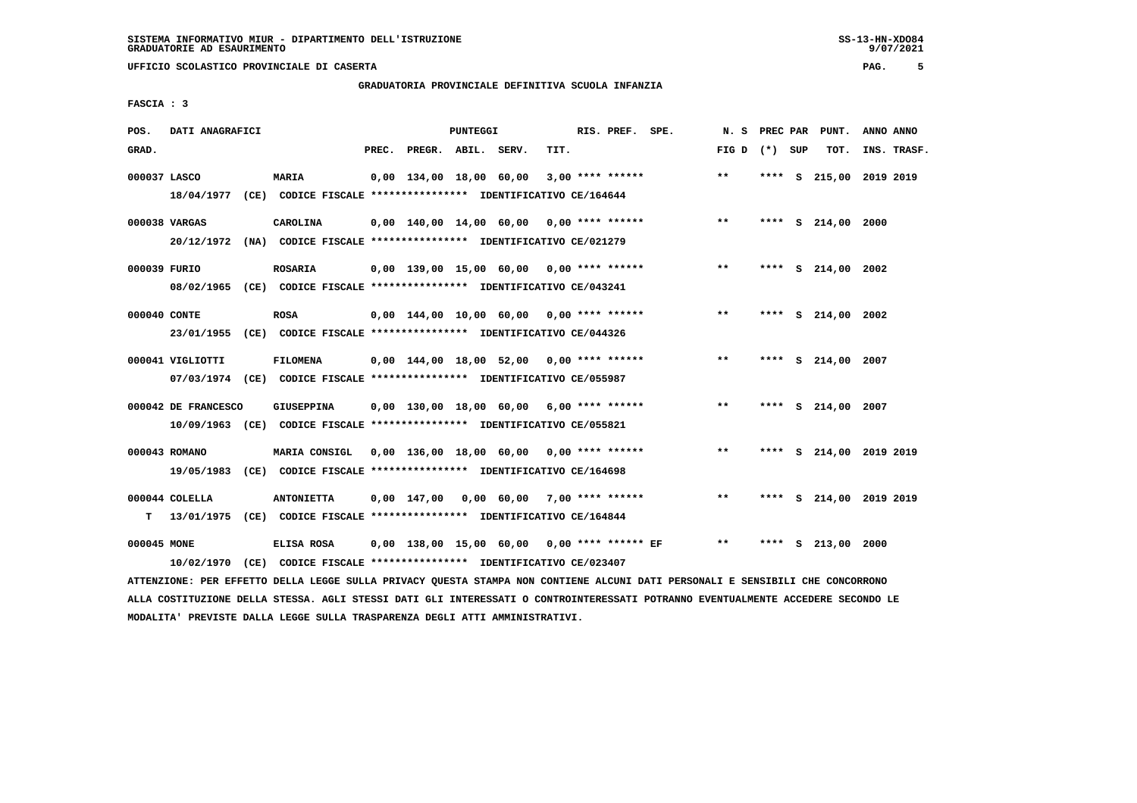# **GRADUATORIA PROVINCIALE DEFINITIVA SCUOLA INFANZIA**

 **FASCIA : 3**

| POS.         | DATI ANAGRAFICI     |                                                                         |       |                         | PUNTEGGI |                                            |      | RIS. PREF. SPE.    |                                             | N. S            | <b>PREC PAR</b> | PUNT.                   | ANNO ANNO |             |
|--------------|---------------------|-------------------------------------------------------------------------|-------|-------------------------|----------|--------------------------------------------|------|--------------------|---------------------------------------------|-----------------|-----------------|-------------------------|-----------|-------------|
| GRAD.        |                     |                                                                         | PREC. | PREGR. ABIL. SERV.      |          |                                            | TIT. |                    |                                             | FIG D $(*)$ SUP |                 | TOT.                    |           | INS. TRASF. |
| 000037 LASCO |                     | <b>MARIA</b>                                                            |       | 0,00 134,00 18,00 60,00 |          |                                            |      | $3,00$ **** ****** |                                             | $***$           |                 | **** S 215,00 2019 2019 |           |             |
|              |                     | 18/04/1977 (CE) CODICE FISCALE *************** IDENTIFICATIVO CE/164644 |       |                         |          |                                            |      |                    |                                             |                 |                 |                         |           |             |
|              | 000038 VARGAS       | CAROLINA                                                                |       |                         |          |                                            |      |                    | $0,00$ 140,00 14,00 60,00 0,00 **** ******  | $\star \star$   |                 | **** S 214,00 2000      |           |             |
|              |                     | 20/12/1972 (NA) CODICE FISCALE *************** IDENTIFICATIVO CE/021279 |       |                         |          |                                            |      |                    |                                             |                 |                 |                         |           |             |
| 000039 FURIO |                     | <b>ROSARIA</b>                                                          |       |                         |          | 0,00 139,00 15,00 60,00 0,00 **** ******   |      |                    |                                             | $***$           |                 | **** S 214,00 2002      |           |             |
|              |                     | 08/02/1965 (CE) CODICE FISCALE *************** IDENTIFICATIVO CE/043241 |       |                         |          |                                            |      |                    |                                             |                 |                 |                         |           |             |
| 000040 CONTE |                     | <b>ROSA</b>                                                             |       |                         |          | $0.00$ 144.00 10.00 60.00 0.00 **** ****** |      |                    |                                             | $* *$           |                 | **** S 214,00 2002      |           |             |
|              |                     | 23/01/1955 (CE) CODICE FISCALE *************** IDENTIFICATIVO CE/044326 |       |                         |          |                                            |      |                    |                                             |                 |                 |                         |           |             |
|              | 000041 VIGLIOTTI    | <b>FILOMENA</b>                                                         |       |                         |          | $0,00$ 144,00 18,00 52,00 0,00 **** ****** |      |                    |                                             | $***$           |                 | **** S 214,00 2007      |           |             |
|              |                     | 07/03/1974 (CE) CODICE FISCALE *************** IDENTIFICATIVO CE/055987 |       |                         |          |                                            |      |                    |                                             |                 |                 |                         |           |             |
|              | 000042 DE FRANCESCO | <b>GIUSEPPINA</b>                                                       |       |                         |          | $0,00$ 130,00 18,00 60,00 6,00 **** ****** |      |                    |                                             | $* *$           |                 | **** S 214,00 2007      |           |             |
|              |                     | 10/09/1963 (CE) CODICE FISCALE *************** IDENTIFICATIVO CE/055821 |       |                         |          |                                            |      |                    |                                             |                 |                 |                         |           |             |
|              | 000043 ROMANO       | MARIA CONSIGL                                                           |       |                         |          | 0,00 136,00 18,00 60,00 0,00 **** ******   |      |                    |                                             | $***$           |                 | **** S 214,00 2019 2019 |           |             |
|              |                     | 19/05/1983 (CE) CODICE FISCALE *************** IDENTIFICATIVO CE/164698 |       |                         |          |                                            |      |                    |                                             |                 |                 |                         |           |             |
|              | 000044 COLELLA      | <b>ANTONIETTA</b>                                                       |       | 0,00 147,00             |          | 0,00 60,00 7,00 **** ******                |      |                    |                                             | $***$           |                 | **** S 214,00 2019 2019 |           |             |
| т            |                     | 13/01/1975 (CE) CODICE FISCALE *************** IDENTIFICATIVO CE/164844 |       |                         |          |                                            |      |                    |                                             |                 |                 |                         |           |             |
| 000045 MONE  |                     | ELISA ROSA                                                              |       |                         |          |                                            |      |                    | 0,00 138,00 15,00 60,00 0,00 **** ****** EF | $* *$           |                 | **** S 213,00 2000      |           |             |
|              | 10/02/1970          | (CE) CODICE FISCALE **************** IDENTIFICATIVO CE/023407           |       |                         |          |                                            |      |                    |                                             |                 |                 |                         |           |             |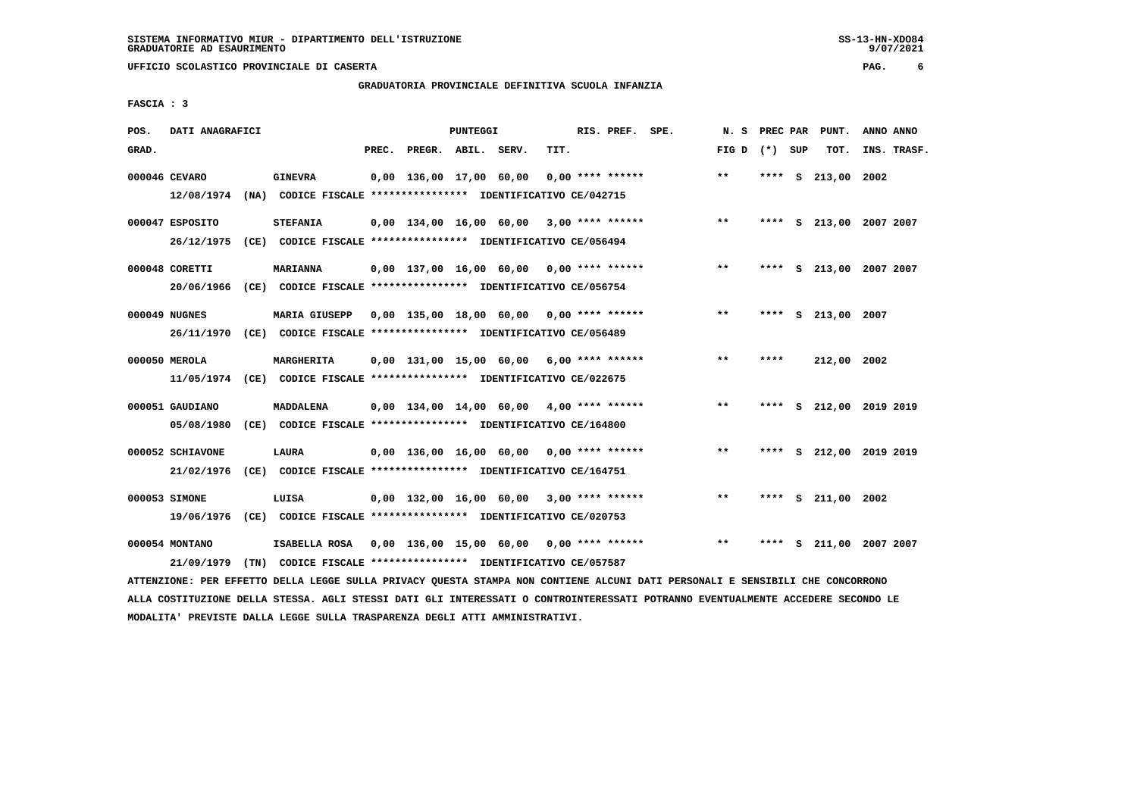# **GRADUATORIA PROVINCIALE DEFINITIVA SCUOLA INFANZIA**

 **FASCIA : 3**

| POS.  | DATI ANAGRAFICI                |                                                                                                                                                                 |       |                                            | PUNTEGGI |      | RIS. PREF. SPE.    | N.S             |      |    | PREC PAR PUNT.          | ANNO ANNO |             |
|-------|--------------------------------|-----------------------------------------------------------------------------------------------------------------------------------------------------------------|-------|--------------------------------------------|----------|------|--------------------|-----------------|------|----|-------------------------|-----------|-------------|
| GRAD. |                                |                                                                                                                                                                 | PREC. | PREGR. ABIL. SERV.                         |          | TIT. |                    | FIG D $(*)$ SUP |      |    | TOT.                    |           | INS. TRASF. |
|       | 000046 CEVARO                  | <b>GINEVRA</b><br>12/08/1974 (NA) CODICE FISCALE *************** IDENTIFICATIVO CE/042715                                                                       |       | 0,00 136,00 17,00 60,00                    |          |      | $0.00$ **** ****** | $**$            |      |    | **** $S$ 213,00         | 2002      |             |
|       | 000047 ESPOSITO                | <b>STEFANIA</b>                                                                                                                                                 |       | $0,00$ 134,00 16,00 60,00 3,00 **** ****** |          |      |                    | $***$           |      |    | **** S 213,00 2007 2007 |           |             |
|       | 26/12/1975<br>000048 CORETTI   | (CE) CODICE FISCALE **************** IDENTIFICATIVO CE/056494<br><b>MARIANNA</b>                                                                                |       | $0,00$ 137,00 16,00 60,00 0,00 **** ****** |          |      |                    | $***$           | **** |    | S 213,00 2007 2007      |           |             |
|       | 000049 NUGNES<br>26/11/1970    | 20/06/1966 (CE) CODICE FISCALE *************** IDENTIFICATIVO CE/056754<br><b>MARIA GIUSEPP</b><br>(CE) CODICE FISCALE *************** IDENTIFICATIVO CE/056489 |       | 0,00 135,00 18,00 60,00 0,00 **** ******   |          |      |                    | $* *$           |      |    | **** S 213,00 2007      |           |             |
|       | 000050 MEROLA                  | MARGHERITA<br>11/05/1974 (CE) CODICE FISCALE *************** IDENTIFICATIVO CE/022675                                                                           |       | 0,00 131,00 15,00 60,00                    |          |      | $6,00$ **** ****** | $* *$           | **** |    | 212,00 2002             |           |             |
|       | 000051 GAUDIANO<br>05/08/1980  | <b>MADDALENA</b><br>(CE) CODICE FISCALE **************** IDENTIFICATIVO CE/164800                                                                               |       | $0.00$ 134.00 14.00 60.00 4.00 **** ****** |          |      |                    | $* *$           | **** |    | S 212,00 2019 2019      |           |             |
|       | 000052 SCHIAVONE<br>21/02/1976 | LAURA<br>(CE) CODICE FISCALE **************** IDENTIFICATIVO CE/164751                                                                                          |       | $0,00$ 136,00 16,00 60,00 0,00 **** ****** |          |      |                    | $***$           |      |    | **** S 212,00 2019 2019 |           |             |
|       | 000053 SIMONE<br>19/06/1976    | LUISA<br>(CE) CODICE FISCALE **************** IDENTIFICATIVO CE/020753                                                                                          |       | 0,00 132,00 16,00 60,00 3,00 **** ******   |          |      |                    | $* *$           | **** |    | S 211,00 2002           |           |             |
|       | 000054 MONTANO<br>21/09/1979   | ISABELLA ROSA 0,00 136,00 15,00 60,00<br>(TN) CODICE FISCALE **************** IDENTIFICATIVO CE/057587                                                          |       |                                            |          |      | $0.00$ **** ****** | $**$            | **** | s. | 211,00 2007 2007        |           |             |
|       |                                |                                                                                                                                                                 |       |                                            |          |      |                    |                 |      |    |                         |           |             |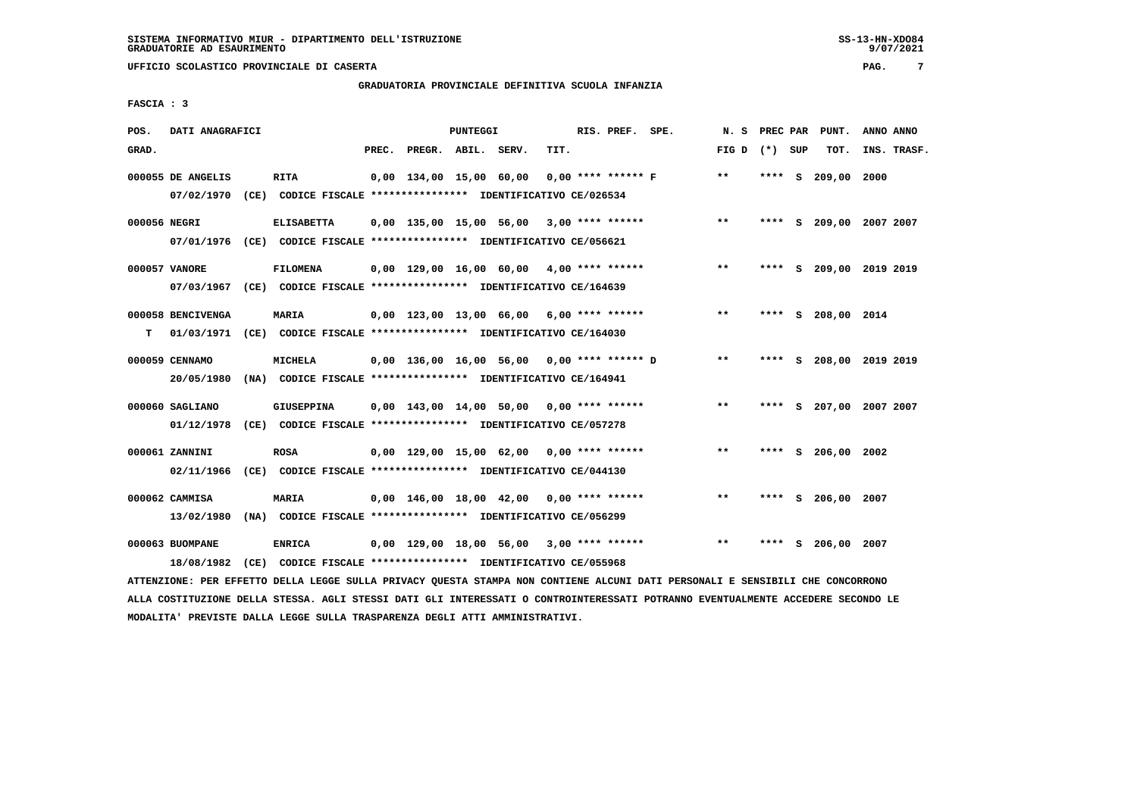# **GRADUATORIA PROVINCIALE DEFINITIVA SCUOLA INFANZIA**

 **FASCIA : 3**

| POS.         | DATI ANAGRAFICI               |                                                                                              |       |                    | PUNTEGGI |                                            |      | RIS. PREF. SPE.      | N.S             |      |   | PREC PAR PUNT.          | ANNO ANNO   |  |
|--------------|-------------------------------|----------------------------------------------------------------------------------------------|-------|--------------------|----------|--------------------------------------------|------|----------------------|-----------------|------|---|-------------------------|-------------|--|
| GRAD.        |                               |                                                                                              | PREC. | PREGR. ABIL. SERV. |          |                                            | TIT. |                      | FIG D $(*)$ SUP |      |   | TOT.                    | INS. TRASF. |  |
|              | 000055 DE ANGELIS             | <b>RITA</b><br>07/02/1970 (CE) CODICE FISCALE *************** IDENTIFICATIVO CE/026534       |       |                    |          | 0,00 134,00 15,00 60,00                    |      | $0.00$ **** ****** F | $**$            |      |   | **** S 209,00 2000      |             |  |
| 000056 NEGRI |                               | <b>ELISABETTA</b><br>07/01/1976 (CE) CODICE FISCALE *************** IDENTIFICATIVO CE/056621 |       |                    |          | $0,00$ 135,00 15,00 56,00 3,00 **** ****** |      |                      | $***$           | **** |   | S 209,00 2007 2007      |             |  |
|              | 000057 VANORE                 | <b>FILOMENA</b><br>07/03/1967 (CE) CODICE FISCALE *************** IDENTIFICATIVO CE/164639   |       |                    |          | 0,00 129,00 16,00 60,00 4,00 **** ******   |      |                      | $***$           | **** |   | S 209,00 2019 2019      |             |  |
| т            | 000058 BENCIVENGA             | <b>MARIA</b><br>01/03/1971 (CE) CODICE FISCALE *************** IDENTIFICATIVO CE/164030      |       |                    |          | $0,00$ 123,00 13,00 66,00 6,00 **** ****** |      |                      | $***$           |      |   | **** S 208,00 2014      |             |  |
|              | 000059 CENNAMO<br>20/05/1980  | <b>MICHELA</b><br>(NA) CODICE FISCALE **************** IDENTIFICATIVO CE/164941              |       |                    |          | 0,00 136,00 16,00 56,00 0,00 **** ****** D |      |                      | $* *$           |      |   | **** S 208,00 2019 2019 |             |  |
|              | 000060 SAGLIANO               | GIUSEPPINA<br>01/12/1978 (CE) CODICE FISCALE *************** IDENTIFICATIVO CE/057278        |       |                    |          | 0,00 143,00 14,00 50,00 0,00 **** ******   |      |                      | $***$           | **** |   | S 207,00 2007 2007      |             |  |
|              | 000061 ZANNINI<br>02/11/1966  | ROSA<br>(CE) CODICE FISCALE **************** IDENTIFICATIVO CE/044130                        |       |                    |          | $0,00$ 129,00 15,00 62,00 0,00 **** ****** |      |                      | $**$            |      |   | **** S 206,00 2002      |             |  |
|              | 000062 CAMMISA<br>13/02/1980  | <b>MARIA</b><br>(NA) CODICE FISCALE **************** IDENTIFICATIVO CE/056299                |       |                    |          | $0,00$ 146,00 18,00 42,00 0,00 **** ****** |      |                      | $**$            | **** |   | S 206,00 2007           |             |  |
|              | 000063 BUOMPANE<br>18/08/1982 | <b>ENRICA</b><br>(CE) CODICE FISCALE **************** IDENTIFICATIVO CE/055968               |       |                    |          | $0,00$ 129,00 18,00 56,00 3,00 **** ****** |      |                      | $***$           | **** | s | 206,00                  | 2007        |  |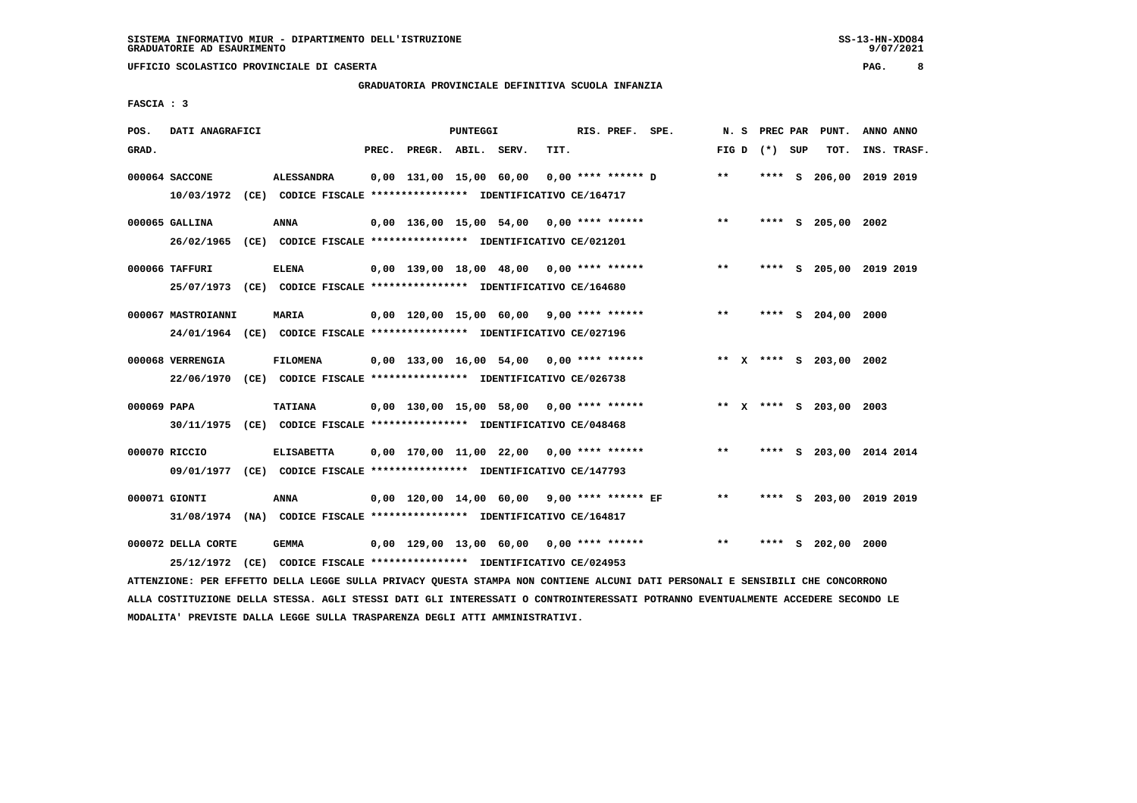# **GRADUATORIA PROVINCIALE DEFINITIVA SCUOLA INFANZIA**

 **FASCIA : 3**

| POS.        | DATI ANAGRAFICI    |                                                                                                                               |       |                    | PUNTEGGI |                                               |      | RIS. PREF. SPE. |                                          |       |                 | N. S PREC PAR PUNT.     | ANNO ANNO   |
|-------------|--------------------|-------------------------------------------------------------------------------------------------------------------------------|-------|--------------------|----------|-----------------------------------------------|------|-----------------|------------------------------------------|-------|-----------------|-------------------------|-------------|
| GRAD.       |                    |                                                                                                                               | PREC. | PREGR. ABIL. SERV. |          |                                               | TIT. |                 |                                          |       | FIG D $(*)$ SUP | тот.                    | INS. TRASF. |
|             | 000064 SACCONE     | <b>ALESSANDRA</b>                                                                                                             |       |                    |          | 0,00 131,00 15,00 60,00                       |      |                 | 0,00 **** ****** D                       | $* *$ |                 | **** S 206,00 2019 2019 |             |
|             |                    | 10/03/1972 (CE) CODICE FISCALE **************** IDENTIFICATIVO CE/164717                                                      |       |                    |          |                                               |      |                 |                                          |       |                 |                         |             |
|             | 000065 GALLINA     | <b>ANNA</b>                                                                                                                   |       |                    |          | $0,00$ 136,00 15,00 54,00 0,00 **** ******    |      |                 |                                          | $***$ |                 | **** S 205,00 2002      |             |
|             |                    | 26/02/1965 (CE) CODICE FISCALE *************** IDENTIFICATIVO CE/021201                                                       |       |                    |          |                                               |      |                 |                                          |       |                 |                         |             |
|             | 000066 TAFFURI     | <b>ELENA</b>                                                                                                                  |       |                    |          | 0,00 139,00 18,00 48,00 0,00 **** ******      |      |                 |                                          | $***$ |                 | **** S 205,00 2019 2019 |             |
|             |                    | 25/07/1973 (CE) CODICE FISCALE *************** IDENTIFICATIVO CE/164680                                                       |       |                    |          |                                               |      |                 |                                          |       |                 |                         |             |
|             | 000067 MASTROIANNI | <b>MARIA</b>                                                                                                                  |       |                    |          | $0,00$ 120,00 15,00 60,00 9,00 **** ******    |      |                 |                                          | $***$ |                 | **** S 204,00 2000      |             |
|             |                    | 24/01/1964 (CE) CODICE FISCALE *************** IDENTIFICATIVO CE/027196                                                       |       |                    |          |                                               |      |                 |                                          |       |                 |                         |             |
|             |                    |                                                                                                                               |       |                    |          |                                               |      |                 |                                          |       |                 |                         |             |
|             | 000068 VERRENGIA   | <b>FILOMENA</b><br>22/06/1970 (CE) CODICE FISCALE *************** IDENTIFICATIVO CE/026738                                    |       |                    |          | $0,00$ 133,00 16,00 54,00 0,00 **** ******    |      |                 |                                          |       |                 | ** X **** S 203,00 2002 |             |
|             |                    |                                                                                                                               |       |                    |          |                                               |      |                 |                                          |       |                 |                         |             |
| 000069 PAPA |                    | TATIANA                                                                                                                       |       |                    |          | 0,00 130,00 15,00 58,00 0,00 **** ******      |      |                 |                                          |       |                 | ** X **** S 203,00 2003 |             |
|             |                    | 30/11/1975 (CE) CODICE FISCALE *************** IDENTIFICATIVO CE/048468                                                       |       |                    |          |                                               |      |                 |                                          |       |                 |                         |             |
|             | 000070 RICCIO      | <b>ELISABETTA</b>                                                                                                             |       |                    |          | $0,00$ 170,00 11,00 22,00 0,00 **** ******    |      |                 |                                          | $***$ |                 | **** S 203,00 2014 2014 |             |
|             |                    | 09/01/1977 (CE) CODICE FISCALE *************** IDENTIFICATIVO CE/147793                                                       |       |                    |          |                                               |      |                 |                                          |       |                 |                         |             |
|             | 000071 GIONTI      | <b>ANNA</b>                                                                                                                   |       |                    |          | $0,00$ 120,00 14,00 60,00 9,00 **** ****** EF |      |                 |                                          | $***$ |                 | **** S 203,00 2019 2019 |             |
|             |                    | 31/08/1974 (NA) CODICE FISCALE *************** IDENTIFICATIVO CE/164817                                                       |       |                    |          |                                               |      |                 |                                          |       |                 |                         |             |
|             | 000072 DELLA CORTE | <b>GEMMA</b>                                                                                                                  |       |                    |          |                                               |      |                 | 0,00 129,00 13,00 60,00 0,00 **** ****** | $* *$ |                 | **** S 202,00 2000      |             |
|             |                    | 25/12/1972 (CE) CODICE FISCALE *************** IDENTIFICATIVO CE/024953                                                       |       |                    |          |                                               |      |                 |                                          |       |                 |                         |             |
|             |                    | ATTENZIONE: PER EFFETTO DELLA LEGGE SULLA PRIVACY QUESTA STAMPA NON CONTIENE ALCUNI DATI PERSONALI E SENSIBILI CHE CONCORRONO |       |                    |          |                                               |      |                 |                                          |       |                 |                         |             |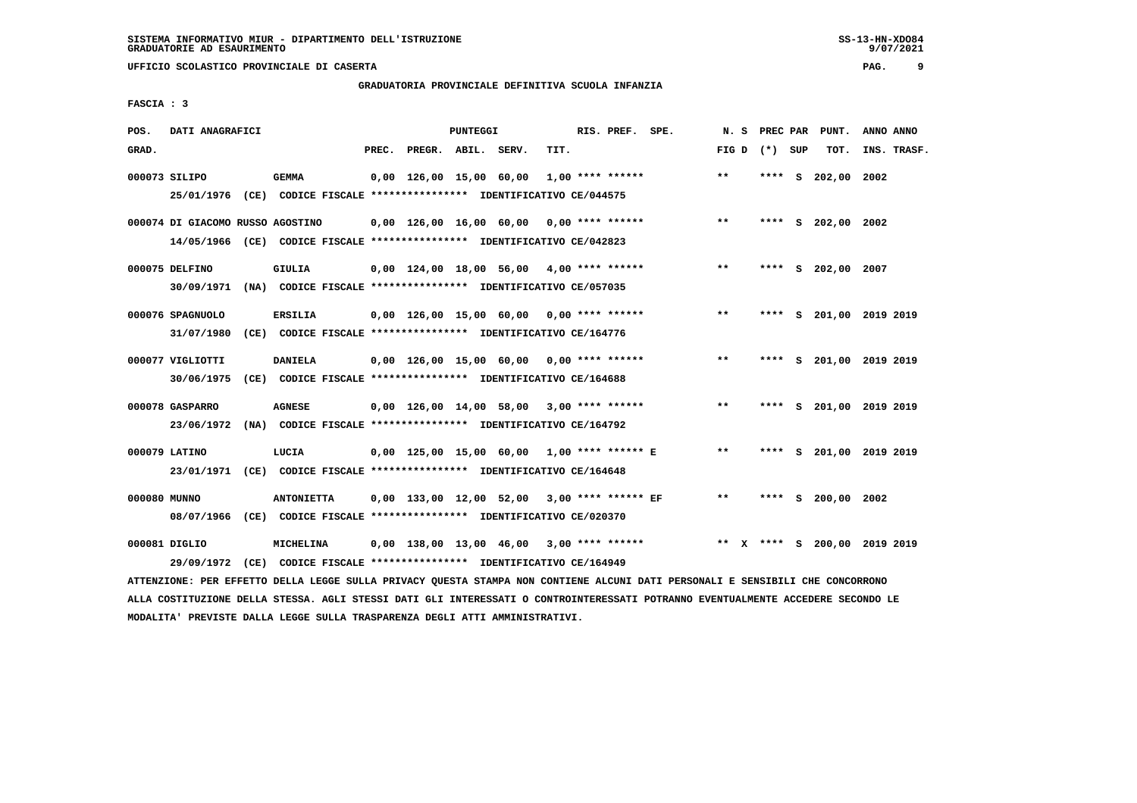# **GRADUATORIA PROVINCIALE DEFINITIVA SCUOLA INFANZIA**

 **FASCIA : 3**

| POS.         | DATI ANAGRAFICI                  |                                                                                                                               |       |                    | PUNTEGGI |                                               |      | RIS. PREF. SPE. |                                            |                 |        | N. S PREC PAR PUNT. | ANNO ANNO                                                                    |
|--------------|----------------------------------|-------------------------------------------------------------------------------------------------------------------------------|-------|--------------------|----------|-----------------------------------------------|------|-----------------|--------------------------------------------|-----------------|--------|---------------------|------------------------------------------------------------------------------|
| GRAD.        |                                  |                                                                                                                               | PREC. | PREGR. ABIL. SERV. |          |                                               | TIT. |                 |                                            | FIG D $(*)$ SUP |        | TOT.                | INS. TRASF.                                                                  |
|              | 000073 SILIPO                    | <b>GEMMA</b>                                                                                                                  |       |                    |          | 0,00 126,00 15,00 60,00 1,00 **** ******      |      |                 |                                            | $* *$           | **** S | 202,00 2002         |                                                                              |
|              |                                  | 25/01/1976 (CE) CODICE FISCALE *************** IDENTIFICATIVO CE/044575                                                       |       |                    |          |                                               |      |                 |                                            |                 |        |                     |                                                                              |
|              | 000074 DI GIACOMO RUSSO AGOSTINO |                                                                                                                               |       |                    |          | 0,00 126,00 16,00 60,00 0,00 **** ******      |      |                 |                                            | $***$           |        | **** S 202,00 2002  |                                                                              |
|              |                                  | 14/05/1966 (CE) CODICE FISCALE *************** IDENTIFICATIVO CE/042823                                                       |       |                    |          |                                               |      |                 |                                            |                 |        |                     |                                                                              |
|              | 000075 DELFINO                   | GIULIA                                                                                                                        |       |                    |          | 0,00 124,00 18,00 56,00 4,00 **** ******      |      |                 |                                            | $***$           |        | **** S 202,00 2007  |                                                                              |
|              |                                  | 30/09/1971 (NA) CODICE FISCALE *************** IDENTIFICATIVO CE/057035                                                       |       |                    |          |                                               |      |                 |                                            |                 |        |                     |                                                                              |
|              | 000076 SPAGNUOLO                 | <b>ERSILIA</b>                                                                                                                |       |                    |          | $0,00$ 126,00 15,00 60,00 0,00 **** ******    |      |                 |                                            | $* *$           |        |                     | **** S 201,00 2019 2019                                                      |
|              | 31/07/1980                       | (CE) CODICE FISCALE **************** IDENTIFICATIVO CE/164776                                                                 |       |                    |          |                                               |      |                 |                                            |                 |        |                     |                                                                              |
|              | 000077 VIGLIOTTI                 | <b>DANIELA</b>                                                                                                                |       |                    |          | $0,00$ 126,00 15,00 60,00 0,00 **** ******    |      |                 |                                            | $* *$           |        |                     | **** S 201,00 2019 2019                                                      |
|              | 30/06/1975                       | (CE) CODICE FISCALE **************** IDENTIFICATIVO CE/164688                                                                 |       |                    |          |                                               |      |                 |                                            |                 |        |                     |                                                                              |
|              | 000078 GASPARRO                  | <b>AGNESE</b>                                                                                                                 |       |                    |          | 0,00 126,00 14,00 58,00 3,00 **** ******      |      |                 |                                            | $**$            |        |                     | **** S 201,00 2019 2019                                                      |
|              |                                  | 23/06/1972 (NA) CODICE FISCALE *************** IDENTIFICATIVO CE/164792                                                       |       |                    |          |                                               |      |                 |                                            |                 |        |                     |                                                                              |
|              | 000079 LATINO                    | LUCIA                                                                                                                         |       |                    |          |                                               |      |                 | 0,00 125,00 15,00 60,00 1,00 **** ****** E | $* *$           |        |                     | **** S 201,00 2019 2019                                                      |
|              |                                  | 23/01/1971 (CE) CODICE FISCALE *************** IDENTIFICATIVO CE/164648                                                       |       |                    |          |                                               |      |                 |                                            |                 |        |                     |                                                                              |
| 000080 MUNNO |                                  | <b>ANTONIETTA</b>                                                                                                             |       |                    |          | $0,00$ 133,00 12,00 52,00 3,00 **** ****** EF |      |                 |                                            | $**$            |        | **** S 200,00 2002  |                                                                              |
|              |                                  | 08/07/1966 (CE) CODICE FISCALE *************** IDENTIFICATIVO CE/020370                                                       |       |                    |          |                                               |      |                 |                                            |                 |        |                     |                                                                              |
|              | 000081 DIGLIO                    | MICHELINA                                                                                                                     |       |                    |          |                                               |      |                 |                                            |                 |        |                     | $0,00$ 138,00 13,00 46,00 3,00 **** ****** **** *** **** \$ 200,00 2019 2019 |
|              | 29/09/1972                       | (CE) CODICE FISCALE **************** IDENTIFICATIVO CE/164949                                                                 |       |                    |          |                                               |      |                 |                                            |                 |        |                     |                                                                              |
|              |                                  | ATTENZIONE: PER EFFETTO DELLA LEGGE SULLA PRIVACY QUESTA STAMPA NON CONTIENE ALCUNI DATI PERSONALI E SENSIBILI CHE CONCORRONO |       |                    |          |                                               |      |                 |                                            |                 |        |                     |                                                                              |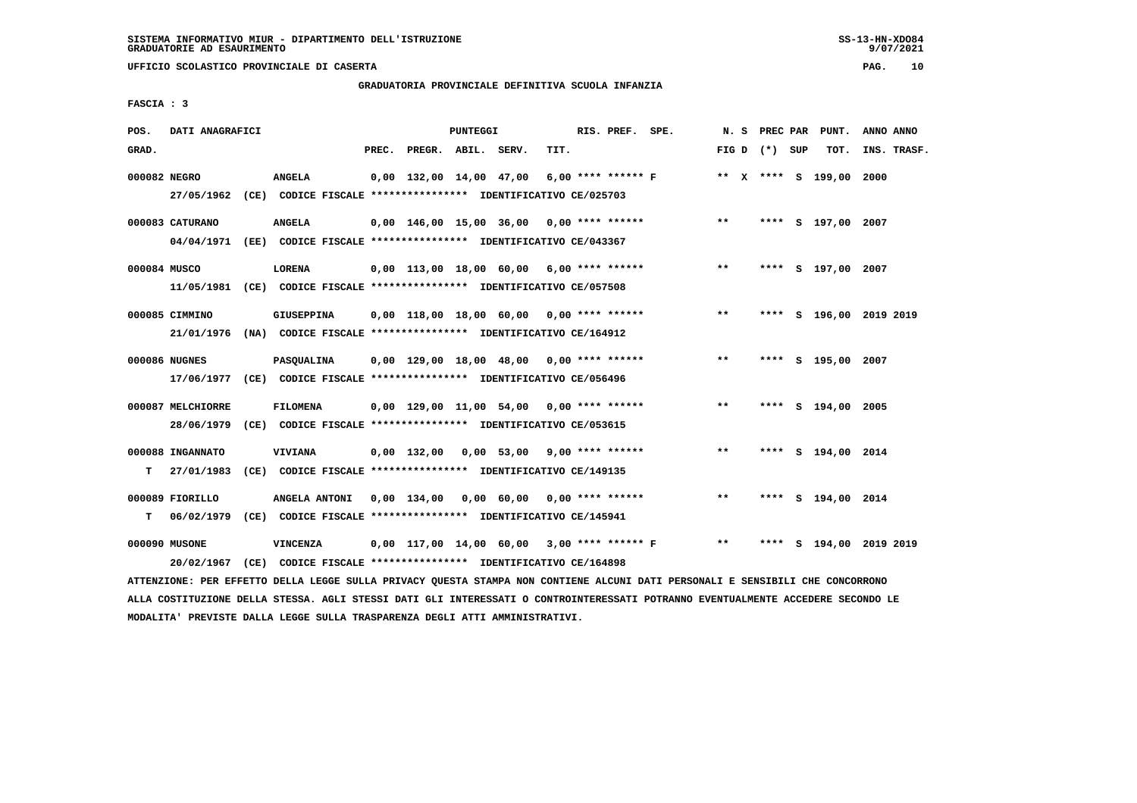# **GRADUATORIA PROVINCIALE DEFINITIVA SCUOLA INFANZIA**

| POS.         | DATI ANAGRAFICI   |                                                                         |       |                    | PUNTEGGI |                                              |      | RIS. PREF. SPE. |                    | N. S  |                   | PREC PAR PUNT.          | ANNO ANNO |             |
|--------------|-------------------|-------------------------------------------------------------------------|-------|--------------------|----------|----------------------------------------------|------|-----------------|--------------------|-------|-------------------|-------------------------|-----------|-------------|
| GRAD.        |                   |                                                                         | PREC. | PREGR. ABIL. SERV. |          |                                              | TIT. |                 |                    |       | FIG $D$ $(*)$ SUP | TOT.                    |           | INS. TRASF. |
| 000082 NEGRO |                   | <b>ANGELA</b>                                                           |       |                    |          | 0,00 132,00 14,00 47,00                      |      |                 | 6,00 **** ****** F |       |                   | ** X **** S 199,00      | 2000      |             |
|              | 27/05/1962        | (CE) CODICE FISCALE **************** IDENTIFICATIVO CE/025703           |       |                    |          |                                              |      |                 |                    |       |                   |                         |           |             |
|              | 000083 CATURANO   | <b>ANGELA</b>                                                           |       |                    |          | $0,00$ 146,00 15,00 36,00 0,00 **** ******   |      |                 |                    | $* *$ |                   | **** S 197,00 2007      |           |             |
|              |                   | 04/04/1971 (EE) CODICE FISCALE *************** IDENTIFICATIVO CE/043367 |       |                    |          |                                              |      |                 |                    |       |                   |                         |           |             |
| 000084 MUSCO |                   | <b>LORENA</b>                                                           |       |                    |          | $0,00$ 113,00 18,00 60,00 6,00 **** ******   |      |                 |                    | $***$ |                   | **** S 197,00 2007      |           |             |
|              |                   | 11/05/1981 (CE) CODICE FISCALE *************** IDENTIFICATIVO CE/057508 |       |                    |          |                                              |      |                 |                    |       |                   |                         |           |             |
|              | 000085 CIMMINO    | GIUSEPPINA                                                              |       |                    |          | 0,00 118,00 18,00 60,00 0,00 **** ******     |      |                 |                    | $* *$ |                   | **** S 196,00 2019 2019 |           |             |
|              |                   | 21/01/1976 (NA) CODICE FISCALE *************** IDENTIFICATIVO CE/164912 |       |                    |          |                                              |      |                 |                    |       |                   |                         |           |             |
|              | 000086 NUGNES     | <b>PASQUALINA</b>                                                       |       |                    |          | $0,00$ 129,00 18,00 48,00 0,00 **** ******   |      |                 |                    | **    |                   | **** S 195,00 2007      |           |             |
|              |                   | 17/06/1977 (CE) CODICE FISCALE *************** IDENTIFICATIVO CE/056496 |       |                    |          |                                              |      |                 |                    |       |                   |                         |           |             |
|              | 000087 MELCHIORRE | <b>FILOMENA</b>                                                         |       |                    |          | $0,00$ 129,00 11,00 54,00 0,00 **** ******   |      |                 |                    | $**$  |                   | **** S 194,00 2005      |           |             |
|              | 28/06/1979        | (CE) CODICE FISCALE **************** IDENTIFICATIVO CE/053615           |       |                    |          |                                              |      |                 |                    |       |                   |                         |           |             |
|              | 000088 INGANNATO  | <b>VIVIANA</b>                                                          |       |                    |          | $0,00$ 132,00 0,00 53,00 9,00 **** ******    |      |                 |                    | $***$ |                   | **** S 194,00 2014      |           |             |
| т            | 27/01/1983        | (CE) CODICE FISCALE **************** IDENTIFICATIVO CE/149135           |       |                    |          |                                              |      |                 |                    |       |                   |                         |           |             |
|              | 000089 FIORILLO   | ANGELA ANTONI                                                           |       | 0,00 134,00        |          | $0,00$ 60,00 0,00 **** ******                |      |                 |                    | $***$ |                   | **** S 194,00 2014      |           |             |
| т            | 06/02/1979        | (CE) CODICE FISCALE **************** IDENTIFICATIVO CE/145941           |       |                    |          |                                              |      |                 |                    |       |                   |                         |           |             |
|              | 000090 MUSONE     | VINCENZA                                                                |       |                    |          | $0.00$ 117.00 14.00 60.00 3.00 **** ****** F |      |                 |                    | $***$ | ****              | S 194,00 2019 2019      |           |             |
|              | 20/02/1967        | (CE) CODICE FISCALE **************** IDENTIFICATIVO CE/164898           |       |                    |          |                                              |      |                 |                    |       |                   |                         |           |             |

 **ATTENZIONE: PER EFFETTO DELLA LEGGE SULLA PRIVACY QUESTA STAMPA NON CONTIENE ALCUNI DATI PERSONALI E SENSIBILI CHE CONCORRONO ALLA COSTITUZIONE DELLA STESSA. AGLI STESSI DATI GLI INTERESSATI O CONTROINTERESSATI POTRANNO EVENTUALMENTE ACCEDERE SECONDO LE MODALITA' PREVISTE DALLA LEGGE SULLA TRASPARENZA DEGLI ATTI AMMINISTRATIVI.**

# **FASCIA : 3**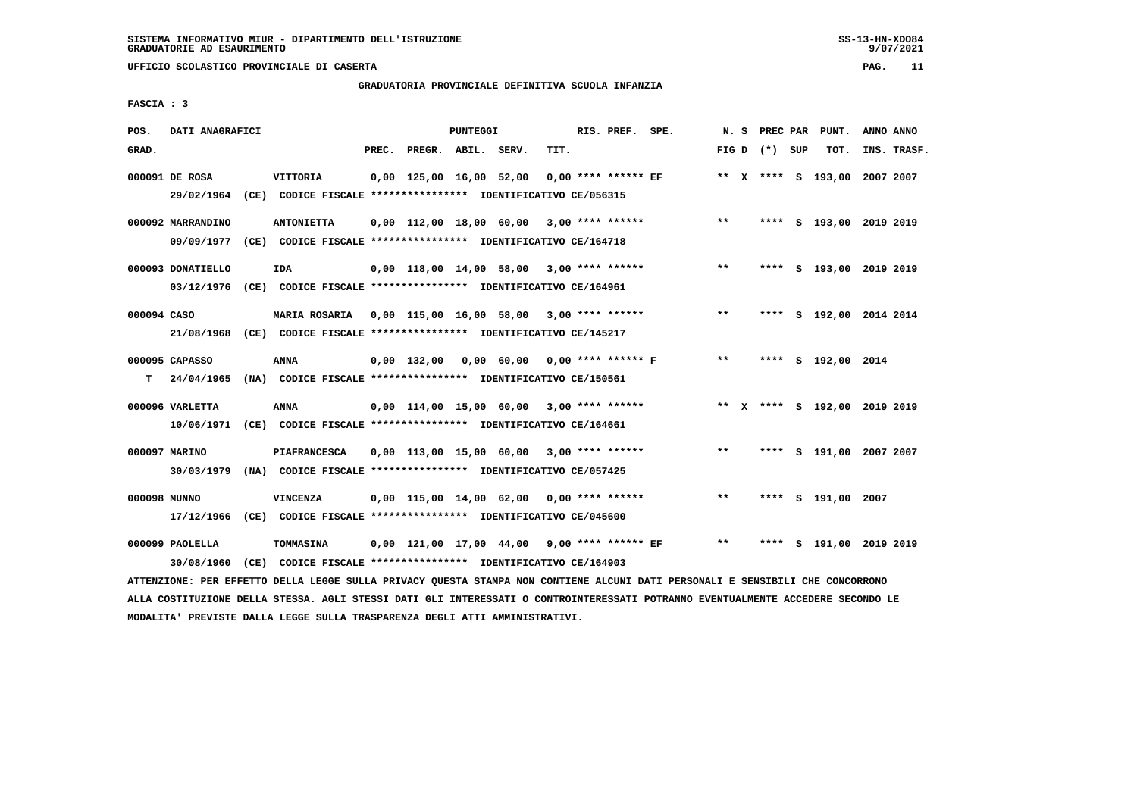# **GRADUATORIA PROVINCIALE DEFINITIVA SCUOLA INFANZIA**

 **FASCIA : 3**

| POS.         | DATI ANAGRAFICI   |      |                                                                                                                               |       |                                             | <b>PUNTEGGI</b> |      | RIS. PREF. SPE.       |                                           |       |                 | N. S PREC PAR PUNT.          | ANNO ANNO   |
|--------------|-------------------|------|-------------------------------------------------------------------------------------------------------------------------------|-------|---------------------------------------------|-----------------|------|-----------------------|-------------------------------------------|-------|-----------------|------------------------------|-------------|
| GRAD.        |                   |      |                                                                                                                               | PREC. | PREGR. ABIL. SERV.                          |                 | TIT. |                       |                                           |       | FIG D $(*)$ SUP | TOT.                         | INS. TRASF. |
|              | 000091 DE ROSA    |      | VITTORIA                                                                                                                      |       | 0,00 125,00 16,00 52,00                     |                 |      | $0,00$ **** ****** EF |                                           |       |                 | ** X **** S 193,00 2007 2007 |             |
|              |                   |      | 29/02/1964 (CE) CODICE FISCALE *************** IDENTIFICATIVO CE/056315                                                       |       |                                             |                 |      |                       |                                           |       |                 |                              |             |
|              | 000092 MARRANDINO |      | <b>ANTONIETTA</b>                                                                                                             |       | $0.00$ 112.00 18.00 60.00 3.00 **** ******  |                 |      |                       |                                           | $***$ |                 | **** S 193,00 2019 2019      |             |
|              |                   |      | 09/09/1977 (CE) CODICE FISCALE *************** IDENTIFICATIVO CE/164718                                                       |       |                                             |                 |      |                       |                                           |       |                 |                              |             |
|              | 000093 DONATIELLO |      | IDA                                                                                                                           |       | $0,00$ 118,00 14,00 58,00 3,00 **** ******  |                 |      |                       |                                           | $* *$ |                 | **** S 193,00 2019 2019      |             |
|              |                   |      | 03/12/1976 (CE) CODICE FISCALE *************** IDENTIFICATIVO CE/164961                                                       |       |                                             |                 |      |                       |                                           |       |                 |                              |             |
| 000094 CASO  |                   |      | MARIA ROSARIA 0,00 115,00 16,00 58,00 3,00 **** ******                                                                        |       |                                             |                 |      |                       |                                           | $***$ |                 | **** S 192,00 2014 2014      |             |
|              |                   |      | 21/08/1968 (CE) CODICE FISCALE *************** IDENTIFICATIVO CE/145217                                                       |       |                                             |                 |      |                       |                                           |       |                 |                              |             |
|              | 000095 CAPASSO    |      | <b>ANNA</b>                                                                                                                   |       |                                             |                 |      |                       | 0,00 132,00 0,00 60,00 0,00 **** ****** F | $***$ |                 | **** S 192,00 2014           |             |
| т            |                   |      | 24/04/1965 (NA) CODICE FISCALE **************** IDENTIFICATIVO CE/150561                                                      |       |                                             |                 |      |                       |                                           |       |                 |                              |             |
|              | 000096 VARLETTA   |      | ANNA                                                                                                                          |       | $0,00$ 114,00 15,00 60,00 3,00 **** ******  |                 |      |                       |                                           |       |                 | ** X **** S 192,00 2019 2019 |             |
|              |                   |      | 10/06/1971 (CE) CODICE FISCALE *************** IDENTIFICATIVO CE/164661                                                       |       |                                             |                 |      |                       |                                           |       |                 |                              |             |
|              | 000097 MARINO     |      | <b>PIAFRANCESCA</b>                                                                                                           |       | $0,00$ 113,00 15,00 60,00 3,00 **** ******  |                 |      |                       |                                           | $***$ |                 | **** S 191,00 2007 2007      |             |
|              |                   |      | 30/03/1979 (NA) CODICE FISCALE *************** IDENTIFICATIVO CE/057425                                                       |       |                                             |                 |      |                       |                                           |       |                 |                              |             |
| 000098 MUNNO |                   |      | <b>VINCENZA</b>                                                                                                               |       | $0,00$ 115,00 14,00 62,00 0,00 **** ******  |                 |      |                       |                                           | $***$ |                 | **** S 191,00 2007           |             |
|              |                   |      | 17/12/1966 (CE) CODICE FISCALE *************** IDENTIFICATIVO CE/045600                                                       |       |                                             |                 |      |                       |                                           |       |                 |                              |             |
|              | 000099 PAOLELLA   |      | TOMMASINA                                                                                                                     |       | 0,00 121,00 17,00 44,00 9,00 **** ****** EF |                 |      |                       |                                           | $***$ |                 | **** S 191,00 2019 2019      |             |
|              | 30/08/1960        | (CE) | CODICE FISCALE **************** IDENTIFICATIVO CE/164903                                                                      |       |                                             |                 |      |                       |                                           |       |                 |                              |             |
|              |                   |      | ATTENZIONE: PER EFFETTO DELLA LEGGE SULLA PRIVACY QUESTA STAMPA NON CONTIENE ALCUNI DATI PERSONALI E SENSIBILI CHE CONCORRONO |       |                                             |                 |      |                       |                                           |       |                 |                              |             |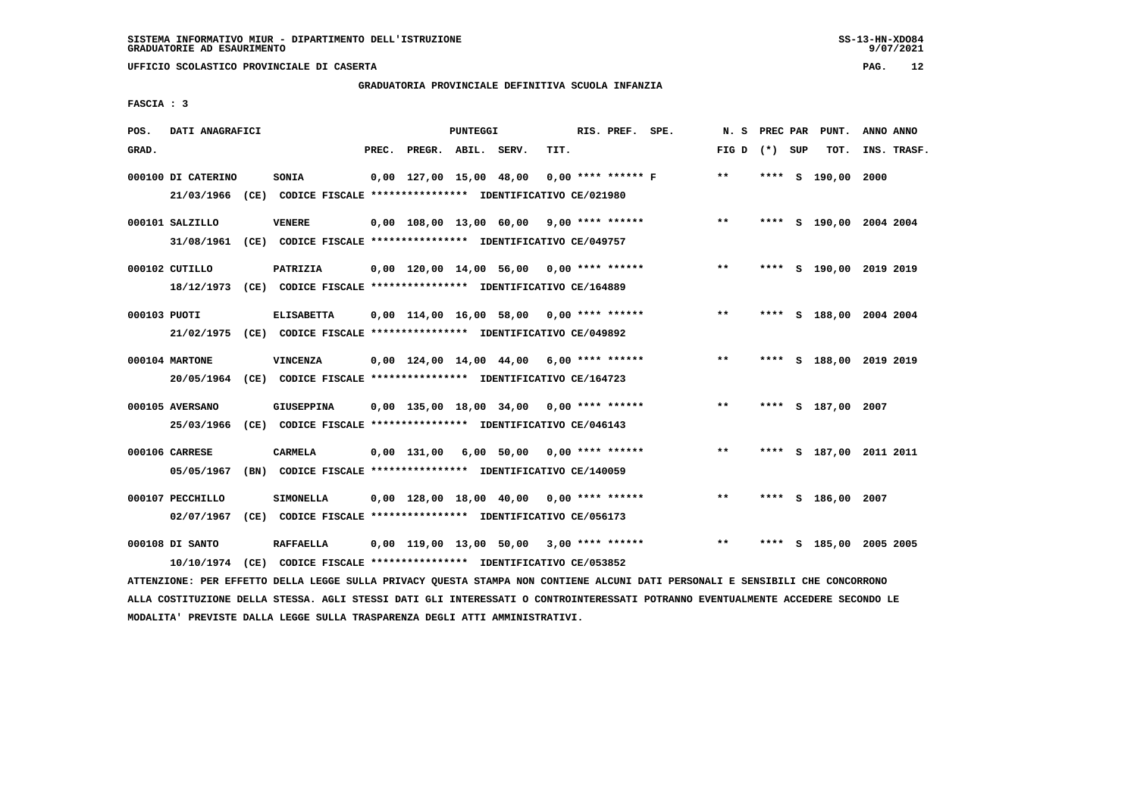# **GRADUATORIA PROVINCIALE DEFINITIVA SCUOLA INFANZIA**

 **FASCIA : 3**

| POS.         | DATI ANAGRAFICI    |                                                                         |       |                                            | PUNTEGGI |                               |      | RIS. PREF. SPE.      | N. S            |      |     | PREC PAR PUNT.          | ANNO ANNO |             |
|--------------|--------------------|-------------------------------------------------------------------------|-------|--------------------------------------------|----------|-------------------------------|------|----------------------|-----------------|------|-----|-------------------------|-----------|-------------|
| GRAD.        |                    |                                                                         | PREC. | PREGR. ABIL. SERV.                         |          |                               | TIT. |                      | FIG D $(*)$ SUP |      |     | TOT.                    |           | INS. TRASF. |
|              | 000100 DI CATERINO | SONIA                                                                   |       | 0,00 127,00 15,00 48,00                    |          |                               |      | $0.00$ **** ****** F | $* *$           |      |     | **** S 190,00           | 2000      |             |
|              | 21/03/1966         | (CE) CODICE FISCALE **************** IDENTIFICATIVO CE/021980           |       |                                            |          |                               |      |                      |                 |      |     |                         |           |             |
|              | 000101 SALZILLO    | <b>VENERE</b>                                                           |       | $0.00$ 108.00 13.00 60.00 9.00 **** ****** |          |                               |      |                      | $* *$           |      |     | **** S 190,00 2004 2004 |           |             |
|              |                    | 31/08/1961 (CE) CODICE FISCALE *************** IDENTIFICATIVO CE/049757 |       |                                            |          |                               |      |                      |                 |      |     |                         |           |             |
|              | 000102 CUTILLO     | PATRIZIA                                                                |       | $0,00$ 120,00 14,00 56,00 0,00 **** ****** |          |                               |      |                      | $* *$           |      |     | **** S 190,00 2019 2019 |           |             |
|              |                    | 18/12/1973 (CE) CODICE FISCALE *************** IDENTIFICATIVO CE/164889 |       |                                            |          |                               |      |                      |                 |      |     |                         |           |             |
| 000103 PUOTI |                    | <b>ELISABETTA</b>                                                       |       | $0,00$ 114,00 16,00 58,00 0,00 **** ****** |          |                               |      |                      | $***$           |      |     | **** S 188,00 2004 2004 |           |             |
|              |                    | 21/02/1975 (CE) CODICE FISCALE *************** IDENTIFICATIVO CE/049892 |       |                                            |          |                               |      |                      |                 |      |     |                         |           |             |
|              | 000104 MARTONE     | <b>VINCENZA</b>                                                         |       | $0,00$ 124,00 14,00 44,00 6,00 **** ****** |          |                               |      |                      | $* *$           |      |     | **** S 188,00 2019 2019 |           |             |
|              | 20/05/1964         | (CE) CODICE FISCALE **************** IDENTIFICATIVO CE/164723           |       |                                            |          |                               |      |                      |                 |      |     |                         |           |             |
|              | 000105 AVERSANO    | <b>GIUSEPPINA</b>                                                       |       | $0.00$ 135.00 18.00 34.00 0.00 **** ****** |          |                               |      |                      | $***$           |      |     | **** S 187,00 2007      |           |             |
|              | 25/03/1966         | (CE) CODICE FISCALE **************** IDENTIFICATIVO CE/046143           |       |                                            |          |                               |      |                      |                 |      |     |                         |           |             |
|              | 000106 CARRESE     | CARMELA                                                                 |       | 0,00 131,00                                |          | $6,00$ 50,00 0,00 **** ****** |      |                      | $***$           |      |     | **** S 187,00 2011 2011 |           |             |
|              | 05/05/1967         | (BN) CODICE FISCALE **************** IDENTIFICATIVO CE/140059           |       |                                            |          |                               |      |                      |                 |      |     |                         |           |             |
|              | 000107 PECCHILLO   | <b>SIMONELLA</b>                                                        |       | 0,00 128,00 18,00 40,00                    |          |                               |      | 0,00 **** ******     | **              |      |     | **** S 186,00 2007      |           |             |
|              | 02/07/1967         | (CE) CODICE FISCALE **************** IDENTIFICATIVO CE/056173           |       |                                            |          |                               |      |                      |                 |      |     |                         |           |             |
|              | 000108 DI SANTO    | <b>RAFFAELLA</b>                                                        |       | $0,00$ 119,00 13,00 50,00 3,00 **** ****** |          |                               |      |                      | $* *$           | **** | - S | 185,00 2005 2005        |           |             |
|              |                    | 10/10/1974 (CE) CODICE FISCALE *************** IDENTIFICATIVO CE/053852 |       |                                            |          |                               |      |                      |                 |      |     |                         |           |             |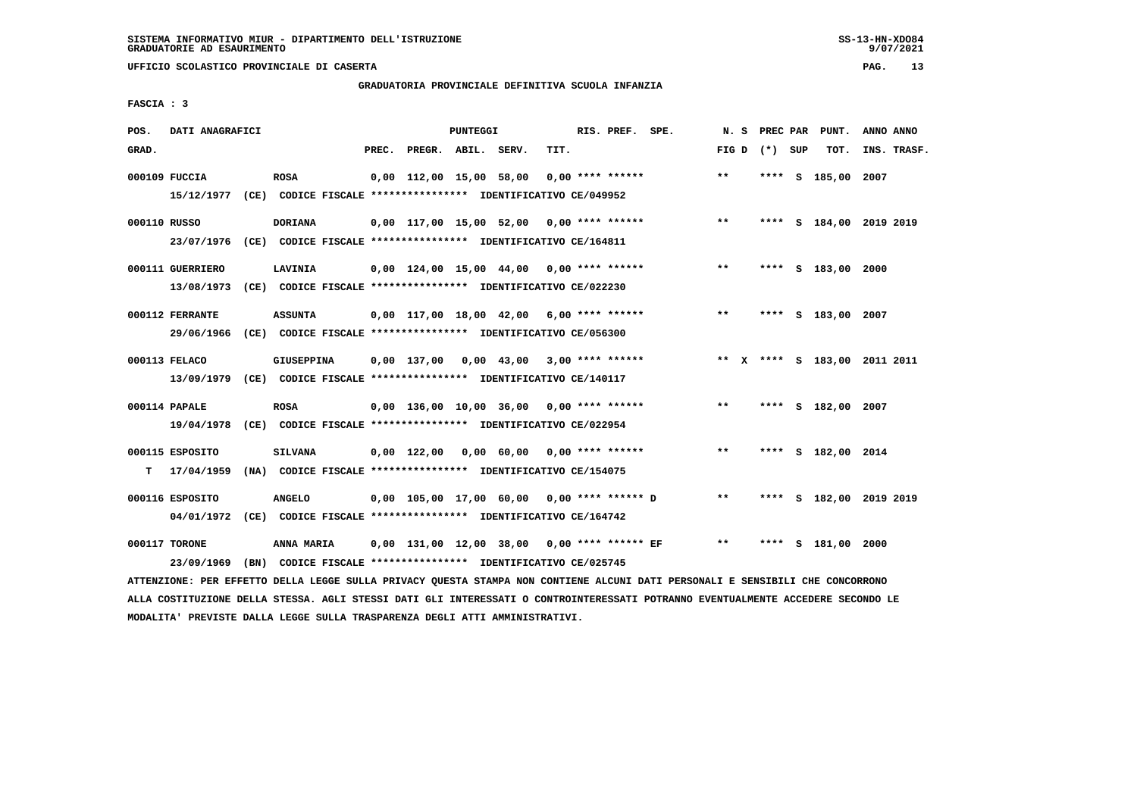**UFFICIO SCOLASTICO PROVINCIALE DI CASERTA PAG. 13**

# **GRADUATORIA PROVINCIALE DEFINITIVA SCUOLA INFANZIA**

 **FASCIA : 3**

| POS.         | DATI ANAGRAFICI  |                                                                                                                               |       |                    | PUNTEGGI |                                              |      | RIS. PREF. SPE. |                                             |                 |  | N. S PREC PAR PUNT.          | ANNO ANNO |             |
|--------------|------------------|-------------------------------------------------------------------------------------------------------------------------------|-------|--------------------|----------|----------------------------------------------|------|-----------------|---------------------------------------------|-----------------|--|------------------------------|-----------|-------------|
| GRAD.        |                  |                                                                                                                               | PREC. | PREGR. ABIL. SERV. |          |                                              | TIT. |                 |                                             | FIG D $(*)$ SUP |  | TOT.                         |           | INS. TRASF. |
|              | 000109 FUCCIA    | <b>ROSA</b>                                                                                                                   |       |                    |          | 0,00 112,00 15,00 58,00 0,00 **** ******     |      |                 |                                             | $* *$           |  | **** S 185,00 2007           |           |             |
|              |                  | 15/12/1977 (CE) CODICE FISCALE *************** IDENTIFICATIVO CE/049952                                                       |       |                    |          |                                              |      |                 |                                             |                 |  |                              |           |             |
| 000110 RUSSO |                  | <b>DORIANA</b>                                                                                                                |       |                    |          | $0,00$ 117,00 15,00 52,00 0,00 **** ******   |      |                 |                                             | $***$           |  | **** S 184,00 2019 2019      |           |             |
|              |                  | 23/07/1976 (CE) CODICE FISCALE *************** IDENTIFICATIVO CE/164811                                                       |       |                    |          |                                              |      |                 |                                             |                 |  |                              |           |             |
|              | 000111 GUERRIERO | LAVINIA                                                                                                                       |       |                    |          | 0,00 124,00 15,00 44,00 0,00 **** ******     |      |                 |                                             | $***$           |  | **** S 183,00 2000           |           |             |
|              | 13/08/1973       | (CE) CODICE FISCALE *************** IDENTIFICATIVO CE/022230                                                                  |       |                    |          |                                              |      |                 |                                             |                 |  |                              |           |             |
|              | 000112 FERRANTE  | <b>ASSUNTA</b>                                                                                                                |       |                    |          |                                              |      |                 | $0,00$ 117,00 18,00 42,00 6,00 **** ******  | $***$           |  | **** S 183,00 2007           |           |             |
|              | 29/06/1966       | (CE) CODICE FISCALE **************** IDENTIFICATIVO CE/056300                                                                 |       |                    |          |                                              |      |                 |                                             |                 |  |                              |           |             |
|              | 000113 FELACO    | GIUSEPPINA                                                                                                                    |       |                    |          | $0,00$ 137,00 0,00 43,00 3,00 **** ******    |      |                 |                                             |                 |  | ** X **** S 183,00 2011 2011 |           |             |
|              |                  | 13/09/1979 (CE) CODICE FISCALE *************** IDENTIFICATIVO CE/140117                                                       |       |                    |          |                                              |      |                 |                                             |                 |  |                              |           |             |
|              | 000114 PAPALE    | <b>ROSA</b>                                                                                                                   |       |                    |          | 0,00 136,00 10,00 36,00 0,00 **** ******     |      |                 |                                             | $\star\star$    |  | **** S 182,00 2007           |           |             |
|              | 19/04/1978       | (CE) CODICE FISCALE *************** IDENTIFICATIVO CE/022954                                                                  |       |                    |          |                                              |      |                 |                                             |                 |  |                              |           |             |
|              | 000115 ESPOSITO  | SILVANA                                                                                                                       |       |                    |          | $0,00$ 122,00 0,00 60,00 0,00 **** ******    |      |                 |                                             | $**$            |  | **** S 182,00 2014           |           |             |
| т            | 17/04/1959       | (NA) CODICE FISCALE **************** IDENTIFICATIVO CE/154075                                                                 |       |                    |          |                                              |      |                 |                                             |                 |  |                              |           |             |
|              | 000116 ESPOSITO  | <b>ANGELO</b>                                                                                                                 |       |                    |          | $0,00$ 105,00 17,00 60,00 0,00 **** ****** D |      |                 |                                             | $***$           |  | **** S 182,00 2019 2019      |           |             |
|              |                  | 04/01/1972 (CE) CODICE FISCALE *************** IDENTIFICATIVO CE/164742                                                       |       |                    |          |                                              |      |                 |                                             |                 |  |                              |           |             |
|              | 000117 TORONE    | <b>ANNA MARIA</b>                                                                                                             |       |                    |          |                                              |      |                 | 0,00 131,00 12,00 38,00 0,00 **** ****** EF | $***$           |  | **** S 181,00 2000           |           |             |
|              | 23/09/1969       | (BN) CODICE FISCALE **************** IDENTIFICATIVO CE/025745                                                                 |       |                    |          |                                              |      |                 |                                             |                 |  |                              |           |             |
|              |                  | ATTENZIONE: PER EFFETTO DELLA LEGGE SULLA PRIVACY QUESTA STAMPA NON CONTIENE ALCUNI DATI PERSONALI E SENSIBILI CHE CONCORRONO |       |                    |          |                                              |      |                 |                                             |                 |  |                              |           |             |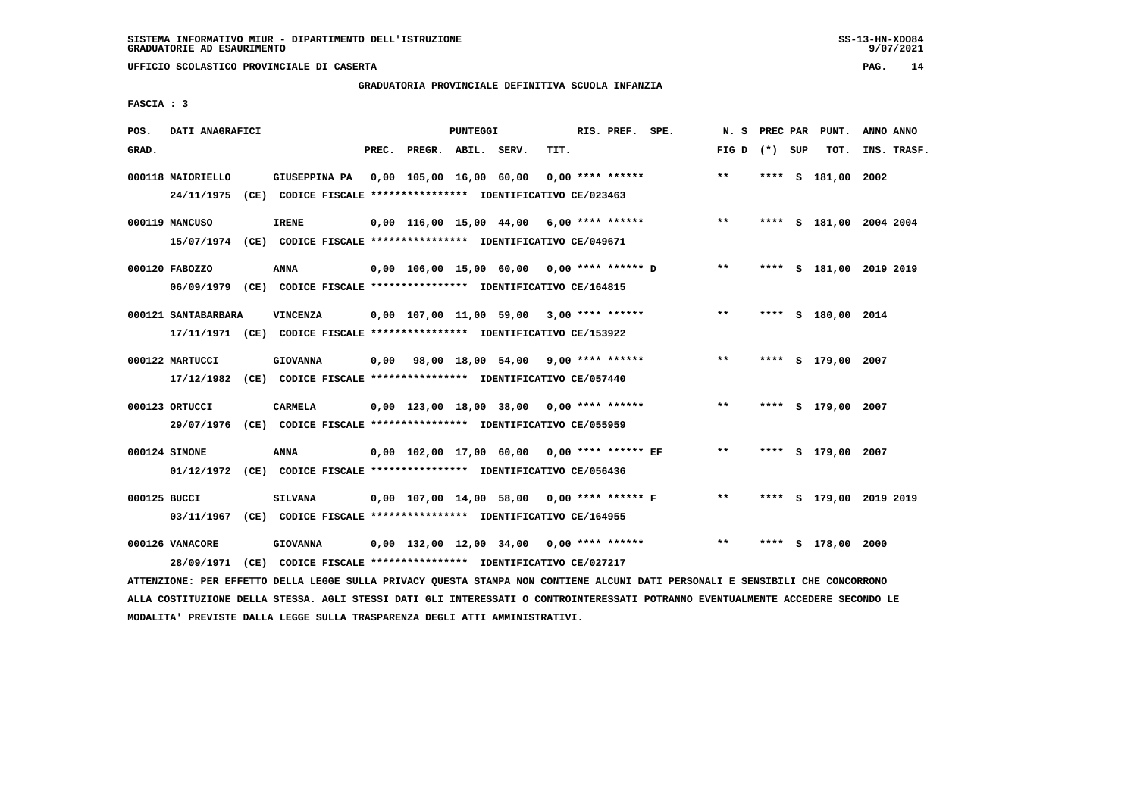# **GRADUATORIA PROVINCIALE DEFINITIVA SCUOLA INFANZIA**

 **FASCIA : 3**

| POS.         | DATI ANAGRAFICI               |                                                                                                                               | <b>PUNTEGGI</b>                              | RIS. PREF. SPE.    | N. S            |  | PREC PAR PUNT.     | ANNO ANNO               |
|--------------|-------------------------------|-------------------------------------------------------------------------------------------------------------------------------|----------------------------------------------|--------------------|-----------------|--|--------------------|-------------------------|
| GRAD.        |                               | PREC.                                                                                                                         | PREGR. ABIL. SERV.<br>TIT.                   |                    | FIG D $(*)$ SUP |  | TOT.               | INS. TRASF.             |
|              | 000118 MAIORIELLO             | GIUSEPPINA PA 0,00 105,00 16,00 60,00<br>24/11/1975 (CE) CODICE FISCALE *************** IDENTIFICATIVO CE/023463              |                                              | $0.00$ **** ****** | $***$           |  | **** S 181,00      | 2002                    |
|              | 000119 MANCUSO                | <b>IRENE</b><br>15/07/1974 (CE) CODICE FISCALE *************** IDENTIFICATIVO CE/049671                                       | $0.00$ 116.00 15.00 44.00 6.00 **** ******   |                    | $***$           |  |                    | **** S 181,00 2004 2004 |
|              | 000120 FABOZZO                | ANNA<br>06/09/1979 (CE) CODICE FISCALE *************** IDENTIFICATIVO CE/164815                                               | 0,00 106,00 15,00 60,00 0,00 **** ****** D   |                    | $***$           |  |                    | **** S 181,00 2019 2019 |
|              | 000121 SANTABARBARA           | <b>VINCENZA</b><br>17/11/1971 (CE) CODICE FISCALE *************** IDENTIFICATIVO CE/153922                                    | $0,00$ 107,00 11,00 59,00 3,00 **** ******   |                    | $***$           |  | **** S 180,00 2014 |                         |
|              | 000122 MARTUCCI               | <b>GIOVANNA</b><br>17/12/1982 (CE) CODICE FISCALE *************** IDENTIFICATIVO CE/057440                                    | $0,00$ 98,00 18,00 54,00 9,00 **** ******    |                    | $* *$           |  | **** S 179,00 2007 |                         |
|              | 000123 ORTUCCI                | CARMELA<br>29/07/1976 (CE) CODICE FISCALE *************** IDENTIFICATIVO CE/055959                                            | $0,00$ 123,00 18,00 38,00 0,00 **** ******   |                    | **              |  | **** S 179,00 2007 |                         |
|              | 000124 SIMONE                 | ANNA<br>01/12/1972 (CE) CODICE FISCALE *************** IDENTIFICATIVO CE/056436                                               | 0,00 102,00 17,00 60,00 0,00 **** ****** EF  |                    | $***$           |  | **** S 179,00 2007 |                         |
| 000125 BUCCI |                               | <b>SILVANA</b><br>03/11/1967 (CE) CODICE FISCALE *************** IDENTIFICATIVO CE/164955                                     | $0.00$ 107.00 14.00 58.00 0.00 **** ****** F |                    | $***$           |  |                    | **** S 179,00 2019 2019 |
|              | 000126 VANACORE<br>28/09/1971 | <b>GIOVANNA</b><br>(CE) CODICE FISCALE **************** IDENTIFICATIVO CE/027217                                              | 0,00 132,00 12,00 34,00 0,00 **** ******     |                    | $* *$           |  | **** S 178,00 2000 |                         |
|              |                               | ATTENZIONE: PER EFFETTO DELLA LEGGE SULLA PRIVACY QUESTA STAMPA NON CONTIENE ALCUNI DATI PERSONALI E SENSIBILI CHE CONCORRONO |                                              |                    |                 |  |                    |                         |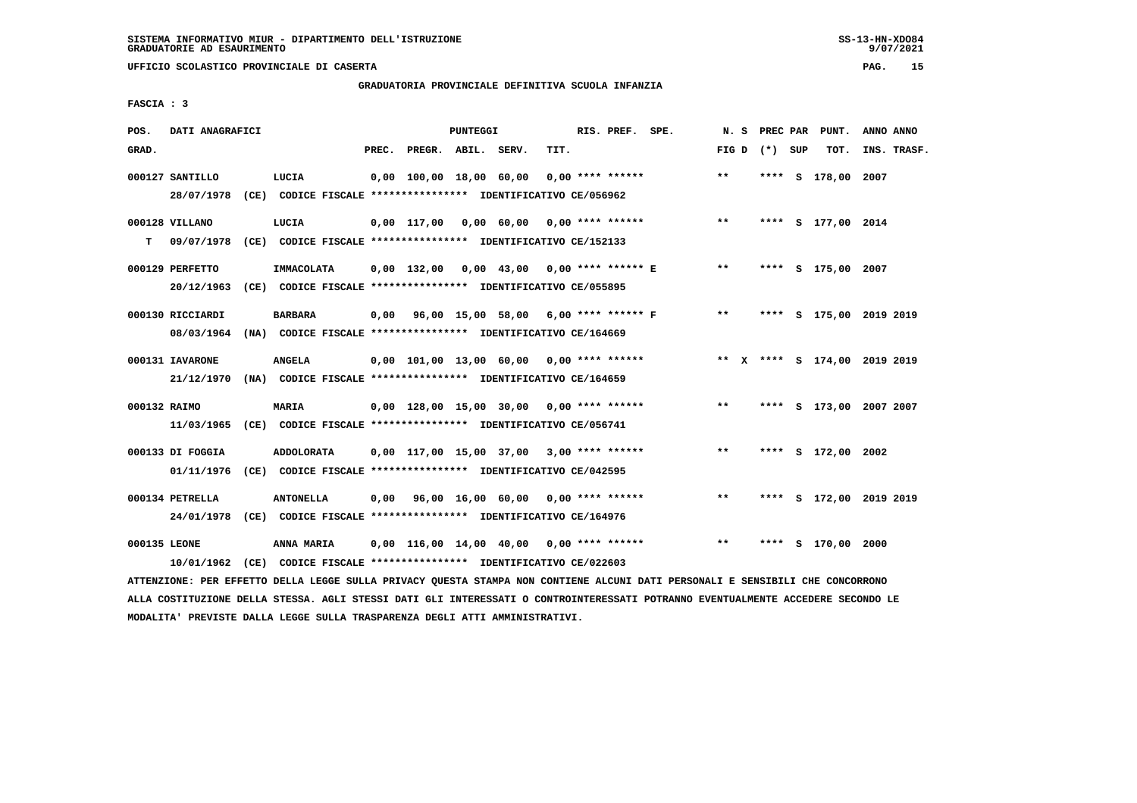**UFFICIO SCOLASTICO PROVINCIALE DI CASERTA PAG. 15**

# **GRADUATORIA PROVINCIALE DEFINITIVA SCUOLA INFANZIA**

 **FASCIA : 3**

| POS.         | DATI ANAGRAFICI                |                                                                                    |       |                         | <b>PUNTEGGI</b> |                                            |      | RIS. PREF. SPE.    |                                           | N.S             |  | PREC PAR PUNT.     | ANNO ANNO                    |
|--------------|--------------------------------|------------------------------------------------------------------------------------|-------|-------------------------|-----------------|--------------------------------------------|------|--------------------|-------------------------------------------|-----------------|--|--------------------|------------------------------|
| GRAD.        |                                |                                                                                    | PREC. | PREGR. ABIL. SERV.      |                 |                                            | TIT. |                    |                                           | FIG D $(*)$ SUP |  | TOT.               | INS. TRASF.                  |
|              | 000127 SANTILLO<br>28/07/1978  | LUCIA<br>(CE) CODICE FISCALE **************** IDENTIFICATIVO CE/056962             |       | 0,00 100,00 18,00 60,00 |                 |                                            |      | $0.00$ **** ****** |                                           | $***$           |  | **** S 178,00 2007 |                              |
| т            | 000128 VILLANO<br>09/07/1978   | LUCIA<br>(CE) CODICE FISCALE **************** IDENTIFICATIVO CE/152133             |       |                         |                 | $0,00$ 117,00 0,00 60,00 0,00 **** ******  |      |                    |                                           | $***$           |  | **** S 177,00 2014 |                              |
|              | 000129 PERFETTO<br>20/12/1963  | IMMACOLATA<br>(CE) CODICE FISCALE **************** IDENTIFICATIVO CE/055895        |       | $0.00$ 132.00           |                 | 0,00 43,00 0,00 **** ****** E              |      |                    |                                           | $***$           |  | **** S 175,00 2007 |                              |
|              | 000130 RICCIARDI<br>08/03/1964 | <b>BARBARA</b><br>(NA) CODICE FISCALE **************** IDENTIFICATIVO CE/164669    |       |                         |                 |                                            |      |                    | 0,00 96,00 15,00 58,00 6,00 **** ****** F | $***$           |  |                    | **** S 175,00 2019 2019      |
|              | 000131 IAVARONE<br>21/12/1970  | <b>ANGELA</b><br>(NA) CODICE FISCALE *************** IDENTIFICATIVO CE/164659      |       |                         |                 | 0,00 101,00 13,00 60,00 0,00 **** ******   |      |                    |                                           |                 |  |                    | ** X **** S 174,00 2019 2019 |
| 000132 RAIMO | 11/03/1965                     | <b>MARIA</b><br>(CE) CODICE FISCALE **************** IDENTIFICATIVO CE/056741      |       |                         |                 | $0,00$ 128,00 15,00 30,00 0,00 **** ****** |      |                    |                                           | $***$           |  |                    | **** S 173,00 2007 2007      |
|              | 000133 DI FOGGIA<br>01/11/1976 | <b>ADDOLORATA</b><br>(CE) CODICE FISCALE **************** IDENTIFICATIVO CE/042595 |       |                         |                 | $0.00$ 117.00 15.00 37.00 3.00 **** ****** |      |                    |                                           | $**$            |  | **** S 172,00 2002 |                              |
|              | 000134 PETRELLA<br>24/01/1978  | <b>ANTONELLA</b><br>(CE) CODICE FISCALE **************** IDENTIFICATIVO CE/164976  | 0,00  |                         |                 | 96,00 16,00 60,00 0,00 **** ******         |      |                    |                                           | $***$           |  |                    | **** S 172,00 2019 2019      |
| 000135 LEONE | 10/01/1962                     | ANNA MARIA<br>(CE) CODICE FISCALE **************** IDENTIFICATIVO CE/022603        |       |                         |                 | $0,00$ 116,00 14,00 40,00 0,00 **** ****** |      |                    |                                           | $* *$           |  | S 170,00 2000      |                              |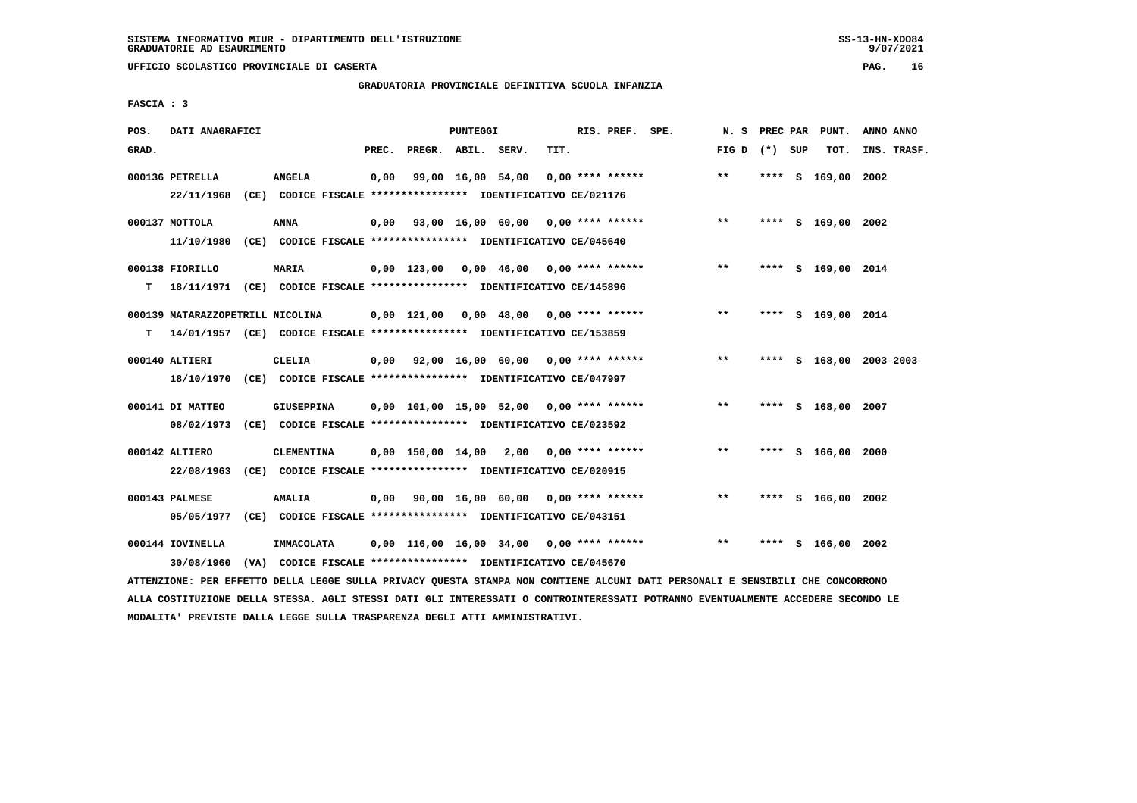# **GRADUATORIA PROVINCIALE DEFINITIVA SCUOLA INFANZIA**

 **FASCIA : 3**

| POS.  | DATI ANAGRAFICI                                                          |                   |       |                    | PUNTEGGI |                                                               |      | RIS. PREF. SPE.    |                                         |                 |      | N. S PREC PAR PUNT.     | ANNO ANNO   |  |
|-------|--------------------------------------------------------------------------|-------------------|-------|--------------------|----------|---------------------------------------------------------------|------|--------------------|-----------------------------------------|-----------------|------|-------------------------|-------------|--|
|       |                                                                          |                   |       |                    |          |                                                               |      |                    |                                         |                 |      |                         |             |  |
| GRAD. |                                                                          |                   | PREC. | PREGR. ABIL. SERV. |          |                                                               | TIT. |                    |                                         | FIG D $(*)$ SUP |      | тот.                    | INS. TRASF. |  |
|       | 000136 PETRELLA                                                          | ANGELA            | 0,00  |                    |          | 99,00 16,00 54,00                                             |      | $0.00$ **** ****** |                                         | $* *$           |      | **** S 169,00 2002      |             |  |
|       | 22/11/1968 (CE) CODICE FISCALE *************** IDENTIFICATIVO CE/021176  |                   |       |                    |          |                                                               |      |                    |                                         |                 |      |                         |             |  |
|       |                                                                          |                   |       |                    |          |                                                               |      |                    |                                         |                 |      |                         |             |  |
|       | 000137 MOTTOLA                                                           | ANNA              |       |                    |          |                                                               |      |                    | 0,00 93,00 16,00 60,00 0,00 **** ****** | $***$           |      | **** S 169,00 2002      |             |  |
|       | 11/10/1980                                                               |                   |       |                    |          | (CE) CODICE FISCALE **************** IDENTIFICATIVO CE/045640 |      |                    |                                         |                 |      |                         |             |  |
|       |                                                                          |                   |       |                    |          |                                                               |      |                    |                                         |                 |      |                         |             |  |
|       | 000138 FIORILLO                                                          | MARIA             |       |                    |          | $0.00$ 123.00 0.00 46.00 0.00 **** ******                     |      |                    |                                         | $***$           |      | **** S 169,00 2014      |             |  |
| T.    | 18/11/1971 (CE) CODICE FISCALE **************** IDENTIFICATIVO CE/145896 |                   |       |                    |          |                                                               |      |                    |                                         |                 |      |                         |             |  |
|       |                                                                          |                   |       |                    |          |                                                               |      |                    |                                         |                 |      |                         |             |  |
|       | 000139 MATARAZZOPETRILL NICOLINA                                         |                   |       |                    |          | 0,00 121,00 0,00 48,00 0,00 **** ******                       |      |                    |                                         | $***$           |      | **** S 169,00 2014      |             |  |
| т     | 14/01/1957 (CE) CODICE FISCALE *************** IDENTIFICATIVO CE/153859  |                   |       |                    |          |                                                               |      |                    |                                         |                 |      |                         |             |  |
|       |                                                                          |                   |       |                    |          |                                                               |      |                    |                                         |                 |      |                         |             |  |
|       | 000140 ALTIERI                                                           | <b>CLELIA</b>     |       |                    |          | $0.00$ $92.00$ $16.00$ $60.00$ $0.00$ $***$ **** ******       |      |                    |                                         | $* *$           |      | **** S 168,00 2003 2003 |             |  |
|       | 18/10/1970 (CE) CODICE FISCALE *************** IDENTIFICATIVO CE/047997  |                   |       |                    |          |                                                               |      |                    |                                         |                 |      |                         |             |  |
|       |                                                                          |                   |       |                    |          |                                                               |      |                    |                                         |                 |      |                         |             |  |
|       | 000141 DI MATTEO                                                         | GIUSEPPINA        |       |                    |          | 0,00 101,00 15,00 52,00 0,00 **** ******                      |      |                    |                                         | $***$           |      | **** S 168,00 2007      |             |  |
|       | 08/02/1973 (CE) CODICE FISCALE *************** IDENTIFICATIVO CE/023592  |                   |       |                    |          |                                                               |      |                    |                                         |                 |      |                         |             |  |
|       |                                                                          |                   |       |                    |          |                                                               |      |                    |                                         |                 |      |                         |             |  |
|       | 000142 ALTIERO                                                           | <b>CLEMENTINA</b> |       |                    |          | 0,00 150,00 14,00 2,00                                        |      | $0.00$ **** ****** |                                         | $***$           |      | **** S 166,00           | 2000        |  |
|       | 22/08/1963 (CE) CODICE FISCALE *************** IDENTIFICATIVO CE/020915  |                   |       |                    |          |                                                               |      |                    |                                         |                 |      |                         |             |  |
|       |                                                                          |                   |       |                    |          |                                                               |      |                    |                                         | $* *$           |      |                         |             |  |
|       | 000143 PALMESE                                                           | <b>AMALIA</b>     |       |                    |          | $0,00$ 90,00 16,00 60,00 0,00 **** ******                     |      |                    |                                         |                 |      | **** S 166,00 2002      |             |  |
|       | 05/05/1977 (CE) CODICE FISCALE *************** IDENTIFICATIVO CE/043151  |                   |       |                    |          |                                                               |      |                    |                                         |                 |      |                         |             |  |
|       | 000144 IOVINELLA                                                         |                   |       |                    |          |                                                               |      |                    |                                         | **              | **** |                         |             |  |
|       |                                                                          | <b>IMMACOLATA</b> |       |                    |          | $0,00$ 116,00 16,00 34,00 0,00 **** ******                    |      |                    |                                         |                 |      | S 166,00 2002           |             |  |
|       | 30/08/1960                                                               |                   |       |                    |          | (VA) CODICE FISCALE **************** IDENTIFICATIVO CE/045670 |      |                    |                                         |                 |      |                         |             |  |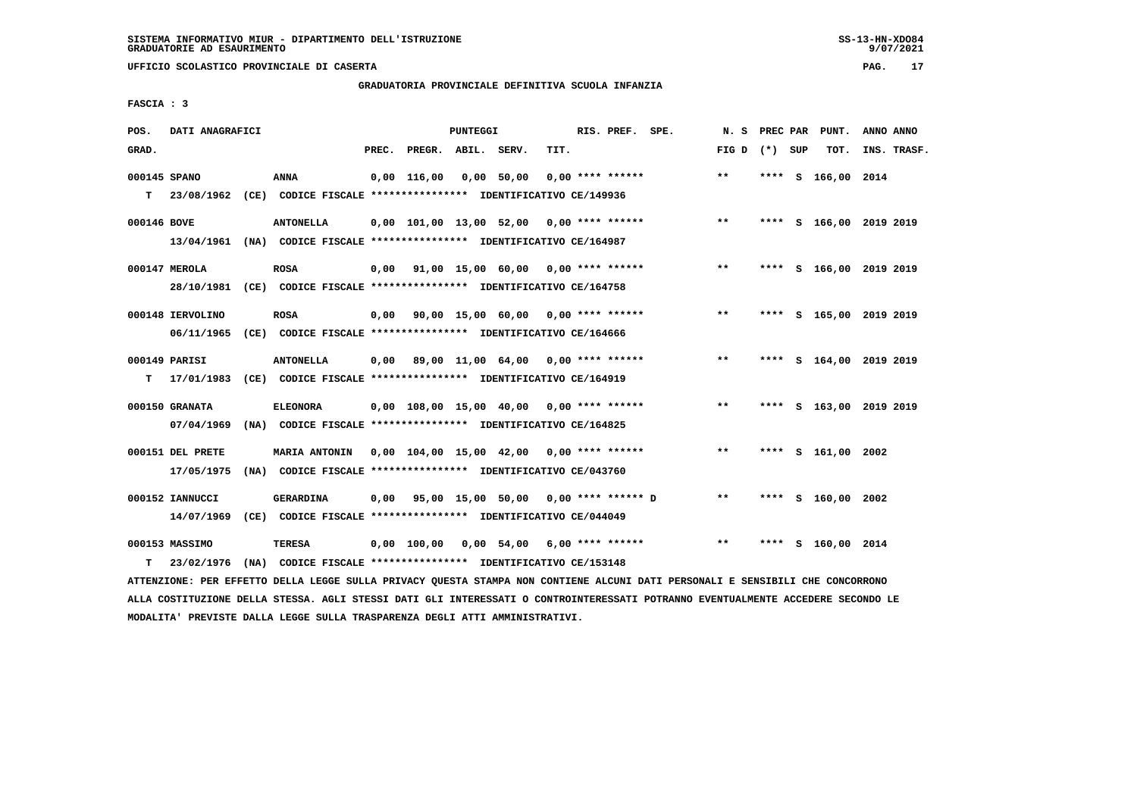# **GRADUATORIA PROVINCIALE DEFINITIVA SCUOLA INFANZIA**

 **FASCIA : 3**

| POS.         | DATI ANAGRAFICI  |                                                                                                |       |                    | PUNTEGGI |                                          |      | RIS. PREF. SPE.    | N.S             |      | PREC PAR PUNT.          | ANNO ANNO   |  |
|--------------|------------------|------------------------------------------------------------------------------------------------|-------|--------------------|----------|------------------------------------------|------|--------------------|-----------------|------|-------------------------|-------------|--|
| GRAD.        |                  |                                                                                                | PREC. | PREGR. ABIL. SERV. |          |                                          | TIT. |                    | FIG D $(*)$ SUP |      | TOT.                    | INS. TRASF. |  |
| 000145 SPANO |                  | ANNA                                                                                           |       | $0.00$ 116.00      |          | 0,00 50,00                               |      | $0.00$ **** ****** | $***$           |      | **** S 166,00 2014      |             |  |
|              |                  | T 23/08/1962 (CE) CODICE FISCALE *************** IDENTIFICATIVO CE/149936                      |       |                    |          |                                          |      |                    |                 |      |                         |             |  |
| 000146 BOVE  |                  | <b>ANTONELLA</b>                                                                               |       |                    |          | 0,00 101,00 13,00 52,00 0,00 **** ****** |      |                    | $***$           |      | **** S 166,00 2019 2019 |             |  |
|              |                  | 13/04/1961 (NA) CODICE FISCALE *************** IDENTIFICATIVO CE/164987                        |       |                    |          |                                          |      |                    |                 |      |                         |             |  |
|              | 000147 MEROLA    | <b>ROSA</b>                                                                                    | 0,00  |                    |          | 91,00 15,00 60,00 0,00 **** ******       |      |                    | **              |      | **** S 166,00 2019 2019 |             |  |
|              |                  | 28/10/1981 (CE) CODICE FISCALE *************** IDENTIFICATIVO CE/164758                        |       |                    |          |                                          |      |                    |                 |      |                         |             |  |
|              | 000148 IERVOLINO | <b>ROSA</b>                                                                                    | 0,00  |                    |          | 90,00 15,00 60,00 0,00 **** ******       |      |                    | $***$           |      | **** S 165,00 2019 2019 |             |  |
|              |                  | 06/11/1965 (CE) CODICE FISCALE *************** IDENTIFICATIVO CE/164666                        |       |                    |          |                                          |      |                    |                 |      |                         |             |  |
|              |                  |                                                                                                |       |                    |          | 0,00 89,00 11,00 64,00 0,00 **** ******  |      |                    | $***$           |      | **** S 164,00 2019 2019 |             |  |
|              | 000149 PARISI    | <b>ANTONELLA</b><br>T 17/01/1983 (CE) CODICE FISCALE **************** IDENTIFICATIVO CE/164919 |       |                    |          |                                          |      |                    |                 |      |                         |             |  |
|              |                  |                                                                                                |       |                    |          |                                          |      |                    |                 |      |                         |             |  |
|              | 000150 GRANATA   | <b>ELEONORA</b>                                                                                |       |                    |          | 0,00 108,00 15,00 40,00 0,00 **** ****** |      |                    | $***$           | **** | S 163,00 2019 2019      |             |  |
|              | 07/04/1969       | (NA) CODICE FISCALE **************** IDENTIFICATIVO CE/164825                                  |       |                    |          |                                          |      |                    |                 |      |                         |             |  |
|              | 000151 DEL PRETE | MARIA ANTONIN 0,00 104,00 15,00 42,00 0,00 **** ******                                         |       |                    |          |                                          |      |                    | $***$           |      | **** S 161,00 2002      |             |  |
|              | 17/05/1975       | (NA) CODICE FISCALE **************** IDENTIFICATIVO CE/043760                                  |       |                    |          |                                          |      |                    |                 |      |                         |             |  |
|              | 000152 IANNUCCI  | <b>GERARDINA</b>                                                                               | 0.00  |                    |          | 95,00 15,00 50,00 0,00 **** ****** D     |      |                    | $***$           |      | **** S 160,00 2002      |             |  |
|              | 14/07/1969       | (CE) CODICE FISCALE **************** IDENTIFICATIVO CE/044049                                  |       |                    |          |                                          |      |                    |                 |      |                         |             |  |
|              | 000153 MASSIMO   | TERESA                                                                                         |       | 0,00 100,00        |          | $0.00$ 54,00 6,00 **** ******            |      |                    | $***$           | **** | S 160,00 2014           |             |  |
|              |                  |                                                                                                |       |                    |          |                                          |      |                    |                 |      |                         |             |  |
| т            | 23/02/1976       | (NA) CODICE FISCALE **************** IDENTIFICATIVO CE/153148                                  |       |                    |          |                                          |      |                    |                 |      |                         |             |  |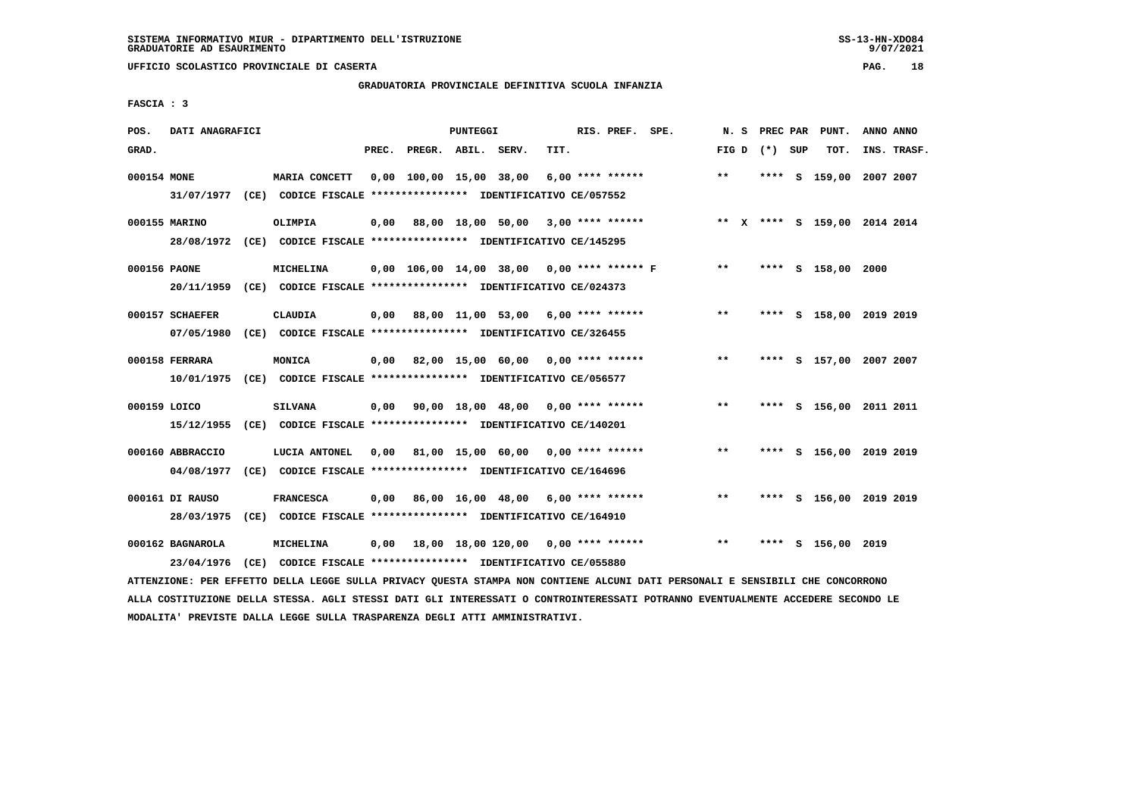#### **GRADUATORIA PROVINCIALE DEFINITIVA SCUOLA INFANZIA**

 **FASCIA : 3**

| POS.         | DATI ANAGRAFICI  |                                                                         |       |                    | <b>PUNTEGGI</b> |                                                        |      | RIS. PREF.       | SPE.                                            | N.S   | PREC PAR        | PUNT.                        | ANNO ANNO |             |
|--------------|------------------|-------------------------------------------------------------------------|-------|--------------------|-----------------|--------------------------------------------------------|------|------------------|-------------------------------------------------|-------|-----------------|------------------------------|-----------|-------------|
| GRAD.        |                  |                                                                         | PREC. | PREGR. ABIL. SERV. |                 |                                                        | TIT. |                  |                                                 |       | FIG D $(*)$ SUP | TOT.                         |           | INS. TRASF. |
| 000154 MONE  |                  | MARIA CONCETT                                                           |       |                    |                 | 0,00 100,00 15,00 38,00                                |      | 6,00 **** ****** |                                                 | $***$ |                 | **** S 159,00 2007 2007      |           |             |
|              |                  | 31/07/1977 (CE) CODICE FISCALE *************** IDENTIFICATIVO CE/057552 |       |                    |                 |                                                        |      |                  |                                                 |       |                 |                              |           |             |
|              | 000155 MARINO    | OLIMPIA                                                                 |       |                    |                 | $0,00$ 88,00 18,00 50,00 3,00 **** ******              |      |                  |                                                 |       |                 | ** X **** S 159,00 2014 2014 |           |             |
|              |                  | 28/08/1972 (CE) CODICE FISCALE *************** IDENTIFICATIVO CE/145295 |       |                    |                 |                                                        |      |                  |                                                 |       |                 |                              |           |             |
| 000156 PAONE |                  | MICHELINA                                                               |       |                    |                 |                                                        |      |                  | $0,00$ 106,00 14,00 38,00 0,00 **** ****** F ** |       |                 | **** S 158,00 2000           |           |             |
|              | 20/11/1959       | (CE) CODICE FISCALE *************** IDENTIFICATIVO CE/024373            |       |                    |                 |                                                        |      |                  |                                                 |       |                 |                              |           |             |
|              | 000157 SCHAEFER  | <b>CLAUDIA</b>                                                          |       |                    |                 | $0.00$ 88.00 11.00 53.00 6.00 **** ******              |      |                  |                                                 | $***$ |                 | **** S 158,00 2019 2019      |           |             |
|              | 07/05/1980       | (CE) CODICE FISCALE **************** IDENTIFICATIVO CE/326455           |       |                    |                 |                                                        |      |                  |                                                 |       |                 |                              |           |             |
|              | 000158 FERRARA   | MONICA                                                                  |       |                    |                 | 0,00 82,00 15,00 60,00 0,00 **** ******                |      |                  |                                                 | $***$ |                 | **** S 157,00 2007 2007      |           |             |
|              |                  | 10/01/1975 (CE) CODICE FISCALE *************** IDENTIFICATIVO CE/056577 |       |                    |                 |                                                        |      |                  |                                                 |       |                 |                              |           |             |
| 000159 LOICO |                  | <b>SILVANA</b>                                                          |       |                    |                 | $0,00$ $90,00$ $18,00$ $48,00$ $0,00$ $***$ **** ***** |      |                  |                                                 | $***$ |                 | **** S 156,00 2011 2011      |           |             |
|              |                  | 15/12/1955 (CE) CODICE FISCALE *************** IDENTIFICATIVO CE/140201 |       |                    |                 |                                                        |      |                  |                                                 |       |                 |                              |           |             |
|              |                  |                                                                         |       |                    |                 |                                                        |      |                  |                                                 |       |                 |                              |           |             |
|              | 000160 ABBRACCIO | LUCIA ANTONEL                                                           | 0,00  |                    |                 | 81,00 15,00 60,00 0,00 **** ******                     |      |                  |                                                 | $* *$ |                 | **** S 156,00 2019 2019      |           |             |
|              | 04/08/1977       | (CE) CODICE FISCALE **************** IDENTIFICATIVO CE/164696           |       |                    |                 |                                                        |      |                  |                                                 |       |                 |                              |           |             |
|              | 000161 DI RAUSO  | <b>FRANCESCA</b>                                                        | 0,00  |                    |                 | 86,00 16,00 48,00 6,00 **** ******                     |      |                  |                                                 | $***$ |                 | **** S 156,00 2019 2019      |           |             |
|              | 28/03/1975       | $(CE)$ CODICE FISCALE *************** IDENTIFICATIVO CE/164910          |       |                    |                 |                                                        |      |                  |                                                 |       |                 |                              |           |             |
|              | 000162 BAGNAROLA | <b>MICHELINA</b>                                                        | 0,00  |                    |                 | 18,00 18,00 120,00 0,00 **** ******                    |      |                  |                                                 | $**$  |                 | **** S 156,00 2019           |           |             |
|              | 23/04/1976       | (CE) CODICE FISCALE **************** IDENTIFICATIVO CE/055880           |       |                    |                 |                                                        |      |                  |                                                 |       |                 |                              |           |             |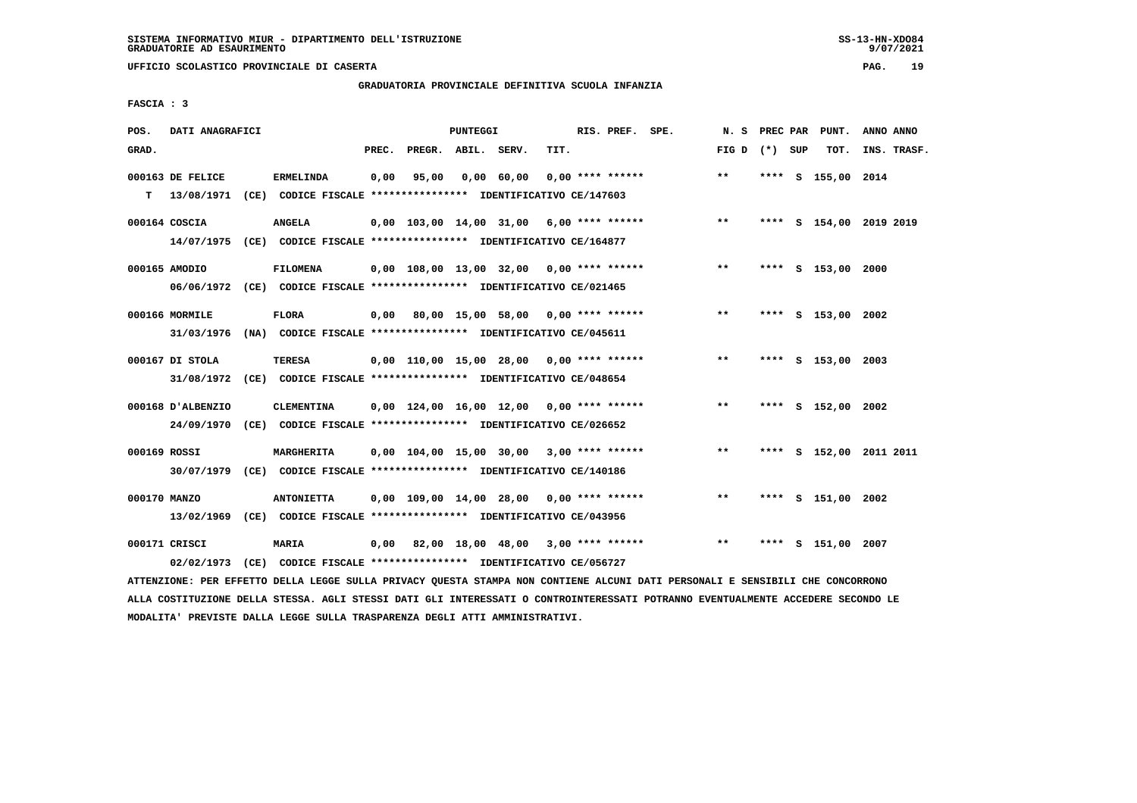**UFFICIO SCOLASTICO PROVINCIALE DI CASERTA PAG. 19**

#### **GRADUATORIA PROVINCIALE DEFINITIVA SCUOLA INFANZIA**

 **FASCIA : 3**

| POS.         | DATI ANAGRAFICI                |                                                                                              |       |                    | PUNTEGGI |                                                          |      | RIS. PREF. SPE. |                                                    | N.S             |      | PREC PAR PUNT.          | ANNO ANNO |             |
|--------------|--------------------------------|----------------------------------------------------------------------------------------------|-------|--------------------|----------|----------------------------------------------------------|------|-----------------|----------------------------------------------------|-----------------|------|-------------------------|-----------|-------------|
| GRAD.        |                                |                                                                                              | PREC. | PREGR. ABIL. SERV. |          |                                                          | TIT. |                 |                                                    | FIG D $(*)$ SUP |      | TOT.                    |           | INS. TRASF. |
| т            | 000163 DE FELICE<br>13/08/1971 | <b>ERMELINDA</b><br>(CE) CODICE FISCALE **************** IDENTIFICATIVO CE/147603            | 0,00  | 95,00              |          | 0,00 60,00 0,00 **** ******                              |      |                 |                                                    | $***$           |      | **** S 155,00 2014      |           |             |
|              | 000164 COSCIA                  | <b>ANGELA</b><br>14/07/1975 (CE) CODICE FISCALE *************** IDENTIFICATIVO CE/164877     |       |                    |          |                                                          |      |                 | $0,00$ $103,00$ $14,00$ $31,00$ $6,00$ **** ****** | $***$           |      | **** S 154,00 2019 2019 |           |             |
|              | 000165 AMODIO                  | <b>FILOMENA</b><br>06/06/1972 (CE) CODICE FISCALE *************** IDENTIFICATIVO CE/021465   |       |                    |          | 0,00 108,00 13,00 32,00 0,00 **** ******                 |      |                 |                                                    | $***$           |      | **** S 153,00 2000      |           |             |
|              | 000166 MORMILE                 | <b>FLORA</b><br>31/03/1976 (NA) CODICE FISCALE *************** IDENTIFICATIVO CE/045611      |       |                    |          | 0,00 80,00 15,00 58,00 0,00 **** ******                  |      |                 |                                                    | $***$           |      | **** S 153,00 2002      |           |             |
|              | 000167 DI STOLA                | <b>TERESA</b><br>31/08/1972 (CE) CODICE FISCALE *************** IDENTIFICATIVO CE/048654     |       |                    |          | 0,00 110,00 15,00 28,00 0,00 **** ******                 |      |                 |                                                    | $* *$           |      | **** S 153,00 2003      |           |             |
|              | 000168 D'ALBENZIO              | <b>CLEMENTINA</b><br>24/09/1970 (CE) CODICE FISCALE *************** IDENTIFICATIVO CE/026652 |       |                    |          | $0.00$ 124,00 16,00 12,00 0,00 **** ******               |      |                 |                                                    | $***$           |      | **** S 152,00 2002      |           |             |
| 000169 ROSSI |                                | MARGHERITA<br>30/07/1979 (CE) CODICE FISCALE *************** IDENTIFICATIVO CE/140186        |       |                    |          | $0,00$ $104,00$ $15,00$ $30,00$ $3,00$ $***$ **** ****** |      |                 |                                                    | $**$            |      | **** S 152,00 2011 2011 |           |             |
| 000170 MANZO | 13/02/1969                     | <b>ANTONIETTA</b><br>(CE) CODICE FISCALE **************** IDENTIFICATIVO CE/043956           |       |                    |          | $0.00$ 109.00 14.00 28.00 0.00 **** ******               |      |                 |                                                    | $***$           |      | **** S 151,00 2002      |           |             |
|              | 000171 CRISCI<br>02/02/1973    | MARIA<br>(CE) CODICE FISCALE **************** IDENTIFICATIVO CE/056727                       |       |                    |          | $0,00$ 82,00 18,00 48,00 3,00 **** ******                |      |                 |                                                    | $***$           | **** | s 151,00 2007           |           |             |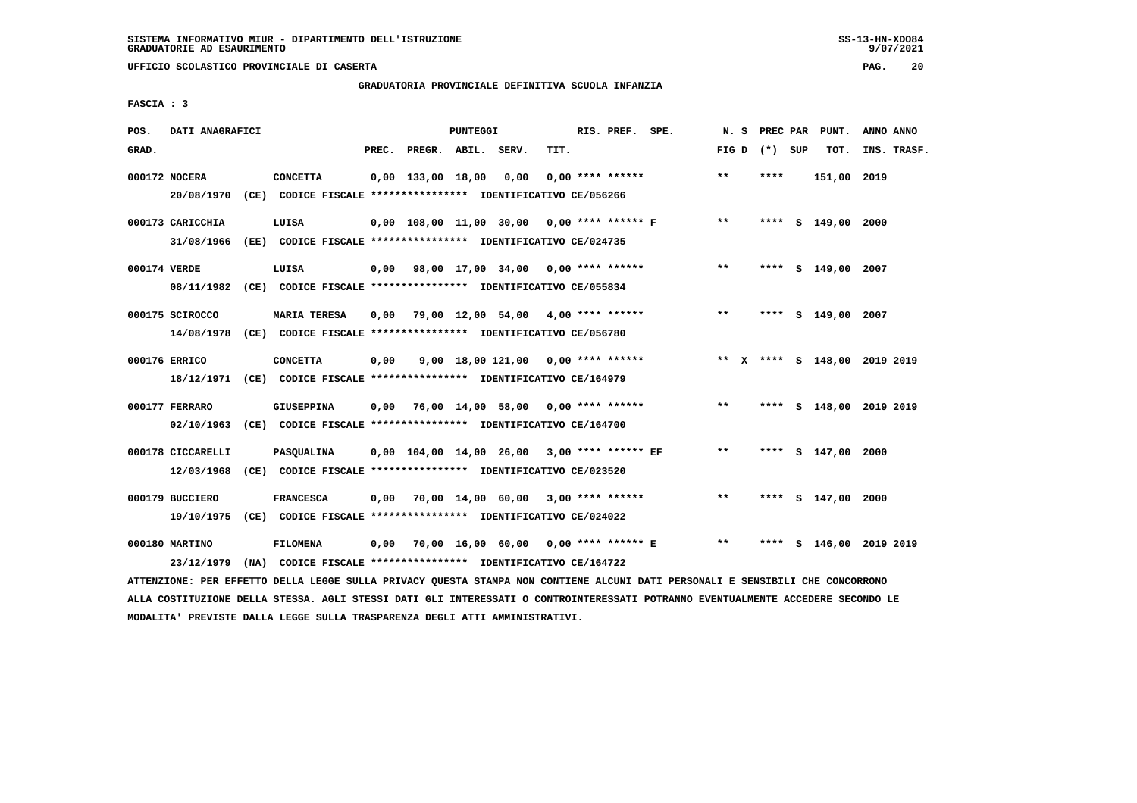# **GRADUATORIA PROVINCIALE DEFINITIVA SCUOLA INFANZIA**

 **FASCIA : 3**

| POS.         | DATI ANAGRAFICI   |                                                                                                                               |       |                          | PUNTEGGI |                                           |      | RIS. PREF. SPE.    |                                                |                 |      | N. S PREC PAR PUNT.          | ANNO ANNO   |  |
|--------------|-------------------|-------------------------------------------------------------------------------------------------------------------------------|-------|--------------------------|----------|-------------------------------------------|------|--------------------|------------------------------------------------|-----------------|------|------------------------------|-------------|--|
| GRAD.        |                   |                                                                                                                               | PREC. | PREGR. ABIL. SERV.       |          |                                           | TIT. |                    |                                                | FIG D $(*)$ SUP |      | тот.                         | INS. TRASF. |  |
|              | 000172 NOCERA     | <b>CONCETTA</b>                                                                                                               |       | $0,00$ 133,00 18,00 0,00 |          |                                           |      | $0,00$ **** ****** |                                                | $***$           | **** | 151,00 2019                  |             |  |
|              |                   | 20/08/1970 (CE) CODICE FISCALE *************** IDENTIFICATIVO CE/056266                                                       |       |                          |          |                                           |      |                    |                                                |                 |      |                              |             |  |
|              | 000173 CARICCHIA  | LUISA                                                                                                                         |       |                          |          |                                           |      |                    | 0,00 108,00 11,00 30,00 0,00 **** ****** F     | $***$           |      | **** S 149,00 2000           |             |  |
|              |                   | 31/08/1966 (EE) CODICE FISCALE *************** IDENTIFICATIVO CE/024735                                                       |       |                          |          |                                           |      |                    |                                                |                 |      |                              |             |  |
| 000174 VERDE |                   | LUISA                                                                                                                         |       |                          |          | 0,00 98,00 17,00 34,00 0,00 **** ******   |      |                    |                                                | $***$           |      | **** S 149,00 2007           |             |  |
|              |                   | 08/11/1982 (CE) CODICE FISCALE *************** IDENTIFICATIVO CE/055834                                                       |       |                          |          |                                           |      |                    |                                                |                 |      |                              |             |  |
|              | 000175 SCIROCCO   | <b>MARIA TERESA</b>                                                                                                           |       |                          |          | $0,00$ 79,00 12,00 54,00 4,00 **** ****** |      |                    |                                                | $***$           |      | **** S 149,00 2007           |             |  |
|              |                   | 14/08/1978 (CE) CODICE FISCALE *************** IDENTIFICATIVO CE/056780                                                       |       |                          |          |                                           |      |                    |                                                |                 |      |                              |             |  |
|              | 000176 ERRICO     | <b>CONCETTA</b>                                                                                                               | 0,00  |                          |          |                                           |      |                    | 9,00 18,00 121,00 0,00 **** ******             |                 |      | ** X **** S 148,00 2019 2019 |             |  |
|              |                   | 18/12/1971 (CE) CODICE FISCALE *************** IDENTIFICATIVO CE/164979                                                       |       |                          |          |                                           |      |                    |                                                |                 |      |                              |             |  |
|              | 000177 FERRARO    | <b>GIUSEPPINA</b>                                                                                                             |       |                          |          | $0,00$ 76,00 14,00 58,00 0,00 **** ****** |      |                    |                                                | $***$           |      | **** S 148,00 2019 2019      |             |  |
|              |                   | 02/10/1963 (CE) CODICE FISCALE *************** IDENTIFICATIVO CE/164700                                                       |       |                          |          |                                           |      |                    |                                                |                 |      |                              |             |  |
|              | 000178 CICCARELLI | <b>PASQUALINA</b>                                                                                                             |       |                          |          |                                           |      |                    | 0,00 104,00 14,00 26,00 3,00 **** ****** EF    | $***$           |      | **** S 147,00 2000           |             |  |
|              |                   | 12/03/1968 (CE) CODICE FISCALE *************** IDENTIFICATIVO CE/023520                                                       |       |                          |          |                                           |      |                    |                                                |                 |      |                              |             |  |
|              |                   |                                                                                                                               |       |                          |          |                                           |      |                    |                                                |                 |      |                              |             |  |
|              | 000179 BUCCIERO   | <b>FRANCESCA</b>                                                                                                              |       |                          |          | $0,00$ 70,00 14,00 60,00 3,00 **** ****** |      |                    |                                                | $***$           |      | **** S 147,00 2000           |             |  |
|              |                   | 19/10/1975 (CE) CODICE FISCALE *************** IDENTIFICATIVO CE/024022                                                       |       |                          |          |                                           |      |                    |                                                |                 |      |                              |             |  |
|              | 000180 MARTINO    | <b>FILOMENA</b>                                                                                                               |       |                          |          |                                           |      |                    | $0,00$ 70,00 16,00 60,00 0,00 **** ****** E ** |                 |      | **** S 146,00 2019 2019      |             |  |
|              |                   | 23/12/1979 (NA) CODICE FISCALE *************** IDENTIFICATIVO CE/164722                                                       |       |                          |          |                                           |      |                    |                                                |                 |      |                              |             |  |
|              |                   | ATTENZIONE: PER EFFETTO DELLA LEGGE SULLA PRIVACY QUESTA STAMPA NON CONTIENE ALCUNI DATI PERSONALI E SENSIBILI CHE CONCORRONO |       |                          |          |                                           |      |                    |                                                |                 |      |                              |             |  |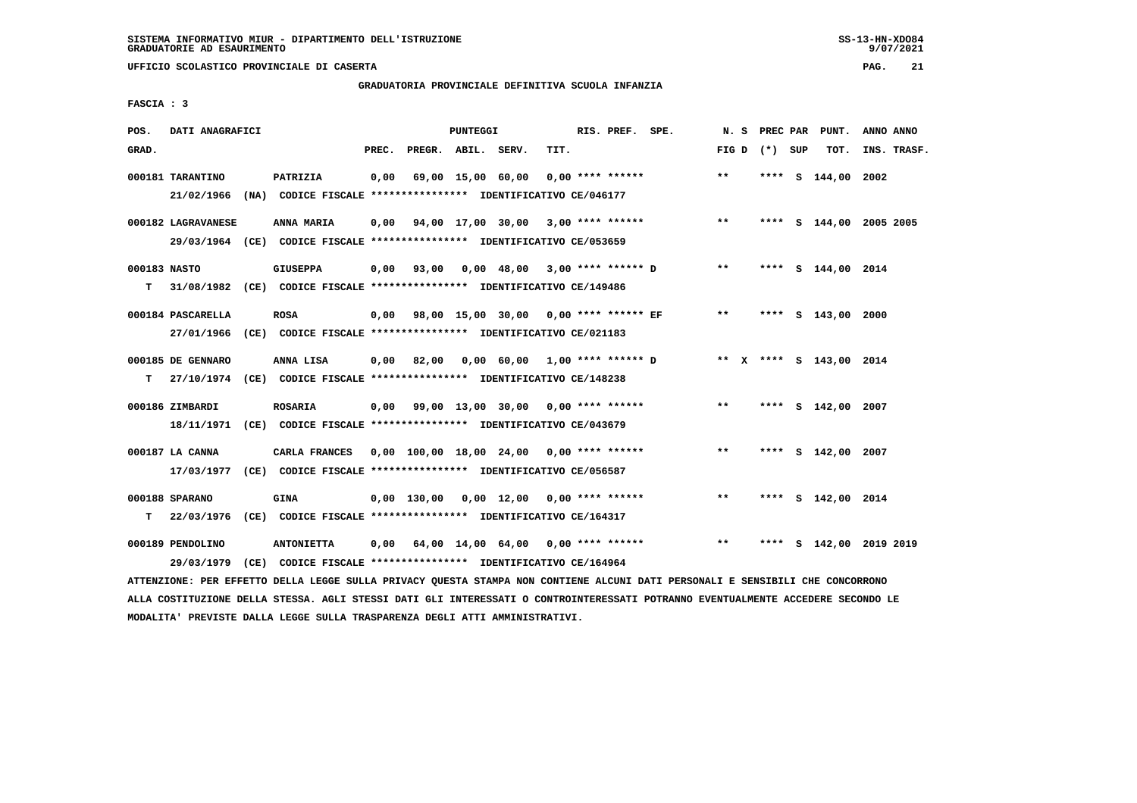# **GRADUATORIA PROVINCIALE DEFINITIVA SCUOLA INFANZIA**

 **FASCIA : 3**

| POS.  | DATI ANAGRAFICI    |                                                                                                                               |       |                                                        | PUNTEGGI |                   |      | RIS. PREF. SPE.    |                                                      |                 | N. S PREC PAR | PUNT.                   | ANNO ANNO |             |
|-------|--------------------|-------------------------------------------------------------------------------------------------------------------------------|-------|--------------------------------------------------------|----------|-------------------|------|--------------------|------------------------------------------------------|-----------------|---------------|-------------------------|-----------|-------------|
| GRAD. |                    |                                                                                                                               | PREC. | PREGR. ABIL. SERV.                                     |          |                   | TIT. |                    |                                                      | FIG D $(*)$ SUP |               | TOT.                    |           | INS. TRASF. |
|       | 000181 TARANTINO   | PATRIZIA                                                                                                                      | 0,00  |                                                        |          | 69,00 15,00 60,00 |      | $0.00$ **** ****** |                                                      | $* *$           |               | **** S 144,00 2002      |           |             |
|       |                    | 21/02/1966 (NA) CODICE FISCALE *************** IDENTIFICATIVO CE/046177                                                       |       |                                                        |          |                   |      |                    |                                                      |                 |               |                         |           |             |
|       | 000182 LAGRAVANESE | ANNA MARIA                                                                                                                    |       | $0,00$ $94,00$ $17,00$ $30,00$ $3,00$ $***$ **** ***** |          |                   |      |                    |                                                      | $***$           |               | **** S 144,00 2005 2005 |           |             |
|       |                    | 29/03/1964 (CE) CODICE FISCALE *************** IDENTIFICATIVO CE/053659                                                       |       |                                                        |          |                   |      |                    |                                                      |                 |               |                         |           |             |
|       | 000183 NASTO       | <b>GIUSEPPA</b>                                                                                                               |       |                                                        |          |                   |      |                    | $0,00$ $93,00$ $0,00$ $48,00$ $3,00$ $***$ $***$ $*$ | $***$           |               | **** S 144,00 2014      |           |             |
| т     |                    | 31/08/1982 (CE) CODICE FISCALE **************** IDENTIFICATIVO CE/149486                                                      |       |                                                        |          |                   |      |                    |                                                      |                 |               |                         |           |             |
|       | 000184 PASCARELLA  | <b>ROSA</b>                                                                                                                   |       |                                                        |          |                   |      |                    | 0,00 98,00 15,00 30,00 0,00 **** ****** EF           | $***$           |               | **** S 143,00 2000      |           |             |
|       |                    | 27/01/1966 (CE) CODICE FISCALE *************** IDENTIFICATIVO CE/021183                                                       |       |                                                        |          |                   |      |                    |                                                      |                 |               |                         |           |             |
|       | 000185 DE GENNARO  | ANNA LISA                                                                                                                     |       | $0,00$ 82,00 0,00 60,00 1,00 **** ****** D             |          |                   |      |                    |                                                      |                 |               | ** x **** s 143,00 2014 |           |             |
| т     |                    | 27/10/1974 (CE) CODICE FISCALE **************** IDENTIFICATIVO CE/148238                                                      |       |                                                        |          |                   |      |                    |                                                      |                 |               |                         |           |             |
|       | 000186 ZIMBARDI    | <b>ROSARIA</b>                                                                                                                |       | $0,00$ 99,00 13,00 30,00 0,00 **** ******              |          |                   |      |                    |                                                      | $***$           |               | **** S 142,00 2007      |           |             |
|       |                    | 18/11/1971 (CE) CODICE FISCALE *************** IDENTIFICATIVO CE/043679                                                       |       |                                                        |          |                   |      |                    |                                                      |                 |               |                         |           |             |
|       | 000187 LA CANNA    | CARLA FRANCES 0,00 100,00 18,00 24,00 0,00 **** ******                                                                        |       |                                                        |          |                   |      |                    |                                                      | $***$           |               | **** S 142,00 2007      |           |             |
|       |                    | 17/03/1977 (CE) CODICE FISCALE *************** IDENTIFICATIVO CE/056587                                                       |       |                                                        |          |                   |      |                    |                                                      |                 |               |                         |           |             |
|       | 000188 SPARANO     | <b>GINA</b>                                                                                                                   |       | $0.00$ 130.00 0.00 12.00 0.00 **** ******              |          |                   |      |                    |                                                      | $***$           |               | **** S 142,00 2014      |           |             |
| т     |                    | 22/03/1976 (CE) CODICE FISCALE **************** IDENTIFICATIVO CE/164317                                                      |       |                                                        |          |                   |      |                    |                                                      |                 |               |                         |           |             |
|       | 000189 PENDOLINO   | <b>ANTONIETTA</b>                                                                                                             |       |                                                        |          |                   |      |                    | 0,00 64,00 14,00 64,00 0,00 **** ******              | $***$           |               | **** S 142,00 2019 2019 |           |             |
|       | 29/03/1979         | $(CE)$ CODICE FISCALE *************** IDENTIFICATIVO CE/164964                                                                |       |                                                        |          |                   |      |                    |                                                      |                 |               |                         |           |             |
|       |                    | ATTENZIONE: PER EFFETTO DELLA LEGGE SULLA PRIVACY QUESTA STAMPA NON CONTIENE ALCUNI DATI PERSONALI E SENSIBILI CHE CONCORRONO |       |                                                        |          |                   |      |                    |                                                      |                 |               |                         |           |             |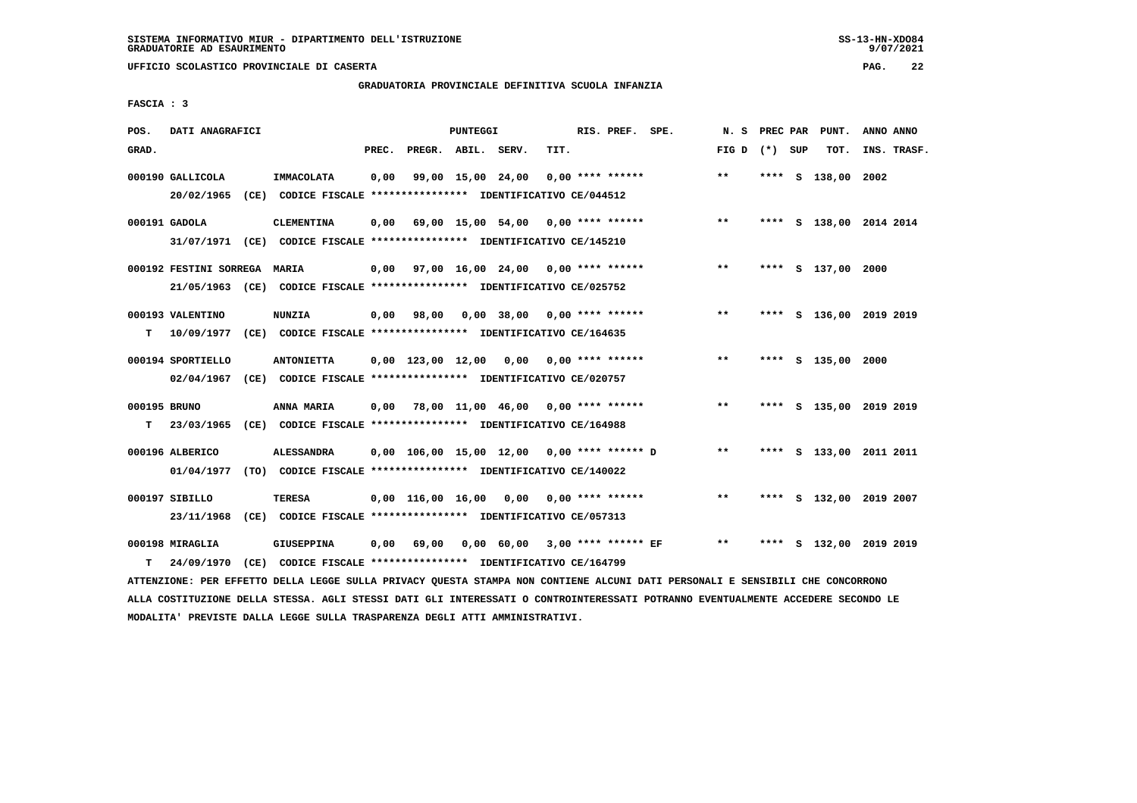# **GRADUATORIA PROVINCIALE DEFINITIVA SCUOLA INFANZIA**

 **FASCIA : 3**

| POS.               | DATI ANAGRAFICI              |                                                                                                                                                                                                |       |                    | PUNTEGGI |                   |                                              | RIS. PREF. SPE. |                 |  | N. S PREC PAR PUNT. | ANNO ANNO               |
|--------------------|------------------------------|------------------------------------------------------------------------------------------------------------------------------------------------------------------------------------------------|-------|--------------------|----------|-------------------|----------------------------------------------|-----------------|-----------------|--|---------------------|-------------------------|
| GRAD.              |                              |                                                                                                                                                                                                | PREC. | PREGR. ABIL. SERV. |          |                   | TIT.                                         |                 | FIG D $(*)$ SUP |  | TOT.                | INS. TRASF.             |
|                    | 000190 GALLICOLA             | IMMACOLATA<br>20/02/1965 (CE) CODICE FISCALE *************** IDENTIFICATIVO CE/044512                                                                                                          | 0,00  |                    |          | 99,00 15,00 24,00 | $0.00$ **** ******                           |                 | $***$           |  | **** S 138,00       | 2002                    |
|                    | 000191 GADOLA                | <b>CLEMENTINA</b><br>31/07/1971 (CE) CODICE FISCALE *************** IDENTIFICATIVO CE/145210                                                                                                   |       |                    |          |                   | $0,00$ 69,00 15,00 54,00 0,00 **** ******    |                 | $***$           |  |                     | **** S 138,00 2014 2014 |
|                    | 000192 FESTINI SORREGA MARIA | 21/05/1963 (CE) CODICE FISCALE *************** IDENTIFICATIVO CE/025752                                                                                                                        |       |                    |          |                   | 0,00 97,00 16,00 24,00 0,00 **** ******      |                 | $* *$           |  | **** S 137,00 2000  |                         |
| T.                 | 000193 VALENTINO             | <b>NUNZIA</b><br>10/09/1977 (CE) CODICE FISCALE **************** IDENTIFICATIVO CE/164635                                                                                                      |       | 0,00 98,00         |          | 0,00 38,00        | $0.00$ **** ******                           |                 | $***$           |  |                     | **** S 136,00 2019 2019 |
|                    | 000194 SPORTIELLO            | <b>ANTONIETTA</b><br>02/04/1967 (CE) CODICE FISCALE *************** IDENTIFICATIVO CE/020757                                                                                                   |       |                    |          |                   | $0,00$ 123,00 12,00 0,00 0,00 **** ******    |                 | $***$           |  | **** S 135,00 2000  |                         |
| 000195 BRUNO<br>T. |                              | ANNA MARIA<br>23/03/1965 (CE) CODICE FISCALE *************** IDENTIFICATIVO CE/164988                                                                                                          |       |                    |          |                   | $0,00$ 78,00 11,00 46,00 0,00 **** ******    |                 | $***$           |  |                     | **** S 135,00 2019 2019 |
|                    | 000196 ALBERICO              | <b>ALESSANDRA</b><br>01/04/1977 (TO) CODICE FISCALE *************** IDENTIFICATIVO CE/140022                                                                                                   |       |                    |          |                   | $0,00$ 106,00 15,00 12,00 0,00 **** ****** D |                 | $***$           |  |                     | **** S 133,00 2011 2011 |
|                    | 000197 SIBILLO<br>23/11/1968 | <b>TERESA</b><br>(CE) CODICE FISCALE **************** IDENTIFICATIVO CE/057313                                                                                                                 |       |                    |          |                   | $0.00$ 116.00 16.00 0.00 0.00 **** ******    |                 | $***$           |  |                     | **** S 132,00 2019 2007 |
|                    | 000198 MIRAGLIA              | <b>GIUSEPPINA</b>                                                                                                                                                                              | 0,00  | 69,00              |          |                   | 0,00 60,00 3,00 **** ****** EF               |                 | $***$           |  |                     | **** S 132,00 2019 2019 |
| т                  | 24/09/1970                   | (CE) CODICE FISCALE **************** IDENTIFICATIVO CE/164799<br>ATTENZIONE: PER EFFETTO DELLA LEGGE SULLA PRIVACY QUESTA STAMPA NON CONTIENE ALCUNI DATI PERSONALI E SENSIBILI CHE CONCORRONO |       |                    |          |                   |                                              |                 |                 |  |                     |                         |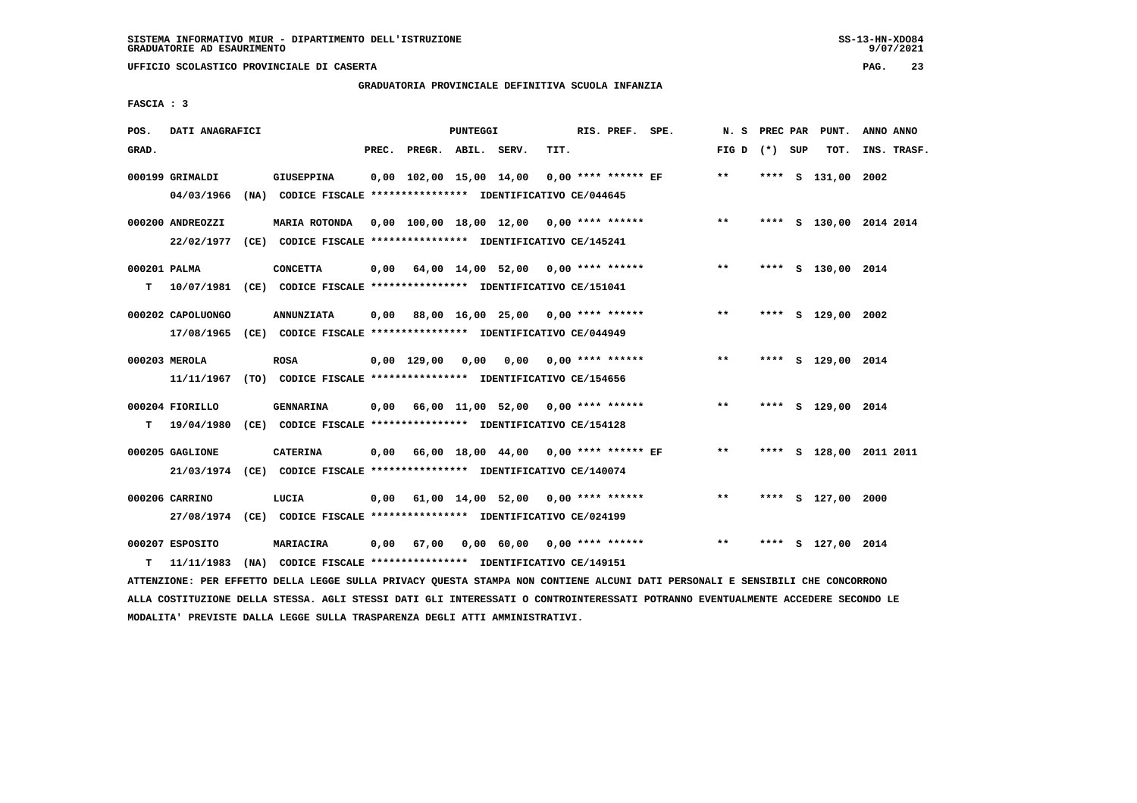# **GRADUATORIA PROVINCIALE DEFINITIVA SCUOLA INFANZIA**

 **FASCIA : 3**

| POS.              | DATI ANAGRAFICI               |                                                                                                                                                                 |       |                                | PUNTEGGI |                                              |      | RIS. PREF. SPE.         | N. S PREC PAR   |      | PUNT.                   | ANNO ANNO |             |
|-------------------|-------------------------------|-----------------------------------------------------------------------------------------------------------------------------------------------------------------|-------|--------------------------------|----------|----------------------------------------------|------|-------------------------|-----------------|------|-------------------------|-----------|-------------|
| GRAD.             |                               |                                                                                                                                                                 | PREC. | PREGR. ABIL. SERV.             |          |                                              | TIT. |                         | FIG D $(*)$ SUP |      | тот.                    |           | INS. TRASF. |
|                   | 000199 GRIMALDI<br>04/03/1966 | GIUSEPPINA<br>(NA) CODICE FISCALE **************** IDENTIFICATIVO CE/044645                                                                                     |       |                                |          | 0,00 102,00 15,00 14,00                      |      | 0,00 **** ****** EF     | $***$           |      | **** S 131,00 2002      |           |             |
|                   | 000200 ANDREOZZI              | MARIA ROTONDA 0,00 100,00 18,00 12,00 0,00 **** ******<br>22/02/1977 (CE) CODICE FISCALE *************** IDENTIFICATIVO CE/145241                               |       |                                |          |                                              |      |                         | $***$           |      | **** S 130,00 2014 2014 |           |             |
| 000201 PALMA<br>т |                               | <b>CONCETTA</b><br>10/07/1981 (CE) CODICE FISCALE *************** IDENTIFICATIVO CE/151041                                                                      |       |                                |          | $0,00$ 64,00 14,00 52,00 0,00 **** ******    |      |                         | $***$           |      | **** S 130,00 2014      |           |             |
|                   | 000202 CAPOLUONGO             | <b>ANNUNZIATA</b><br>17/08/1965 (CE) CODICE FISCALE *************** IDENTIFICATIVO CE/044949                                                                    |       |                                |          | 0,00 88,00 16,00 25,00 0,00 **** ******      |      |                         | $* *$           |      | **** S 129,00 2002      |           |             |
|                   | 000203 MEROLA                 | <b>ROSA</b><br>11/11/1967 (TO) CODICE FISCALE *************** IDENTIFICATIVO CE/154656                                                                          |       | $0.00 \quad 129.00 \quad 0.00$ |          |                                              |      | $0,00$ 0,00 **** ****** | $***$           |      | **** S 129,00 2014      |           |             |
| т                 | 000204 FIORILLO<br>19/04/1980 | <b>GENNARINA</b><br>(CE) CODICE FISCALE **************** IDENTIFICATIVO CE/154128                                                                               |       |                                |          | 0,00 66,00 11,00 52,00 0,00 **** ******      |      |                         | $***$           |      | **** S 129,00 2014      |           |             |
|                   | 000205 GAGLIONE               | <b>CATERINA</b>                                                                                                                                                 |       |                                |          | $0,00$ 66,00 18,00 44,00 0,00 **** ****** EF |      |                         | $***$           |      | **** S 128,00 2011 2011 |           |             |
|                   | 000206 CARRINO                | 21/03/1974 (CE) CODICE FISCALE *************** IDENTIFICATIVO CE/140074<br>LUCIA                                                                                |       |                                |          | $0,00$ 61,00 14,00 52,00 0,00 **** ******    |      |                         | **              |      | **** S 127,00 2000      |           |             |
| т                 | 000207 ESPOSITO               | 27/08/1974 (CE) CODICE FISCALE *************** IDENTIFICATIVO CE/024199<br>MARIACIRA<br>11/11/1983 (NA) CODICE FISCALE *************** IDENTIFICATIVO CE/149151 | 0.00  | 67,00                          |          | $0,00$ 60,00 0,00 **** ******                |      |                         | **              | **** | S 127,00 2014           |           |             |
|                   |                               |                                                                                                                                                                 |       |                                |          |                                              |      |                         |                 |      |                         |           |             |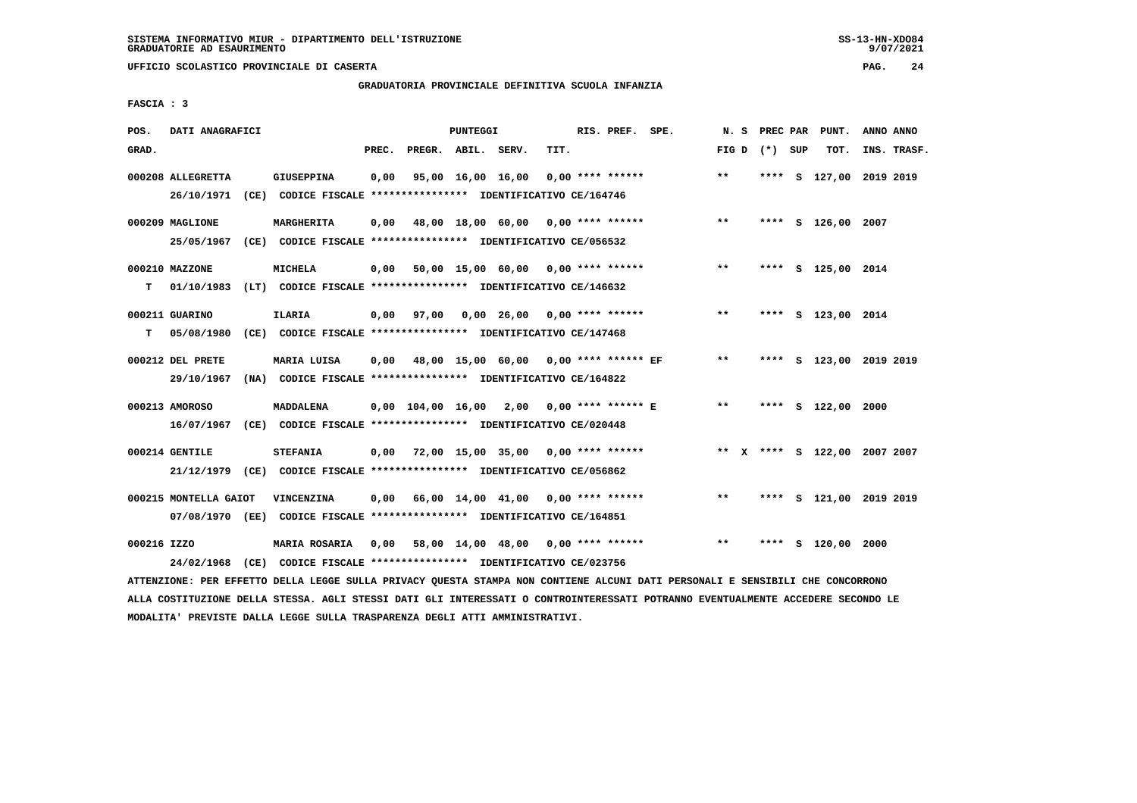# **GRADUATORIA PROVINCIALE DEFINITIVA SCUOLA INFANZIA**

 **FASCIA : 3**

| POS.        | DATI ANAGRAFICI       |                                                                                                      | PUNTEGGI                                   |                      | RIS. PREF. SPE. | N. S PREC PAR   |      | PUNT.              | ANNO ANNO                    |
|-------------|-----------------------|------------------------------------------------------------------------------------------------------|--------------------------------------------|----------------------|-----------------|-----------------|------|--------------------|------------------------------|
| GRAD.       |                       | PREC.                                                                                                | PREGR. ABIL. SERV.                         | TIT.                 |                 | FIG D $(*)$ SUP |      | TOT.               | INS. TRASF.                  |
|             | 000208 ALLEGRETTA     | <b>GIUSEPPINA</b><br>0.00<br>26/10/1971 (CE) CODICE FISCALE *************** IDENTIFICATIVO CE/164746 | 95,00 16,00 16,00                          | $0.00$ **** ******   |                 | $***$           |      |                    | **** S 127,00 2019 2019      |
|             | 000209 MAGLIONE       | MARGHERITA<br>0,00                                                                                   | 48,00 18,00 60,00 0,00 **** ******         |                      |                 | $***$           |      | **** S 126,00 2007 |                              |
|             | 000210 MAZZONE        | 25/05/1967 (CE) CODICE FISCALE *************** IDENTIFICATIVO CE/056532<br><b>MICHELA</b>            | $0,00$ 50,00 15,00 60,00 0,00 **** ******  |                      |                 | $***$           |      | **** S 125,00 2014 |                              |
| т           | 000211 GUARINO        | 01/10/1983 (LT) CODICE FISCALE *************** IDENTIFICATIVO CE/146632<br><b>ILARIA</b>             | $0,00$ 97,00 0,00 26,00 0,00 **** ******   |                      |                 | $\star\star$    |      | **** S 123,00 2014 |                              |
| т           |                       | 05/08/1980 (CE) CODICE FISCALE *************** IDENTIFICATIVO CE/147468                              |                                            |                      |                 |                 |      |                    |                              |
|             | 000212 DEL PRETE      | MARIA LUISA<br>29/10/1967 (NA) CODICE FISCALE *************** IDENTIFICATIVO CE/164822               | 0,00 48,00 15,00 60,00 0,00 **** ****** EF |                      |                 | $***$           |      |                    | **** S 123,00 2019 2019      |
|             | 000213 AMOROSO        | <b>MADDALENA</b><br>16/07/1967 (CE) CODICE FISCALE *************** IDENTIFICATIVO CE/020448          | $0,00$ $104,00$ $16,00$ $2,00$             | $0.00$ **** ****** E |                 | $***$           |      | **** $S$ 122,00    | 2000                         |
|             | 000214 GENTILE        | <b>STEFANIA</b><br>21/12/1979 (CE) CODICE FISCALE *************** IDENTIFICATIVO CE/056862           | $0,00$ 72,00 15,00 35,00 0,00 **** ******  |                      |                 |                 |      |                    | ** X **** S 122,00 2007 2007 |
|             | 000215 MONTELLA GAIOT | VINCENZINA<br>07/08/1970 (EE) CODICE FISCALE *************** IDENTIFICATIVO CE/164851                | $0.00$ 66.00 14.00 41.00 0.00 **** ******  |                      |                 | $* *$           |      |                    | **** S 121,00 2019 2019      |
| 000216 IZZO |                       | <b>MARIA ROSARIA</b><br>24/02/1968 (CE) CODICE FISCALE *************** IDENTIFICATIVO CE/023756      | $0,00$ 58,00 14,00 48,00 0,00 **** ******  |                      |                 | **              | **** | S 120,00 2000      |                              |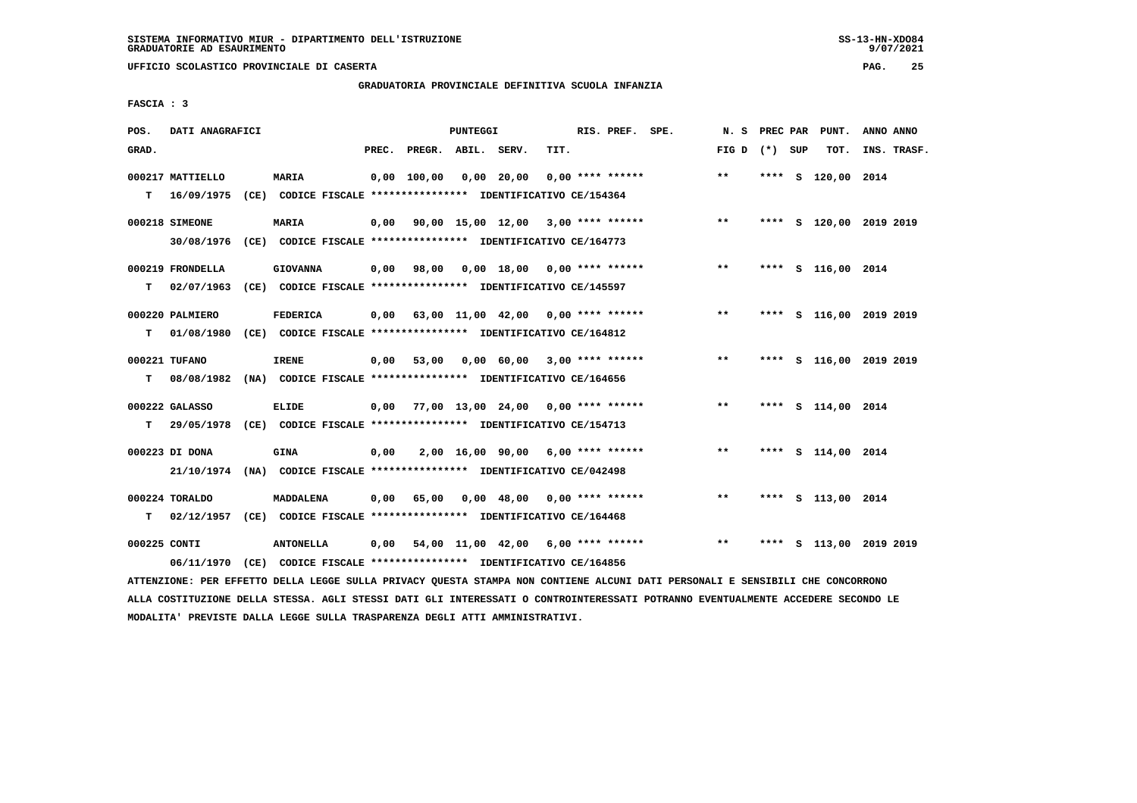**UFFICIO SCOLASTICO PROVINCIALE DI CASERTA PAG. 25**

# **GRADUATORIA PROVINCIALE DEFINITIVA SCUOLA INFANZIA**

 **FASCIA : 3**

| POS.         | DATI ANAGRAFICI  |                                                                                                                              |       |                    | PUNTEGGI |                                           |      | RIS. PREF. SPE. |                                            | N. S            |      | PREC PAR PUNT.          | ANNO ANNO |             |
|--------------|------------------|------------------------------------------------------------------------------------------------------------------------------|-------|--------------------|----------|-------------------------------------------|------|-----------------|--------------------------------------------|-----------------|------|-------------------------|-----------|-------------|
| GRAD.        |                  |                                                                                                                              | PREC. | PREGR. ABIL. SERV. |          |                                           | TIT. |                 |                                            | FIG D $(*)$ SUP |      | TOT.                    |           | INS. TRASF. |
|              | 000217 MATTIELLO | <b>MARIA</b>                                                                                                                 |       | 0,00 100,00        |          | 0,00 20,00                                |      |                 | $0.00$ **** ******                         | $***$           | **** | s 120,00 2014           |           |             |
| т            | 16/09/1975       | (CE) CODICE FISCALE *************** IDENTIFICATIVO CE/154364                                                                 |       |                    |          |                                           |      |                 |                                            |                 |      |                         |           |             |
|              | 000218 SIMEONE   | <b>MARIA</b>                                                                                                                 | 0,00  |                    |          | 90,00 15,00 12,00 3,00 **** ******        |      |                 |                                            | $\star \star$   |      | **** S 120,00 2019 2019 |           |             |
|              | 30/08/1976       | (CE) CODICE FISCALE **************** IDENTIFICATIVO CE/164773                                                                |       |                    |          |                                           |      |                 |                                            |                 |      |                         |           |             |
|              | 000219 FRONDELLA | <b>GIOVANNA</b>                                                                                                              | 0,00  | 98,00              |          |                                           |      |                 | $0.00$ 18.00 0.00 **** ******              | $***$           |      | **** S 116,00 2014      |           |             |
| т            | 02/07/1963       | (CE) CODICE FISCALE **************** IDENTIFICATIVO CE/145597                                                                |       |                    |          |                                           |      |                 |                                            |                 |      |                         |           |             |
|              | 000220 PALMIERO  | <b>FEDERICA</b>                                                                                                              |       |                    |          | $0,00$ 63,00 11,00 42,00 0,00 **** ****** |      |                 |                                            | $***$           |      | **** S 116,00 2019 2019 |           |             |
| T.           | 01/08/1980       | (CE) CODICE FISCALE **************** IDENTIFICATIVO CE/164812                                                                |       |                    |          |                                           |      |                 |                                            |                 |      |                         |           |             |
|              | 000221 TUFANO    | <b>IRENE</b>                                                                                                                 | 0,00  | 53,00              |          | $0,00$ 60,00 3,00 **** ******             |      |                 |                                            | $***$           |      | **** S 116,00 2019 2019 |           |             |
| т            | 08/08/1982       | (NA) CODICE FISCALE **************** IDENTIFICATIVO CE/164656                                                                |       |                    |          |                                           |      |                 |                                            |                 |      |                         |           |             |
|              | 000222 GALASSO   | <b>ELIDE</b>                                                                                                                 |       |                    |          |                                           |      |                 | $0,00$ 77,00 13,00 24,00 0,00 **** ******  | $***$           |      | **** S 114,00 2014      |           |             |
| т            |                  | 29/05/1978 (CE) CODICE FISCALE *************** IDENTIFICATIVO CE/154713                                                      |       |                    |          |                                           |      |                 |                                            |                 |      |                         |           |             |
|              | 000223 DI DONA   | <b>GINA</b>                                                                                                                  | 0,00  |                    |          |                                           |      |                 | 2,00 16,00 90,00 6,00 **** ******          | $***$           |      | **** S 114,00 2014      |           |             |
|              |                  | 21/10/1974 (NA) CODICE FISCALE *************** IDENTIFICATIVO CE/042498                                                      |       |                    |          |                                           |      |                 |                                            |                 |      |                         |           |             |
|              | 000224 TORALDO   | MADDALENA                                                                                                                    | 0,00  | 65,00              |          |                                           |      |                 | $0,00$ 48,00 0,00 **** ******              | $***$           |      | **** S 113,00 2014      |           |             |
| т            | 02/12/1957       | (CE) CODICE FISCALE **************** IDENTIFICATIVO CE/164468                                                                |       |                    |          |                                           |      |                 |                                            |                 |      |                         |           |             |
| 000225 CONTI |                  | <b>ANTONELLA</b>                                                                                                             | 0,00  |                    |          |                                           |      |                 | 54,00 11,00 42,00 6,00 **** ****** *** *** |                 |      | **** S 113,00 2019 2019 |           |             |
|              |                  | 06/11/1970 (CE) CODICE FISCALE *************** IDENTIFICATIVO CE/164856                                                      |       |                    |          |                                           |      |                 |                                            |                 |      |                         |           |             |
|              |                  | IMMONISTANT, ARA BREDWA AREEN ERGOD GUETA ARTUAGI AUDOMA (MANA) NAN GANTERID ILGINE ANT ARAGANIET B SENSEDITET GUB GANGARANA |       |                    |          |                                           |      |                 |                                            |                 |      |                         |           |             |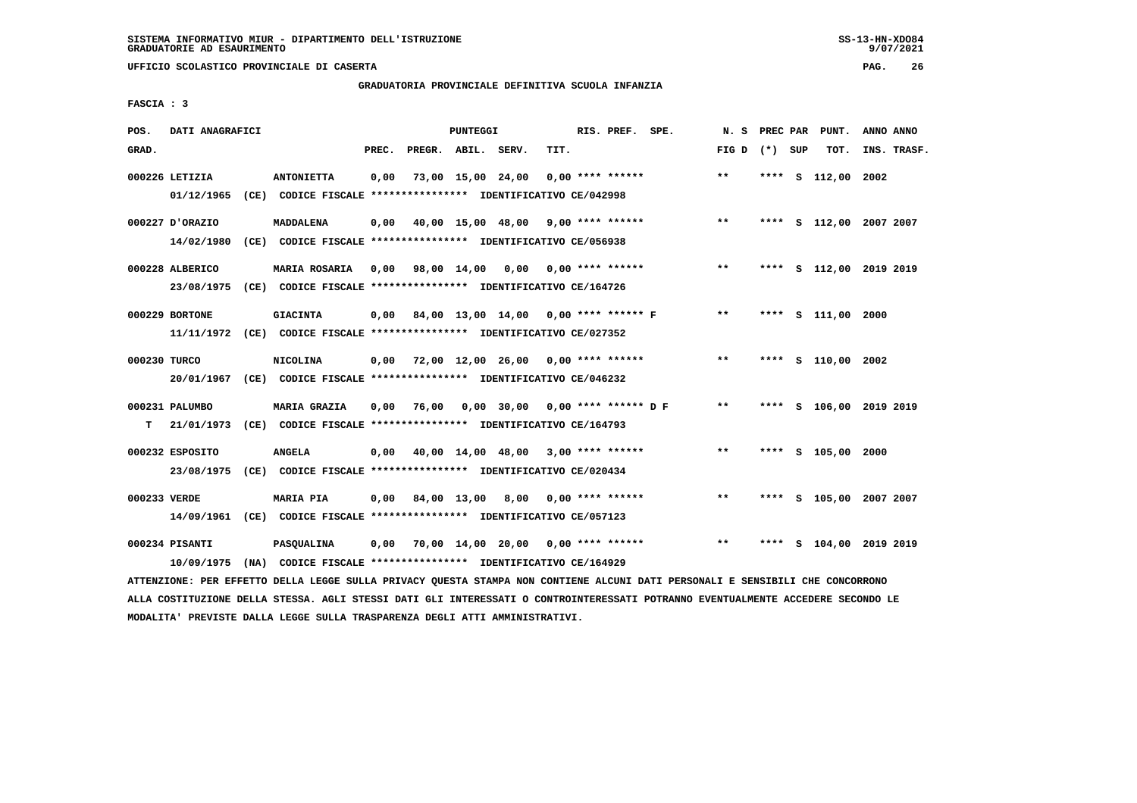# **GRADUATORIA PROVINCIALE DEFINITIVA SCUOLA INFANZIA**

 **FASCIA : 3**

| POS.         | DATI ANAGRAFICI |                                                                                                                               |       |                    | <b>PUNTEGGI</b> |                                           |      | RIS. PREF. SPE.    |                                             | N. S            | PREC PAR | PUNT.                   | ANNO ANNO |             |
|--------------|-----------------|-------------------------------------------------------------------------------------------------------------------------------|-------|--------------------|-----------------|-------------------------------------------|------|--------------------|---------------------------------------------|-----------------|----------|-------------------------|-----------|-------------|
| GRAD.        |                 |                                                                                                                               | PREC. | PREGR. ABIL. SERV. |                 |                                           | TIT. |                    |                                             | FIG D $(*)$ SUP |          | TOT.                    |           | INS. TRASF. |
|              | 000226 LETIZIA  | <b>ANTONIETTA</b>                                                                                                             | 0,00  |                    |                 | 73,00 15,00 24,00                         |      | $0.00$ **** ****** |                                             | $* *$           |          | **** S 112,00 2002      |           |             |
|              | 01/12/1965      | (CE) CODICE FISCALE *************** IDENTIFICATIVO CE/042998                                                                  |       |                    |                 |                                           |      |                    |                                             |                 |          |                         |           |             |
|              | 000227 D'ORAZIO | MADDALENA                                                                                                                     | 0,00  |                    |                 | 40,00 15,00 48,00 9,00 **** ******        |      |                    |                                             | **              |          | **** S 112,00 2007 2007 |           |             |
|              | 14/02/1980      | (CE) CODICE FISCALE **************** IDENTIFICATIVO CE/056938                                                                 |       |                    |                 |                                           |      |                    |                                             |                 |          |                         |           |             |
|              | 000228 ALBERICO | <b>MARIA ROSARIA</b>                                                                                                          |       |                    |                 | 0,00 98,00 14,00 0,00 0,00 **** ******    |      |                    |                                             | $* *$           |          | **** S 112,00 2019 2019 |           |             |
|              |                 | 23/08/1975 (CE) CODICE FISCALE *************** IDENTIFICATIVO CE/164726                                                       |       |                    |                 |                                           |      |                    |                                             |                 |          |                         |           |             |
|              | 000229 BORTONE  | <b>GIACINTA</b>                                                                                                               |       |                    |                 |                                           |      |                    | $0,00$ 84,00 13,00 14,00 0,00 **** ****** F | $***$           |          | **** S 111,00 2000      |           |             |
|              |                 | 11/11/1972 (CE) CODICE FISCALE *************** IDENTIFICATIVO CE/027352                                                       |       |                    |                 |                                           |      |                    |                                             |                 |          |                         |           |             |
| 000230 TURCO |                 | <b>NICOLINA</b>                                                                                                               | 0,00  |                    |                 |                                           |      |                    | 72,00 12,00 26,00 0,00 **** ******          | $***$           |          | **** S 110,00 2002      |           |             |
|              |                 | 20/01/1967 (CE) CODICE FISCALE *************** IDENTIFICATIVO CE/046232                                                       |       |                    |                 |                                           |      |                    |                                             |                 |          |                         |           |             |
|              | 000231 PALUMBO  | <b>MARIA GRAZIA</b>                                                                                                           | 0,00  |                    |                 |                                           |      |                    |                                             | $***$           |          | **** S 106,00 2019 2019 |           |             |
|              |                 | T 21/01/1973 (CE) CODICE FISCALE **************** IDENTIFICATIVO CE/164793                                                    |       |                    |                 |                                           |      |                    |                                             |                 |          |                         |           |             |
|              | 000232 ESPOSITO | <b>ANGELA</b>                                                                                                                 |       |                    |                 | $0.00$ 40.00 14.00 48.00 3.00 **** ****** |      |                    |                                             | $***$           |          | **** S 105,00 2000      |           |             |
|              |                 | 23/08/1975 (CE) CODICE FISCALE *************** IDENTIFICATIVO CE/020434                                                       |       |                    |                 |                                           |      |                    |                                             |                 |          |                         |           |             |
| 000233 VERDE |                 | <b>MARIA PIA</b>                                                                                                              | 0,00  |                    |                 | 84,00 13,00 8,00 0,00 **** ******         |      |                    |                                             | **              |          | **** S 105,00 2007 2007 |           |             |
|              |                 | 14/09/1961 (CE) CODICE FISCALE *************** IDENTIFICATIVO CE/057123                                                       |       |                    |                 |                                           |      |                    |                                             |                 |          |                         |           |             |
|              | 000234 PISANTI  | <b>PASQUALINA</b>                                                                                                             |       |                    |                 |                                           |      |                    | $0,00$ 70,00 14,00 20,00 0,00 **** ******   | $***$           |          | **** S 104,00 2019 2019 |           |             |
|              | 10/09/1975      | (NA) CODICE FISCALE **************** IDENTIFICATIVO CE/164929                                                                 |       |                    |                 |                                           |      |                    |                                             |                 |          |                         |           |             |
|              |                 | ATTENZIONE: PER EFFETTO DELLA LEGGE SULLA PRIVACY QUESTA STAMPA NON CONTIENE ALCUNI DATI PERSONALI E SENSIBILI CHE CONCORRONO |       |                    |                 |                                           |      |                    |                                             |                 |          |                         |           |             |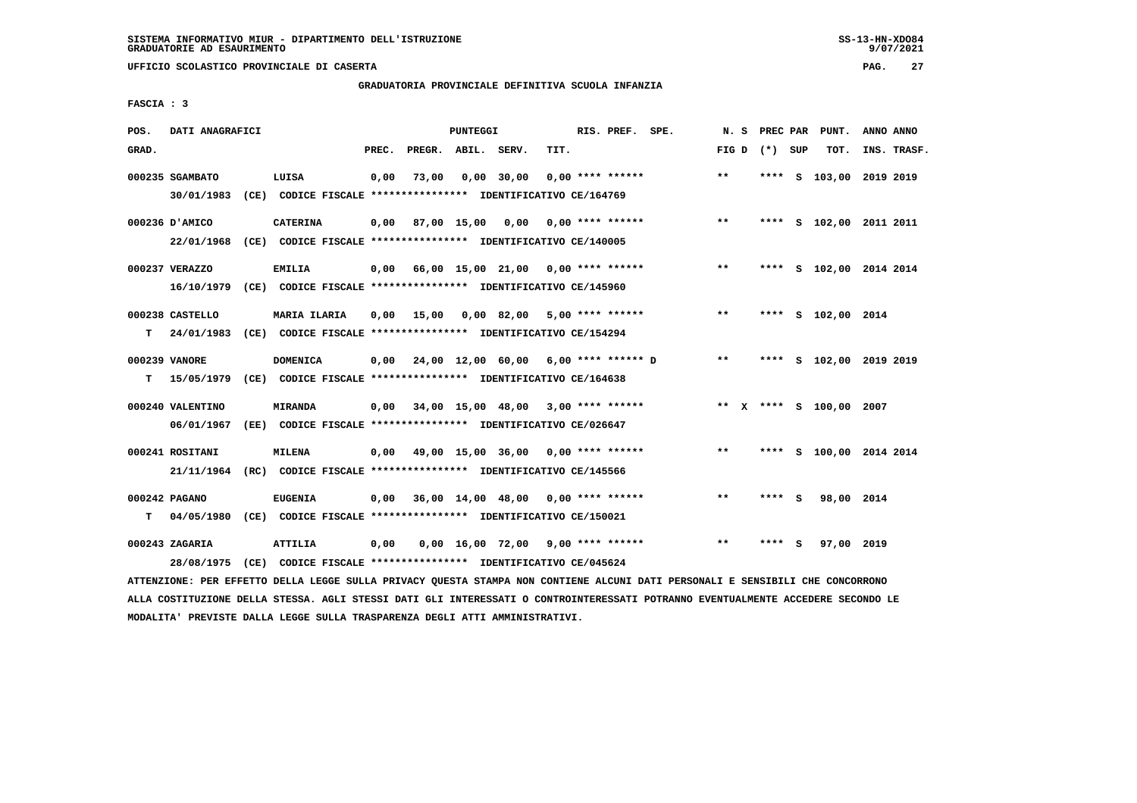# **GRADUATORIA PROVINCIALE DEFINITIVA SCUOLA INFANZIA**

 **FASCIA : 3**

| POS.  | DATI ANAGRAFICI               |                                                                          |       |                    | PUNTEGGI |                                             |      | RIS. PREF. SPE.    |                                         |                 |        | N. S PREC PAR PUNT.     | ANNO ANNO |             |
|-------|-------------------------------|--------------------------------------------------------------------------|-------|--------------------|----------|---------------------------------------------|------|--------------------|-----------------------------------------|-----------------|--------|-------------------------|-----------|-------------|
| GRAD. |                               |                                                                          | PREC. | PREGR. ABIL. SERV. |          |                                             | TIT. |                    |                                         | FIG D $(*)$ SUP |        | TOT.                    |           | INS. TRASF. |
|       | 000235 SGAMBATO<br>30/01/1983 | LUISA<br>(CE) CODICE FISCALE **************** IDENTIFICATIVO CE/164769   | 0,00  | 73,00              |          | $0,00$ 30,00                                |      | $0.00$ **** ****** |                                         | $***$           |        | **** S 103,00 2019 2019 |           |             |
|       |                               |                                                                          |       |                    |          |                                             |      |                    |                                         |                 |        |                         |           |             |
|       | 000236 D'AMICO                | <b>CATERINA</b>                                                          | 0.00  |                    |          |                                             |      |                    | 87,00 15,00 0,00 0,00 **** ******       | $***$           |        | **** S 102,00 2011 2011 |           |             |
|       |                               | 22/01/1968 (CE) CODICE FISCALE *************** IDENTIFICATIVO CE/140005  |       |                    |          |                                             |      |                    |                                         |                 |        |                         |           |             |
|       | 000237 VERAZZO                | <b>EMILIA</b>                                                            |       |                    |          |                                             |      |                    | 0,00 66,00 15,00 21,00 0,00 **** ****** | $***$           |        | **** S 102,00 2014 2014 |           |             |
|       |                               | 16/10/1979 (CE) CODICE FISCALE *************** IDENTIFICATIVO CE/145960  |       |                    |          |                                             |      |                    |                                         |                 |        |                         |           |             |
|       | 000238 CASTELLO               | <b>MARIA ILARIA</b>                                                      | 0,00  | 15,00              |          | 0,00 82,00 5,00 **** ******                 |      |                    |                                         | $***$           |        | **** S 102,00 2014      |           |             |
| т     |                               | 24/01/1983 (CE) CODICE FISCALE **************** IDENTIFICATIVO CE/154294 |       |                    |          |                                             |      |                    |                                         |                 |        |                         |           |             |
|       | 000239 VANORE                 | DOMENICA                                                                 |       |                    |          | $0,00$ 24,00 12,00 60,00 6,00 **** ****** D |      |                    |                                         | $* *$           |        | **** S 102,00 2019 2019 |           |             |
| т     |                               | 15/05/1979 (CE) CODICE FISCALE **************** IDENTIFICATIVO CE/164638 |       |                    |          |                                             |      |                    |                                         |                 |        |                         |           |             |
|       | 000240 VALENTINO              | <b>MIRANDA</b>                                                           | 0,00  |                    |          | 34,00 15,00 48,00 3,00 **** ******          |      |                    | ** x **** s 100,00 2007                 |                 |        |                         |           |             |
|       | 06/01/1967                    | (EE) CODICE FISCALE **************** IDENTIFICATIVO CE/026647            |       |                    |          |                                             |      |                    |                                         |                 |        |                         |           |             |
|       | 000241 ROSITANI               | <b>MILENA</b>                                                            | 0,00  |                    |          | 49,00 15,00 36,00 0,00 **** ******          |      |                    |                                         | $***$           |        | **** S 100,00 2014 2014 |           |             |
|       |                               | 21/11/1964 (RC) CODICE FISCALE *************** IDENTIFICATIVO CE/145566  |       |                    |          |                                             |      |                    |                                         |                 |        |                         |           |             |
|       | 000242 PAGANO                 | <b>EUGENIA</b>                                                           | 0,00  |                    |          | 36,00 14,00 48,00 0,00 **** ******          |      |                    |                                         | $* *$           | **** S | 98,00 2014              |           |             |
| т     |                               | 04/05/1980 (CE) CODICE FISCALE **************** IDENTIFICATIVO CE/150021 |       |                    |          |                                             |      |                    |                                         |                 |        |                         |           |             |
|       | 000243 ZAGARIA                | ATTILIA                                                                  | 0,00  |                    |          | $0,00$ 16,00 72,00 9,00 **** ******         |      |                    |                                         | $**$            | **** S | 97,00 2019              |           |             |
|       | 28/08/1975                    | (CE) CODICE FISCALE **************** IDENTIFICATIVO CE/045624            |       |                    |          |                                             |      |                    |                                         |                 |        |                         |           |             |
|       |                               |                                                                          |       |                    |          |                                             |      |                    |                                         |                 |        |                         |           |             |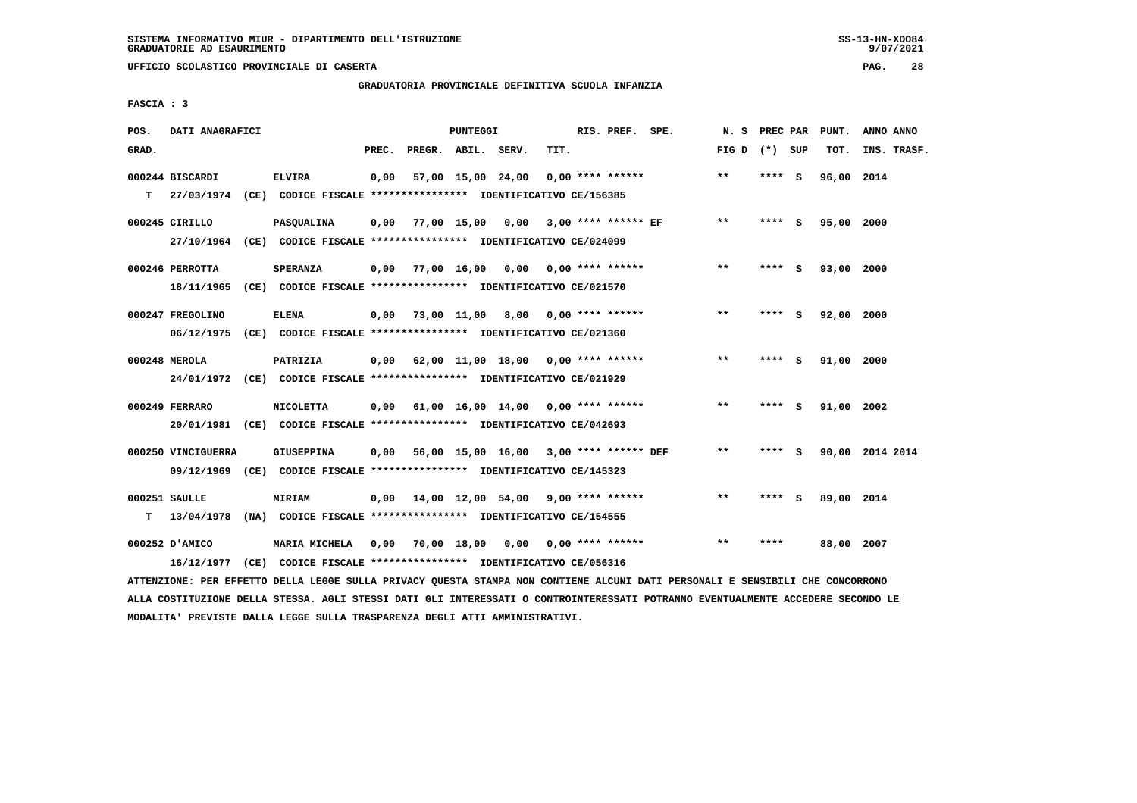# **GRADUATORIA PROVINCIALE DEFINITIVA SCUOLA INFANZIA**

 **FASCIA : 3**

| POS.  | DATI ANAGRAFICI    |                                                                          |       |                    | PUNTEGGI |                                           |      | RIS. PREF. SPE.    |                                      | N.S             | PREC PAR |          | PUNT.      | ANNO ANNO       |
|-------|--------------------|--------------------------------------------------------------------------|-------|--------------------|----------|-------------------------------------------|------|--------------------|--------------------------------------|-----------------|----------|----------|------------|-----------------|
| GRAD. |                    |                                                                          | PREC. | PREGR. ABIL. SERV. |          |                                           | TIT. |                    |                                      | FIG D $(*)$ SUP |          |          | TOT.       | INS. TRASF.     |
|       | 000244 BISCARDI    | <b>ELVIRA</b>                                                            | 0,00  |                    |          | 57,00 15,00 24,00                         |      | $0.00$ **** ****** |                                      | $***$           | **** S   |          | 96,00 2014 |                 |
| т     |                    | 27/03/1974 (CE) CODICE FISCALE *************** IDENTIFICATIVO CE/156385  |       |                    |          |                                           |      |                    |                                      |                 |          |          |            |                 |
|       | 000245 CIRILLO     | <b>PASQUALINA</b>                                                        | 0,00  |                    |          |                                           |      |                    | 77,00 15,00 0,00 3,00 **** ****** EF | $* *$           | **** S   |          | 95,00 2000 |                 |
|       |                    | 27/10/1964 (CE) CODICE FISCALE *************** IDENTIFICATIVO CE/024099  |       |                    |          |                                           |      |                    |                                      |                 |          |          |            |                 |
|       | 000246 PERROTTA    | <b>SPERANZA</b>                                                          | 0.00  |                    |          | 77,00 16,00 0,00 0,00 **** ******         |      |                    |                                      | $* *$           | ****     | - S      | 93,00 2000 |                 |
|       | 18/11/1965         | (CE) CODICE FISCALE **************** IDENTIFICATIVO CE/021570            |       |                    |          |                                           |      |                    |                                      |                 |          |          |            |                 |
|       | 000247 FREGOLINO   | <b>ELENA</b>                                                             | 0.00  |                    |          | 73,00 11,00 8,00 0,00 **** ******         |      |                    |                                      | $**$            | **** S   |          | 92,00 2000 |                 |
|       | 06/12/1975         | (CE) CODICE FISCALE *************** IDENTIFICATIVO CE/021360             |       |                    |          |                                           |      |                    |                                      |                 |          |          |            |                 |
|       | 000248 MEROLA      | PATRIZIA                                                                 |       |                    |          | $0,00$ 62,00 11,00 18,00 0,00 **** ****** |      |                    |                                      | $* *$           | ****     | <b>S</b> | 91,00 2000 |                 |
|       |                    | 24/01/1972 (CE) CODICE FISCALE *************** IDENTIFICATIVO CE/021929  |       |                    |          |                                           |      |                    |                                      |                 |          |          |            |                 |
|       | 000249 FERRARO     | <b>NICOLETTA</b>                                                         |       |                    |          | $0,00$ 61,00 16,00 14,00 0,00 **** ****** |      |                    |                                      | $***$           | **** S   |          | 91,00 2002 |                 |
|       |                    | 20/01/1981 (CE) CODICE FISCALE *************** IDENTIFICATIVO CE/042693  |       |                    |          |                                           |      |                    |                                      |                 |          |          |            |                 |
|       | 000250 VINCIGUERRA | <b>GIUSEPPINA</b>                                                        | 0,00  |                    |          | 56,00 15,00 16,00 3,00 **** ****** DEF    |      |                    |                                      | $***$           | **** S   |          |            | 90,00 2014 2014 |
|       |                    | 09/12/1969 (CE) CODICE FISCALE *************** IDENTIFICATIVO CE/145323  |       |                    |          |                                           |      |                    |                                      |                 |          |          |            |                 |
|       | 000251 SAULLE      | <b>MIRIAM</b>                                                            |       |                    |          | $0,00$ 14,00 12,00 54,00 9,00 **** ****** |      |                    |                                      | **              | **** S   |          | 89,00 2014 |                 |
| T.    |                    | 13/04/1978 (NA) CODICE FISCALE **************** IDENTIFICATIVO CE/154555 |       |                    |          |                                           |      |                    |                                      |                 |          |          |            |                 |
|       | 000252 D'AMICO     | MARIA MICHELA                                                            | 0,00  |                    |          | 70,00 18,00 0,00                          |      | $0.00$ **** ****** |                                      | $* *$           | ****     |          | 88,00 2007 |                 |
|       |                    | 16/12/1977 (CE) CODICE FISCALE *************** IDENTIFICATIVO CE/056316  |       |                    |          |                                           |      |                    |                                      |                 |          |          |            |                 |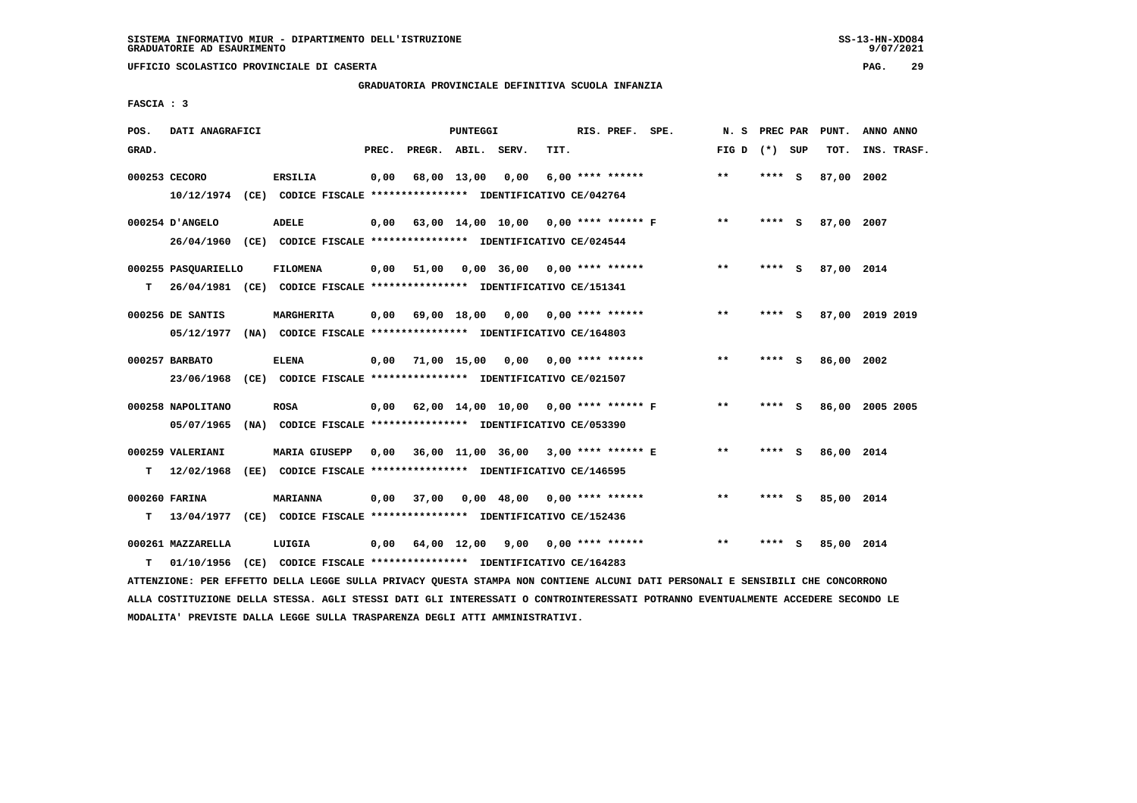**UFFICIO SCOLASTICO PROVINCIALE DI CASERTA PAG. 29**

# **GRADUATORIA PROVINCIALE DEFINITIVA SCUOLA INFANZIA**

 **FASCIA : 3**

| POS.  | DATI ANAGRAFICI                                                                                |                                                                                       |       |                    | PUNTEGGI |                                           |      | RIS. PREF. SPE.       |                                      | N. S PREC PAR |         |     | PUNT.      | ANNO ANNO       |
|-------|------------------------------------------------------------------------------------------------|---------------------------------------------------------------------------------------|-------|--------------------|----------|-------------------------------------------|------|-----------------------|--------------------------------------|---------------|---------|-----|------------|-----------------|
| GRAD. |                                                                                                |                                                                                       | PREC. |                    |          | PREGR. ABIL. SERV.                        | TIT. |                       |                                      | FIG D         | (*) SUP |     | TOT.       | INS. TRASF.     |
|       | 000253 CECORO<br>10/12/1974 (CE) CODICE FISCALE *************** IDENTIFICATIVO CE/042764       | <b>ERSILIA</b>                                                                        | 0,00  | 68,00 13,00        |          | 0,00                                      |      | $6.00$ **** ******    |                                      | $**$          | **** S  |     | 87,00 2002 |                 |
|       | 000254 D'ANGELO<br>26/04/1960 (CE) CODICE FISCALE *************** IDENTIFICATIVO CE/024544     | <b>ADELE</b>                                                                          | 0,00  |                    |          |                                           |      |                       | 63,00 14,00 10,00 0,00 **** ****** F | $***$         | ****    | - S | 87,00 2007 |                 |
| т     | 000255 PASQUARIELLO<br>26/04/1981 (CE) CODICE FISCALE *************** IDENTIFICATIVO CE/151341 | <b>FILOMENA</b>                                                                       |       | $0,00$ 51,00       |          | $0,00$ 36,00 0,00 **** ******             |      |                       |                                      | $**$          | **** S  |     | 87,00 2014 |                 |
|       | 000256 DE SANTIS<br>05/12/1977 (NA) CODICE FISCALE *************** IDENTIFICATIVO CE/164803    | <b>MARGHERITA</b>                                                                     |       | $0,00$ 69,00 18,00 |          |                                           |      | 0,00 0,00 **** ****** |                                      | $***$         | **** S  |     |            | 87,00 2019 2019 |
|       | 000257 BARBATO<br>23/06/1968 (CE) CODICE FISCALE *************** IDENTIFICATIVO CE/021507      | <b>ELENA</b>                                                                          |       | $0,00$ 71,00 15,00 |          | 0.00                                      |      | $0.00$ **** ******    |                                      | $**$          | **** S  |     | 86,00 2002 |                 |
|       | 000258 NAPOLITANO<br>05/07/1965                                                                | <b>ROSA</b><br>(NA) CODICE FISCALE **************** IDENTIFICATIVO CE/053390          |       |                    |          | 0,00 62,00 14,00 10,00 0,00 **** ****** F |      |                       |                                      | $* *$         | **** S  |     |            | 86,00 2005 2005 |
| T.    | 000259 VALERIANI<br>12/02/1968                                                                 | <b>MARIA GIUSEPP</b><br>(EE) CODICE FISCALE **************** IDENTIFICATIVO CE/146595 | 0.00  |                    |          | 36,00 11,00 36,00 3,00 **** ****** E      |      |                       |                                      | $**$          | **** S  |     | 86,00 2014 |                 |
| т     | 000260 FARINA<br>13/04/1977 (CE) CODICE FISCALE **************** IDENTIFICATIVO CE/152436      | <b>MARIANNA</b>                                                                       | 0,00  | 37,00              |          | $0,00$ 48,00 0,00 **** ******             |      |                       |                                      | $**$          | **** S  |     | 85,00 2014 |                 |
| т     | 000261 MAZZARELLA<br>01/10/1956                                                                | LUIGIA<br>(CE) CODICE FISCALE **************** IDENTIFICATIVO CE/164283               |       |                    |          | $0,00$ 64,00 12,00 9,00 0,00 **** ******  |      |                       |                                      | $***$         | ****    | - 5 | 85,00 2014 |                 |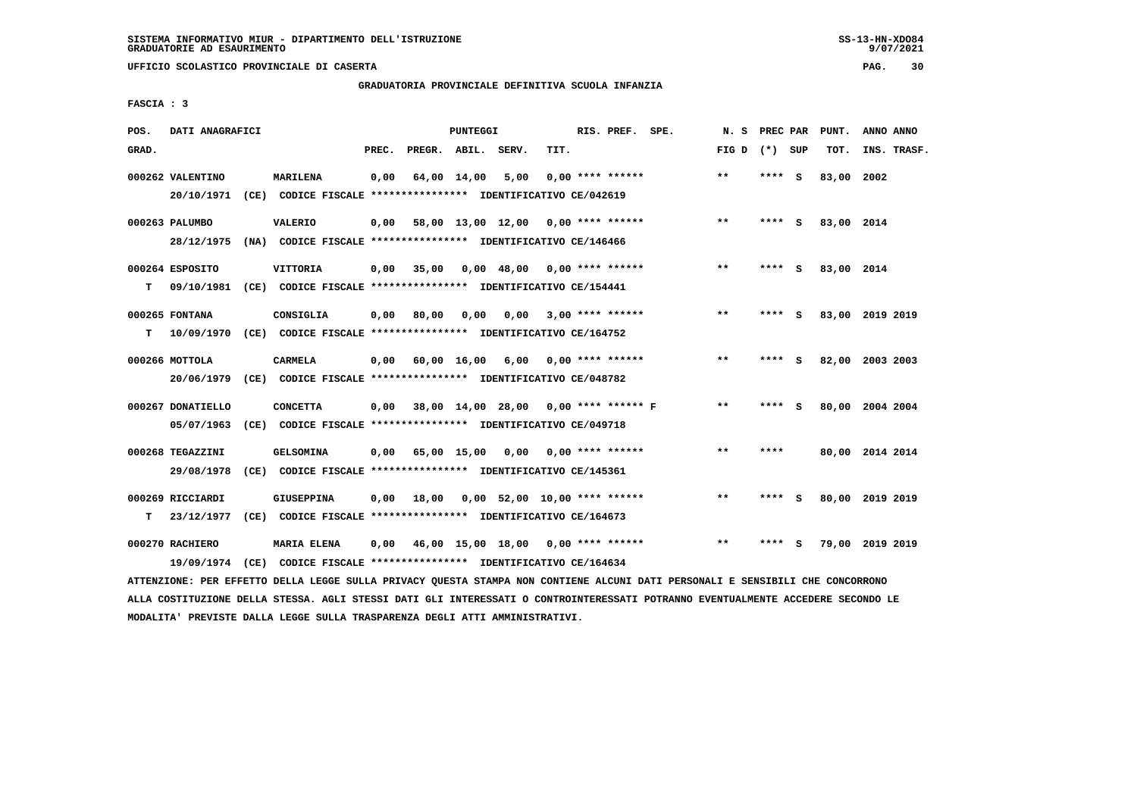**UFFICIO SCOLASTICO PROVINCIALE DI CASERTA PAG. 30**

# **GRADUATORIA PROVINCIALE DEFINITIVA SCUOLA INFANZIA**

 **FASCIA : 3**

| POS.  | DATI ANAGRAFICI   |      |                                                               |       |                    | PUNTEGGI    |                                      |      | RIS. PREF. SPE.    | N.S   | PREC PAR |          | PUNT.      | ANNO ANNO       |
|-------|-------------------|------|---------------------------------------------------------------|-------|--------------------|-------------|--------------------------------------|------|--------------------|-------|----------|----------|------------|-----------------|
| GRAD. |                   |      |                                                               | PREC. | PREGR. ABIL. SERV. |             |                                      | TIT. |                    | FIG D | (*) SUP  |          | TOT.       | INS. TRASF.     |
|       | 000262 VALENTINO  |      | <b>MARILENA</b>                                               | 0,00  |                    | 64,00 14,00 | 5,00                                 |      | $0.00$ **** ****** | $* *$ | ****     | - S      | 83,00      | 2002            |
|       | 20/10/1971        |      | (CE) CODICE FISCALE **************** IDENTIFICATIVO CE/042619 |       |                    |             |                                      |      |                    |       |          |          |            |                 |
|       | 000263 PALUMBO    |      | <b>VALERIO</b>                                                | 0.00  |                    |             | 58,00 13,00 12,00 0,00 **** ******   |      |                    | $**$  | **** S   |          | 83,00 2014 |                 |
|       | 28/12/1975        | (NA) | CODICE FISCALE **************** IDENTIFICATIVO CE/146466      |       |                    |             |                                      |      |                    |       |          |          |            |                 |
|       | 000264 ESPOSITO   |      | <b>VITTORIA</b>                                               | 0,00  | 35,00              |             | $0,00$ 48,00 0,00 **** ******        |      |                    | $* *$ | ****     | - 5      | 83,00 2014 |                 |
| т     | 09/10/1981        |      | (CE) CODICE FISCALE **************** IDENTIFICATIVO CE/154441 |       |                    |             |                                      |      |                    |       |          |          |            |                 |
|       | 000265 FONTANA    |      | CONSIGLIA                                                     | 0,00  | 80,00              | 0,00        | 0,00                                 |      | $3,00$ **** ****** | $***$ | **** S   |          |            | 83,00 2019 2019 |
| т     | 10/09/1970        |      | (CE) CODICE FISCALE **************** IDENTIFICATIVO CE/164752 |       |                    |             |                                      |      |                    |       |          |          |            |                 |
|       | 000266 MOTTOLA    |      | <b>CARMELA</b>                                                | 0,00  |                    | 60,00 16,00 | 6,00                                 |      | $0.00$ **** ****** | $***$ | ****     | <b>S</b> |            | 82,00 2003 2003 |
|       | 20/06/1979        | (CE) | CODICE FISCALE **************** IDENTIFICATIVO CE/048782      |       |                    |             |                                      |      |                    |       |          |          |            |                 |
|       | 000267 DONATIELLO |      | <b>CONCETTA</b>                                               | 0.00  |                    |             | 38,00 14,00 28,00 0,00 **** ****** F |      |                    | $* *$ | ****     | - S      |            | 80,00 2004 2004 |
|       | 05/07/1963        |      | (CE) CODICE FISCALE **************** IDENTIFICATIVO CE/049718 |       |                    |             |                                      |      |                    |       |          |          |            |                 |
|       | 000268 TEGAZZINI  |      | <b>GELSOMINA</b>                                              | 0,00  |                    | 65,00 15,00 | 0,00                                 |      | $0.00$ **** ****** | $* *$ | ****     |          |            | 80,00 2014 2014 |
|       | 29/08/1978        |      | (CE) CODICE FISCALE **************** IDENTIFICATIVO CE/145361 |       |                    |             |                                      |      |                    |       |          |          |            |                 |
|       | 000269 RICCIARDI  |      | GIUSEPPINA                                                    | 0,00  | 18,00              |             | $0,00$ 52,00 10,00 **** ******       |      |                    | $* *$ | ****     | s        |            | 80,00 2019 2019 |
| т     | 23/12/1977        |      | (CE) CODICE FISCALE **************** IDENTIFICATIVO CE/164673 |       |                    |             |                                      |      |                    |       |          |          |            |                 |
|       | 000270 RACHIERO   |      | <b>MARIA ELENA</b>                                            | 0,00  |                    |             | 46,00 15,00 18,00 0,00 **** ******   |      |                    | $***$ | ****     | s        |            | 79,00 2019 2019 |
|       | 19/09/1974        |      | (CE) CODICE FISCALE **************** IDENTIFICATIVO CE/164634 |       |                    |             |                                      |      |                    |       |          |          |            |                 |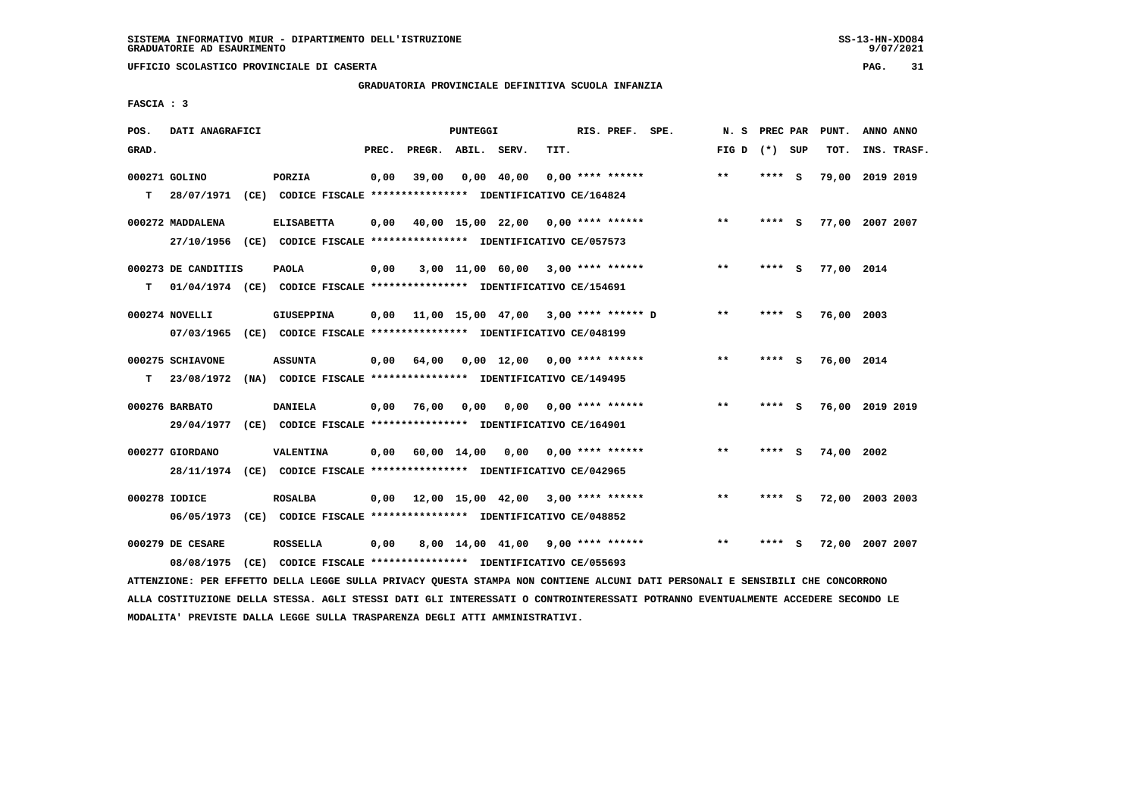# **GRADUATORIA PROVINCIALE DEFINITIVA SCUOLA INFANZIA**

 **FASCIA : 3**

| POS.  | DATI ANAGRAFICI     |                                                                                                                               |       |                    | PUNTEGGI |                                                   |      | RIS. PREF. SPE.           | N. S            | PREC PAR |     | PUNT.           | ANNO ANNO |             |
|-------|---------------------|-------------------------------------------------------------------------------------------------------------------------------|-------|--------------------|----------|---------------------------------------------------|------|---------------------------|-----------------|----------|-----|-----------------|-----------|-------------|
| GRAD. |                     |                                                                                                                               | PREC. | PREGR. ABIL. SERV. |          |                                                   | TIT. |                           | FIG D $(*)$ SUP |          |     | TOT.            |           | INS. TRASF. |
|       | 000271 GOLINO       | PORZIA                                                                                                                        | 0,00  | 39,00              |          | $0,00$ 40,00                                      |      | $0.00$ **** ******        | $**$            | **** S   |     | 79,00 2019 2019 |           |             |
| т     | 28/07/1971          | (CE) CODICE FISCALE **************** IDENTIFICATIVO CE/164824                                                                 |       |                    |          |                                                   |      |                           |                 |          |     |                 |           |             |
|       | 000272 MADDALENA    | <b>ELISABETTA</b>                                                                                                             | 0,00  |                    |          | 40,00 15,00 22,00 0,00 **** ******                |      |                           | $***$           | **** S   |     | 77,00 2007 2007 |           |             |
|       |                     | 27/10/1956 (CE) CODICE FISCALE *************** IDENTIFICATIVO CE/057573                                                       |       |                    |          |                                                   |      |                           |                 |          |     |                 |           |             |
|       | 000273 DE CANDITIIS | <b>PAOLA</b>                                                                                                                  | 0,00  |                    |          | $3,00$ 11,00 60,00 3,00 **** ******               |      |                           | $* *$           | $***$ S  |     | 77,00 2014      |           |             |
| т     |                     | 01/04/1974 (CE) CODICE FISCALE **************** IDENTIFICATIVO CE/154691                                                      |       |                    |          |                                                   |      |                           |                 |          |     |                 |           |             |
|       | 000274 NOVELLI      | GIUSEPPINA                                                                                                                    | 0.00  |                    |          | 11,00 15,00 47,00 3,00 **** ****** D              |      |                           | **              | **** S   |     | 76,00 2003      |           |             |
|       | 07/03/1965          | (CE) CODICE FISCALE **************** IDENTIFICATIVO CE/048199                                                                 |       |                    |          |                                                   |      |                           |                 |          |     |                 |           |             |
|       | 000275 SCHIAVONE    | <b>ASSUNTA</b>                                                                                                                | 0,00  | 64,00              |          | $0.00 \quad 12.00 \quad 0.00 \quad *** \quad ***$ |      |                           | $***$           | **** S   |     | 76,00 2014      |           |             |
| т     | 23/08/1972          | (NA) CODICE FISCALE **************** IDENTIFICATIVO CE/149495                                                                 |       |                    |          |                                                   |      |                           |                 |          |     |                 |           |             |
|       | 000276 BARBATO      | <b>DANIELA</b>                                                                                                                | 0,00  | 76,00              | 0,00     |                                                   |      | $0,00$ $0,00$ **** ****** | $* *$           | **** S   |     | 76,00 2019 2019 |           |             |
|       | 29/04/1977          | (CE) CODICE FISCALE **************** IDENTIFICATIVO CE/164901                                                                 |       |                    |          |                                                   |      |                           |                 |          |     |                 |           |             |
|       | 000277 GIORDANO     | VALENTINA                                                                                                                     |       |                    |          | $0,00$ 60,00 14,00 0,00                           |      | $0.00$ **** ******        | **              | **** S   |     | 74,00           | 2002      |             |
|       |                     | 28/11/1974 (CE) CODICE FISCALE *************** IDENTIFICATIVO CE/042965                                                       |       |                    |          |                                                   |      |                           |                 |          |     |                 |           |             |
|       | 000278 IODICE       | <b>ROSALBA</b>                                                                                                                | 0,00  |                    |          | 12,00 15,00 42,00 3,00 **** ******                |      |                           | $**$            | **** S   |     | 72,00 2003 2003 |           |             |
|       |                     | 06/05/1973 (CE) CODICE FISCALE *************** IDENTIFICATIVO CE/048852                                                       |       |                    |          |                                                   |      |                           |                 |          |     |                 |           |             |
|       | 000279 DE CESARE    | <b>ROSSELLA</b>                                                                                                               | 0,00  |                    |          | 8,00 14,00 41,00 9,00 **** ******                 |      |                           | $**$            | ****     | - S | 72,00 2007 2007 |           |             |
|       | 08/08/1975          | (CE) CODICE FISCALE **************** IDENTIFICATIVO CE/055693                                                                 |       |                    |          |                                                   |      |                           |                 |          |     |                 |           |             |
|       |                     | ATTENZIONE: PER EFFETTO DELLA LEGGE SULLA PRIVACY QUESTA STAMPA NON CONTIENE ALCUNI DATI PERSONALI E SENSIBILI CHE CONCORRONO |       |                    |          |                                                   |      |                           |                 |          |     |                 |           |             |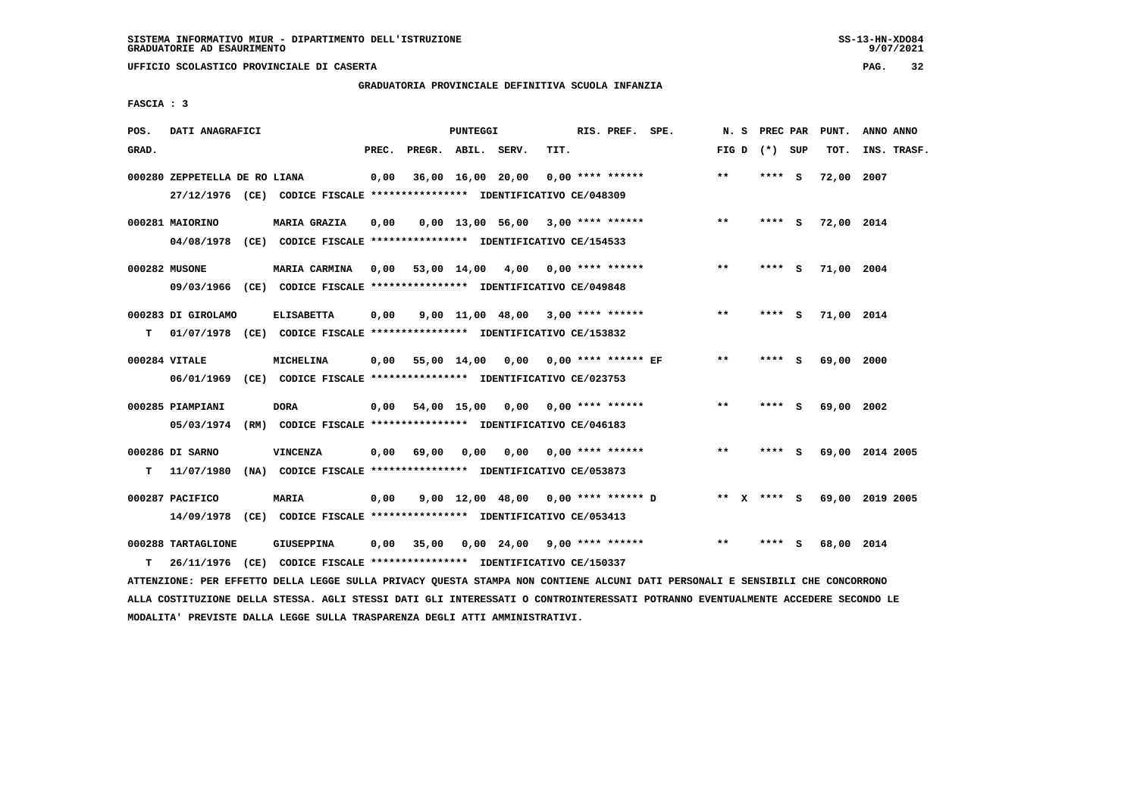**UFFICIO SCOLASTICO PROVINCIALE DI CASERTA PAG. 32**

# **GRADUATORIA PROVINCIALE DEFINITIVA SCUOLA INFANZIA**

 **FASCIA : 3**

| POS.  | DATI ANAGRAFICI                                                                               |                                                                                          |       |                    | PUNTEGGI          |                                     |      | RIS. PREF. SPE.            |                                     | N.S     |        | PREC PAR | PUNT.      | ANNO ANNO       |
|-------|-----------------------------------------------------------------------------------------------|------------------------------------------------------------------------------------------|-------|--------------------|-------------------|-------------------------------------|------|----------------------------|-------------------------------------|---------|--------|----------|------------|-----------------|
| GRAD. |                                                                                               |                                                                                          | PREC. | PREGR. ABIL. SERV. |                   |                                     | TIT. |                            |                                     | FIG D   |        | (*) SUP  | TOT.       | INS. TRASF.     |
|       | 000280 ZEPPETELLA DE RO LIANA                                                                 | 27/12/1976 (CE) CODICE FISCALE *************** IDENTIFICATIVO CE/048309                  | 0,00  |                    | 36,00 16,00 20,00 |                                     |      | $0.00$ **** ******         |                                     | $* *$   | ****   | - S      | 72,00      | 2007            |
|       | 000281 MAIORINO<br>04/08/1978                                                                 | MARIA GRAZIA<br>(CE) CODICE FISCALE **************** IDENTIFICATIVO CE/154533            | 0,00  |                    |                   | $0,00$ 13,00 56,00 3,00 **** ****** |      |                            |                                     | **      | ****   | - 5      | 72,00 2014 |                 |
|       | 000282 MUSONE                                                                                 | MARIA CARMINA<br>09/03/1966 (CE) CODICE FISCALE *************** IDENTIFICATIVO CE/049848 | 0,00  |                    |                   | $53,00$ 14,00 4,00 0,00 **** ****** |      |                            |                                     | $* *$   | ****   | - S      | 71,00 2004 |                 |
| т     | 000283 DI GIROLAMO<br>01/07/1978 (CE) CODICE FISCALE *************** IDENTIFICATIVO CE/153832 | <b>ELISABETTA</b>                                                                        | 0,00  |                    |                   | $9.00$ 11.00 48.00 3.00 **** ****** |      |                            |                                     | $***$   | ****   | - S      | 71,00 2014 |                 |
|       | 000284 VITALE<br>06/01/1969                                                                   | MICHELINA<br>(CE) CODICE FISCALE **************** IDENTIFICATIVO CE/023753               | 0,00  |                    | 55,00 14,00       |                                     |      | $0,00$ 0,00 **** ****** EF |                                     | $* *$   | ****   | - S      | 69,00 2000 |                 |
|       | 000285 PIAMPIANI<br>05/03/1974                                                                | <b>DORA</b><br>(RM) CODICE FISCALE **************** IDENTIFICATIVO CE/046183             | 0,00  |                    | 54,00 15,00       |                                     |      | $0,00$ $0,00$ **** ******  |                                     | $* *$   | ****   | - S      | 69,00 2002 |                 |
| т     | 000286 DI SARNO<br>11/07/1980                                                                 | <b>VINCENZA</b><br>(NA) CODICE FISCALE **************** IDENTIFICATIVO CE/053873         | 0.00  | 69,00              | 0.00              | 0.00                                |      | 0,00 **** ******           |                                     | $***$   | ****   | - S      |            | 69,00 2014 2005 |
|       | 000287 PACIFICO<br>14/09/1978                                                                 | MARIA<br>(CE) CODICE FISCALE **************** IDENTIFICATIVO CE/053413                   | 0,00  |                    |                   |                                     |      |                            | 9,00 12,00 48,00 0,00 **** ****** D | $***$ X | **** S |          |            | 69,00 2019 2005 |
| т     | 000288 TARTAGLIONE<br>26/11/1976                                                              | <b>GIUSEPPINA</b><br>(CE) CODICE FISCALE *************** IDENTIFICATIVO CE/150337        | 0,00  | 35,00              |                   | $0,00$ 24,00 9,00 **** ******       |      |                            |                                     | $* *$   | ****   | s        | 68,00      | 2014            |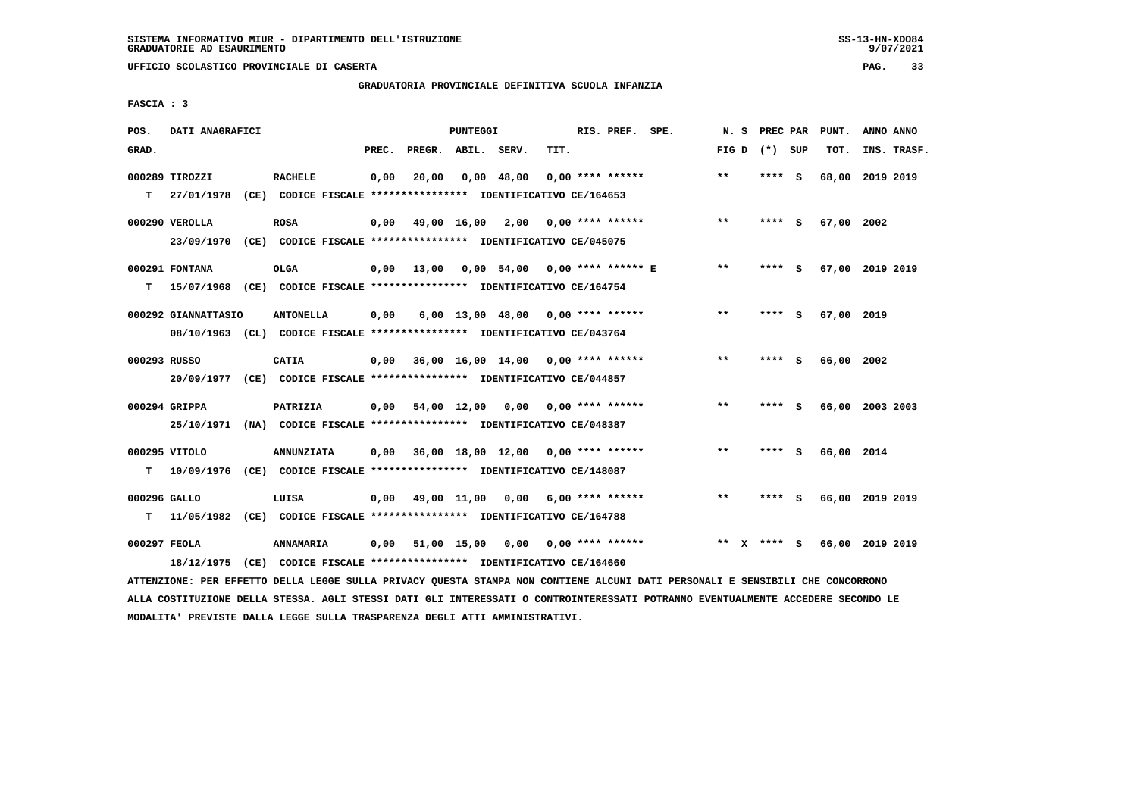# **GRADUATORIA PROVINCIALE DEFINITIVA SCUOLA INFANZIA**

 **FASCIA : 3**

| POS.         | DATI ANAGRAFICI                                                           |                   |       |                    | PUNTEGGI |                                           |      | RIS. PREF. SPE.    |                    | N. S  |                 |     | PREC PAR PUNT.  | ANNO ANNO |             |
|--------------|---------------------------------------------------------------------------|-------------------|-------|--------------------|----------|-------------------------------------------|------|--------------------|--------------------|-------|-----------------|-----|-----------------|-----------|-------------|
| GRAD.        |                                                                           |                   | PREC. | PREGR. ABIL. SERV. |          |                                           | TIT. |                    |                    |       | FIG D $(*)$ SUP |     | TOT.            |           | INS. TRASF. |
|              | 000289 TIROZZI                                                            | <b>RACHELE</b>    | 0,00  | 20,00              |          | $0,00$ 48,00                              |      | $0.00$ **** ****** |                    | $***$ | **** S          |     | 68,00 2019 2019 |           |             |
| т            | 27/01/1978 (CE) CODICE FISCALE *************** IDENTIFICATIVO CE/164653   |                   |       |                    |          |                                           |      |                    |                    |       |                 |     |                 |           |             |
|              | 000290 VEROLLA                                                            | <b>ROSA</b>       | 0,00  |                    |          | 49,00 16,00 2,00 0,00 **** ******         |      |                    |                    | $* *$ | $***$ S         |     | 67,00 2002      |           |             |
|              | 23/09/1970 (CE) CODICE FISCALE *************** IDENTIFICATIVO CE/045075   |                   |       |                    |          |                                           |      |                    |                    |       |                 |     |                 |           |             |
|              | 000291 FONTANA                                                            | <b>OLGA</b>       |       | 0,00 13,00         |          | 0,00 54,00 0,00 **** ****** E             |      |                    |                    | $* *$ | **** S          |     | 67,00 2019 2019 |           |             |
| т            | 15/07/1968 (CE) CODICE FISCALE *************** IDENTIFICATIVO CE/164754   |                   |       |                    |          |                                           |      |                    |                    |       |                 |     |                 |           |             |
|              | 000292 GIANNATTASIO                                                       | <b>ANTONELLA</b>  | 0,00  |                    |          | 6,00 13,00 48,00 0,00 **** ******         |      |                    |                    | $**$  | ****            | - 5 | 67,00 2019      |           |             |
|              | 08/10/1963 (CL) CODICE FISCALE *************** IDENTIFICATIVO CE/043764   |                   |       |                    |          |                                           |      |                    |                    |       |                 |     |                 |           |             |
|              |                                                                           |                   |       |                    |          |                                           |      |                    |                    |       |                 |     |                 |           |             |
| 000293 RUSSO |                                                                           | CATIA             | 0,00  |                    |          | 36,00 16,00 14,00 0,00 **** ******        |      |                    |                    | $* *$ | **** S          |     | 66,00 2002      |           |             |
|              | 20/09/1977 (CE) CODICE FISCALE *************** IDENTIFICATIVO CE/044857   |                   |       |                    |          |                                           |      |                    |                    |       |                 |     |                 |           |             |
|              | 000294 GRIPPA                                                             | PATRIZIA          |       |                    |          | $0,00$ 54,00 12,00 0,00                   |      |                    | $0.00$ **** ****** | $* *$ | **** S          |     | 66,00 2003 2003 |           |             |
|              | 25/10/1971 (NA) CODICE FISCALE *************** IDENTIFICATIVO CE/048387   |                   |       |                    |          |                                           |      |                    |                    |       |                 |     |                 |           |             |
|              | 000295 VITOLO                                                             | <b>ANNUNZIATA</b> |       |                    |          | $0.00$ 36.00 18.00 12.00 0.00 **** ****** |      |                    |                    | $* *$ | **** S          |     | 66,00 2014      |           |             |
| T.           | 10/09/1976 (CE) CODICE FISCALE *************** IDENTIFICATIVO CE/148087   |                   |       |                    |          |                                           |      |                    |                    |       |                 |     |                 |           |             |
| 000296 GALLO |                                                                           | LUISA             |       |                    |          | $0,00$ 49,00 11,00 0,00 6,00 **** ******  |      |                    |                    | $* *$ | **** S          |     | 66,00 2019 2019 |           |             |
|              | T 11/05/1982 (CE) CODICE FISCALE *************** IDENTIFICATIVO CE/164788 |                   |       |                    |          |                                           |      |                    |                    |       |                 |     |                 |           |             |
|              |                                                                           |                   |       |                    |          |                                           |      |                    |                    |       |                 |     |                 |           |             |
| 000297 FEOLA |                                                                           | ANNAMARIA         |       |                    |          | 0,00 51,00 15,00 0,00 0,00 **** ******    |      |                    |                    | $***$ | **** S          |     | 66,00 2019 2019 |           |             |
|              | 18/12/1975 (CE) CODICE FISCALE *************** IDENTIFICATIVO CE/164660   |                   |       |                    |          |                                           |      |                    |                    |       |                 |     |                 |           |             |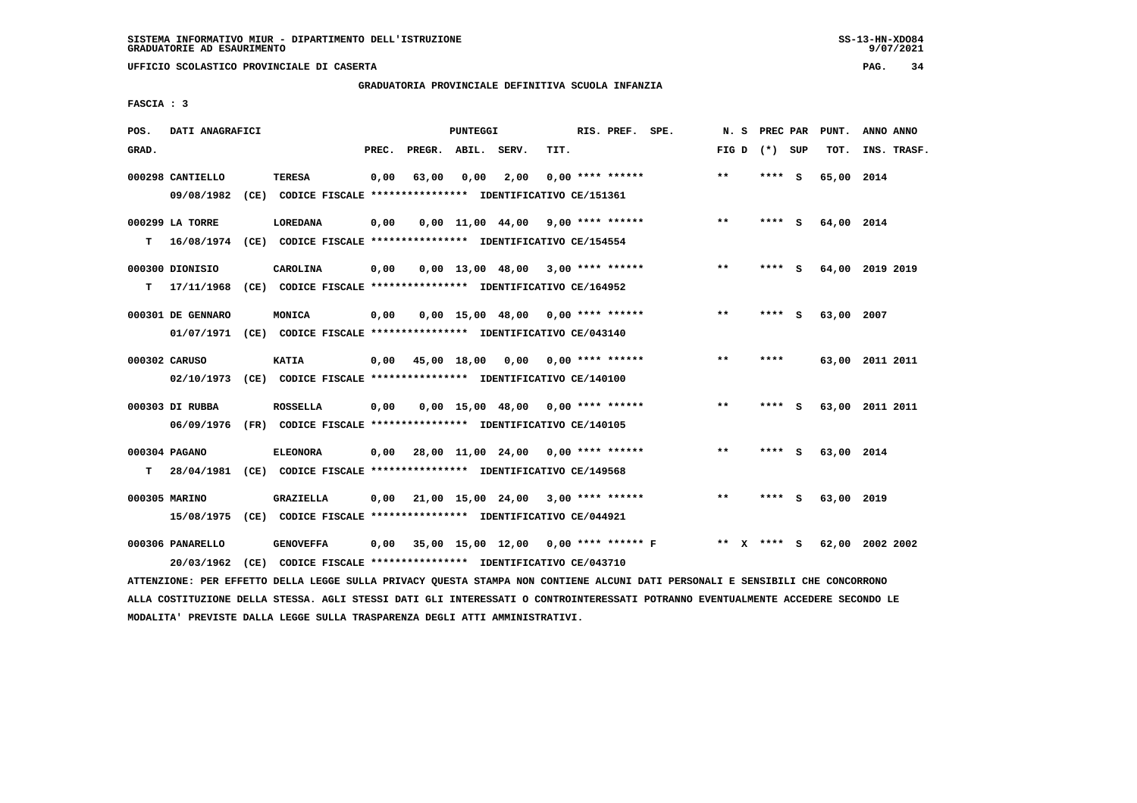**UFFICIO SCOLASTICO PROVINCIALE DI CASERTA PAG. 34**

#### **GRADUATORIA PROVINCIALE DEFINITIVA SCUOLA INFANZIA**

 **FASCIA : 3**

| POS.  | DATI ANAGRAFICI                |      |                                                                                   |       |                    | PUNTEGGI |                                     |      | RIS. PREF. SPE.    |                                      | N.S   | PREC PAR |     | PUNT.      | ANNO ANNO       |
|-------|--------------------------------|------|-----------------------------------------------------------------------------------|-------|--------------------|----------|-------------------------------------|------|--------------------|--------------------------------------|-------|----------|-----|------------|-----------------|
| GRAD. |                                |      |                                                                                   | PREC. | PREGR. ABIL. SERV. |          |                                     | TIT. |                    |                                      | FIG D | (*) SUP  |     | TOT.       | INS. TRASF.     |
|       | 000298 CANTIELLO<br>09/08/1982 |      | <b>TERESA</b><br>(CE) CODICE FISCALE **************** IDENTIFICATIVO CE/151361    | 0,00  | 63,00              | 0,00     | 2,00                                |      | $0.00$ **** ****** |                                      | **    | **** S   |     | 65,00 2014 |                 |
| т     | 000299 LA TORRE<br>16/08/1974  |      | <b>LOREDANA</b><br>(CE) CODICE FISCALE **************** IDENTIFICATIVO CE/154554  | 0,00  |                    |          | $0,00$ 11,00 44,00 9,00 **** ****** |      |                    |                                      | $**$  | ****     | - S | 64,00 2014 |                 |
| т     | 000300 DIONISIO<br>17/11/1968  |      | CAROLINA<br>(CE) CODICE FISCALE **************** IDENTIFICATIVO CE/164952         | 0,00  |                    |          | $0,00$ 13,00 48,00 3,00 **** ****** |      |                    |                                      | $**$  | ****     | - S |            | 64,00 2019 2019 |
|       | 000301 DE GENNARO              |      | MONICA<br>01/07/1971 (CE) CODICE FISCALE *************** IDENTIFICATIVO CE/043140 | 0,00  |                    |          | $0.00$ 15.00 48.00 0.00 **** ****** |      |                    |                                      | $***$ | ****     | S   | 63,00 2007 |                 |
|       | 000302 CARUSO<br>02/10/1973    |      | <b>KATIA</b><br>$(CE)$ CODICE FISCALE **************** IDENTIFICATIVO CE/140100   | 0,00  |                    |          | 45,00 18,00 0,00 0,00 **** ******   |      |                    |                                      | $***$ | ****     |     |            | 63,00 2011 2011 |
|       | 000303 DI RUBBA<br>06/09/1976  |      | <b>ROSSELLA</b><br>(FR) CODICE FISCALE *************** IDENTIFICATIVO CE/140105   | 0,00  |                    |          | $0.00$ 15.00 48.00 0.00 **** ****** |      |                    |                                      | $* *$ | ****     | - S | 63,00      | 2011 2011       |
| т     | 000304 PAGANO<br>28/04/1981    |      | <b>ELEONORA</b><br>(CE) CODICE FISCALE **************** IDENTIFICATIVO CE/149568  | 0,00  |                    |          | 28,00 11,00 24,00 0,00 **** ******  |      |                    |                                      | $* *$ | ****     | - S | 63,00 2014 |                 |
|       | 000305 MARINO<br>15/08/1975    |      | GRAZIELLA<br>(CE) CODICE FISCALE **************** IDENTIFICATIVO CE/044921        | 0.00  |                    |          | 21,00 15,00 24,00 3,00 **** ******  |      |                    |                                      | $* *$ | ****     | - S | 63,00 2019 |                 |
|       | 000306 PANARELLO<br>20/03/1962 | (CE) | <b>GENOVEFFA</b><br>CODICE FISCALE **************** IDENTIFICATIVO CE/043710      | 0,00  |                    |          |                                     |      |                    | 35,00 15,00 12,00 0,00 **** ****** F | ** X  | **** S   |     |            | 62,00 2002 2002 |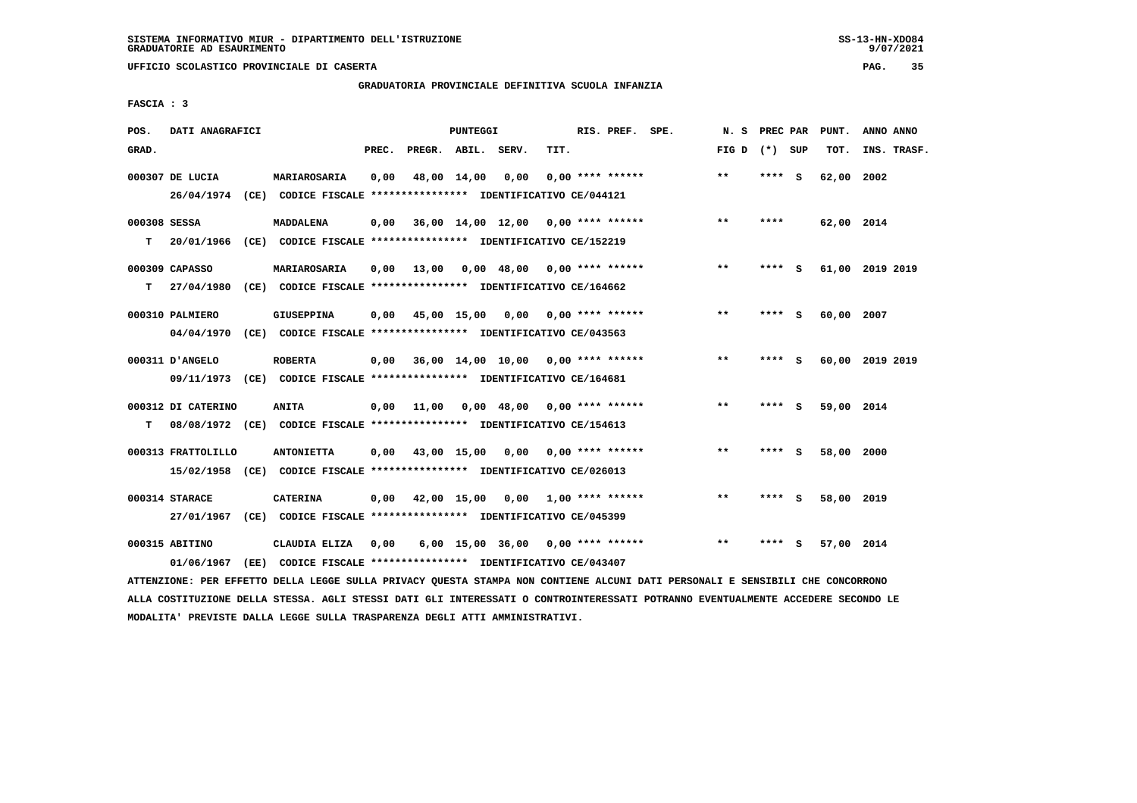**UFFICIO SCOLASTICO PROVINCIALE DI CASERTA PAG. 35**

# **GRADUATORIA PROVINCIALE DEFINITIVA SCUOLA INFANZIA**

 **FASCIA : 3**

| POS.              | DATI ANAGRAFICI               |      |                                                                                              |       |                                  | <b>PUNTEGGI</b> |                                     |      | RIS. PREF. SPE.    | N.S   | PREC PAR |     | PUNT.      | ANNO ANNO       |
|-------------------|-------------------------------|------|----------------------------------------------------------------------------------------------|-------|----------------------------------|-----------------|-------------------------------------|------|--------------------|-------|----------|-----|------------|-----------------|
| GRAD.             |                               |      |                                                                                              | PREC. | PREGR. ABIL.                     |                 | SERV.                               | TIT. |                    | FIG D | (*) SUP  |     | TOT.       | INS. TRASF.     |
|                   | 000307 DE LUCIA               |      | MARIAROSARIA<br>26/04/1974 (CE) CODICE FISCALE *************** IDENTIFICATIVO CE/044121      | 0,00  |                                  | 48,00 14,00     | 0,00                                |      | $0.00$ **** ****** | **    | **** S   |     | 62,00      | 2002            |
| 000308 SESSA<br>т | 20/01/1966                    |      | MADDALENA<br>(CE) CODICE FISCALE **************** IDENTIFICATIVO CE/152219                   | 0,00  |                                  |                 | 36,00 14,00 12,00 0,00 **** ******  |      |                    | $**$  | ****     |     | 62,00 2014 |                 |
| T.                | 000309 CAPASSO<br>27/04/1980  |      | MARIAROSARIA<br>(CE) CODICE FISCALE **************** IDENTIFICATIVO CE/164662                | 0,00  | 13,00                            |                 | $0,00$ 48,00 0,00 **** ******       |      |                    | $***$ | **** S   |     |            | 61,00 2019 2019 |
|                   | 000310 PALMIERO<br>04/04/1970 |      | <b>GIUSEPPINA</b><br>(CE) CODICE FISCALE **************** IDENTIFICATIVO CE/043563           | 0,00  |                                  |                 | 45,00 15,00 0,00 0,00 **** ******   |      |                    | $* *$ | ****     | - S | 60,00      | 2007            |
|                   | 000311 D'ANGELO               |      | <b>ROBERTA</b><br>09/11/1973 (CE) CODICE FISCALE *************** IDENTIFICATIVO CE/164681    | 0,00  |                                  |                 | 36,00 14,00 10,00 0,00 **** ******  |      |                    | $* *$ | ****     | - S |            | 60,00 2019 2019 |
| т                 | 000312 DI CATERINO            |      | <b>ANITA</b><br>08/08/1972 (CE) CODICE FISCALE **************** IDENTIFICATIVO CE/154613     | 0,00  | 11,00                            |                 | $0,00$ 48,00 0,00 **** ******       |      |                    | $**$  | **** S   |     | 59,00 2014 |                 |
|                   | 000313 FRATTOLILLO            |      | <b>ANTONIETTA</b><br>15/02/1958 (CE) CODICE FISCALE *************** IDENTIFICATIVO CE/026013 |       | $0.00 \t 43.00 \t 15.00 \t 0.00$ |                 |                                     |      | $0.00$ **** ****** | $***$ | **** S   |     | 58,00 2000 |                 |
|                   | 000314 STARACE                |      | <b>CATERINA</b><br>27/01/1967 (CE) CODICE FISCALE *************** IDENTIFICATIVO CE/045399   | 0,00  |                                  |                 | 42,00 15,00 0,00 1,00 **** ******   |      |                    | $***$ | ****     | - S | 58,00 2019 |                 |
|                   | 000315 ABITINO<br>01/06/1967  | (EE) | CLAUDIA ELIZA<br>CODICE FISCALE **************** IDENTIFICATIVO CE/043407                    | 0.00  |                                  |                 | $6,00$ 15,00 36,00 0,00 **** ****** |      |                    | $***$ | ****     | - S | 57,00 2014 |                 |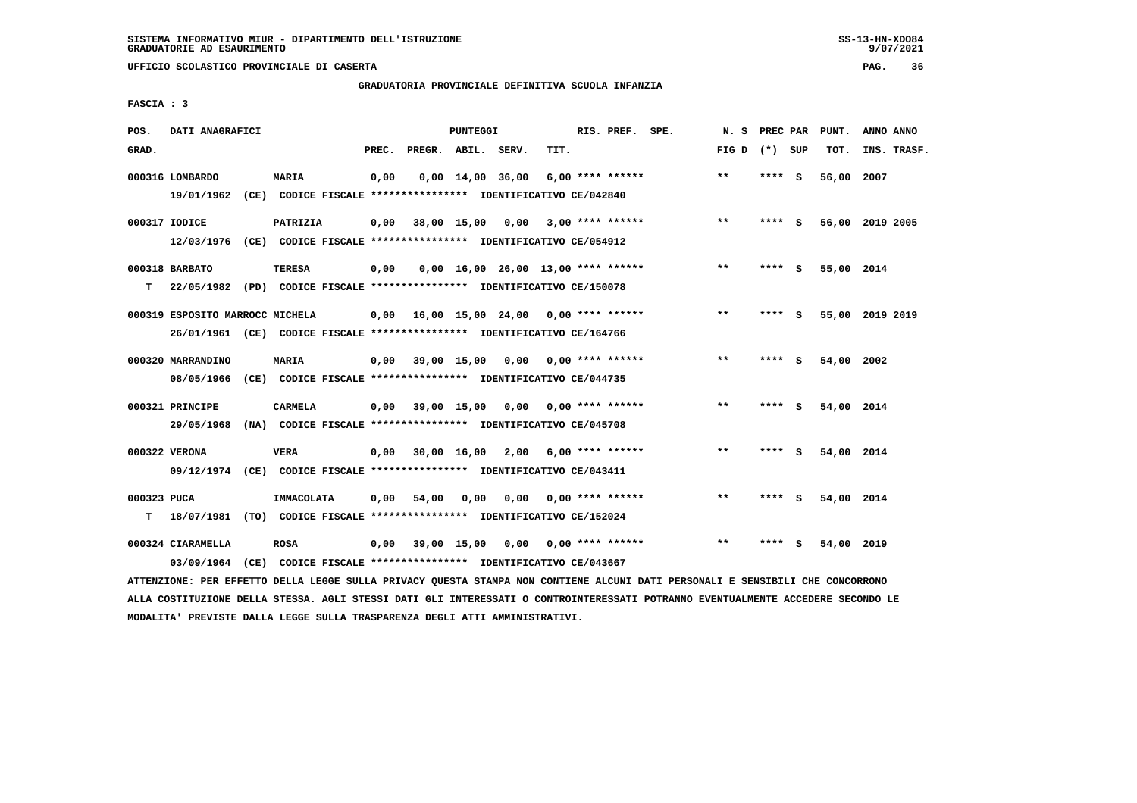**UFFICIO SCOLASTICO PROVINCIALE DI CASERTA PAG. 36**

#### **GRADUATORIA PROVINCIALE DEFINITIVA SCUOLA INFANZIA**

 **FASCIA : 3**

| POS.        | DATI ANAGRAFICI                                                         |                   |       |                               | PUNTEGGI |                                           |      | RIS. PREF. SPE.                 |                 | N. S PREC PAR |          | PUNT.           | ANNO ANNO |             |
|-------------|-------------------------------------------------------------------------|-------------------|-------|-------------------------------|----------|-------------------------------------------|------|---------------------------------|-----------------|---------------|----------|-----------------|-----------|-------------|
| GRAD.       |                                                                         |                   | PREC. | PREGR. ABIL. SERV.            |          |                                           | TIT. |                                 | FIG D $(*)$ SUP |               |          | тот.            |           | INS. TRASF. |
|             |                                                                         |                   |       |                               |          |                                           |      |                                 |                 |               |          |                 |           |             |
|             | 000316 LOMBARDO                                                         | MARIA             | 0,00  |                               |          | $0,00 \quad 14,00 \quad 36,00$            |      | 6,00 **** ******                | **              | $***$ S       |          | 56,00 2007      |           |             |
|             | 19/01/1962 (CE) CODICE FISCALE *************** IDENTIFICATIVO CE/042840 |                   |       |                               |          |                                           |      |                                 |                 |               |          |                 |           |             |
|             | 000317 IODICE                                                           | PATRIZIA          | 0,00  |                               |          | 38,00 15,00 0,00                          |      | $3,00$ **** ******              | **              | $***$ S       |          | 56,00 2019 2005 |           |             |
|             |                                                                         |                   |       |                               |          |                                           |      |                                 |                 |               |          |                 |           |             |
|             | 12/03/1976 (CE) CODICE FISCALE *************** IDENTIFICATIVO CE/054912 |                   |       |                               |          |                                           |      |                                 |                 |               |          |                 |           |             |
|             | 000318 BARBATO                                                          | <b>TERESA</b>     | 0,00  |                               |          | $0,00$ 16,00 26,00 13,00 **** ******      |      |                                 | $***$           | $***$ S       |          | 55,00 2014      |           |             |
| т           | 22/05/1982 (PD) CODICE FISCALE *************** IDENTIFICATIVO CE/150078 |                   |       |                               |          |                                           |      |                                 |                 |               |          |                 |           |             |
|             |                                                                         |                   |       |                               |          |                                           |      |                                 |                 |               |          |                 |           |             |
|             | 000319 ESPOSITO MARROCC MICHELA                                         |                   |       |                               |          | $0,00$ 16,00 15,00 24,00 0,00 **** ****** |      |                                 | $***$           | **** S        |          | 55,00 2019 2019 |           |             |
|             | 26/01/1961 (CE) CODICE FISCALE *************** IDENTIFICATIVO CE/164766 |                   |       |                               |          |                                           |      |                                 |                 |               |          |                 |           |             |
|             |                                                                         |                   |       |                               |          |                                           |      |                                 |                 |               |          |                 |           |             |
|             | 000320 MARRANDINO                                                       | <b>MARIA</b>      |       | $0.00$ 39,00 15,00            |          |                                           |      | $0.00$ $0.00$ $***$ **** ****** | **              | ****          | <b>S</b> | 54,00 2002      |           |             |
|             | 08/05/1966 (CE) CODICE FISCALE *************** IDENTIFICATIVO CE/044735 |                   |       |                               |          |                                           |      |                                 |                 |               |          |                 |           |             |
|             |                                                                         |                   |       |                               |          |                                           |      |                                 |                 |               |          |                 |           |             |
|             | 000321 PRINCIPE                                                         | CARMELA           |       |                               |          | $0.00$ 39.00 15.00 0.00 0.00 **** ******  |      |                                 | $***$           | **** S        |          | 54,00 2014      |           |             |
|             | 29/05/1968 (NA) CODICE FISCALE *************** IDENTIFICATIVO CE/045708 |                   |       |                               |          |                                           |      |                                 |                 |               |          |                 |           |             |
|             | 000322 VERONA                                                           | <b>VERA</b>       |       | $0,00$ $30,00$ $16,00$ $2,00$ |          |                                           |      | $6.00$ **** ******              | **              | **** S        |          | 54,00 2014      |           |             |
|             |                                                                         |                   |       |                               |          |                                           |      |                                 |                 |               |          |                 |           |             |
|             | 09/12/1974 (CE) CODICE FISCALE *************** IDENTIFICATIVO CE/043411 |                   |       |                               |          |                                           |      |                                 |                 |               |          |                 |           |             |
| 000323 PUCA |                                                                         | <b>IMMACOLATA</b> | 0,00  | 54,00                         | 0.00     | 0.00                                      |      | $0.00$ **** ******              | $* *$           | ****          | - S      | 54,00 2014      |           |             |
| т           | 18/07/1981 (TO) CODICE FISCALE *************** IDENTIFICATIVO CE/152024 |                   |       |                               |          |                                           |      |                                 |                 |               |          |                 |           |             |
|             |                                                                         |                   |       |                               |          |                                           |      |                                 |                 |               |          |                 |           |             |
|             | 000324 CIARAMELLA                                                       | <b>ROSA</b>       | 0,00  |                               |          | 39,00 15,00 0,00                          |      | $0.00$ **** ******              | $* *$           | ****          | s        | 54,00 2019      |           |             |
|             | 03/09/1964 (CE) CODICE FISCALE *************** IDENTIFICATIVO CE/043667 |                   |       |                               |          |                                           |      |                                 |                 |               |          |                 |           |             |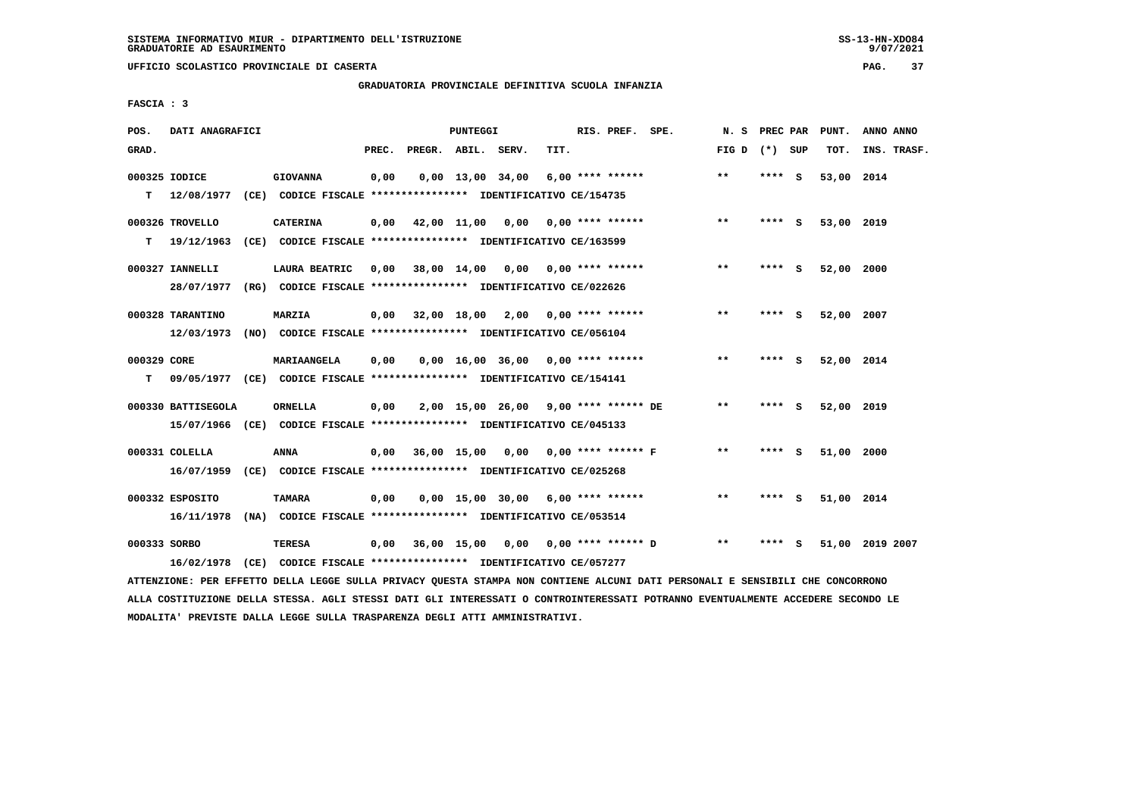**UFFICIO SCOLASTICO PROVINCIALE DI CASERTA PAG. 37**

# **GRADUATORIA PROVINCIALE DEFINITIVA SCUOLA INFANZIA**

 **FASCIA : 3**

| POS.             | DATI ANAGRAFICI                |                                                                                                |       |                    | PUNTEGGI |                                          |      | RIS. PREF. SPE.    | N.S             | PREC PAR |   | PUNT.      | ANNO ANNO       |
|------------------|--------------------------------|------------------------------------------------------------------------------------------------|-------|--------------------|----------|------------------------------------------|------|--------------------|-----------------|----------|---|------------|-----------------|
| GRAD.            |                                |                                                                                                | PREC. | PREGR. ABIL. SERV. |          |                                          | TIT. |                    | FIG D $(*)$ SUP |          |   | TOT.       | INS. TRASF.     |
| т                | 000325 IODICE<br>12/08/1977    | <b>GIOVANNA</b><br>(CE) CODICE FISCALE **************** IDENTIFICATIVO CE/154735               | 0,00  |                    |          | $0,00$ 13,00 34,00                       |      | $6,00$ **** ****** | $* *$           | **** S   |   | 53,00 2014 |                 |
| т                | 000326 TROVELLO<br>19/12/1963  | <b>CATERINA</b><br>(CE) CODICE FISCALE **************** IDENTIFICATIVO CE/163599               | 0,00  |                    |          | 42,00 11,00 0,00 0,00 **** ******        |      |                    | $* *$           | **** S   |   | 53,00 2019 |                 |
|                  | 000327 IANNELLI<br>28/07/1977  | LAURA BEATRIC<br>(RG) CODICE FISCALE **************** IDENTIFICATIVO CE/022626                 |       |                    |          | $0,00$ 38,00 14,00 0,00 0,00 **** ****** |      |                    | $***$           | **** S   |   | 52,00 2000 |                 |
|                  | 000328 TARANTINO<br>12/03/1973 | MARZIA<br>(NO) CODICE FISCALE **************** IDENTIFICATIVO CE/056104                        |       |                    |          | $0,00$ 32,00 18,00 2,00 0,00 **** ****** |      |                    | $* *$           | ****     | s | 52,00 2007 |                 |
| 000329 CORE<br>т |                                | <b>MARIAANGELA</b><br>09/05/1977 (CE) CODICE FISCALE **************** IDENTIFICATIVO CE/154141 | 0,00  |                    |          | $0,00$ 16,00 36,00 0,00 **** ******      |      |                    | $***$           | **** S   |   | 52,00 2014 |                 |
|                  | 000330 BATTISEGOLA             | ORNELLA<br>15/07/1966 (CE) CODICE FISCALE *************** IDENTIFICATIVO CE/045133             | 0,00  |                    |          | 2,00 15,00 26,00 9,00 **** ****** DE     |      |                    | $***$           | **** S   |   | 52,00 2019 |                 |
|                  | 000331 COLELLA                 | ANNA<br>16/07/1959 (CE) CODICE FISCALE *************** IDENTIFICATIVO CE/025268                |       |                    |          | 0,00 36,00 15,00 0,00 0,00 **** ****** F |      |                    | $**$            | **** S   |   | 51,00 2000 |                 |
|                  | 000332 ESPOSITO<br>16/11/1978  | <b>TAMARA</b><br>(NA) CODICE FISCALE *************** IDENTIFICATIVO CE/053514                  | 0,00  |                    |          | $0,00$ 15,00 30,00 6,00 **** ******      |      |                    | $* *$           | **** S   |   | 51,00 2014 |                 |
| 000333 SORBO     | 16/02/1978                     | TERESA<br>(CE) CODICE FISCALE **************** IDENTIFICATIVO CE/057277                        | 0,00  |                    |          | 36,00 15,00 0,00 0,00 **** ****** D      |      |                    | $***$           |          | s |            | 51,00 2019 2007 |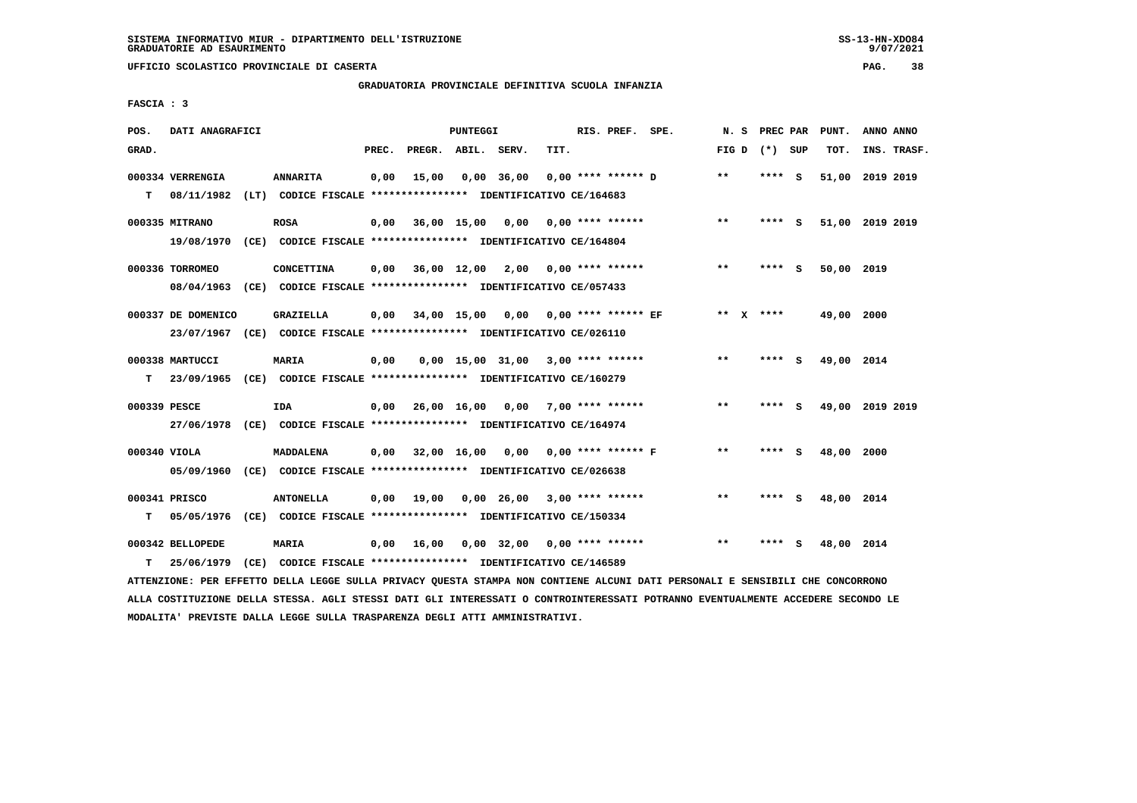## **GRADUATORIA PROVINCIALE DEFINITIVA SCUOLA INFANZIA**

 **FASCIA : 3**

| POS.         | DATI ANAGRAFICI    |                                                                         |       |                    | PUNTEGGI |                                            |      | RIS. PREF. SPE.    |                                      | N. S      | PREC PAR |     | PUNT.           | ANNO ANNO |             |
|--------------|--------------------|-------------------------------------------------------------------------|-------|--------------------|----------|--------------------------------------------|------|--------------------|--------------------------------------|-----------|----------|-----|-----------------|-----------|-------------|
| GRAD.        |                    |                                                                         | PREC. | PREGR. ABIL. SERV. |          |                                            | TIT. |                    |                                      | FIG D     | (*) SUP  |     | TOT.            |           | INS. TRASF. |
|              | 000334 VERRENGIA   | <b>ANNARITA</b>                                                         | 0,00  | 15,00              |          | $0,00$ 36,00                               |      | 0,00 **** ****** D |                                      | $***$     | $***$ S  |     | 51,00 2019 2019 |           |             |
| T.           | 08/11/1982         | (LT) CODICE FISCALE **************** IDENTIFICATIVO CE/164683           |       |                    |          |                                            |      |                    |                                      |           |          |     |                 |           |             |
|              | 000335 MITRANO     | <b>ROSA</b>                                                             | 0,00  |                    |          | 36,00 15,00 0,00 0,00 **** ******          |      |                    |                                      | $***$     | $***$ S  |     | 51,00 2019 2019 |           |             |
|              | 19/08/1970         | (CE) CODICE FISCALE **************** IDENTIFICATIVO CE/164804           |       |                    |          |                                            |      |                    |                                      |           |          |     |                 |           |             |
|              | 000336 TORROMEO    | CONCETTINA                                                              |       |                    |          | $0,00$ 36,00 12,00 2,00 0,00 **** ******   |      |                    |                                      | $***$     | **** S   |     | 50,00 2019      |           |             |
|              |                    | 08/04/1963 (CE) CODICE FISCALE *************** IDENTIFICATIVO CE/057433 |       |                    |          |                                            |      |                    |                                      |           |          |     |                 |           |             |
|              | 000337 DE DOMENICO | GRAZIELLA                                                               | 0,00  |                    |          |                                            |      |                    | 34,00 15,00 0,00 0,00 **** ****** EF | ** x **** |          |     | 49,00 2000      |           |             |
|              |                    | 23/07/1967 (CE) CODICE FISCALE *************** IDENTIFICATIVO CE/026110 |       |                    |          |                                            |      |                    |                                      |           |          |     |                 |           |             |
|              | 000338 MARTUCCI    | <b>MARIA</b>                                                            | 0,00  |                    |          | $0.00$ 15.00 31.00 3.00 **** ******        |      |                    |                                      | $* *$     | **** S   |     | 49,00 2014      |           |             |
| т            | 23/09/1965         | (CE) CODICE FISCALE **************** IDENTIFICATIVO CE/160279           |       |                    |          |                                            |      |                    |                                      |           |          |     |                 |           |             |
| 000339 PESCE |                    | IDA                                                                     | 0,00  |                    |          | 26,00 16,00 0,00 7,00 **** ******          |      |                    |                                      | $***$     | **** S   |     | 49,00 2019 2019 |           |             |
|              |                    | 27/06/1978 (CE) CODICE FISCALE *************** IDENTIFICATIVO CE/164974 |       |                    |          |                                            |      |                    |                                      |           |          |     |                 |           |             |
|              |                    |                                                                         |       |                    |          |                                            |      |                    |                                      |           |          |     |                 |           |             |
| 000340 VIOLA |                    | MADDALENA                                                               |       |                    |          | $0,00$ 32,00 16,00 0,00 0,00 **** ****** F |      |                    |                                      | $* *$     | **** S   |     | 48,00 2000      |           |             |
|              | 05/09/1960         | (CE) CODICE FISCALE **************** IDENTIFICATIVO CE/026638           |       |                    |          |                                            |      |                    |                                      |           |          |     |                 |           |             |
|              | 000341 PRISCO      | <b>ANTONELLA</b>                                                        | 0,00  | 19,00              |          | $0,00$ 26,00 3,00 **** ******              |      |                    |                                      | $* *$     | **** S   |     | 48,00 2014      |           |             |
| т            | 05/05/1976         | (CE) CODICE FISCALE *************** IDENTIFICATIVO CE/150334            |       |                    |          |                                            |      |                    |                                      |           |          |     |                 |           |             |
|              | 000342 BELLOPEDE   | <b>MARIA</b>                                                            | 0,00  | 16,00              |          | $0,00$ 32,00 0,00 **** ******              |      |                    |                                      | $* *$     | ****     | - S | 48,00 2014      |           |             |
| т            | 25/06/1979         | (CE) CODICE FISCALE **************** IDENTIFICATIVO CE/146589           |       |                    |          |                                            |      |                    |                                      |           |          |     |                 |           |             |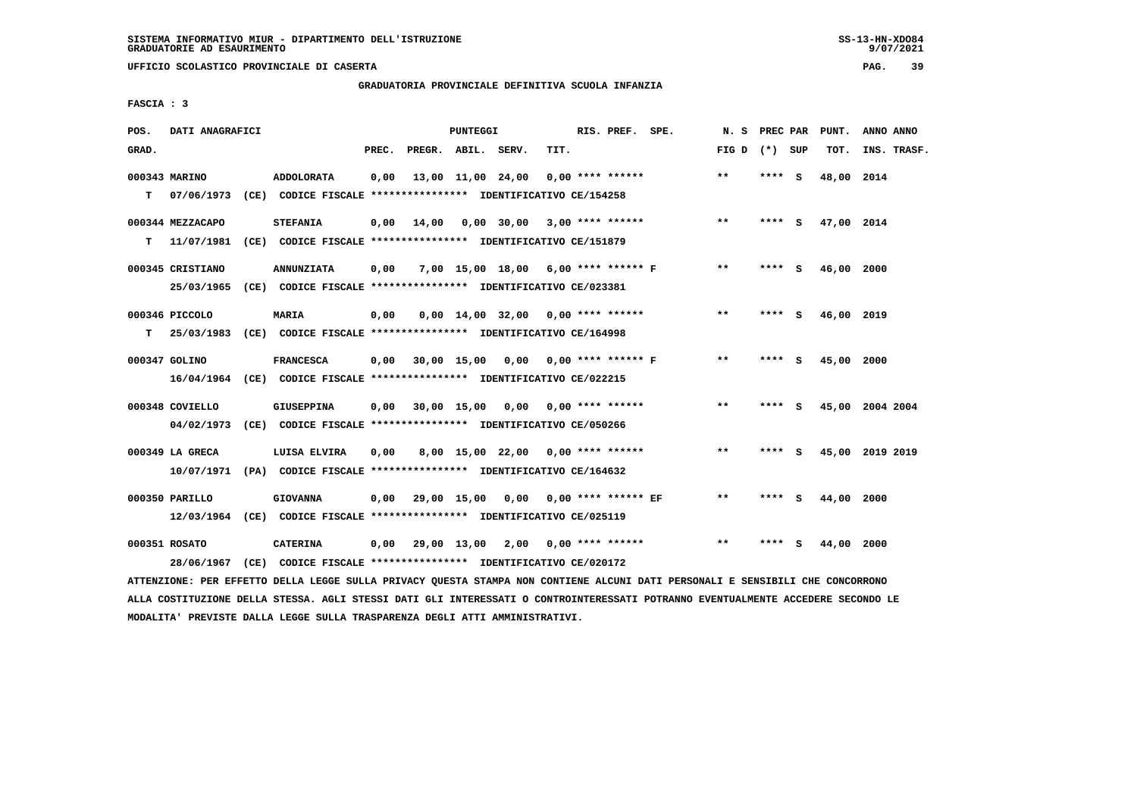#### **GRADUATORIA PROVINCIALE DEFINITIVA SCUOLA INFANZIA**

 **FASCIA : 3**

| POS.  | DATI ANAGRAFICI  |                                                                                                                               |       |                    | PUNTEGGI |                                           |      | RIS. PREF. SPE. |                                          |                   |        | N. S PREC PAR PUNT. | ANNO ANNO       |
|-------|------------------|-------------------------------------------------------------------------------------------------------------------------------|-------|--------------------|----------|-------------------------------------------|------|-----------------|------------------------------------------|-------------------|--------|---------------------|-----------------|
| GRAD. |                  |                                                                                                                               | PREC. | PREGR. ABIL. SERV. |          |                                           | TIT. |                 |                                          | FIG $D$ $(*)$ SUP |        | TOT.                | INS. TRASF.     |
|       | 000343 MARINO    | <b>ADDOLORATA</b>                                                                                                             | 0,00  |                    |          | 13,00 11,00 24,00 0,00 **** ******        |      |                 |                                          | $**$              | **** S | 48,00 2014          |                 |
|       | $T = 07/06/1973$ | (CE) CODICE FISCALE **************** IDENTIFICATIVO CE/154258                                                                 |       |                    |          |                                           |      |                 |                                          |                   |        |                     |                 |
|       | 000344 MEZZACAPO | <b>STEFANIA</b>                                                                                                               | 0,00  |                    |          | 14,00 0,00 30,00 3,00 **** ******         |      |                 |                                          | $* *$             | **** S | 47,00 2014          |                 |
|       | $T = 11/07/1981$ | (CE) CODICE FISCALE **************** IDENTIFICATIVO CE/151879                                                                 |       |                    |          |                                           |      |                 |                                          |                   |        |                     |                 |
|       | 000345 CRISTIANO | <b>ANNUNZIATA</b>                                                                                                             | 0,00  |                    |          | 7,00 15,00 18,00 6,00 **** ****** F       |      |                 |                                          | $\star\star$      | **** S | 46,00 2000          |                 |
|       |                  | 25/03/1965 (CE) CODICE FISCALE *************** IDENTIFICATIVO CE/023381                                                       |       |                    |          |                                           |      |                 |                                          |                   |        |                     |                 |
|       |                  |                                                                                                                               |       |                    |          |                                           |      |                 |                                          | $**$              |        |                     |                 |
|       | 000346 PICCOLO   | <b>MARIA</b><br>T 25/03/1983 (CE) CODICE FISCALE *************** IDENTIFICATIVO CE/164998                                     | 0,00  |                    |          | $0,00$ 14,00 32,00 0,00 **** ******       |      |                 |                                          |                   | **** S | 46,00 2019          |                 |
|       |                  |                                                                                                                               |       |                    |          |                                           |      |                 |                                          |                   |        |                     |                 |
|       | 000347 GOLINO    | <b>FRANCESCA</b>                                                                                                              |       |                    |          |                                           |      |                 | 0,00 30,00 15,00 0,00 0,00 **** ****** F | $***$             | **** S | 45,00 2000          |                 |
|       |                  | 16/04/1964 (CE) CODICE FISCALE *************** IDENTIFICATIVO CE/022215                                                       |       |                    |          |                                           |      |                 |                                          |                   |        |                     |                 |
|       | 000348 COVIELLO  | <b>GIUSEPPINA</b>                                                                                                             | 0,00  |                    |          | 30,00 15,00 0,00 0,00 **** ******         |      |                 |                                          | $***$             | **** S |                     | 45,00 2004 2004 |
|       |                  | 04/02/1973 (CE) CODICE FISCALE *************** IDENTIFICATIVO CE/050266                                                       |       |                    |          |                                           |      |                 |                                          |                   |        |                     |                 |
|       | 000349 LA GRECA  | LUISA ELVIRA                                                                                                                  | 0,00  |                    |          | 8,00 15,00 22,00 0,00 **** ******         |      |                 |                                          | $***$             | **** S |                     | 45,00 2019 2019 |
|       |                  | 10/07/1971 (PA) CODICE FISCALE *************** IDENTIFICATIVO CE/164632                                                       |       |                    |          |                                           |      |                 |                                          |                   |        |                     |                 |
|       | 000350 PARILLO   | <b>GIOVANNA</b>                                                                                                               |       |                    |          | 0,00 29,00 15,00 0,00 0,00 **** ****** EF |      |                 |                                          | $***$             | **** S | 44,00               | 2000            |
|       |                  | 12/03/1964 (CE) CODICE FISCALE *************** IDENTIFICATIVO CE/025119                                                       |       |                    |          |                                           |      |                 |                                          |                   |        |                     |                 |
|       |                  |                                                                                                                               |       |                    |          |                                           |      |                 |                                          |                   |        |                     |                 |
|       | 000351 ROSATO    | <b>CATERINA</b>                                                                                                               |       |                    |          | $0,00$ 29,00 13,00 2,00 0,00 **** ******  |      |                 |                                          | $***$             | **** S | 44,00 2000          |                 |
|       |                  | 28/06/1967 (CE) CODICE FISCALE *************** IDENTIFICATIVO CE/020172                                                       |       |                    |          |                                           |      |                 |                                          |                   |        |                     |                 |
|       |                  | ATTENZIONE: PER EFFETTO DELLA LEGGE SULLA PRIVACY QUESTA STAMPA NON CONTIENE ALCUNI DATI PERSONALI E SENSIBILI CHE CONCORRONO |       |                    |          |                                           |      |                 |                                          |                   |        |                     |                 |

 **ALLA COSTITUZIONE DELLA STESSA. AGLI STESSI DATI GLI INTERESSATI O CONTROINTERESSATI POTRANNO EVENTUALMENTE ACCEDERE SECONDO LE MODALITA' PREVISTE DALLA LEGGE SULLA TRASPARENZA DEGLI ATTI AMMINISTRATIVI.**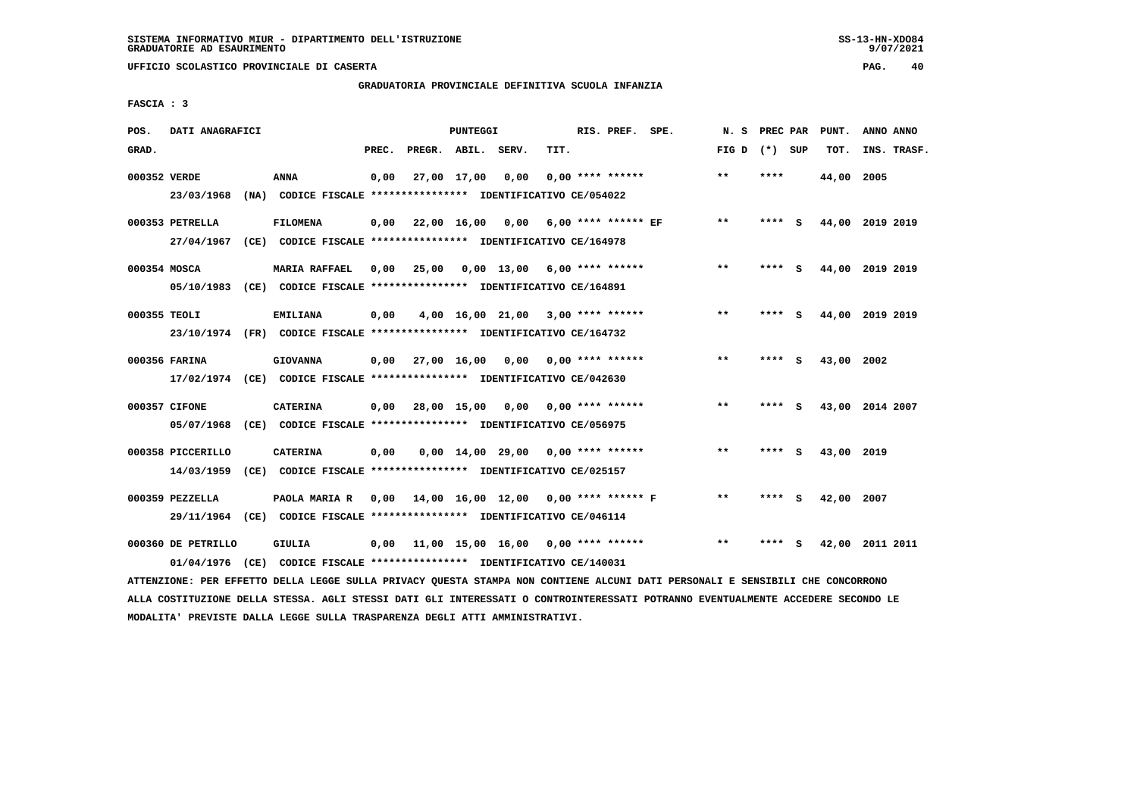# **GRADUATORIA PROVINCIALE DEFINITIVA SCUOLA INFANZIA**

 **FASCIA : 3**

| POS.         | DATI ANAGRAFICI                  |      |                                                                                            |       |                    | PUNTEGGI    |                                      |      | RIS. PREF. SPE.     | N.S             | PREC PAR |     | PUNT.      | ANNO ANNO       |
|--------------|----------------------------------|------|--------------------------------------------------------------------------------------------|-------|--------------------|-------------|--------------------------------------|------|---------------------|-----------------|----------|-----|------------|-----------------|
| GRAD.        |                                  |      |                                                                                            | PREC. | PREGR. ABIL. SERV. |             |                                      | TIT. |                     | FIG D $(*)$ SUP |          |     | TOT.       | INS. TRASF.     |
| 000352 VERDE | 23/03/1968                       |      | ANNA<br>(NA) CODICE FISCALE **************** IDENTIFICATIVO CE/054022                      | 0.00  |                    | 27,00 17,00 | 0.00                                 |      | $0.00$ **** ******  | $***$           | ****     |     | 44,00 2005 |                 |
|              | 000353 PETRELLA<br>27/04/1967    |      | <b>FILOMENA</b><br>(CE) CODICE FISCALE **************** IDENTIFICATIVO CE/164978           | 0,00  |                    |             | 22,00 16,00 0,00                     |      | 6,00 **** ****** EF | $\star\star$    | **** S   |     |            | 44,00 2019 2019 |
| 000354 MOSCA | 05/10/1983                       |      | <b>MARIA RAFFAEL</b><br>(CE) CODICE FISCALE **************** IDENTIFICATIVO CE/164891      | 0.00  | 25,00              |             | $0.00$ 13.00 6.00 **** ******        |      |                     | $***$           | ****     | - S |            | 44,00 2019 2019 |
| 000355 TEOLI |                                  |      | <b>EMILIANA</b><br>23/10/1974 (FR) CODICE FISCALE *************** IDENTIFICATIVO CE/164732 | 0,00  |                    |             | $4,00$ 16,00 21,00 3,00 **** ******  |      |                     | $***$           | **** S   |     |            | 44,00 2019 2019 |
|              | 000356 FARINA                    |      | <b>GIOVANNA</b><br>17/02/1974 (CE) CODICE FISCALE *************** IDENTIFICATIVO CE/042630 | 0,00  |                    | 27,00 16,00 | 0,00                                 |      | $0.00$ **** ******  | $* *$           | ****     | S   | 43,00 2002 |                 |
|              | 000357 CIFONE<br>05/07/1968      |      | <b>CATERINA</b><br>(CE) CODICE FISCALE *************** IDENTIFICATIVO CE/056975            | 0,00  |                    |             | 28,00 15,00 0,00 0,00 **** ******    |      |                     | $***$           | **** S   |     |            | 43,00 2014 2007 |
|              | 000358 PICCERILLO<br>14/03/1959  |      | <b>CATERINA</b><br>(CE) CODICE FISCALE **************** IDENTIFICATIVO CE/025157           | 0,00  |                    |             | 0,00 14,00 29,00                     |      | $0.00$ **** ******  | $**$            | ****     | - S | 43,00 2019 |                 |
|              | $000359$ PEZZELLA                |      | PAOLA MARIA R<br>29/11/1964 (CE) CODICE FISCALE *************** IDENTIFICATIVO CE/046114   | 0.00  |                    |             | 14,00 16,00 12,00 0,00 **** ****** F |      |                     | $* *$           | ****     | - S | 42.00 2007 |                 |
|              | 000360 DE PETRILLO<br>01/04/1976 | (CE) | <b>GIULIA</b><br>CODICE FISCALE **************** IDENTIFICATIVO CE/140031                  | 0,00  |                    |             | 11,00 15,00 16,00 0,00 **** ******   |      |                     | **              | ****     | S.  |            | 42,00 2011 2011 |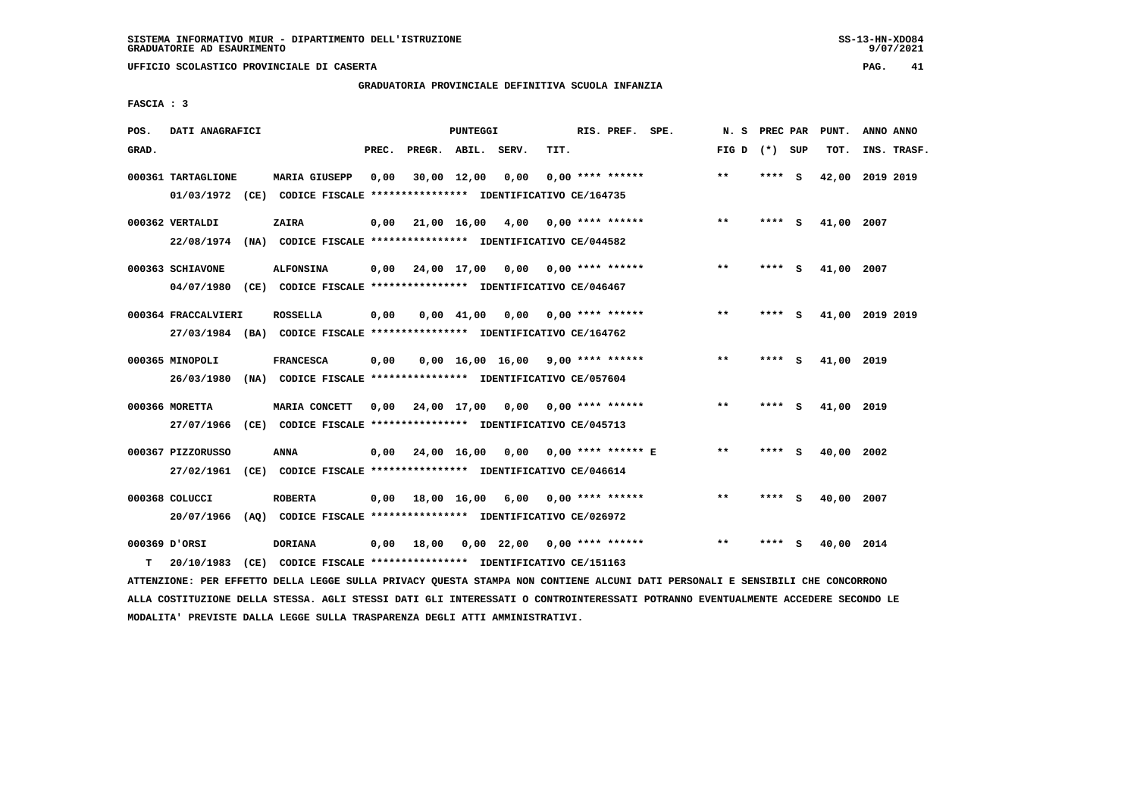## **GRADUATORIA PROVINCIALE DEFINITIVA SCUOLA INFANZIA**

 **FASCIA : 3**

| POS.  | DATI ANAGRAFICI     |                                                                                 |       |                                          | <b>PUNTEGGI</b> |                                     |      | RIS. PREF. SPE.           |                      | N. S PREC PAR   |         |     | PUNT.           | ANNO ANNO |             |
|-------|---------------------|---------------------------------------------------------------------------------|-------|------------------------------------------|-----------------|-------------------------------------|------|---------------------------|----------------------|-----------------|---------|-----|-----------------|-----------|-------------|
| GRAD. |                     |                                                                                 | PREC. | PREGR. ABIL. SERV.                       |                 |                                     | TIT. |                           |                      | FIG D $(*)$ SUP |         |     | тот.            |           | INS. TRASF. |
|       | 000361 TARTAGLIONE  | <b>MARIA GIUSEPP</b>                                                            | 0,00  |                                          | 30,00 12,00     | 0,00                                |      | $0.00$ **** ******        |                      | $***$           | **** S  |     | 42,00 2019 2019 |           |             |
|       |                     | 01/03/1972 (CE) CODICE FISCALE *************** IDENTIFICATIVO CE/164735         |       |                                          |                 |                                     |      |                           |                      |                 |         |     |                 |           |             |
|       | 000362 VERTALDI     | ZAIRA                                                                           |       | $0,00$ 21,00 16,00 4,00                  |                 |                                     |      | $0.00$ **** ******        |                      | $***$           | **** S  |     | 41,00 2007      |           |             |
|       |                     | 22/08/1974 (NA) CODICE FISCALE *************** IDENTIFICATIVO CE/044582         |       |                                          |                 |                                     |      |                           |                      |                 |         |     |                 |           |             |
|       | 000363 SCHIAVONE    | <b>ALFONSINA</b>                                                                |       | $0,00$ 24,00 17,00 0,00 0,00 **** ****** |                 |                                     |      |                           |                      | **              | $***$ S |     | 41,00 2007      |           |             |
|       |                     | 04/07/1980 (CE) CODICE FISCALE *************** IDENTIFICATIVO CE/046467         |       |                                          |                 |                                     |      |                           |                      |                 |         |     |                 |           |             |
|       | 000364 FRACCALVIERI | <b>ROSSELLA</b>                                                                 | 0,00  |                                          | 0,00 41,00      |                                     |      | $0,00$ $0,00$ **** ****** |                      | $* *$           | **** S  |     | 41,00 2019 2019 |           |             |
|       |                     | 27/03/1984 (BA) CODICE FISCALE *************** IDENTIFICATIVO CE/164762         |       |                                          |                 |                                     |      |                           |                      |                 |         |     |                 |           |             |
|       | 000365 MINOPOLI     | <b>FRANCESCA</b>                                                                | 0,00  |                                          |                 | $0,00$ 16,00 16,00 9,00 **** ****** |      |                           |                      | **              | ****    | - S | 41,00 2019      |           |             |
|       |                     | 26/03/1980 (NA) CODICE FISCALE *************** IDENTIFICATIVO CE/057604         |       |                                          |                 |                                     |      |                           |                      |                 |         |     |                 |           |             |
|       | 000366 MORETTA      | <b>MARIA CONCETT</b>                                                            |       | $0.00$ $24.00$ $17.00$                   |                 |                                     |      | $0,00$ $0,00$ **** ****** |                      | $* *$           | **** S  |     | 41,00 2019      |           |             |
|       |                     | 27/07/1966 (CE) CODICE FISCALE *************** IDENTIFICATIVO CE/045713         |       |                                          |                 |                                     |      |                           |                      |                 |         |     |                 |           |             |
|       |                     |                                                                                 |       |                                          |                 |                                     |      |                           |                      | $***$           |         |     |                 |           |             |
|       | 000367 PIZZORUSSO   | ANNA<br>27/02/1961 (CE) CODICE FISCALE *************** IDENTIFICATIVO CE/046614 |       | 0,00 24,00 16,00 0,00                    |                 |                                     |      |                           | $0.00$ **** ****** E |                 | **** S  |     | 40,00 2002      |           |             |
|       |                     |                                                                                 |       |                                          |                 |                                     |      |                           |                      |                 |         |     |                 |           |             |
|       | 000368 COLUCCI      | <b>ROBERTA</b>                                                                  |       | $0,00$ 18,00 16,00 6,00                  |                 |                                     |      | 0,00 **** ******          |                      | $* *$           | $***$ S |     | 40,00 2007      |           |             |
|       |                     | 20/07/1966 (AO) CODICE FISCALE *************** IDENTIFICATIVO CE/026972         |       |                                          |                 |                                     |      |                           |                      |                 |         |     |                 |           |             |
|       | 000369 D'ORSI       | <b>DORIANA</b>                                                                  |       | 0.00 18.00                               |                 | $0.00$ 22.00 0.00 **** ******       |      |                           |                      | $* *$           | ****    | - S | 40,00 2014      |           |             |
| т     | 20/10/1983          | (CE) CODICE FISCALE **************** IDENTIFICATIVO CE/151163                   |       |                                          |                 |                                     |      |                           |                      |                 |         |     |                 |           |             |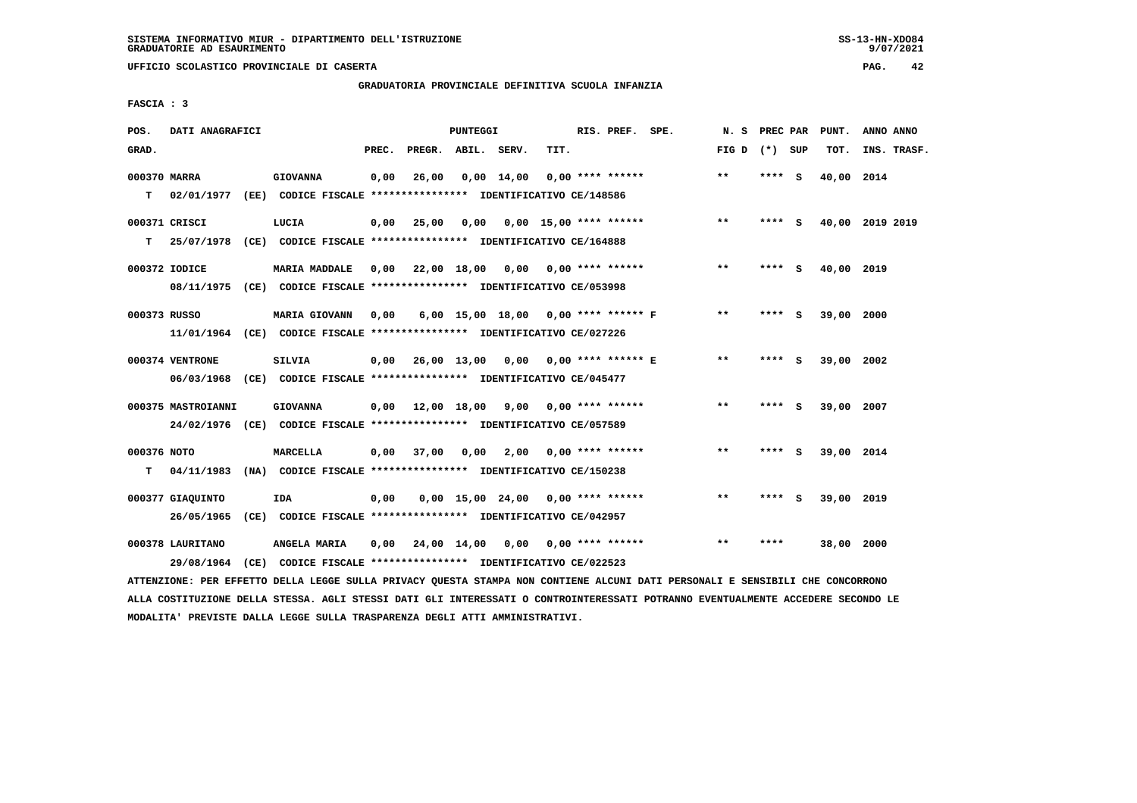**UFFICIO SCOLASTICO PROVINCIALE DI CASERTA PAG. 42**

#### **GRADUATORIA PROVINCIALE DEFINITIVA SCUOLA INFANZIA**

 **FASCIA : 3**

| POS.               | DATI ANAGRAFICI                |                                                                                                 |       |                                          | <b>PUNTEGGI</b> |                                     |      | RIS. PREF. SPE.    | N.S   | PREC PAR |     | PUNT.      | ANNO ANNO       |
|--------------------|--------------------------------|-------------------------------------------------------------------------------------------------|-------|------------------------------------------|-----------------|-------------------------------------|------|--------------------|-------|----------|-----|------------|-----------------|
| GRAD.              |                                |                                                                                                 | PREC. | PREGR. ABIL. SERV.                       |                 |                                     | TIT. |                    | FIG D | (*) SUP  |     | TOT.       | INS. TRASF.     |
| 000370 MARRA<br>T. |                                | <b>GIOVANNA</b><br>02/01/1977 (EE) CODICE FISCALE *************** IDENTIFICATIVO CE/148586      | 0,00  | 26,00                                    |                 | 0,00 14,00                          |      | 0,00 **** ******   | $* *$ | $***$ S  |     | 40,00 2014 |                 |
| т                  | 000371 CRISCI<br>25/07/1978    | LUCIA<br>(CE) CODICE FISCALE **************** IDENTIFICATIVO CE/164888                          | 0,00  | 25,00                                    |                 | $0,00$ $0,00$ $15,00$ **** ******   |      |                    | $* *$ | **** S   |     |            | 40,00 2019 2019 |
|                    | 000372 IODICE<br>08/11/1975    | <b>MARIA MADDALE</b><br>(CE) CODICE FISCALE *************** IDENTIFICATIVO CE/053998            | 0,00  | 22,00 18,00 0,00 0,00 **** ******        |                 |                                     |      |                    | $***$ | **** S   |     | 40,00 2019 |                 |
| 000373 RUSSO       |                                | <b>MARIA GIOVANN</b><br>11/01/1964 (CE) CODICE FISCALE *************** IDENTIFICATIVO CE/027226 | 0,00  |                                          |                 | 6,00 15,00 18,00 0,00 **** ****** F |      |                    | $**$  | ****     | s   | 39,00      | 2000            |
|                    | 000374 VENTRONE                | SILVIA<br>06/03/1968 (CE) CODICE FISCALE *************** IDENTIFICATIVO CE/045477               |       | 0,00 26,00 13,00 0,00 0,00 **** ****** E |                 |                                     |      |                    | $* *$ | ****     | - S | 39,00 2002 |                 |
|                    | 000375 MASTROIANNI             | <b>GIOVANNA</b><br>24/02/1976 (CE) CODICE FISCALE *************** IDENTIFICATIVO CE/057589      |       | $0,00$ 12,00 18,00 9,00 0,00 **** ****** |                 |                                     |      |                    | **    | **** S   |     | 39,00 2007 |                 |
| 000376 NOTO<br>т   | 04/11/1983                     | MARCELLA<br>(NA) CODICE FISCALE **************** IDENTIFICATIVO CE/150238                       | 0.00  | 37,00                                    |                 | $0,00$ 2,00                         |      | $0.00$ **** ****** | $* *$ | ****     | - S | 39,00 2014 |                 |
|                    | 000377 GIAOUINTO<br>26/05/1965 | IDA<br>(CE) CODICE FISCALE **************** IDENTIFICATIVO CE/042957                            | 0.00  |                                          |                 | $0.00$ 15.00 24.00 0.00 **** ****** |      |                    | $***$ | ****     | - S | 39,00 2019 |                 |
|                    | 000378 LAURITANO<br>29/08/1964 | ANGELA MARIA<br>(CE) CODICE FISCALE **************** IDENTIFICATIVO CE/022523                   | 0.00  | 24,00 14,00 0,00 0,00 **** ******        |                 |                                     |      |                    | $* *$ | ****     |     | 38,00 2000 |                 |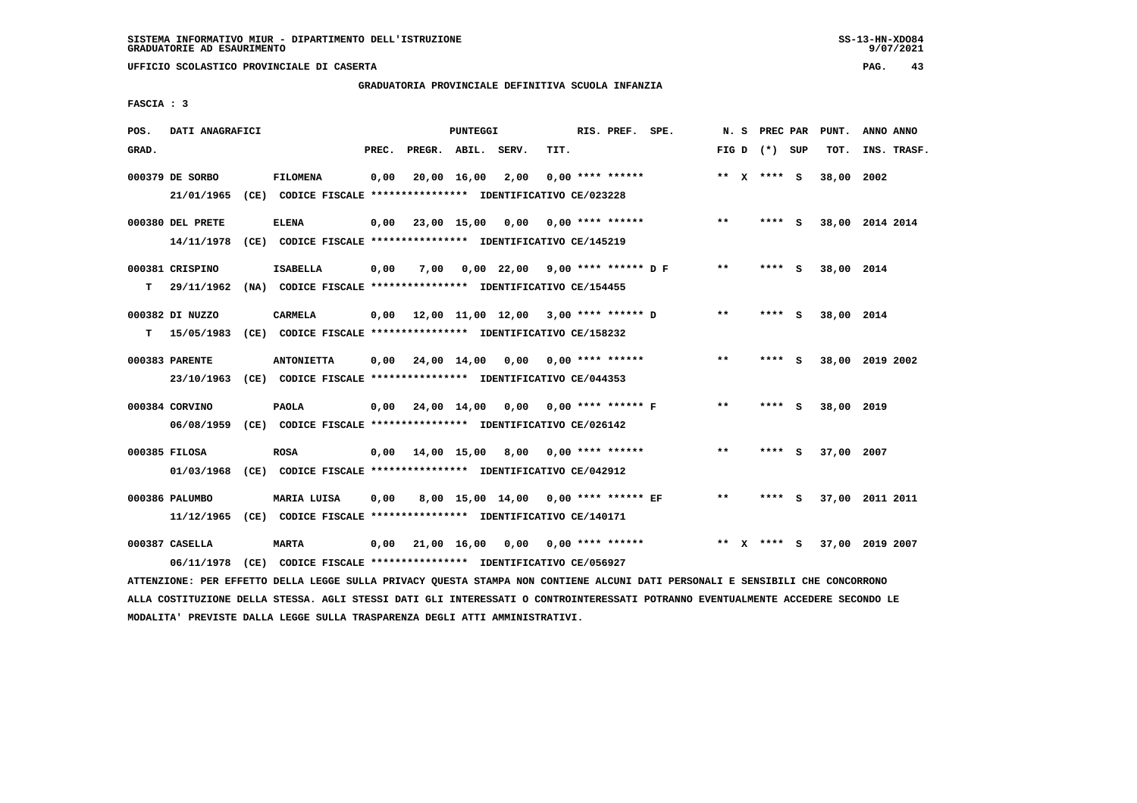# **GRADUATORIA PROVINCIALE DEFINITIVA SCUOLA INFANZIA**

 **FASCIA : 3**

| POS.  | DATI ANAGRAFICI  |                                                                          |       |                    | PUNTEGGI    |                                             |      | RIS. PREF. SPE.           |                    |       |                 | N. S PREC PAR PUNT. | ANNO ANNO       |
|-------|------------------|--------------------------------------------------------------------------|-------|--------------------|-------------|---------------------------------------------|------|---------------------------|--------------------|-------|-----------------|---------------------|-----------------|
| GRAD. |                  |                                                                          | PREC. | PREGR. ABIL. SERV. |             |                                             | TIT. |                           |                    |       | FIG D $(*)$ SUP | TOT.                | INS. TRASF.     |
|       | 000379 DE SORBO  | <b>FILOMENA</b>                                                          | 0,00  |                    | 20,00 16,00 | 2,00                                        |      | $0.00$ **** ******        |                    |       | ** $X$ **** S   | 38,00 2002          |                 |
|       | 21/01/1965       | (CE) CODICE FISCALE **************** IDENTIFICATIVO CE/023228            |       |                    |             |                                             |      |                           |                    |       |                 |                     |                 |
|       | 000380 DEL PRETE | <b>ELENA</b>                                                             | 0.00  |                    |             | 23,00 15,00 0,00 0,00 **** ******           |      |                           |                    | $***$ | $***$ S         |                     | 38,00 2014 2014 |
|       | 14/11/1978       | (CE) CODICE FISCALE **************** IDENTIFICATIVO CE/145219            |       |                    |             |                                             |      |                           |                    |       |                 |                     |                 |
|       | 000381 CRISPINO  | <b>ISABELLA</b>                                                          | 0,00  | 7,00               |             | $0,00$ 22,00 9,00 **** ****** D F           |      |                           |                    | $***$ | **** S          | 38,00 2014          |                 |
| т     |                  | 29/11/1962 (NA) CODICE FISCALE *************** IDENTIFICATIVO CE/154455  |       |                    |             |                                             |      |                           |                    |       |                 |                     |                 |
|       | 000382 DI NUZZO  | CARMELA                                                                  |       |                    |             | $0,00$ 12,00 11,00 12,00 3,00 **** ****** D |      |                           |                    | $* *$ | **** S          | 38,00 2014          |                 |
| т     |                  | 15/05/1983 (CE) CODICE FISCALE **************** IDENTIFICATIVO CE/158232 |       |                    |             |                                             |      |                           |                    |       |                 |                     |                 |
|       | 000383 PARENTE   | <b>ANTONIETTA</b>                                                        | 0,00  | 24,00 14,00        |             |                                             |      | $0,00$ $0,00$ **** ****** |                    | $**$  | **** S          |                     | 38,00 2019 2002 |
|       |                  | 23/10/1963 (CE) CODICE FISCALE *************** IDENTIFICATIVO CE/044353  |       |                    |             |                                             |      |                           |                    |       |                 |                     |                 |
|       | 000384 CORVINO   | <b>PAOLA</b>                                                             | 0,00  | 24,00 14,00 0,00   |             |                                             |      |                           | 0,00 **** ****** F | $**$  | **** S          | 38,00 2019          |                 |
|       |                  | 06/08/1959 (CE) CODICE FISCALE *************** IDENTIFICATIVO CE/026142  |       |                    |             |                                             |      |                           |                    |       |                 |                     |                 |
|       | 000385 FILOSA    | <b>ROSA</b>                                                              | 0,00  |                    |             | 14,00 15,00 8,00 0,00 **** ******           |      |                           |                    | $***$ | **** S          | 37,00 2007          |                 |
|       |                  | 01/03/1968 (CE) CODICE FISCALE *************** IDENTIFICATIVO CE/042912  |       |                    |             |                                             |      |                           |                    |       |                 |                     |                 |
|       | 000386 PALUMBO   | MARIA LUISA                                                              | 0,00  |                    |             | 8,00 15,00 14,00 0,00 **** ****** EF        |      |                           |                    | $***$ | **** S          |                     | 37,00 2011 2011 |
|       |                  | 11/12/1965 (CE) CODICE FISCALE *************** IDENTIFICATIVO CE/140171  |       |                    |             |                                             |      |                           |                    |       |                 |                     |                 |
|       | 000387 CASELLA   | <b>MARTA</b>                                                             | 0,00  | 21,00 16,00        |             | 0,00                                        |      | $0.00$ **** ******        |                    |       | ** x **** S     |                     | 37,00 2019 2007 |
|       | 06/11/1978       | (CE) CODICE FISCALE **************** IDENTIFICATIVO CE/056927            |       |                    |             |                                             |      |                           |                    |       |                 |                     |                 |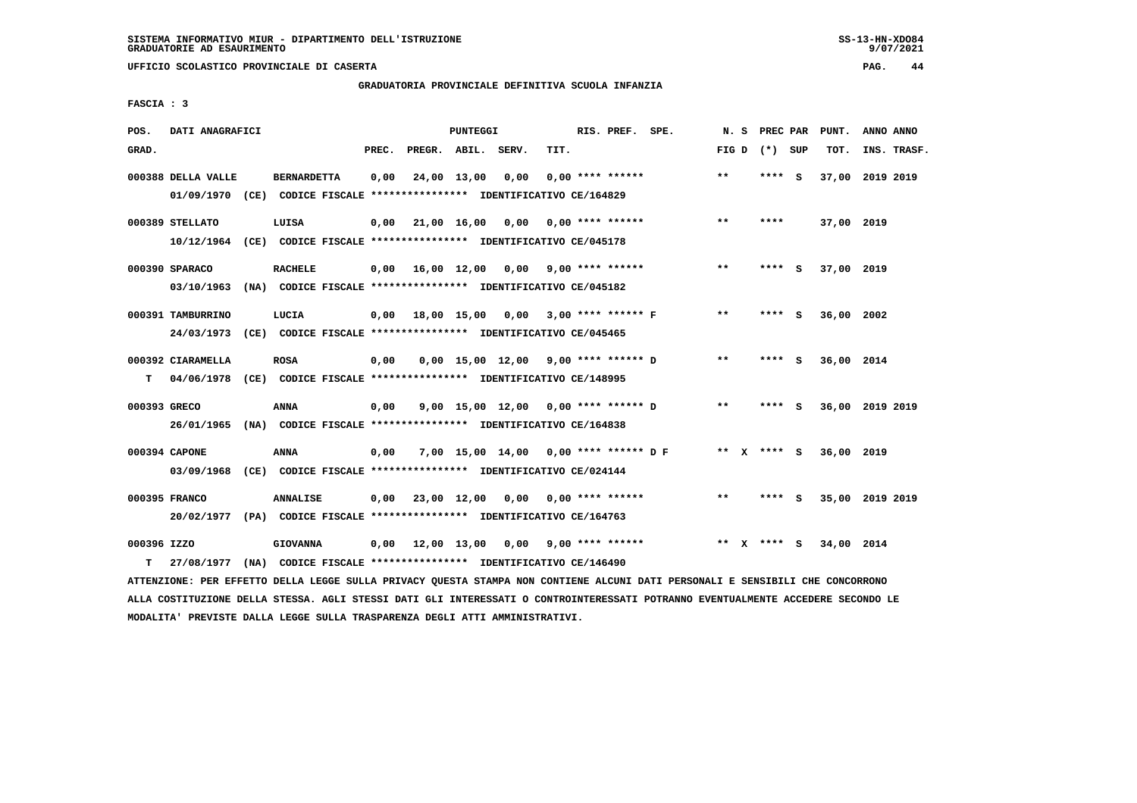## **GRADUATORIA PROVINCIALE DEFINITIVA SCUOLA INFANZIA**

 **FASCIA : 3**

| POS.         | DATI ANAGRAFICI    |                                                                                                                               |       |                    | <b>PUNTEGGI</b> |                                          |      | RIS. PREF. SPE.    |                                      |       | N. S PREC PAR   | PUNT.                  | ANNO ANNO |             |
|--------------|--------------------|-------------------------------------------------------------------------------------------------------------------------------|-------|--------------------|-----------------|------------------------------------------|------|--------------------|--------------------------------------|-------|-----------------|------------------------|-----------|-------------|
| GRAD.        |                    |                                                                                                                               | PREC. | PREGR. ABIL. SERV. |                 |                                          | TIT. |                    |                                      |       | FIG D $(*)$ SUP | тот.                   |           | INS. TRASF. |
|              | 000388 DELLA VALLE | <b>BERNARDETTA</b>                                                                                                            | 0,00  |                    |                 | 24,00 13,00 0,00                         |      | $0.00$ **** ****** |                                      | $***$ | $***$ S         | 37,00 2019 2019        |           |             |
|              |                    | 01/09/1970 (CE) CODICE FISCALE *************** IDENTIFICATIVO CE/164829                                                       |       |                    |                 |                                          |      |                    |                                      |       |                 |                        |           |             |
|              | 000389 STELLATO    | LUISA                                                                                                                         |       |                    |                 | $0,00$ 21,00 16,00 0,00 0,00 **** ****** |      |                    |                                      | $**$  | ****            | 37,00 2019             |           |             |
|              |                    | 10/12/1964 (CE) CODICE FISCALE *************** IDENTIFICATIVO CE/045178                                                       |       |                    |                 |                                          |      |                    |                                      |       |                 |                        |           |             |
|              | 000390 SPARACO     | <b>RACHELE</b>                                                                                                                |       |                    |                 | $0,00$ 16,00 12,00 0,00 9,00 **** ****** |      |                    |                                      | $* *$ | **** S          | 37,00 2019             |           |             |
|              |                    | 03/10/1963 (NA) CODICE FISCALE *************** IDENTIFICATIVO CE/045182                                                       |       |                    |                 |                                          |      |                    |                                      |       |                 |                        |           |             |
|              | 000391 TAMBURRINO  | LUCIA                                                                                                                         |       |                    |                 | 0,00 18,00 15,00 0,00 3,00 **** ****** F |      |                    |                                      | $* *$ | **** S          | 36,00 2002             |           |             |
|              |                    | 24/03/1973 (CE) CODICE FISCALE *************** IDENTIFICATIVO CE/045465                                                       |       |                    |                 |                                          |      |                    |                                      |       |                 |                        |           |             |
|              | 000392 CIARAMELLA  | <b>ROSA</b>                                                                                                                   | 0,00  |                    |                 |                                          |      |                    | 0,00 15,00 12,00 9,00 **** ****** D  | $***$ | **** S          | 36,00 2014             |           |             |
| т            |                    | 04/06/1978 (CE) CODICE FISCALE *************** IDENTIFICATIVO CE/148995                                                       |       |                    |                 |                                          |      |                    |                                      |       |                 |                        |           |             |
| 000393 GRECO |                    | ANNA                                                                                                                          | 0,00  |                    |                 | 9,00 15,00 12,00 0,00 **** ****** D      |      |                    |                                      | $***$ | **** S          | 36,00 2019 2019        |           |             |
|              |                    | 26/01/1965 (NA) CODICE FISCALE *************** IDENTIFICATIVO CE/164838                                                       |       |                    |                 |                                          |      |                    |                                      |       |                 |                        |           |             |
|              | 000394 CAPONE      | ANNA                                                                                                                          | 0,00  |                    |                 |                                          |      |                    | 7,00 15,00 14,00 0,00 **** ****** DF |       |                 | ** x **** s 36,00 2019 |           |             |
|              |                    | 03/09/1968 (CE) CODICE FISCALE *************** IDENTIFICATIVO CE/024144                                                       |       |                    |                 |                                          |      |                    |                                      |       |                 |                        |           |             |
|              | 000395 FRANCO      | <b>ANNALISE</b>                                                                                                               |       |                    |                 | $0,00$ 23,00 12,00 0,00 0,00 **** ****** |      |                    |                                      | $***$ | **** S          | 35,00 2019 2019        |           |             |
|              |                    | 20/02/1977 (PA) CODICE FISCALE **************** IDENTIFICATIVO CE/164763                                                      |       |                    |                 |                                          |      |                    |                                      |       |                 |                        |           |             |
| 000396 IZZO  |                    | <b>GIOVANNA</b>                                                                                                               |       |                    |                 | 0,00 12,00 13,00 0,00                    |      | 9,00 **** ******   |                                      |       | ** x **** S     | 34,00 2014             |           |             |
| т            |                    | 27/08/1977 (NA) CODICE FISCALE *************** IDENTIFICATIVO CE/146490                                                       |       |                    |                 |                                          |      |                    |                                      |       |                 |                        |           |             |
|              |                    | ATTENZIONE: PER EFFETTO DELLA LEGGE SULLA PRIVACY QUESTA STAMPA NON CONTIENE ALCUNI DATI PERSONALI E SENSIBILI CHE CONCORRONO |       |                    |                 |                                          |      |                    |                                      |       |                 |                        |           |             |

 **ALLA COSTITUZIONE DELLA STESSA. AGLI STESSI DATI GLI INTERESSATI O CONTROINTERESSATI POTRANNO EVENTUALMENTE ACCEDERE SECONDO LE MODALITA' PREVISTE DALLA LEGGE SULLA TRASPARENZA DEGLI ATTI AMMINISTRATIVI.**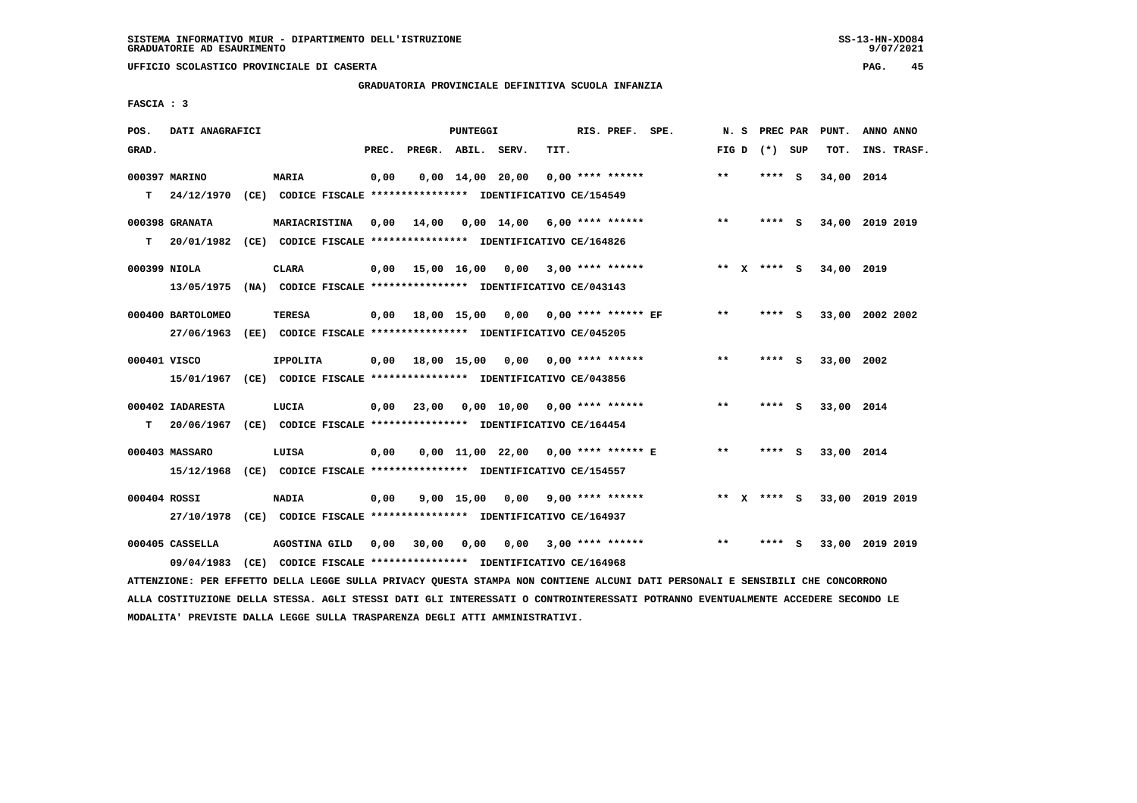**UFFICIO SCOLASTICO PROVINCIALE DI CASERTA PAG. 45**

# **GRADUATORIA PROVINCIALE DEFINITIVA SCUOLA INFANZIA**

 **FASCIA : 3**

| POS.         | DATI ANAGRAFICI   |                                                                                                                               |       |                                           | PUNTEGGI |                                    |      | RIS. PREF. SPE.    |                                     |              | N. S PREC PAR   | PUNT.                       | ANNO ANNO |             |
|--------------|-------------------|-------------------------------------------------------------------------------------------------------------------------------|-------|-------------------------------------------|----------|------------------------------------|------|--------------------|-------------------------------------|--------------|-----------------|-----------------------------|-----------|-------------|
| GRAD.        |                   |                                                                                                                               | PREC. | PREGR. ABIL. SERV.                        |          |                                    | TIT. |                    |                                     |              | FIG D $(*)$ SUP | тот.                        |           | INS. TRASF. |
|              | 000397 MARINO     | <b>MARIA</b>                                                                                                                  | 0,00  |                                           |          | 0,00 14,00 20,00                   |      | $0.00$ **** ****** |                                     | **           | $***$ S         | 34,00 2014                  |           |             |
|              |                   | T 24/12/1970 (CE) CODICE FISCALE *************** IDENTIFICATIVO CE/154549                                                     |       |                                           |          |                                    |      |                    |                                     |              |                 |                             |           |             |
|              | 000398 GRANATA    | MARIACRISTINA                                                                                                                 |       | $0,00$ 14,00 0,00 14,00 6,00 **** ******  |          |                                    |      |                    |                                     | $* *$        | **** S          | 34,00 2019 2019             |           |             |
| т            |                   | 20/01/1982 (CE) CODICE FISCALE **************** IDENTIFICATIVO CE/164826                                                      |       |                                           |          |                                    |      |                    |                                     |              |                 |                             |           |             |
|              | 000399 NIOLA      | CLARA                                                                                                                         |       | 0,00 15,00 16,00 0,00 3,00 **** ******    |          |                                    |      |                    |                                     |              | ** x **** S     | 34,00 2019                  |           |             |
|              |                   | 13/05/1975 (NA) CODICE FISCALE *************** IDENTIFICATIVO CE/043143                                                       |       |                                           |          |                                    |      |                    |                                     |              |                 |                             |           |             |
|              | 000400 BARTOLOMEO | TERESA                                                                                                                        |       | 0,00 18,00 15,00 0,00 0,00 **** ****** EF |          |                                    |      |                    |                                     | $***$        | $***$ S         | 33,00 2002 2002             |           |             |
|              |                   | 27/06/1963 (EE) CODICE FISCALE *************** IDENTIFICATIVO CE/045205                                                       |       |                                           |          |                                    |      |                    |                                     |              |                 |                             |           |             |
| 000401 VISCO |                   | <b>IPPOLITA</b>                                                                                                               |       | $0,00$ 18,00 15,00 0,00 0,00 **** ******  |          |                                    |      |                    |                                     | $* *$        | **** S          | 33,00 2002                  |           |             |
|              |                   | 15/01/1967 (CE) CODICE FISCALE **************** IDENTIFICATIVO CE/043856                                                      |       |                                           |          |                                    |      |                    |                                     |              |                 |                             |           |             |
|              | 000402 IADARESTA  | LUCIA                                                                                                                         |       | 0,00 23,00 0,00 10,00 0,00 **** ******    |          |                                    |      |                    |                                     | $***$        | **** S          | 33,00 2014                  |           |             |
|              |                   | T 20/06/1967 (CE) CODICE FISCALE *************** IDENTIFICATIVO CE/164454                                                     |       |                                           |          |                                    |      |                    |                                     |              |                 |                             |           |             |
|              | 000403 MASSARO    | LUISA                                                                                                                         | 0,00  |                                           |          |                                    |      |                    | 0,00 11,00 22,00 0,00 **** ****** E | $***$        | **** S          | 33,00 2014                  |           |             |
|              |                   | 15/12/1968 (CE) CODICE FISCALE *************** IDENTIFICATIVO CE/154557                                                       |       |                                           |          |                                    |      |                    |                                     |              |                 |                             |           |             |
| 000404 ROSSI |                   | <b>NADIA</b>                                                                                                                  | 0,00  |                                           |          | $9,00$ 15,00 0,00 9,00 **** ****** |      |                    |                                     |              |                 | ** X **** S 33,00 2019 2019 |           |             |
|              |                   | 27/10/1978 (CE) CODICE FISCALE *************** IDENTIFICATIVO CE/164937                                                       |       |                                           |          |                                    |      |                    |                                     |              |                 |                             |           |             |
|              | 000405 CASSELLA   | AGOSTINA GILD 0,00 30,00 0,00                                                                                                 |       |                                           |          |                                    |      |                    | 0,00 3,00 **** ******               | $\star\star$ | **** S          | 33,00 2019 2019             |           |             |
|              | 09/04/1983        | (CE) CODICE FISCALE **************** IDENTIFICATIVO CE/164968                                                                 |       |                                           |          |                                    |      |                    |                                     |              |                 |                             |           |             |
|              |                   | ATTENZIONE: PER EFFETTO DELLA LEGGE SULLA PRIVACY QUESTA STAMPA NON CONTIENE ALCUNI DATI PERSONALI E SENSIBILI CHE CONCORRONO |       |                                           |          |                                    |      |                    |                                     |              |                 |                             |           |             |

 **ALLA COSTITUZIONE DELLA STESSA. AGLI STESSI DATI GLI INTERESSATI O CONTROINTERESSATI POTRANNO EVENTUALMENTE ACCEDERE SECONDO LE MODALITA' PREVISTE DALLA LEGGE SULLA TRASPARENZA DEGLI ATTI AMMINISTRATIVI.**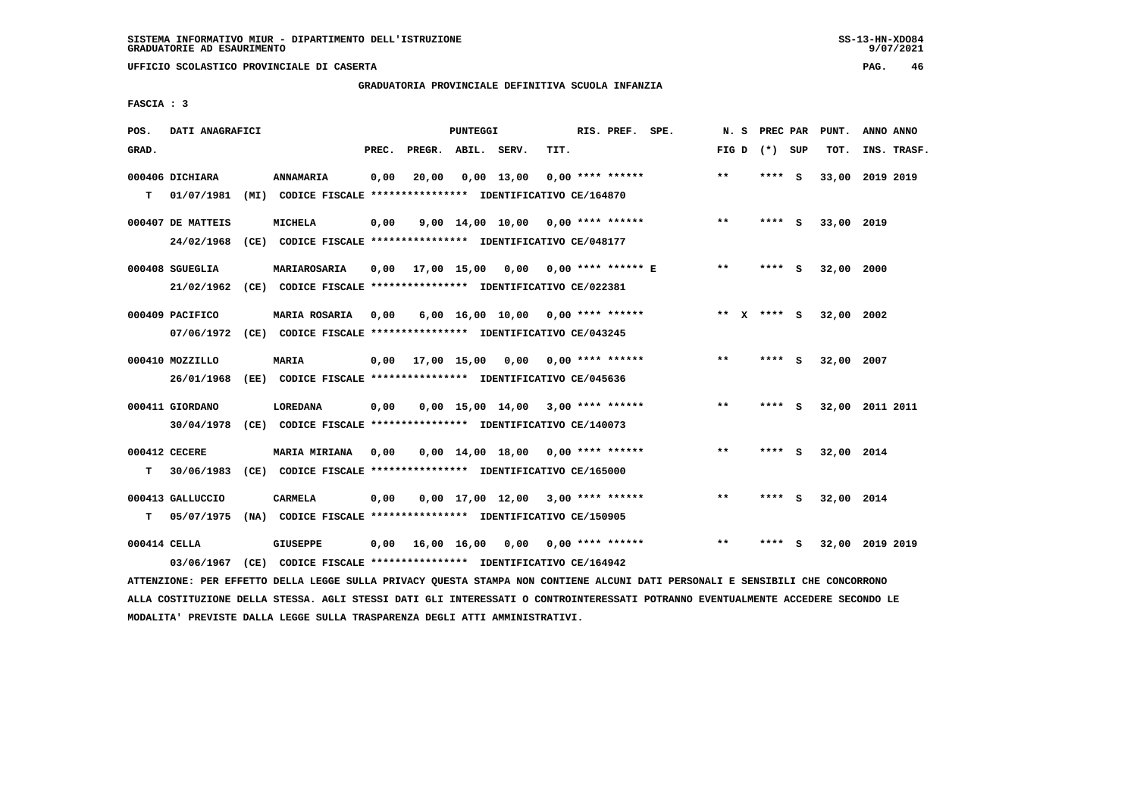**UFFICIO SCOLASTICO PROVINCIALE DI CASERTA PAG. 46**

# **GRADUATORIA PROVINCIALE DEFINITIVA SCUOLA INFANZIA**

 **FASCIA : 3**

| POS.         | DATI ANAGRAFICI   |                                                               |       |                    | PUNTEGGI |                                          |      | RIS. PREF. SPE.    | N.S          |                 | PREC PAR | PUNT.      | ANNO ANNO       |
|--------------|-------------------|---------------------------------------------------------------|-------|--------------------|----------|------------------------------------------|------|--------------------|--------------|-----------------|----------|------------|-----------------|
| GRAD.        |                   |                                                               | PREC. | PREGR. ABIL. SERV. |          |                                          | TIT. |                    |              | FIG D $(*)$ SUP |          | TOT.       | INS. TRASF.     |
|              | 000406 DICHIARA   | ANNAMARIA                                                     | 0,00  | 20,00              |          | $0,00$ 13,00                             |      | $0.00$ **** ****** | $\star\star$ | **** S          |          |            | 33,00 2019 2019 |
| т            | 01/07/1981        | (MI) CODICE FISCALE **************** IDENTIFICATIVO CE/164870 |       |                    |          |                                          |      |                    |              |                 |          |            |                 |
|              | 000407 DE MATTEIS | <b>MICHELA</b>                                                | 0,00  |                    |          | $9,00$ 14,00 10,00 0,00 **** ******      |      |                    | $**$         | ****            | - S      | 33,00 2019 |                 |
|              | 24/02/1968        | (CE) CODICE FISCALE **************** IDENTIFICATIVO CE/048177 |       |                    |          |                                          |      |                    |              |                 |          |            |                 |
|              | 000408 SGUEGLIA   | MARIAROSARIA                                                  | 0,00  |                    |          | 17,00 15,00 0,00 0,00 **** ****** E      |      |                    | $***$        | **** S          |          | 32,00 2000 |                 |
|              | 21/02/1962        | (CE) CODICE FISCALE **************** IDENTIFICATIVO CE/022381 |       |                    |          |                                          |      |                    |              |                 |          |            |                 |
|              | 000409 PACIFICO   | MARIA ROSARIA                                                 | 0.00  |                    |          | $6,00$ 16,00 10,00 0,00 **** ******      |      |                    |              | ** $X$ **** S   |          | 32,00 2002 |                 |
|              | 07/06/1972        | (CE) CODICE FISCALE **************** IDENTIFICATIVO CE/043245 |       |                    |          |                                          |      |                    |              |                 |          |            |                 |
|              | 000410 MOZZILLO   | MARIA                                                         |       |                    |          | $0.00$ 17.00 15.00 0.00 0.00 **** ****** |      |                    | $***$        | ****            | - S      | 32,00 2007 |                 |
|              | 26/01/1968        | (EE) CODICE FISCALE **************** IDENTIFICATIVO CE/045636 |       |                    |          |                                          |      |                    |              |                 |          |            |                 |
|              | 000411 GIORDANO   | <b>LOREDANA</b>                                               | 0,00  |                    |          | $0.00$ 15.00 14.00 3.00 **** ******      |      |                    | $* *$        |                 | **** S   |            | 32,00 2011 2011 |
|              | 30/04/1978        | (CE) CODICE FISCALE **************** IDENTIFICATIVO CE/140073 |       |                    |          |                                          |      |                    |              |                 |          |            |                 |
|              | 000412 CECERE     | <b>MARIA MIRIANA</b>                                          | 0.00  |                    |          | $0.00$ 14.00 18.00 0.00 **** ******      |      |                    | $* *$        | **** S          |          | 32,00 2014 |                 |
| т            | 30/06/1983        | (CE) CODICE FISCALE **************** IDENTIFICATIVO CE/165000 |       |                    |          |                                          |      |                    |              |                 |          |            |                 |
|              | 000413 GALLUCCIO  | CARMELA                                                       | 0,00  |                    |          | $0,00$ 17,00 12,00 3,00 **** ******      |      |                    | $* *$        | ****            | - 5      | 32,00 2014 |                 |
| т            | 05/07/1975        | (NA) CODICE FISCALE **************** IDENTIFICATIVO CE/150905 |       |                    |          |                                          |      |                    |              |                 |          |            |                 |
| 000414 CELLA |                   | GIUSEPPE                                                      | 0.00  | 16,00 16,00        |          | 0.00                                     |      | $0.00$ **** ****** | $* *$        | ****            | s        |            | 32,00 2019 2019 |
|              | 03/06/1967        | (CE) CODICE FISCALE **************** IDENTIFICATIVO CE/164942 |       |                    |          |                                          |      |                    |              |                 |          |            |                 |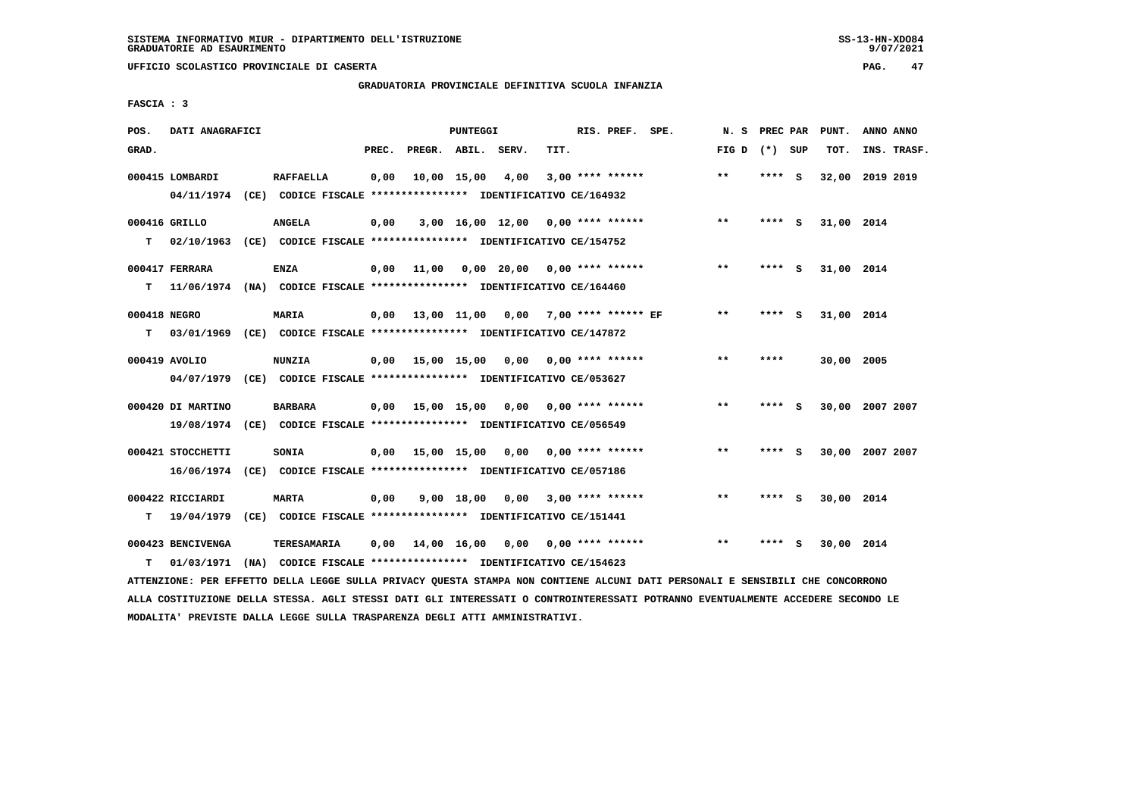# **GRADUATORIA PROVINCIALE DEFINITIVA SCUOLA INFANZIA**

 **FASCIA : 3**

| POS.         | DATI ANAGRAFICI   |                                                                                             |       |                                          | PUNTEGGI           |                                     |      | RIS. PREF. SPE.         | N. S            | PREC PAR |     | PUNT.      | ANNO ANNO       |
|--------------|-------------------|---------------------------------------------------------------------------------------------|-------|------------------------------------------|--------------------|-------------------------------------|------|-------------------------|-----------------|----------|-----|------------|-----------------|
| GRAD.        |                   |                                                                                             | PREC. |                                          | PREGR. ABIL. SERV. |                                     | TIT. |                         | FIG D $(*)$ SUP |          |     | TOT.       | INS. TRASF.     |
|              | 000415 LOMBARDI   | <b>RAFFAELLA</b><br>04/11/1974 (CE) CODICE FISCALE *************** IDENTIFICATIVO CE/164932 | 0,00  |                                          | 10,00 15,00        | 4,00                                |      | $3,00$ **** ******      | $**$            | **** S   |     | 32,00      | 2019 2019       |
|              |                   |                                                                                             |       |                                          |                    |                                     |      |                         |                 |          |     |            |                 |
|              | 000416 GRILLO     | <b>ANGELA</b>                                                                               | 0,00  |                                          |                    | $3,00$ 16,00 12,00 0,00 **** ****** |      |                         | $***$           | **** S   |     | 31,00 2014 |                 |
| T.           |                   | 02/10/1963 (CE) CODICE FISCALE **************** IDENTIFICATIVO CE/154752                    |       |                                          |                    |                                     |      |                         |                 |          |     |            |                 |
|              | 000417 FERRARA    | ENZA                                                                                        | 0,00  | 11,00                                    |                    | $0,00$ 20,00 0,00 **** ******       |      |                         | $* *$           | **** S   |     | 31,00 2014 |                 |
| т            |                   | 11/06/1974 (NA) CODICE FISCALE **************** IDENTIFICATIVO CE/164460                    |       |                                          |                    |                                     |      |                         |                 |          |     |            |                 |
| 000418 NEGRO |                   | MARIA                                                                                       | 0,00  | 13,00 11,00 0,00 7,00 **** ****** EF     |                    |                                     |      |                         | $***$           | **** S   |     | 31,00 2014 |                 |
| т            |                   | 03/01/1969 (CE) CODICE FISCALE **************** IDENTIFICATIVO CE/147872                    |       |                                          |                    |                                     |      |                         |                 |          |     |            |                 |
|              | 000419 AVOLIO     | <b>NUNZIA</b>                                                                               |       | $0,00$ 15,00 15,00 0,00                  |                    |                                     |      | $0.00$ **** ******      | $***$           | ****     |     | 30,00 2005 |                 |
|              |                   | 04/07/1979 (CE) CODICE FISCALE *************** IDENTIFICATIVO CE/053627                     |       |                                          |                    |                                     |      |                         |                 |          |     |            |                 |
|              |                   |                                                                                             |       |                                          |                    |                                     |      |                         |                 |          |     |            |                 |
|              | 000420 DI MARTINO | <b>BARBARA</b>                                                                              |       | $0,00$ 15,00 15,00 0,00 0,00 **** ****** |                    |                                     |      |                         | $***$           | **** S   |     |            | 30,00 2007 2007 |
|              |                   | 19/08/1974 (CE) CODICE FISCALE *************** IDENTIFICATIVO CE/056549                     |       |                                          |                    |                                     |      |                         |                 |          |     |            |                 |
|              | 000421 STOCCHETTI | SONIA                                                                                       |       | $0,00$ 15,00 15,00 0,00 0,00 **** ****** |                    |                                     |      |                         | $***$           | **** S   |     |            | 30,00 2007 2007 |
|              |                   | 16/06/1974 (CE) CODICE FISCALE *************** IDENTIFICATIVO CE/057186                     |       |                                          |                    |                                     |      |                         |                 |          |     |            |                 |
|              | 000422 RICCIARDI  | <b>MARTA</b>                                                                                | 0,00  |                                          | 9,00 18,00         |                                     |      | $0,00$ 3,00 **** ****** | **              | **** S   |     | 30,00 2014 |                 |
| т            | 19/04/1979        | (CE) CODICE FISCALE *************** IDENTIFICATIVO CE/151441                                |       |                                          |                    |                                     |      |                         |                 |          |     |            |                 |
|              | 000423 BENCIVENGA | TERESAMARIA                                                                                 | 0,00  |                                          |                    | 14,00 16,00 0,00                    |      | $0.00$ **** ******      | $***$           | ****     | - S | 30,00 2014 |                 |
| т            |                   | 01/03/1971 (NA) CODICE FISCALE **************** IDENTIFICATIVO CE/154623                    |       |                                          |                    |                                     |      |                         |                 |          |     |            |                 |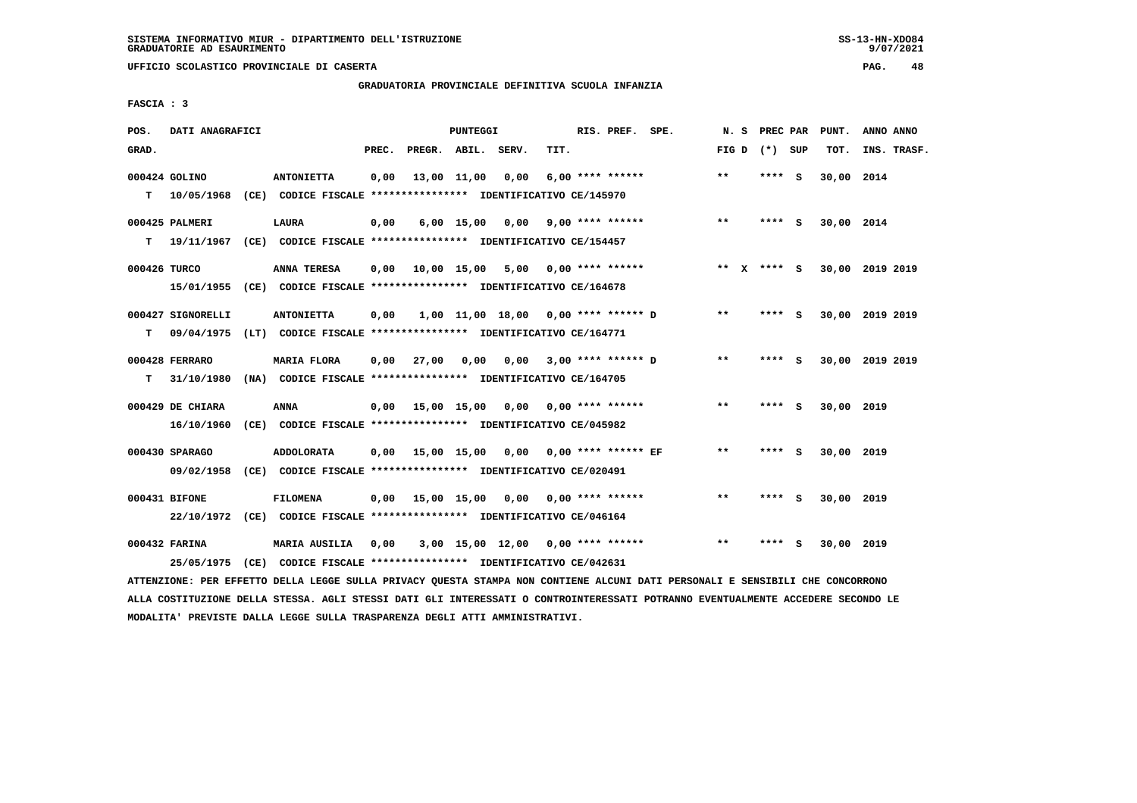**UFFICIO SCOLASTICO PROVINCIALE DI CASERTA PAG. 48**

## **GRADUATORIA PROVINCIALE DEFINITIVA SCUOLA INFANZIA**

 **FASCIA : 3**

| POS.         | DATI ANAGRAFICI                 |                                                                                            |       |                    | <b>PUNTEGGI</b> |                                          |      | RIS. PREF. SPE.         | N.S         | PREC PAR |     | PUNT.      | ANNO ANNO       |
|--------------|---------------------------------|--------------------------------------------------------------------------------------------|-------|--------------------|-----------------|------------------------------------------|------|-------------------------|-------------|----------|-----|------------|-----------------|
| GRAD.        |                                 |                                                                                            | PREC. | PREGR. ABIL. SERV. |                 |                                          | TIT. |                         | FIG D       | (*) SUP  |     | TOT.       | INS. TRASF.     |
| т            | 000424 GOLINO<br>10/05/1968     | <b>ANTONIETTA</b><br>(CE) CODICE FISCALE **************** IDENTIFICATIVO CE/145970         | 0,00  |                    | 13,00 11,00     | 0,00                                     |      | $6,00$ **** ******      | **          | **** S   |     | 30,00 2014 |                 |
| т            | 000425 PALMERI<br>19/11/1967    | <b>LAURA</b><br>(CE) CODICE FISCALE **************** IDENTIFICATIVO CE/154457              | 0,00  |                    |                 | $6,00$ 15,00 0,00                        |      | 9,00 **** ******        | $***$       | **** S   |     | 30,00 2014 |                 |
| 000426 TURCO | 15/01/1955                      | ANNA TERESA<br>(CE) CODICE FISCALE **************** IDENTIFICATIVO CE/164678               | 0,00  | 10,00 15,00        |                 |                                          |      | $5,00$ 0,00 **** ****** | ** x **** S |          |     |            | 30,00 2019 2019 |
| т            | 000427 SIGNORELLI<br>09/04/1975 | <b>ANTONIETTA</b><br>(LT) CODICE FISCALE *************** IDENTIFICATIVO CE/164771          | 0,00  |                    |                 | 1,00 11,00 18,00 0,00 **** ****** D      |      |                         | $* *$       | ****     | - S |            | 30,00 2019 2019 |
| т            | 000428 FERRARO<br>31/10/1980    | MARIA FLORA<br>(NA) CODICE FISCALE **************** IDENTIFICATIVO CE/164705               | 0,00  | 27,00              | 0,00            |                                          |      | 0,00 3,00 **** ****** D | $***$       | **** S   |     |            | 30,00 2019 2019 |
|              | 000429 DE CHIARA<br>16/10/1960  | ANNA<br>(CE) CODICE FISCALE **************** IDENTIFICATIVO CE/045982                      |       |                    |                 | $0,00$ 15,00 15,00 0,00 0,00 **** ****** |      |                         | $***$       | ****     | - S | 30,00 2019 |                 |
|              | 000430 SPARAGO<br>09/02/1958    | <b>ADDOLORATA</b><br>(CE) CODICE FISCALE **************** IDENTIFICATIVO CE/020491         | 0,00  |                    |                 | 15,00 15,00 0,00 0,00 **** ****** EF     |      |                         | $* *$       | ****     | - 5 | 30,00 2019 |                 |
|              | 000431 BIFONE                   | <b>FILOMENA</b><br>22/10/1972 (CE) CODICE FISCALE *************** IDENTIFICATIVO CE/046164 | 0,00  | 15,00 15,00 0,00   |                 |                                          |      | 0,00 **** ******        | $**$        | **** S   |     | 30,00 2019 |                 |
|              | 000432 FARINA<br>25/05/1975     | <b>MARIA AUSILIA</b><br>(CE) CODICE FISCALE **************** IDENTIFICATIVO CE/042631      | 0,00  |                    |                 | $3,00$ 15,00 12,00 0,00 **** ******      |      |                         | $* *$       | ****     | - S | 30,00 2019 |                 |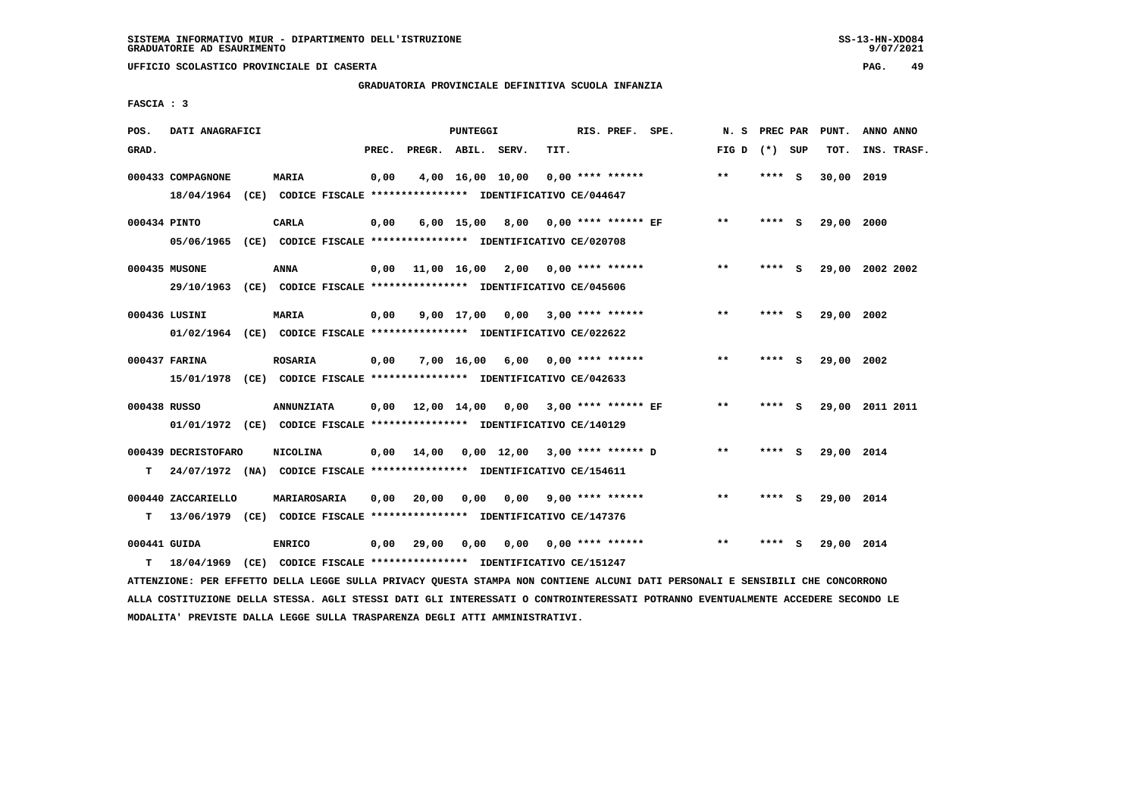# **GRADUATORIA PROVINCIALE DEFINITIVA SCUOLA INFANZIA**

 **FASCIA : 3**

| POS.         | DATI ANAGRAFICI     |                                                                          |       |                    | PUNTEGGI   |                                      |      | RIS. PREF. SPE.         | N. S            | PREC PAR |     | PUNT.      | ANNO ANNO       |
|--------------|---------------------|--------------------------------------------------------------------------|-------|--------------------|------------|--------------------------------------|------|-------------------------|-----------------|----------|-----|------------|-----------------|
| GRAD.        |                     |                                                                          | PREC. | PREGR. ABIL. SERV. |            |                                      | TIT. |                         | FIG D $(*)$ SUP |          |     | TOT.       | INS. TRASF.     |
|              | 000433 COMPAGNONE   | <b>MARIA</b>                                                             | 0,00  |                    |            | 4,00 16,00 10,00                     |      | $0.00$ **** ******      | $***$           | **** S   |     | 30,00 2019 |                 |
|              |                     | 18/04/1964 (CE) CODICE FISCALE *************** IDENTIFICATIVO CE/044647  |       |                    |            |                                      |      |                         |                 |          |     |            |                 |
| 000434 PINTO |                     | <b>CARLA</b>                                                             | 0,00  |                    |            | 6,00 15,00 8,00 0,00 **** ****** EF  |      |                         | $**$            | $***$ S  |     | 29,00 2000 |                 |
|              |                     | 05/06/1965 (CE) CODICE FISCALE *************** IDENTIFICATIVO CE/020708  |       |                    |            |                                      |      |                         |                 |          |     |            |                 |
|              | 000435 MUSONE       | <b>ANNA</b>                                                              | 0,00  |                    |            | 11,00 16,00 2,00 0,00 **** ******    |      |                         | $***$           | **** S   |     |            | 29,00 2002 2002 |
|              |                     | 29/10/1963 (CE) CODICE FISCALE *************** IDENTIFICATIVO CE/045606  |       |                    |            |                                      |      |                         |                 |          |     |            |                 |
|              | 000436 LUSINI       | <b>MARIA</b>                                                             | 0,00  |                    | 9,00 17,00 |                                      |      | $0,00$ 3,00 **** ****** | $***$           | **** S   |     | 29,00 2002 |                 |
|              |                     | 01/02/1964 (CE) CODICE FISCALE *************** IDENTIFICATIVO CE/022622  |       |                    |            |                                      |      |                         |                 |          |     |            |                 |
|              | 000437 FARINA       | <b>ROSARIA</b>                                                           | 0,00  |                    | 7,00 16,00 | 6,00                                 |      | $0.00$ **** ******      | $**$            | ****     | - S | 29,00 2002 |                 |
|              |                     | 15/01/1978 (CE) CODICE FISCALE *************** IDENTIFICATIVO CE/042633  |       |                    |            |                                      |      |                         |                 |          |     |            |                 |
| 000438 RUSSO |                     | <b>ANNUNZIATA</b>                                                        | 0,00  |                    |            | 12,00 14,00 0,00 3,00 **** ****** EF |      |                         | $\star\star$    | **** S   |     |            | 29,00 2011 2011 |
|              |                     | 01/01/1972 (CE) CODICE FISCALE *************** IDENTIFICATIVO CE/140129  |       |                    |            |                                      |      |                         |                 |          |     |            |                 |
|              | 000439 DECRISTOFARO | NICOLINA                                                                 | 0,00  | 14,00              |            | $0,00$ 12,00 3,00 **** ****** D      |      |                         | $***$           | **** S   |     | 29,00 2014 |                 |
| т            |                     | 24/07/1972 (NA) CODICE FISCALE **************** IDENTIFICATIVO CE/154611 |       |                    |            |                                      |      |                         |                 |          |     |            |                 |
|              | 000440 ZACCARIELLO  | MARIAROSARIA                                                             | 0,00  | 20,00              | 0,00       |                                      |      | $0.00$ 9.00 **** ****** | $* *$           | ****     | - S | 29,00 2014 |                 |
| т            |                     | 13/06/1979 (CE) CODICE FISCALE **************** IDENTIFICATIVO CE/147376 |       |                    |            |                                      |      |                         |                 |          |     |            |                 |
| 000441 GUIDA |                     | <b>ENRICO</b>                                                            | 0,00  | 29,00              | 0,00       | 0,00                                 |      | 0,00 **** ******        | $* *$           | ****     | s   | 29,00 2014 |                 |
| т            |                     | 18/04/1969 (CE) CODICE FISCALE *************** IDENTIFICATIVO CE/151247  |       |                    |            |                                      |      |                         |                 |          |     |            |                 |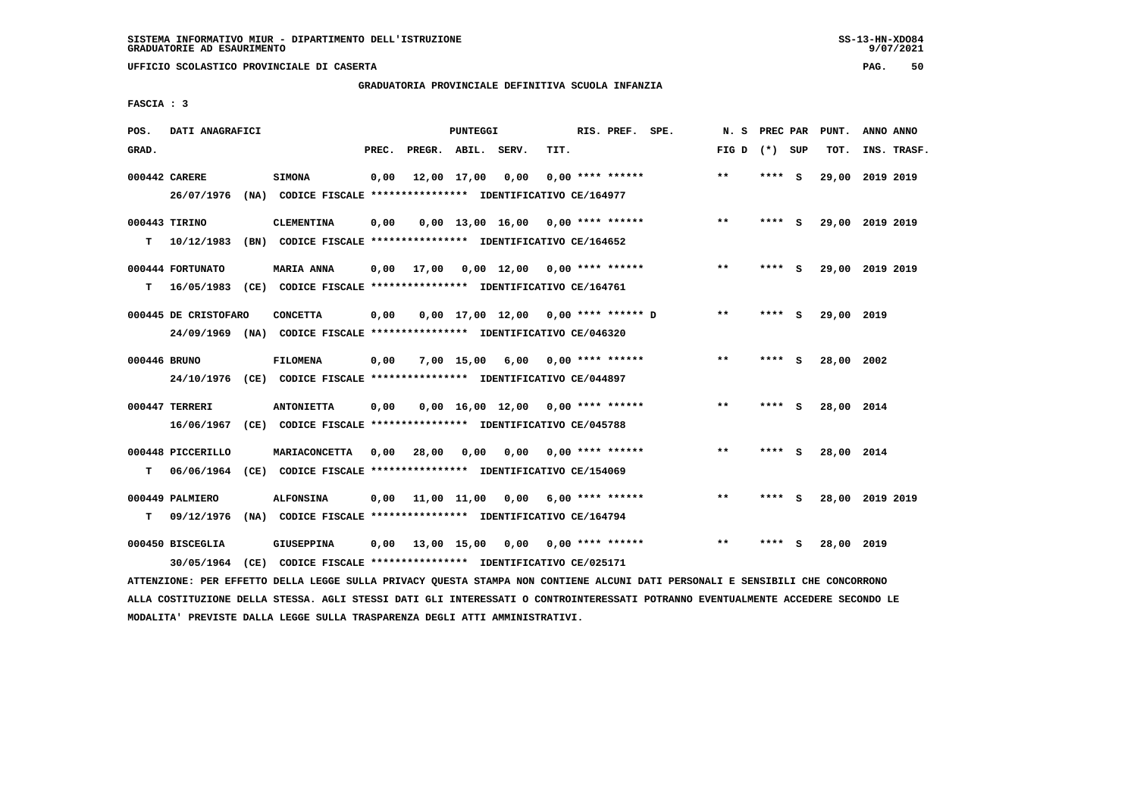## **GRADUATORIA PROVINCIALE DEFINITIVA SCUOLA INFANZIA**

 **FASCIA : 3**

| POS.         | DATI ANAGRAFICI                 |      |                                                                                            |       |                    | PUNTEGGI    |                                                   |      | RIS. PREF. SPE.         | N.S             | PREC PAR |     | PUNT.      | ANNO ANNO       |
|--------------|---------------------------------|------|--------------------------------------------------------------------------------------------|-------|--------------------|-------------|---------------------------------------------------|------|-------------------------|-----------------|----------|-----|------------|-----------------|
| GRAD.        |                                 |      |                                                                                            | PREC. | PREGR. ABIL. SERV. |             |                                                   | TIT. |                         | FIG D $(*)$ SUP |          |     | TOT.       | INS. TRASF.     |
|              | 000442 CARERE<br>26/07/1976     |      | <b>SIMONA</b><br>(NA) CODICE FISCALE **************** IDENTIFICATIVO CE/164977             | 0,00  |                    | 12,00 17,00 | 0,00                                              |      | $0.00$ **** ******      | **              | **** S   |     | 29,00      | 2019 2019       |
| т            | 000443 TIRINO<br>10/12/1983     |      | <b>CLEMENTINA</b><br>(BN) CODICE FISCALE **************** IDENTIFICATIVO CE/164652         | 0,00  |                    |             | $0,00$ 13,00 16,00 0,00 **** ******               |      |                         | $**$            | ****     | - S |            | 29,00 2019 2019 |
| т            | 000444 FORTUNATO<br>16/05/1983  |      | <b>MARIA ANNA</b><br>(CE) CODICE FISCALE **************** IDENTIFICATIVO CE/164761         | 0.00  | 17,00              |             | $0.00 \quad 12.00 \quad 0.00 \quad *** \quad ***$ |      |                         | $**$            | **** S   |     |            | 29,00 2019 2019 |
|              | 000445 DE CRISTOFARO            |      | <b>CONCETTA</b><br>24/09/1969 (NA) CODICE FISCALE *************** IDENTIFICATIVO CE/046320 | 0,00  |                    |             | $0.00$ 17.00 12.00 0.00 **** ****** D             |      |                         | $***$           | ****     | - 5 | 29,00 2019 |                 |
| 000446 BRUNO | 24/10/1976                      |      | FILOMENA<br>(CE) CODICE FISCALE **************** IDENTIFICATIVO CE/044897                  | 0,00  |                    | 7,00 15,00  |                                                   |      | $6,00$ 0,00 **** ****** | $***$           | **** S   |     | 28,00 2002 |                 |
|              | 000447 TERRERI<br>16/06/1967    |      | <b>ANTONIETTA</b><br>(CE) CODICE FISCALE **************** IDENTIFICATIVO CE/045788         | 0,00  |                    |             | $0.00$ 16.00 12.00 0.00 **** ******               |      |                         | $* *$           | **** S   |     | 28,00 2014 |                 |
| т            | 000448 PICCERILLO<br>06/06/1964 |      | <b>MARIACONCETTA</b><br>(CE) CODICE FISCALE **************** IDENTIFICATIVO CE/154069      | 0,00  | 28,00              | 0,00        | 0,00                                              |      | 0,00 **** ******        | $* *$           | **** S   |     | 28,00 2014 |                 |
| т            | 000449 PALMIERO<br>09/12/1976   |      | <b>ALFONSINA</b><br>(NA) CODICE FISCALE **************** IDENTIFICATIVO CE/164794          | 0.00  |                    |             | 11,00 11,00 0,00 6,00 **** ******                 |      |                         | $* *$           | **** S   |     |            | 28,00 2019 2019 |
|              | 000450 BISCEGLIA<br>30/05/1964  | (CE) | <b>GIUSEPPINA</b><br>CODICE FISCALE **************** IDENTIFICATIVO CE/025171              | 0,00  |                    |             | $13,00$ $15,00$ $0,00$ $0,00$ $***$ **** ******   |      |                         | $**$            |          | S.  | 28,00 2019 |                 |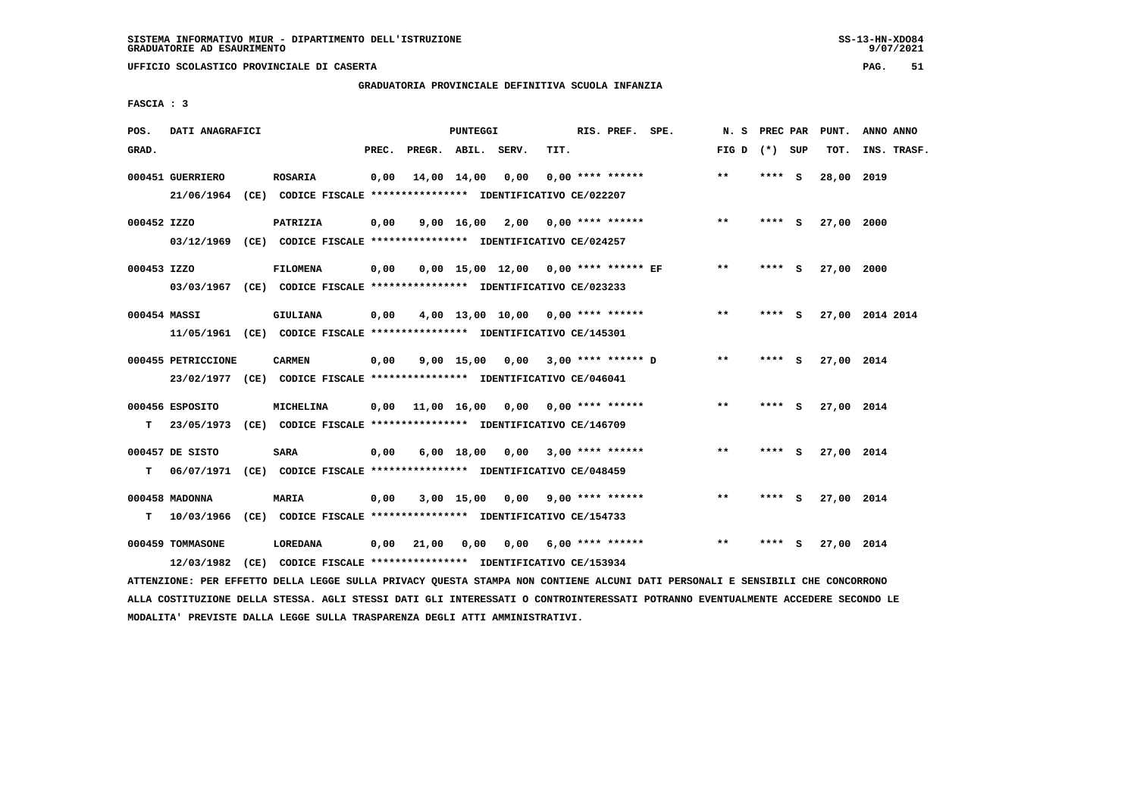# **GRADUATORIA PROVINCIALE DEFINITIVA SCUOLA INFANZIA**

 **FASCIA : 3**

| POS.         | DATI ANAGRAFICI    |                                                                                      |       |                    | PUNTEGGI |                                          |      | RIS. PREF. SPE.         | N.S             | PREC PAR | PUNT.      | ANNO ANNO       |
|--------------|--------------------|--------------------------------------------------------------------------------------|-------|--------------------|----------|------------------------------------------|------|-------------------------|-----------------|----------|------------|-----------------|
| GRAD.        |                    |                                                                                      | PREC. | PREGR. ABIL. SERV. |          |                                          | TIT. |                         | FIG D $(*)$ SUP |          | TOT.       | INS. TRASF.     |
|              | 000451 GUERRIERO   | ROSARIA<br>21/06/1964 (CE) CODICE FISCALE *************** IDENTIFICATIVO CE/022207   | 0,00  | 14,00 14,00        |          | 0,00                                     |      | $0.00$ **** ******      | $***$           | **** S   | 28,00 2019 |                 |
|              |                    |                                                                                      |       |                    |          |                                          |      |                         |                 |          |            |                 |
| 000452 IZZO  |                    | PATRIZIA                                                                             | 0,00  |                    |          | 9,00 16,00 2,00 0,00 **** ******         |      |                         | $**$            | $***$ S  | 27,00 2000 |                 |
|              |                    | 03/12/1969 (CE) CODICE FISCALE *************** IDENTIFICATIVO CE/024257              |       |                    |          |                                          |      |                         |                 |          |            |                 |
| 000453 IZZO  |                    | <b>FILOMENA</b>                                                                      | 0,00  |                    |          | 0,00 15,00 12,00 0,00 **** ****** EF     |      |                         | $***$           | **** S   | 27,00 2000 |                 |
|              |                    | 03/03/1967 (CE) CODICE FISCALE *************** IDENTIFICATIVO CE/023233              |       |                    |          |                                          |      |                         |                 |          |            |                 |
| 000454 MASSI |                    | <b>GIULIANA</b>                                                                      | 0,00  |                    |          | $4,00$ 13,00 10,00 0,00 **** ******      |      |                         | $***$           | **** S   |            | 27,00 2014 2014 |
|              |                    | 11/05/1961 (CE) CODICE FISCALE *************** IDENTIFICATIVO CE/145301              |       |                    |          |                                          |      |                         |                 |          |            |                 |
|              | 000455 PETRICCIONE | <b>CARMEN</b>                                                                        | 0,00  |                    |          | 9,00 15,00 0,00 3,00 **** ****** D       |      |                         | $* *$           | **** S   | 27,00 2014 |                 |
|              |                    | 23/02/1977 (CE) CODICE FISCALE *************** IDENTIFICATIVO CE/046041              |       |                    |          |                                          |      |                         |                 |          |            |                 |
|              |                    |                                                                                      |       |                    |          |                                          |      |                         | **              |          |            |                 |
| т            | 000456 ESPOSITO    | MICHELINA<br>23/05/1973 (CE) CODICE FISCALE *************** IDENTIFICATIVO CE/146709 |       |                    |          | $0.00$ 11.00 16.00 0.00 0.00 **** ****** |      |                         |                 | **** S   | 27,00 2014 |                 |
|              |                    |                                                                                      |       |                    |          |                                          |      |                         |                 |          |            |                 |
|              | 000457 DE SISTO    | <b>SARA</b>                                                                          | 0,00  |                    |          | $6,00$ 18,00 0,00 3,00 **** ******       |      |                         | $***$           | **** S   | 27,00 2014 |                 |
| т            |                    | 06/07/1971 (CE) CODICE FISCALE **************** IDENTIFICATIVO CE/048459             |       |                    |          |                                          |      |                         |                 |          |            |                 |
|              | 000458 MADONNA     | MARIA                                                                                | 0,00  |                    |          | $3,00$ 15,00 0,00 9,00 **** ******       |      |                         | $* *$           | **** S   | 27,00 2014 |                 |
|              | T 10/03/1966       | (CE) CODICE FISCALE **************** IDENTIFICATIVO CE/154733                        |       |                    |          |                                          |      |                         |                 |          |            |                 |
|              | 000459 TOMMASONE   | <b>LOREDANA</b>                                                                      | 0,00  | 21,00              | 0,00     |                                          |      | $0,00$ 6,00 **** ****** | $**$            | **** S   | 27,00 2014 |                 |
|              | 12/03/1982         | (CE) CODICE FISCALE *************** IDENTIFICATIVO CE/153934                         |       |                    |          |                                          |      |                         |                 |          |            |                 |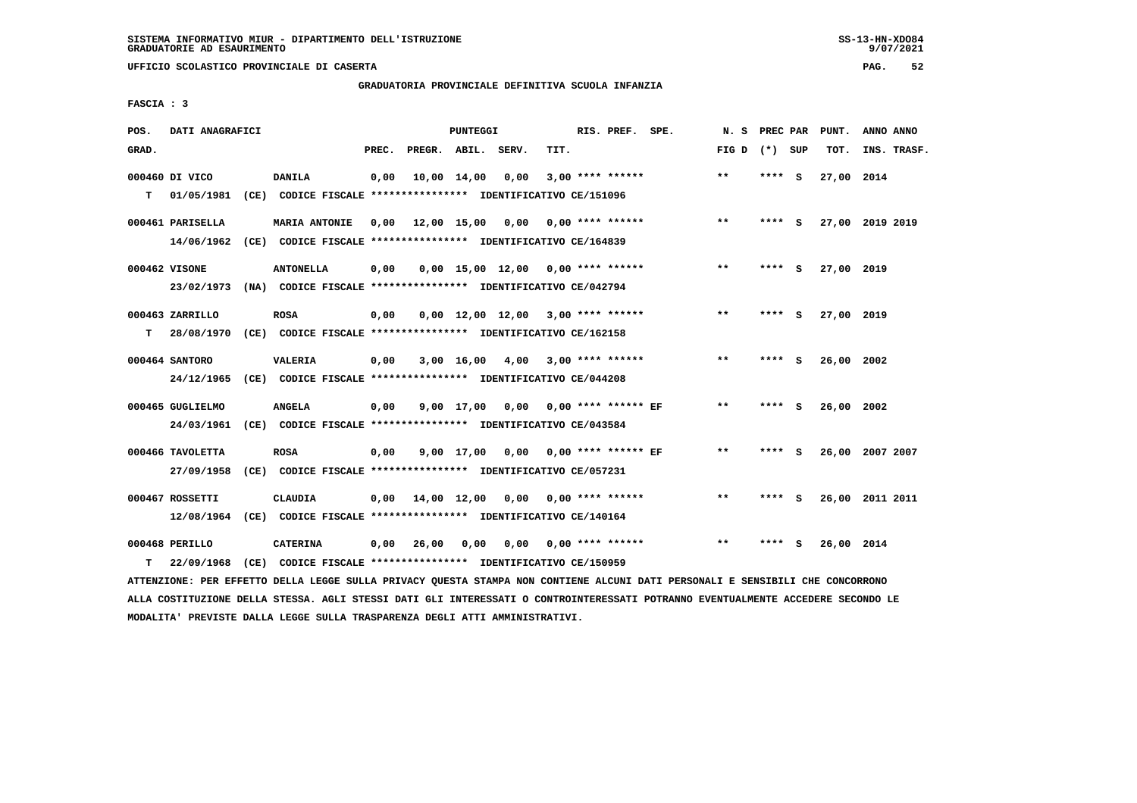**UFFICIO SCOLASTICO PROVINCIALE DI CASERTA PAG. 52**

#### **GRADUATORIA PROVINCIALE DEFINITIVA SCUOLA INFANZIA**

 **FASCIA : 3**

| POS.  | DATI ANAGRAFICI  |                                                                                                                               |       |                    | PUNTEGGI |                                     |      | RIS. PREF. SPE.           | N. S            | PREC PAR | PUNT.           | ANNO ANNO   |  |
|-------|------------------|-------------------------------------------------------------------------------------------------------------------------------|-------|--------------------|----------|-------------------------------------|------|---------------------------|-----------------|----------|-----------------|-------------|--|
| GRAD. |                  |                                                                                                                               | PREC. | PREGR. ABIL. SERV. |          |                                     | TIT. |                           | FIG D $(*)$ SUP |          | TOT.            | INS. TRASF. |  |
|       | 000460 DI VICO   | <b>DANILA</b>                                                                                                                 | 0,00  |                    |          | 10,00 14,00 0,00                    |      | $3,00$ **** ******        | **              | $***$ S  | 27,00 2014      |             |  |
| т     | 01/05/1981       | (CE) CODICE FISCALE **************** IDENTIFICATIVO CE/151096                                                                 |       |                    |          |                                     |      |                           |                 |          |                 |             |  |
|       | 000461 PARISELLA | MARIA ANTONIE                                                                                                                 | 0,00  |                    |          | 12,00 15,00 0,00 0,00 **** ******   |      |                           | $***$           | **** S   | 27,00 2019 2019 |             |  |
|       |                  | 14/06/1962 (CE) CODICE FISCALE *************** IDENTIFICATIVO CE/164839                                                       |       |                    |          |                                     |      |                           |                 |          |                 |             |  |
|       |                  |                                                                                                                               |       |                    |          |                                     |      |                           |                 |          |                 |             |  |
|       | 000462 VISONE    | <b>ANTONELLA</b>                                                                                                              | 0,00  |                    |          | $0,00$ 15,00 12,00 0,00 **** ****** |      |                           | **              | **** S   | 27,00 2019      |             |  |
|       | 23/02/1973       | (NA) CODICE FISCALE *************** IDENTIFICATIVO CE/042794                                                                  |       |                    |          |                                     |      |                           |                 |          |                 |             |  |
|       | 000463 ZARRILLO  | <b>ROSA</b>                                                                                                                   | 0,00  |                    |          | $0.00$ 12.00 12.00 3.00 **** ****** |      |                           | $**$            | **** S   | 27,00 2019      |             |  |
| т     | 28/08/1970       | (CE) CODICE FISCALE *************** IDENTIFICATIVO CE/162158                                                                  |       |                    |          |                                     |      |                           |                 |          |                 |             |  |
|       | 000464 SANTORO   | <b>VALERIA</b>                                                                                                                | 0,00  |                    |          | $3,00$ 16,00 4,00 3,00 **** ******  |      |                           | $***$           | **** S   | 26,00 2002      |             |  |
|       | 24/12/1965       | (CE) CODICE FISCALE **************** IDENTIFICATIVO CE/044208                                                                 |       |                    |          |                                     |      |                           |                 |          |                 |             |  |
|       |                  |                                                                                                                               |       |                    |          |                                     |      |                           |                 |          |                 |             |  |
|       | 000465 GUGLIELMO | <b>ANGELA</b>                                                                                                                 | 0,00  |                    |          | 9,00 17,00 0,00 0,00 **** ****** EF |      |                           | $***$           | **** S   | 26,00 2002      |             |  |
|       | 24/03/1961       | (CE) CODICE FISCALE **************** IDENTIFICATIVO CE/043584                                                                 |       |                    |          |                                     |      |                           |                 |          |                 |             |  |
|       | 000466 TAVOLETTA | <b>ROSA</b>                                                                                                                   | 0,00  |                    |          | 9,00 17,00 0,00 0,00 **** ****** EF |      |                           | $* *$           | **** S   | 26,00 2007 2007 |             |  |
|       | 27/09/1958       | (CE) CODICE FISCALE **************** IDENTIFICATIVO CE/057231                                                                 |       |                    |          |                                     |      |                           |                 |          |                 |             |  |
|       |                  |                                                                                                                               |       |                    |          |                                     |      |                           |                 |          |                 |             |  |
|       | 000467 ROSSETTI  | <b>CLAUDIA</b>                                                                                                                | 0,00  |                    |          | 14,00 12,00 0,00 0,00 **** ******   |      |                           | $* *$           | **** S   | 26,00 2011 2011 |             |  |
|       |                  | 12/08/1964 (CE) CODICE FISCALE *************** IDENTIFICATIVO CE/140164                                                       |       |                    |          |                                     |      |                           |                 |          |                 |             |  |
|       | 000468 PERILLO   | <b>CATERINA</b>                                                                                                               | 0,00  | 26,00              | 0,00     |                                     |      | $0,00$ $0,00$ **** ****** | $* *$           | **** S   | 26,00 2014      |             |  |
| т     | 22/09/1968       | (CE) CODICE FISCALE **************** IDENTIFICATIVO CE/150959                                                                 |       |                    |          |                                     |      |                           |                 |          |                 |             |  |
|       |                  | ATTENZIONE: PER EFFETTO DELLA LEGGE SULLA PRIVACY QUESTA STAMPA NON CONTIENE ALCUNI DATI PERSONALI E SENSIBILI CHE CONCORRONO |       |                    |          |                                     |      |                           |                 |          |                 |             |  |

 **ALLA COSTITUZIONE DELLA STESSA. AGLI STESSI DATI GLI INTERESSATI O CONTROINTERESSATI POTRANNO EVENTUALMENTE ACCEDERE SECONDO LE MODALITA' PREVISTE DALLA LEGGE SULLA TRASPARENZA DEGLI ATTI AMMINISTRATIVI.**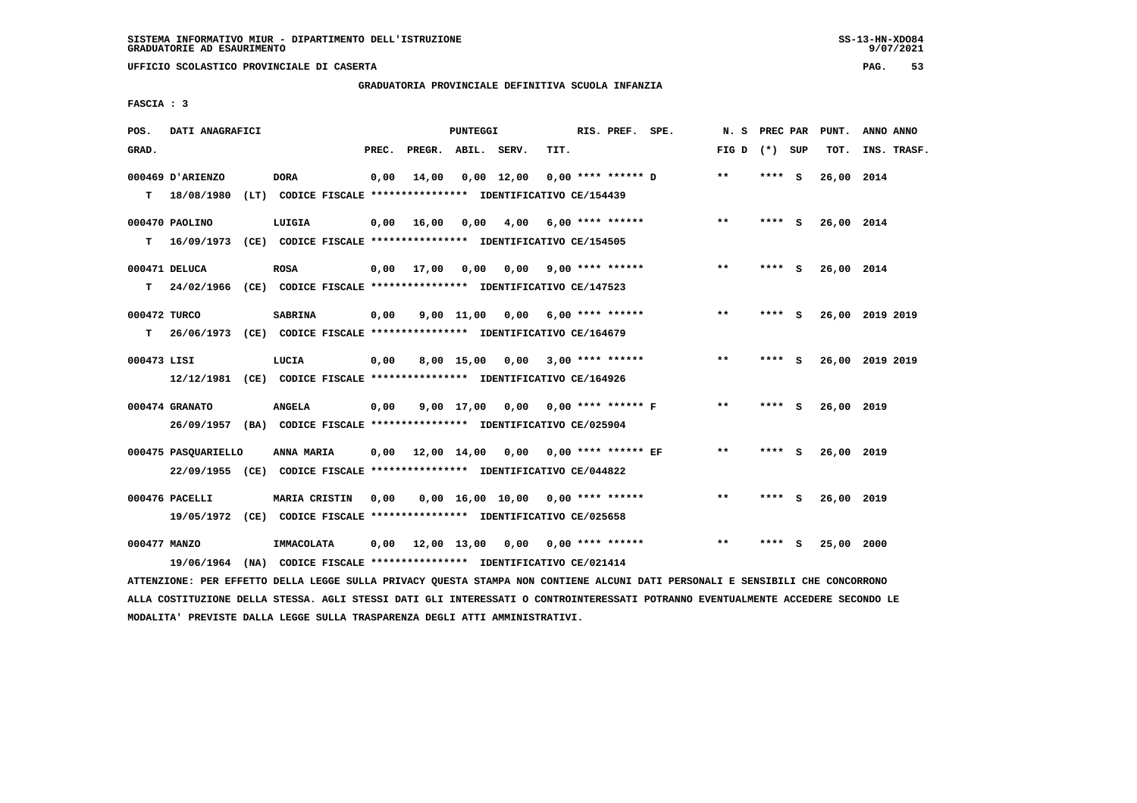**UFFICIO SCOLASTICO PROVINCIALE DI CASERTA PAG. 53**

# **GRADUATORIA PROVINCIALE DEFINITIVA SCUOLA INFANZIA**

 **FASCIA : 3**

| POS.         | DATI ANAGRAFICI                                                           |                                                               |       |                    | PUNTEGGI |                                             |      | RIS. PREF. SPE.         |                    | N. S            | <b>PREC PAR</b> |     | PUNT.      | ANNO ANNO       |
|--------------|---------------------------------------------------------------------------|---------------------------------------------------------------|-------|--------------------|----------|---------------------------------------------|------|-------------------------|--------------------|-----------------|-----------------|-----|------------|-----------------|
| GRAD.        |                                                                           |                                                               | PREC. | PREGR. ABIL. SERV. |          |                                             | TIT. |                         |                    | FIG D $(*)$ SUP |                 |     | TOT.       | INS. TRASF.     |
|              | 000469 D'ARIENZO                                                          | <b>DORA</b>                                                   | 0,00  | 14,00              |          | $0,00$ 12,00                                |      | $0.00$ **** ****** D    |                    | $* *$           | **** S          |     | 26,00 2014 |                 |
|              | $T = 18/08/1980$                                                          | (LT) CODICE FISCALE **************** IDENTIFICATIVO CE/154439 |       |                    |          |                                             |      |                         |                    |                 |                 |     |            |                 |
|              | 000470 PAOLINO                                                            | LUIGIA                                                        | 0,00  | 16,00              | 0,00     | 4,00 6,00 **** ******                       |      |                         |                    | $***$           | **** S          |     | 26,00 2014 |                 |
|              | T 16/09/1973 (CE) CODICE FISCALE *************** IDENTIFICATIVO CE/154505 |                                                               |       |                    |          |                                             |      |                         |                    |                 |                 |     |            |                 |
|              | 000471 DELUCA                                                             | <b>ROSA</b>                                                   | 0,00  | 17,00              | 0,00     |                                             |      | $0.00$ 9.00 **** ****** |                    | $***$           | **** S          |     | 26,00 2014 |                 |
| т            | 24/02/1966 (CE) CODICE FISCALE **************** IDENTIFICATIVO CE/147523  |                                                               |       |                    |          |                                             |      |                         |                    |                 |                 |     |            |                 |
| 000472 TURCO |                                                                           | <b>SABRINA</b>                                                | 0,00  |                    |          | 9,00 11,00 0,00                             |      | 6,00 **** ******        |                    | $***$           | **** S          |     |            | 26,00 2019 2019 |
| т            | 26/06/1973 (CE) CODICE FISCALE **************** IDENTIFICATIVO CE/164679  |                                                               |       |                    |          |                                             |      |                         |                    |                 |                 |     |            |                 |
| 000473 LISI  |                                                                           | LUCIA                                                         | 0,00  |                    |          | 8,00 15,00 0,00                             |      |                         | $3,00$ **** ****** | $***$           | **** S          |     |            | 26,00 2019 2019 |
|              | 12/12/1981 (CE) CODICE FISCALE *************** IDENTIFICATIVO CE/164926   |                                                               |       |                    |          |                                             |      |                         |                    |                 |                 |     |            |                 |
|              | 000474 GRANATO                                                            | <b>ANGELA</b>                                                 | 0,00  |                    |          | 9,00 17,00 0,00 0,00 **** ****** F          |      |                         |                    | $\star\star$    | **** S          |     | 26,00 2019 |                 |
|              | 26/09/1957 (BA) CODICE FISCALE *************** IDENTIFICATIVO CE/025904   |                                                               |       |                    |          |                                             |      |                         |                    |                 |                 |     |            |                 |
|              | 000475 PASQUARIELLO                                                       | <b>ANNA MARIA</b>                                             |       |                    |          | $0,00$ 12,00 14,00 0,00 0,00 **** ****** EF |      |                         |                    | $* *$           | **** S          |     | 26,00 2019 |                 |
|              | 22/09/1955 (CE) CODICE FISCALE *************** IDENTIFICATIVO CE/044822   |                                                               |       |                    |          |                                             |      |                         |                    |                 |                 |     |            |                 |
|              | 000476 PACELLI                                                            | <b>MARIA CRISTIN</b>                                          | 0,00  |                    |          | 0,00 16,00 10,00 0,00 **** ******           |      |                         |                    | $* *$           | **** S          |     | 26,00 2019 |                 |
|              | 19/05/1972 (CE) CODICE FISCALE *************** IDENTIFICATIVO CE/025658   |                                                               |       |                    |          |                                             |      |                         |                    |                 |                 |     |            |                 |
| 000477 MANZO |                                                                           | IMMACOLATA                                                    | 0,00  |                    |          | 12,00 13,00 0,00                            |      | 0,00 **** ******        |                    | $\star\star$    | ****            | - 5 | 25,00 2000 |                 |
|              | 19/06/1964 (NA) CODICE FISCALE *************** IDENTIFICATIVO CE/021414   |                                                               |       |                    |          |                                             |      |                         |                    |                 |                 |     |            |                 |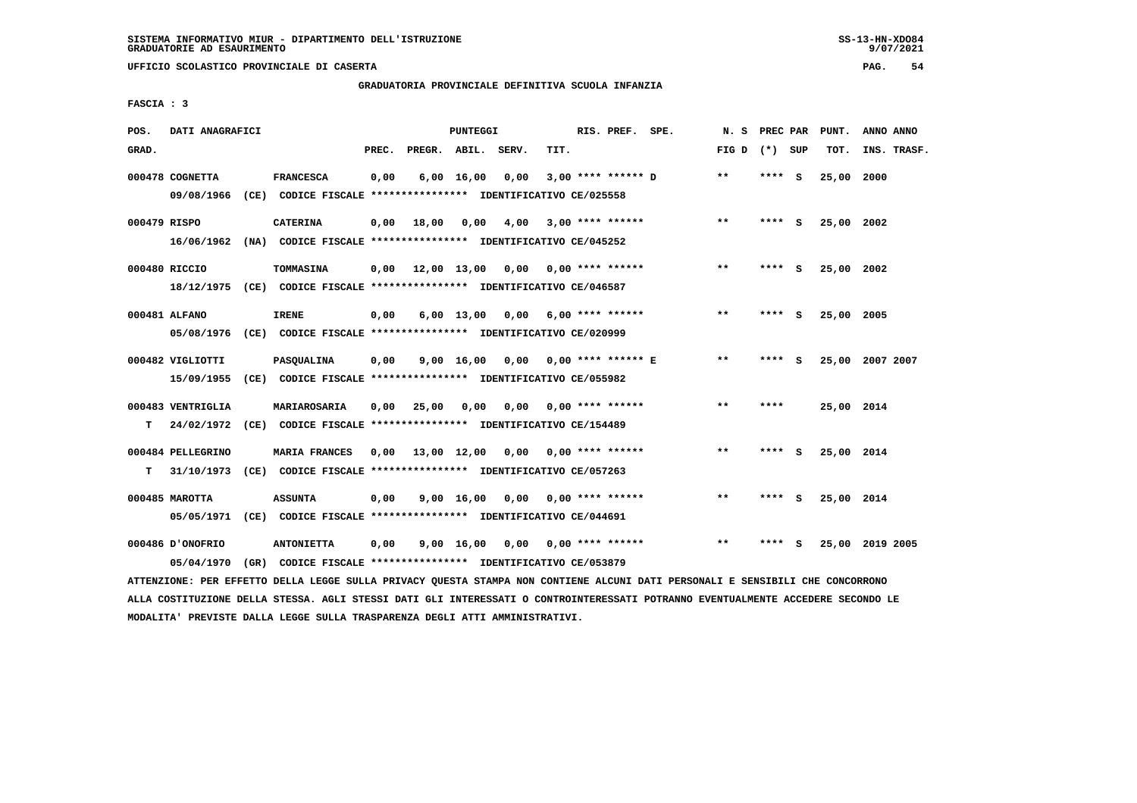**UFFICIO SCOLASTICO PROVINCIALE DI CASERTA PAG. 54**

# **GRADUATORIA PROVINCIALE DEFINITIVA SCUOLA INFANZIA**

 **FASCIA : 3**

| POS.         | DATI ANAGRAFICI   |      |                                                               |       |                    | PUNTEGGI           |      |      | RIS. PREF. SPE.           | N.S             | PREC PAR |     | PUNT.      | ANNO ANNO       |
|--------------|-------------------|------|---------------------------------------------------------------|-------|--------------------|--------------------|------|------|---------------------------|-----------------|----------|-----|------------|-----------------|
| GRAD.        |                   |      |                                                               | PREC. | PREGR. ABIL. SERV. |                    |      | TIT. |                           | FIG D $(*)$ SUP |          |     | TOT.       | INS. TRASF.     |
|              | 000478 COGNETTA   |      | <b>FRANCESCA</b>                                              | 0,00  |                    | $6,00 \quad 16,00$ | 0,00 |      | $3,00$ **** ****** D      | $* *$           | ****     | - S | 25,00      | 2000            |
|              | 09/08/1966        |      | (CE) CODICE FISCALE **************** IDENTIFICATIVO CE/025558 |       |                    |                    |      |      |                           |                 |          |     |            |                 |
| 000479 RISPO |                   |      | <b>CATERINA</b>                                               | 0,00  | 18,00              | 0,00               | 4,00 |      | $3,00$ **** ******        | $***$           | **** S   |     | 25,00 2002 |                 |
|              | 16/06/1962        |      | (NA) CODICE FISCALE **************** IDENTIFICATIVO CE/045252 |       |                    |                    |      |      |                           |                 |          |     |            |                 |
|              | 000480 RICCIO     |      | TOMMASINA                                                     | 0,00  |                    | 12,00 13,00        |      |      | $0,00$ $0,00$ **** ****** | $* *$           | ****     | - S | 25,00      | 2002            |
|              | 18/12/1975        |      | (CE) CODICE FISCALE **************** IDENTIFICATIVO CE/046587 |       |                    |                    |      |      |                           |                 |          |     |            |                 |
|              | 000481 ALFANO     |      | <b>IRENE</b>                                                  | 0,00  |                    | $6,00$ 13,00       | 0,00 |      | $6,00$ **** ******        | **              | ****     | - 5 | 25,00 2005 |                 |
|              | 05/08/1976        |      | (CE) CODICE FISCALE **************** IDENTIFICATIVO CE/020999 |       |                    |                    |      |      |                           |                 |          |     |            |                 |
|              | 000482 VIGLIOTTI  |      | PASQUALINA                                                    | 0,00  |                    | 9,00 16,00         | 0,00 |      | 0,00 **** ****** E        | $\star\star$    | ****     | - S |            | 25,00 2007 2007 |
|              | 15/09/1955        |      | (CE) CODICE FISCALE **************** IDENTIFICATIVO CE/055982 |       |                    |                    |      |      |                           |                 |          |     |            |                 |
|              | 000483 VENTRIGLIA |      | MARIAROSARIA                                                  | 0,00  | 25,00              | 0,00               | 0,00 |      | 0,00 **** ******          | $***$           | ****     |     | 25,00 2014 |                 |
| т            | 24/02/1972        |      | (CE) CODICE FISCALE **************** IDENTIFICATIVO CE/154489 |       |                    |                    |      |      |                           |                 |          |     |            |                 |
|              |                   |      |                                                               |       |                    |                    |      |      |                           |                 |          |     |            |                 |
|              | 000484 PELLEGRINO |      | <b>MARIA FRANCES</b>                                          | 0.00  | 13,00 12,00        |                    |      |      | $0,00$ $0,00$ **** ****** | $* *$           | **** S   |     | 25,00 2014 |                 |
| т            | 31/10/1973        |      | (CE) CODICE FISCALE **************** IDENTIFICATIVO CE/057263 |       |                    |                    |      |      |                           |                 |          |     |            |                 |
|              | 000485 MAROTTA    |      | <b>ASSUNTA</b>                                                | 0,00  |                    | $9,00 \quad 16,00$ | 0,00 |      | $0.00$ **** ******        | $* *$           |          | s   | 25,00 2014 |                 |
|              | 05/05/1971        |      | (CE) CODICE FISCALE **************** IDENTIFICATIVO CE/044691 |       |                    |                    |      |      |                           |                 |          |     |            |                 |
|              | 000486 D'ONOFRIO  |      | <b>ANTONIETTA</b>                                             | 0,00  |                    | $9,00 \quad 16,00$ | 0,00 |      | $0.00$ **** ******        | $* *$           |          | s   | 25,00      | 2019 2005       |
|              | 05/04/1970        | (GR) | CODICE FISCALE **************** IDENTIFICATIVO CE/053879      |       |                    |                    |      |      |                           |                 |          |     |            |                 |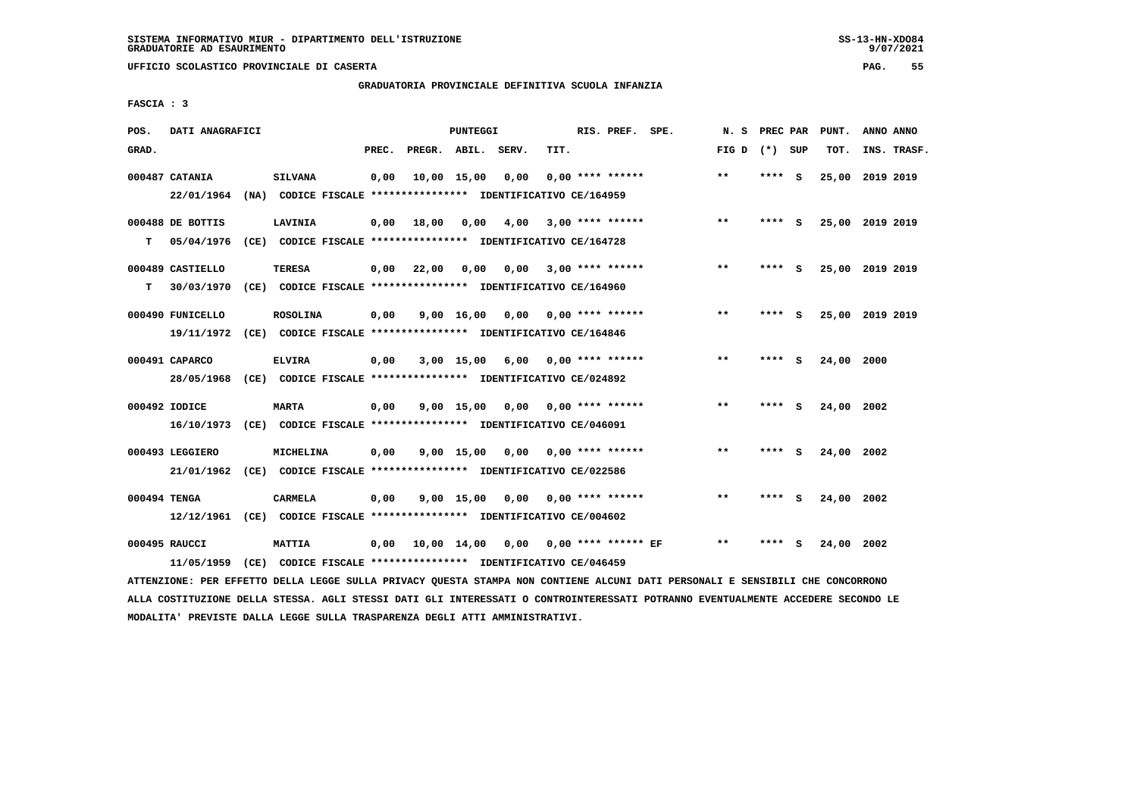**UFFICIO SCOLASTICO PROVINCIALE DI CASERTA PAG. 55**

# **GRADUATORIA PROVINCIALE DEFINITIVA SCUOLA INFANZIA**

 **FASCIA : 3**

| POS.         | DATI ANAGRAFICI                                                         |                                                                                  |       |                    | PUNTEGGI           |                                      |      | RIS. PREF. SPE.           | N.S          | PREC PAR |     | PUNT.      | ANNO ANNO       |
|--------------|-------------------------------------------------------------------------|----------------------------------------------------------------------------------|-------|--------------------|--------------------|--------------------------------------|------|---------------------------|--------------|----------|-----|------------|-----------------|
| GRAD.        |                                                                         |                                                                                  | PREC. | PREGR. ABIL. SERV. |                    |                                      | TIT. |                           | FIG D        | (*) SUP  |     | TOT.       | INS. TRASF.     |
|              | 000487 CATANIA<br>22/01/1964                                            | <b>SILVANA</b><br>(NA) CODICE FISCALE **************** IDENTIFICATIVO CE/164959  | 0,00  |                    | 10,00 15,00        | 0,00                                 |      | $0.00$ **** ******        | $**$         | ****     | - S |            | 25,00 2019 2019 |
| т            | 000488 DE BOTTIS<br>05/04/1976                                          | LAVINIA<br>(CE) CODICE FISCALE **************** IDENTIFICATIVO CE/164728         | 0,00  | 18,00              | 0,00               | 4,00                                 |      | $3,00$ **** ******        | $\star\star$ | **** S   |     |            | 25,00 2019 2019 |
| т            | 000489 CASTIELLO<br>30/03/1970                                          | <b>TERESA</b><br>(CE) CODICE FISCALE **************** IDENTIFICATIVO CE/164960   | 0,00  | 22,00              | 0,00               |                                      |      | $0,00$ 3,00 **** ******   | $***$        | **** S   |     |            | 25,00 2019 2019 |
|              | 000490 FUNICELLO<br>19/11/1972                                          | <b>ROSOLINA</b><br>(CE) CODICE FISCALE **************** IDENTIFICATIVO CE/164846 | 0,00  |                    | $9,00 \quad 16,00$ | 0.00                                 |      | $0.00$ **** ******        | **           | **** S   |     |            | 25,00 2019 2019 |
|              | 000491 CAPARCO<br>28/05/1968                                            | <b>ELVIRA</b><br>(CE) CODICE FISCALE **************** IDENTIFICATIVO CE/024892   | 0,00  |                    | 3,00 15,00         | 6,00                                 |      | $0.00$ **** ******        | $* *$        | ****     | - S | 24,00 2000 |                 |
|              | 000492 IODICE<br>16/10/1973                                             | <b>MARTA</b><br>(CE) CODICE FISCALE *************** IDENTIFICATIVO CE/046091     | 0,00  |                    | $9,00 \quad 15,00$ |                                      |      | $0.00$ $0.00$ **** ****** | $* *$        | ****     | - S | 24,00 2002 |                 |
|              | 000493 LEGGIERO<br>21/01/1962                                           | MICHELINA<br>(CE) CODICE FISCALE **************** IDENTIFICATIVO CE/022586       | 0,00  |                    | 9,00 15,00         | 0,00                                 |      | $0.00$ **** ******        | $**$         | **** S   |     | 24,00 2002 |                 |
| 000494 TENGA | 12/12/1961 (CE) CODICE FISCALE *************** IDENTIFICATIVO CE/004602 | CARMELA                                                                          | 0,00  |                    | $9,00$ 15,00       | 0,00                                 |      | $0.00$ **** ******        | $***$        | **** S   |     | 24,00 2002 |                 |
|              | 000495 RAUCCI<br>11/05/1959                                             | <b>MATTIA</b><br>(CE) CODICE FISCALE **************** IDENTIFICATIVO CE/046459   | 0,00  |                    |                    | 10,00 14,00 0,00 0,00 **** ****** EF |      |                           | $* *$        | ****     | - S | 24,00 2002 |                 |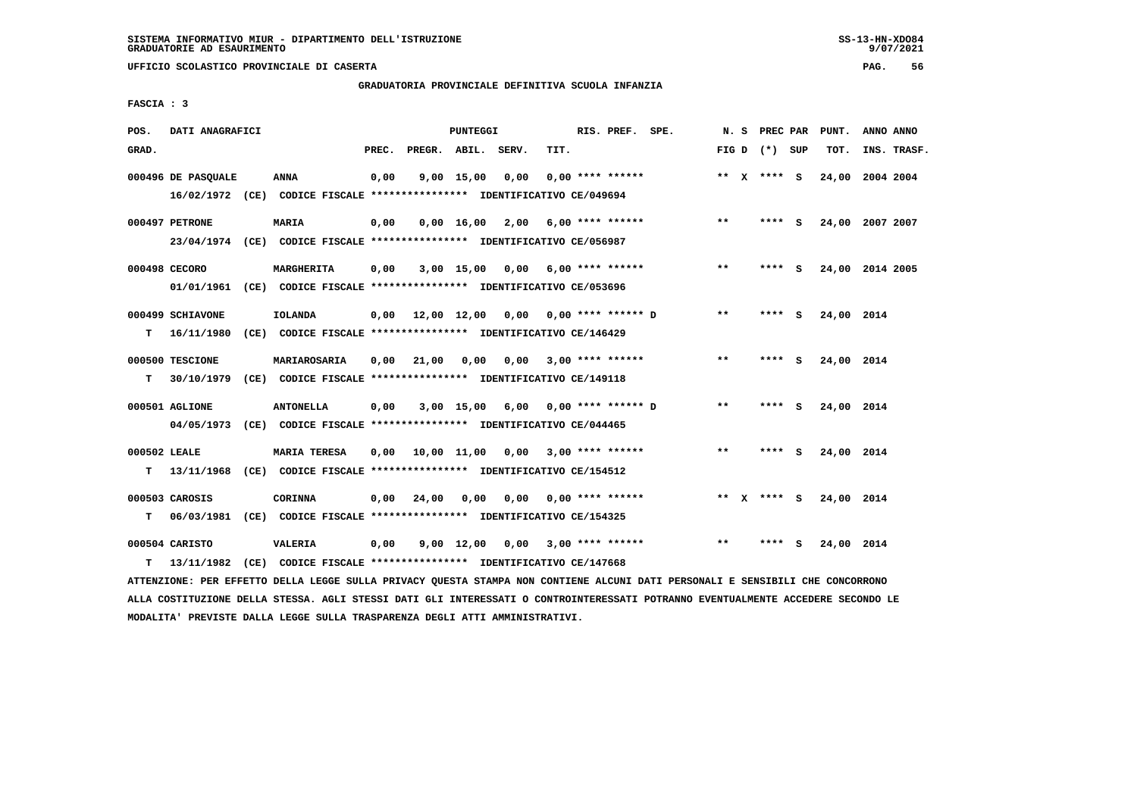# **GRADUATORIA PROVINCIALE DEFINITIVA SCUOLA INFANZIA**

 **FASCIA : 3**

| POS.         | DATI ANAGRAFICI    |                                                                         |       |                    | PUNTEGGI     |                                    |      | RIS. PREF. SPE.           |                             |       | N. S PREC PAR   |     | PUNT.      | ANNO ANNO       |
|--------------|--------------------|-------------------------------------------------------------------------|-------|--------------------|--------------|------------------------------------|------|---------------------------|-----------------------------|-------|-----------------|-----|------------|-----------------|
| GRAD.        |                    |                                                                         | PREC. | PREGR. ABIL. SERV. |              |                                    | TIT. |                           |                             |       | FIG D $(*)$ SUP |     | TOT.       | INS. TRASF.     |
|              | 000496 DE PASQUALE | <b>ANNA</b>                                                             | 0,00  |                    | $9,00$ 15,00 | 0,00                               |      | $0.00$ **** ******        |                             |       | ** $X$ **** S   |     |            | 24,00 2004 2004 |
|              |                    | 16/02/1972 (CE) CODICE FISCALE *************** IDENTIFICATIVO CE/049694 |       |                    |              |                                    |      |                           |                             |       |                 |     |            |                 |
|              | 000497 PETRONE     | <b>MARIA</b>                                                            | 0,00  |                    |              | $0,00$ 16,00 2,00 6,00 **** ****** |      |                           |                             | $***$ | **** S          |     |            | 24,00 2007 2007 |
|              |                    | 23/04/1974 (CE) CODICE FISCALE *************** IDENTIFICATIVO CE/056987 |       |                    |              |                                    |      |                           |                             |       |                 |     |            |                 |
|              | 000498 CECORO      | MARGHERITA                                                              | 0,00  |                    |              | $3,00$ 15,00 0,00 6,00 **** ****** |      |                           |                             | $* *$ | **** S          |     |            | 24,00 2014 2005 |
|              |                    | 01/01/1961 (CE) CODICE FISCALE *************** IDENTIFICATIVO CE/053696 |       |                    |              |                                    |      |                           |                             |       |                 |     |            |                 |
|              | 000499 SCHIAVONE   | <b>IOLANDA</b>                                                          | 0,00  | 12,00 12,00        |              |                                    |      |                           | $0,00$ $0,00$ **** ****** D | $***$ | ****            | - S | 24,00 2014 |                 |
| т            | 16/11/1980         | (CE) CODICE FISCALE **************** IDENTIFICATIVO CE/146429           |       |                    |              |                                    |      |                           |                             |       |                 |     |            |                 |
|              | 000500 TESCIONE    | MARIAROSARIA                                                            | 0.00  | 21,00              | 0,00         |                                    |      | $0.00$ 3.00 **** ******   |                             | $***$ | **** S          |     | 24,00 2014 |                 |
| т            | 30/10/1979         | (CE) CODICE FISCALE **************** IDENTIFICATIVO CE/149118           |       |                    |              |                                    |      |                           |                             |       |                 |     |            |                 |
|              | 000501 AGLIONE     | <b>ANTONELLA</b>                                                        | 0,00  |                    | 3,00 15,00   | 6,00                               |      |                           | $0.00$ **** ****** D        | $***$ | **** S          |     | 24,00 2014 |                 |
|              | 04/05/1973         | (CE) CODICE FISCALE *************** IDENTIFICATIVO CE/044465            |       |                    |              |                                    |      |                           |                             |       |                 |     |            |                 |
| 000502 LEALE |                    | <b>MARIA TERESA</b>                                                     | 0,00  |                    |              | 10,00 11,00 0,00 3,00 **** ******  |      |                           |                             | $**$  | $***$ S         |     | 24,00 2014 |                 |
| т            | 13/11/1968         | (CE) CODICE FISCALE *************** IDENTIFICATIVO CE/154512            |       |                    |              |                                    |      |                           |                             |       |                 |     |            |                 |
|              | 000503 CAROSIS     | <b>CORINNA</b>                                                          | 0,00  | 24,00              | 0,00         |                                    |      | $0.00$ $0.00$ **** ****** |                             |       | ** x **** S     |     | 24,00 2014 |                 |
| т            |                    | 06/03/1981 (CE) CODICE FISCALE *************** IDENTIFICATIVO CE/154325 |       |                    |              |                                    |      |                           |                             |       |                 |     |            |                 |
|              | 000504 CARISTO     | VALERIA                                                                 | 0,00  |                    | $9,00$ 12,00 |                                    |      | $0.00$ 3.00 **** ******   |                             | **    | ****            | - 5 | 24,00 2014 |                 |
| т            | 13/11/1982         | (CE) CODICE FISCALE **************** IDENTIFICATIVO CE/147668           |       |                    |              |                                    |      |                           |                             |       |                 |     |            |                 |
|              |                    |                                                                         |       |                    |              |                                    |      |                           |                             |       |                 |     |            |                 |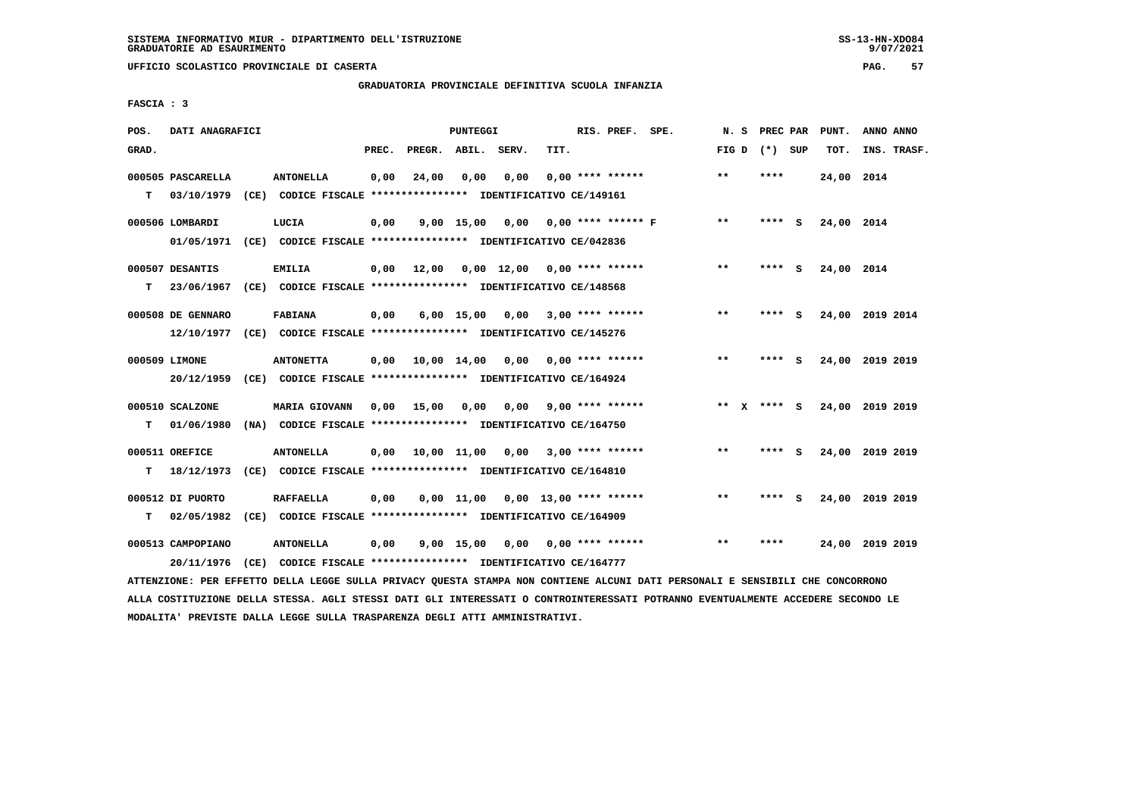## **GRADUATORIA PROVINCIALE DEFINITIVA SCUOLA INFANZIA**

 **FASCIA : 3**

| POS.  | DATI ANAGRAFICI   |                                                               |       |                    | PUNTEGGI     |                                                   |                          | RIS. PREF. SPE.      | N. S  | PREC PAR        |     | PUNT.           | ANNO ANNO |             |
|-------|-------------------|---------------------------------------------------------------|-------|--------------------|--------------|---------------------------------------------------|--------------------------|----------------------|-------|-----------------|-----|-----------------|-----------|-------------|
| GRAD. |                   |                                                               | PREC. | PREGR. ABIL. SERV. |              |                                                   | TIT.                     |                      |       | FIG D $(*)$ SUP |     | TOT.            |           | INS. TRASF. |
|       | 000505 PASCARELLA | <b>ANTONELLA</b>                                              | 0,00  | 24,00              | 0.00         | 0,00                                              |                          | $0.00$ **** ******   | $**$  | ****            |     | 24,00 2014      |           |             |
| т     | 03/10/1979        | (CE) CODICE FISCALE **************** IDENTIFICATIVO CE/149161 |       |                    |              |                                                   |                          |                      |       |                 |     |                 |           |             |
|       | 000506 LOMBARDI   | LUCIA                                                         | 0,00  |                    | $9,00$ 15,00 | 0,00                                              |                          | $0.00$ **** ****** F | $* *$ | **** S          |     | 24,00 2014      |           |             |
|       | 01/05/1971        | (CE) CODICE FISCALE **************** IDENTIFICATIVO CE/042836 |       |                    |              |                                                   |                          |                      |       |                 |     |                 |           |             |
|       | 000507 DESANTIS   | <b>EMILIA</b>                                                 | 0,00  | 12,00              |              | $0.00 \quad 12.00 \quad 0.00 \quad *** \quad ***$ |                          |                      | $* *$ | ****            | - S | 24,00 2014      |           |             |
| т     | 23/06/1967        | (CE) CODICE FISCALE **************** IDENTIFICATIVO CE/148568 |       |                    |              |                                                   |                          |                      |       |                 |     |                 |           |             |
|       | 000508 DE GENNARO | <b>FABIANA</b>                                                | 0,00  |                    | $6,00$ 15,00 | 0.00                                              |                          | $3,00$ **** ******   | **    | **** S          |     | 24,00 2019 2014 |           |             |
|       | 12/10/1977        | (CE) CODICE FISCALE **************** IDENTIFICATIVO CE/145276 |       |                    |              |                                                   |                          |                      |       |                 |     |                 |           |             |
|       | 000509 LIMONE     | <b>ANTONETTA</b>                                              | 0,00  | 10,00 14,00        |              | 0,00                                              |                          | $0.00$ **** ******   | **    | **** S          |     | 24,00           | 2019 2019 |             |
|       | 20/12/1959        | (CE) CODICE FISCALE *************** IDENTIFICATIVO CE/164924  |       |                    |              |                                                   |                          |                      |       |                 |     |                 |           |             |
|       | 000510 SCALZONE   | <b>MARIA GIOVANN</b>                                          | 0,00  | 15,00              | 0,00         | 0,00                                              |                          | 9,00 **** ******     |       | ** x **** S     |     | 24,00 2019 2019 |           |             |
| т     | 01/06/1980        | (NA) CODICE FISCALE **************** IDENTIFICATIVO CE/164750 |       |                    |              |                                                   |                          |                      |       |                 |     |                 |           |             |
|       | 000511 OREFICE    | <b>ANTONELLA</b>                                              | 0.00  | 10,00 11,00        |              |                                                   | $0,00$ 3,00 **** ******  |                      | $***$ | **** S          |     | 24,00 2019 2019 |           |             |
| т     | 18/12/1973        | (CE) CODICE FISCALE **************** IDENTIFICATIVO CE/164810 |       |                    |              |                                                   |                          |                      |       |                 |     |                 |           |             |
|       | 000512 DI PUORTO  | <b>RAFFAELLA</b>                                              | 0,00  |                    | $0.00$ 11.00 |                                                   | $0,00$ 13,00 **** ****** |                      | $* *$ | ****            | ్   | 24,00 2019 2019 |           |             |
| т     | 02/05/1982        | (CE) CODICE FISCALE **************** IDENTIFICATIVO CE/164909 |       |                    |              |                                                   |                          |                      |       |                 |     |                 |           |             |
|       | 000513 CAMPOPIANO | <b>ANTONELLA</b>                                              | 0,00  |                    | 9,00 15,00   | 0,00                                              |                          | $0.00$ **** ******   | $* *$ | ****            |     | 24,00 2019 2019 |           |             |
|       | 20/11/1976        | (CE) CODICE FISCALE **************** IDENTIFICATIVO CE/164777 |       |                    |              |                                                   |                          |                      |       |                 |     |                 |           |             |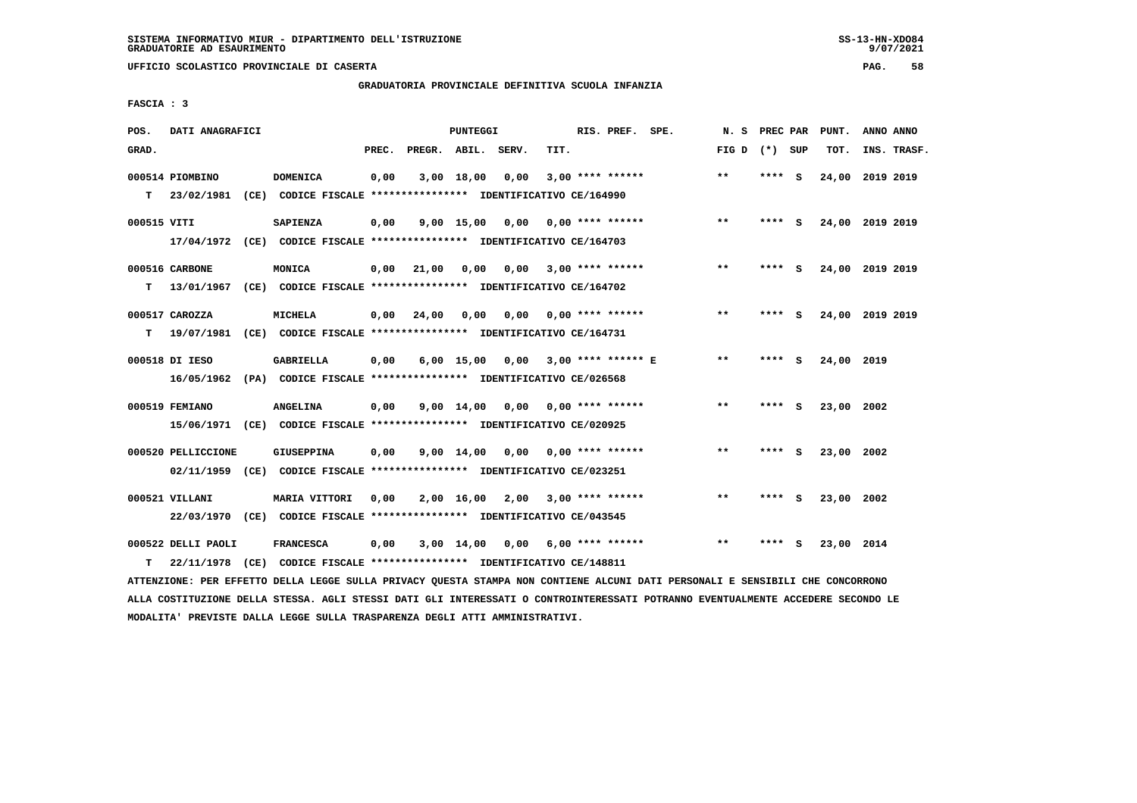## **GRADUATORIA PROVINCIALE DEFINITIVA SCUOLA INFANZIA**

 **FASCIA : 3**

| POS.        | DATI ANAGRAFICI                  |                                                                                              |       |              | <b>PUNTEGGI</b>    |       |      | RIS. PREF. SPE.           | N. S            | PREC PAR |     | PUNT.           | ANNO ANNO |             |
|-------------|----------------------------------|----------------------------------------------------------------------------------------------|-------|--------------|--------------------|-------|------|---------------------------|-----------------|----------|-----|-----------------|-----------|-------------|
| GRAD.       |                                  |                                                                                              | PREC. | PREGR. ABIL. |                    | SERV. | TIT. |                           | FIG D $(*)$ SUP |          |     | TOT.            |           | INS. TRASF. |
| T.          | 000514 PIOMBINO<br>23/02/1981    | <b>DOMENICA</b><br>(CE) CODICE FISCALE **************** IDENTIFICATIVO CE/164990             | 0,00  |              | 3,00 18,00         | 0,00  |      | $3,00$ **** ******        | $\star\star$    | **** S   |     | 24,00           | 2019 2019 |             |
| 000515 VITI |                                  | SAPIENZA<br>17/04/1972 (CE) CODICE FISCALE *************** IDENTIFICATIVO CE/164703          | 0,00  |              | $9,00$ 15,00       | 0,00  |      | $0.00$ **** ******        | $***$           | **** S   |     | 24,00 2019 2019 |           |             |
| т           | 000516 CARBONE                   | MONICA<br>13/01/1967 (CE) CODICE FISCALE *************** IDENTIFICATIVO CE/164702            | 0,00  | 21,00        | 0,00               |       |      | $0,00$ 3,00 **** ******   | $* *$           | **** S   |     | 24,00 2019 2019 |           |             |
| т           | 000517 CAROZZA                   | <b>MICHELA</b><br>19/07/1981 (CE) CODICE FISCALE *************** IDENTIFICATIVO CE/164731    | 0,00  | 24,00        | 0,00               | 0.00  |      | $0.00$ **** ******        | $* *$           | ****     | - S | 24,00 2019 2019 |           |             |
|             | 000518 DI IESO                   | <b>GABRIELLA</b><br>16/05/1962 (PA) CODICE FISCALE **************** IDENTIFICATIVO CE/026568 | 0,00  |              | $6,00$ 15,00       | 0.00  |      | $3,00$ **** ****** E      | **              | ****     | ్   | 24,00 2019      |           |             |
|             | 000519 FEMIANO                   | <b>ANGELINA</b><br>15/06/1971 (CE) CODICE FISCALE *************** IDENTIFICATIVO CE/020925   | 0,00  |              | 9,00 14,00         |       |      | $0,00$ $0,00$ **** ****** | $***$           | **** S   |     | 23,00 2002      |           |             |
|             | 000520 PELLICCIONE               | <b>GIUSEPPINA</b><br>02/11/1959 (CE) CODICE FISCALE *************** IDENTIFICATIVO CE/023251 | 0,00  |              | $9,00 \quad 14,00$ | 0,00  |      | $0.00$ **** ******        | **              | ****     | - S | 23,00           | 2002      |             |
|             | 000521 VILLANI                   | MARIA VITTORI<br>22/03/1970 (CE) CODICE FISCALE *************** IDENTIFICATIVO CE/043545     | 0,00  |              | 2,00 16,00         | 2,00  |      | $3,00$ **** ******        | $* *$           | **** S   |     | 23,00 2002      |           |             |
| т           | 000522 DELLI PAOLI<br>22/11/1978 | <b>FRANCESCA</b><br>(CE) CODICE FISCALE **************** IDENTIFICATIVO CE/148811            | 0,00  |              | 3,00 14,00         |       |      | $0,00$ 6,00 **** ******   | $* *$           | ****     | - 5 | 23,00 2014      |           |             |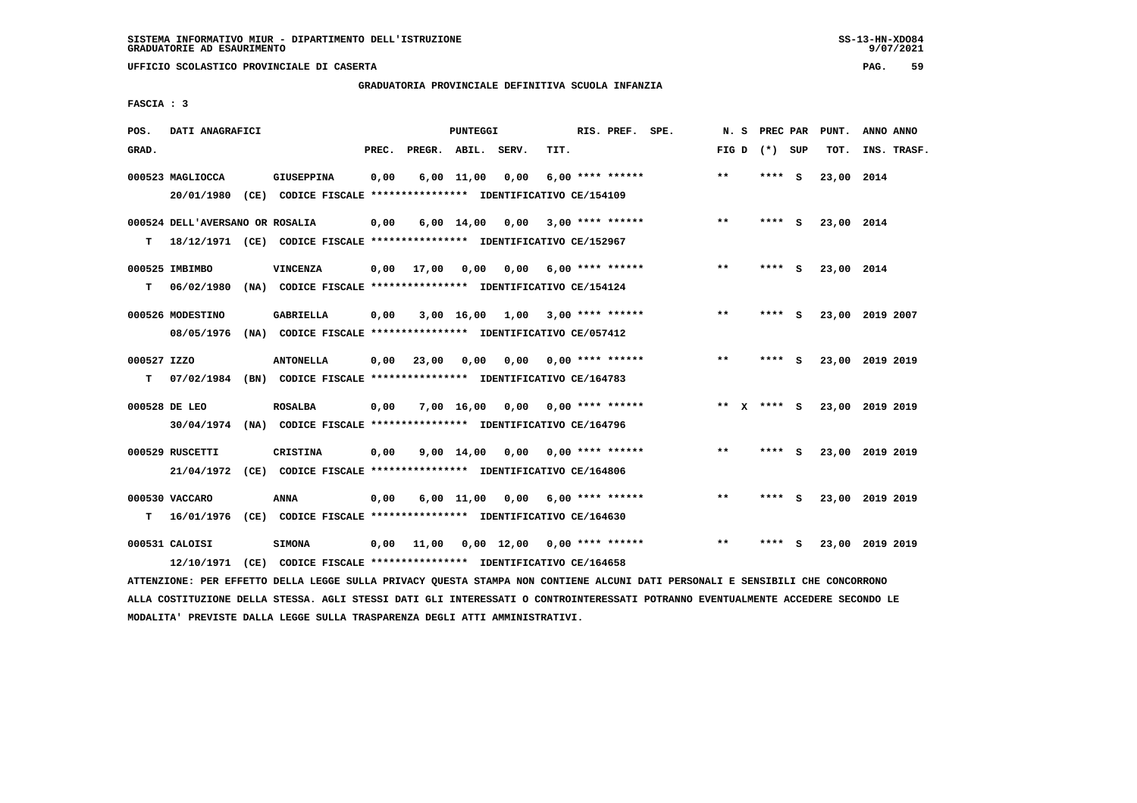**UFFICIO SCOLASTICO PROVINCIALE DI CASERTA PAG. 59**

## **GRADUATORIA PROVINCIALE DEFINITIVA SCUOLA INFANZIA**

 **FASCIA : 3**

| POS.        | DATI ANAGRAFICI                 |                                                                          |       |                    | PUNTEGGI           |                                    |      | RIS. PREF. SPE.           | N.S   | PREC PAR        |     | PUNT.      | ANNO ANNO       |
|-------------|---------------------------------|--------------------------------------------------------------------------|-------|--------------------|--------------------|------------------------------------|------|---------------------------|-------|-----------------|-----|------------|-----------------|
| GRAD.       |                                 |                                                                          | PREC. | PREGR. ABIL. SERV. |                    |                                    | TIT. |                           |       | FIG D $(*)$ SUP |     | TOT.       | INS. TRASF.     |
|             | 000523 MAGLIOCCA                | <b>GIUSEPPINA</b>                                                        | 0,00  |                    | $6,00$ 11,00       | 0,00                               |      | $6.00$ **** ******        | $***$ | ****            | - S | 23,00 2014 |                 |
|             | 20/01/1980                      | (CE) CODICE FISCALE **************** IDENTIFICATIVO CE/154109            |       |                    |                    |                                    |      |                           |       |                 |     |            |                 |
|             | 000524 DELL'AVERSANO OR ROSALIA |                                                                          | 0,00  |                    | $6,00 \quad 14,00$ | 0,00                               |      | 3,00 **** ******          | $* *$ | **** S          |     | 23,00 2014 |                 |
| т           |                                 | 18/12/1971 (CE) CODICE FISCALE **************** IDENTIFICATIVO CE/152967 |       |                    |                    |                                    |      |                           |       |                 |     |            |                 |
|             | 000525 IMBIMBO                  | <b>VINCENZA</b>                                                          | 0,00  | 17,00              | 0.00               | 0.00                               |      | $6,00$ **** ******        | $* *$ | **** S          |     | 23,00 2014 |                 |
| т           | 06/02/1980                      | (NA) CODICE FISCALE **************** IDENTIFICATIVO CE/154124            |       |                    |                    |                                    |      |                           |       |                 |     |            |                 |
|             | 000526 MODESTINO                | GABRIELLA                                                                | 0,00  |                    | 3,00 16,00         | 1,00 3,00 **** ******              |      |                           | $***$ | ****            | - S |            | 23,00 2019 2007 |
|             | 08/05/1976                      | (NA) CODICE FISCALE **************** IDENTIFICATIVO CE/057412            |       |                    |                    |                                    |      |                           |       |                 |     |            |                 |
| 000527 IZZO |                                 | <b>ANTONELLA</b>                                                         | 0,00  | 23,00              | 0,00               | 0,00                               |      | $0.00$ **** ******        | $**$  | **** S          |     |            | 23,00 2019 2019 |
| т           |                                 | 07/02/1984 (BN) CODICE FISCALE *************** IDENTIFICATIVO CE/164783  |       |                    |                    |                                    |      |                           |       |                 |     |            |                 |
|             | 000528 DE LEO                   | <b>ROSALBA</b>                                                           | 0,00  |                    |                    | $7,00$ 16,00 0,00 0,00 **** ****** |      |                           |       | ** X **** S     |     |            | 23,00 2019 2019 |
|             |                                 | 30/04/1974 (NA) CODICE FISCALE *************** IDENTIFICATIVO CE/164796  |       |                    |                    |                                    |      |                           |       |                 |     |            |                 |
|             | 000529 RUSCETTI                 | CRISTINA                                                                 | 0,00  |                    | $9,00 \quad 14,00$ |                                    |      | $0.00$ $0.00$ **** ****** | $* *$ | **** S          |     |            | 23,00 2019 2019 |
|             |                                 | 21/04/1972 (CE) CODICE FISCALE *************** IDENTIFICATIVO CE/164806  |       |                    |                    |                                    |      |                           |       |                 |     |            |                 |
|             | 000530 VACCARO                  | ANNA                                                                     | 0,00  |                    | $6,00$ 11,00       | 0,00                               |      | 6,00 **** ******          | $**$  | ****            | - S |            | 23,00 2019 2019 |
| т           | 16/01/1976                      | (CE) CODICE FISCALE **************** IDENTIFICATIVO CE/164630            |       |                    |                    |                                    |      |                           |       |                 |     |            |                 |
|             | 000531 CALOISI                  | <b>SIMONA</b>                                                            | 0,00  | 11,00              |                    | 0,00 12,00                         |      | $0,00$ **** ******        | $* *$ | ****            | - S |            | 23,00 2019 2019 |
|             |                                 | 12/10/1971 (CE) CODICE FISCALE *************** IDENTIFICATIVO CE/164658  |       |                    |                    |                                    |      |                           |       |                 |     |            |                 |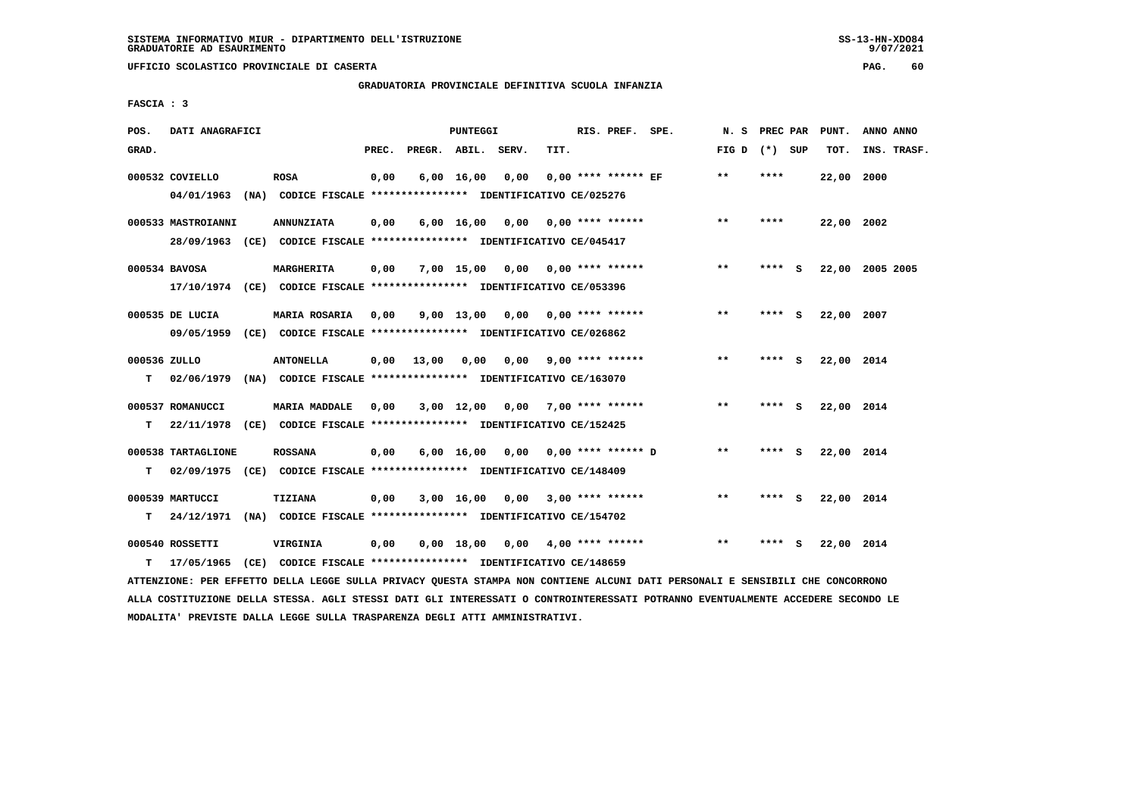**UFFICIO SCOLASTICO PROVINCIALE DI CASERTA PAG. 60**

#### **GRADUATORIA PROVINCIALE DEFINITIVA SCUOLA INFANZIA**

 **FASCIA : 3**

| POS.         | DATI ANAGRAFICI    |                                                                          |       |                    | PUNTEGGI           |                                    |      | RIS. PREF. SPE.           | N. S            | PREC PAR |     | PUNT.      | ANNO ANNO       |
|--------------|--------------------|--------------------------------------------------------------------------|-------|--------------------|--------------------|------------------------------------|------|---------------------------|-----------------|----------|-----|------------|-----------------|
| GRAD.        |                    |                                                                          | PREC. | PREGR. ABIL. SERV. |                    |                                    | TIT. |                           | FIG D $(*)$ SUP |          |     | TOT.       | INS. TRASF.     |
|              | 000532 COVIELLO    | <b>ROSA</b>                                                              | 0,00  |                    | $6,00 \quad 16,00$ | 0.00                               |      | $0.00$ **** ****** EF     | $**$            | ****     |     | 22,00 2000 |                 |
|              | 04/01/1963         | (NA) CODICE FISCALE **************** IDENTIFICATIVO CE/025276            |       |                    |                    |                                    |      |                           |                 |          |     |            |                 |
|              | 000533 MASTROIANNI | <b>ANNUNZIATA</b>                                                        | 0,00  |                    |                    | $6,00$ $16,00$ $0,00$              |      | 0,00 **** ******          | $***$           | ****     |     | 22,00 2002 |                 |
|              |                    | 28/09/1963 (CE) CODICE FISCALE *************** IDENTIFICATIVO CE/045417  |       |                    |                    |                                    |      |                           |                 |          |     |            |                 |
|              | 000534 BAVOSA      | MARGHERITA                                                               | 0,00  |                    |                    | $7,00$ 15,00 0,00 0,00 **** ****** |      |                           | $***$           | **** S   |     |            | 22,00 2005 2005 |
|              |                    | 17/10/1974 (CE) CODICE FISCALE *************** IDENTIFICATIVO CE/053396  |       |                    |                    |                                    |      |                           |                 |          |     |            |                 |
|              | 000535 DE LUCIA    | <b>MARIA ROSARIA</b>                                                     | 0.00  |                    | $9,00$ 13,00       |                                    |      | $0.00$ $0.00$ **** ****** | $**$            | ****     | - S | 22,00 2007 |                 |
|              | 09/05/1959         | (CE) CODICE FISCALE *************** IDENTIFICATIVO CE/026862             |       |                    |                    |                                    |      |                           |                 |          |     |            |                 |
| 000536 ZULLO |                    | <b>ANTONELLA</b>                                                         | 0.00  | 13,00              | 0,00               |                                    |      | $0.00$ 9.00 **** ******   | **              | **** S   |     | 22,00 2014 |                 |
| т            | 02/06/1979         | (NA) CODICE FISCALE **************** IDENTIFICATIVO CE/163070            |       |                    |                    |                                    |      |                           |                 |          |     |            |                 |
|              | 000537 ROMANUCCI   | <b>MARIA MADDALE</b>                                                     | 0,00  |                    |                    | $3,00$ 12,00 0,00 7,00 **** ****** |      |                           | **              | **** S   |     | 22,00 2014 |                 |
| т            | 22/11/1978         | (CE) CODICE FISCALE **************** IDENTIFICATIVO CE/152425            |       |                    |                    |                                    |      |                           |                 |          |     |            |                 |
|              | 000538 TARTAGLIONE | <b>ROSSANA</b>                                                           | 0,00  |                    | $6,00 \quad 16,00$ | 0,00 0,00 **** ****** D            |      |                           | $***$           | **** S   |     | 22,00 2014 |                 |
| т            |                    | 02/09/1975 (CE) CODICE FISCALE **************** IDENTIFICATIVO CE/148409 |       |                    |                    |                                    |      |                           |                 |          |     |            |                 |
|              | 000539 MARTUCCI    | <b>TIZIANA</b>                                                           | 0,00  |                    |                    | $3,00$ 16,00 0,00 3,00 **** ****** |      |                           | **              | **** S   |     | 22,00 2014 |                 |
| т            |                    | 24/12/1971 (NA) CODICE FISCALE *************** IDENTIFICATIVO CE/154702  |       |                    |                    |                                    |      |                           |                 |          |     |            |                 |
|              |                    |                                                                          |       |                    |                    |                                    |      |                           |                 |          |     |            |                 |
|              | 000540 ROSSETTI    | VIRGINIA                                                                 | 0,00  |                    |                    | $0,00$ 18,00 0,00 4,00 **** ****** |      |                           | $* *$           | ****     | - 5 | 22,00 2014 |                 |
| т            | 17/05/1965         | (CE) CODICE FISCALE **************** IDENTIFICATIVO CE/148659            |       |                    |                    |                                    |      |                           |                 |          |     |            |                 |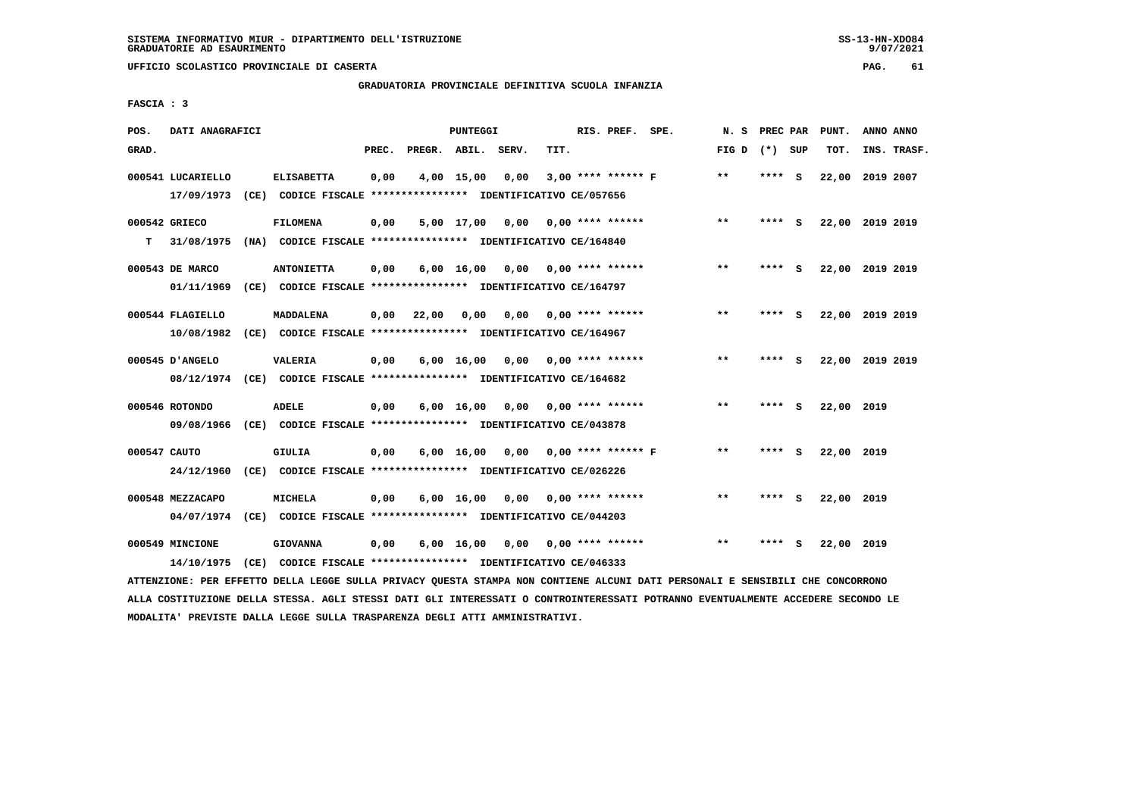# **GRADUATORIA PROVINCIALE DEFINITIVA SCUOLA INFANZIA**

 **FASCIA : 3**

| POS.         | DATI ANAGRAFICI                 |      |                                                                                    |       |                    | PUNTEGGI           |      |      | RIS. PREF. SPE.           |                      | N.S          | PREC PAR |     | PUNT.           | ANNO ANNO |             |
|--------------|---------------------------------|------|------------------------------------------------------------------------------------|-------|--------------------|--------------------|------|------|---------------------------|----------------------|--------------|----------|-----|-----------------|-----------|-------------|
| GRAD.        |                                 |      |                                                                                    | PREC. | PREGR. ABIL. SERV. |                    |      | TIT. |                           |                      | FIG D        | (*) SUP  |     | TOT.            |           | INS. TRASF. |
|              | 000541 LUCARIELLO<br>17/09/1973 |      | <b>ELISABETTA</b><br>(CE) CODICE FISCALE **************** IDENTIFICATIVO CE/057656 | 0,00  |                    | 4,00 15,00         | 0,00 |      | $3,00$ **** ****** F      |                      | $**$         | ****     | - S | 22,00           | 2019 2007 |             |
|              | 000542 GRIECO                   |      | <b>FILOMENA</b>                                                                    | 0,00  |                    | 5,00 17,00         | 0,00 |      | $0.00$ **** ******        |                      | $\star\star$ | ****     | - S | 22,00 2019 2019 |           |             |
| т            | 31/08/1975                      |      | (NA) CODICE FISCALE **************** IDENTIFICATIVO CE/164840                      |       |                    |                    |      |      |                           |                      |              |          |     |                 |           |             |
|              | 000543 DE MARCO                 |      | <b>ANTONIETTA</b>                                                                  | 0,00  |                    | $6,00$ 16,00       |      |      | $0,00$ $0,00$ **** ****** |                      | $***$        | **** S   |     | 22,00 2019 2019 |           |             |
|              | 01/11/1969                      |      | (CE) CODICE FISCALE **************** IDENTIFICATIVO CE/164797                      |       |                    |                    |      |      |                           |                      |              |          |     |                 |           |             |
|              | 000544 FLAGIELLO                |      | MADDALENA                                                                          | 0.00  | 22,00              | 0.00               | 0.00 |      | $0.00$ **** ******        |                      | **           | ****     | - S | 22,00           | 2019 2019 |             |
|              | 10/08/1982                      |      | (CE) CODICE FISCALE **************** IDENTIFICATIVO CE/164967                      |       |                    |                    |      |      |                           |                      |              |          |     |                 |           |             |
|              | 000545 D'ANGELO                 |      | VALERIA                                                                            | 0,00  |                    | $6,00 \quad 16,00$ | 0,00 |      | $0.00$ **** ******        |                      | $* *$        | ****     | - S | 22,00 2019 2019 |           |             |
|              |                                 |      | 08/12/1974 (CE) CODICE FISCALE *************** IDENTIFICATIVO CE/164682            |       |                    |                    |      |      |                           |                      |              |          |     |                 |           |             |
|              | 000546 ROTONDO                  |      | <b>ADELE</b>                                                                       | 0,00  |                    | $6,00 \quad 16,00$ | 0,00 |      | $0.00$ **** ******        |                      | $* *$        | ****     | - S | 22,00 2019      |           |             |
|              | 09/08/1966                      |      | (CE) CODICE FISCALE *************** IDENTIFICATIVO CE/043878                       |       |                    |                    |      |      |                           |                      |              |          |     |                 |           |             |
| 000547 CAUTO |                                 |      | GIULIA                                                                             | 0,00  |                    | $6,00 \quad 16,00$ | 0,00 |      |                           | $0.00$ **** ****** F | $* *$        | ****     | - S | 22,00 2019      |           |             |
|              | 24/12/1960                      |      | (CE) CODICE FISCALE **************** IDENTIFICATIVO CE/026226                      |       |                    |                    |      |      |                           |                      |              |          |     |                 |           |             |
|              | 000548 MEZZACAPO                |      | MICHELA                                                                            | 0,00  |                    | $6,00$ 16,00       | 0,00 |      | $0.00$ **** ******        |                      | $***$        | **** S   |     | 22,00 2019      |           |             |
|              | 04/07/1974                      |      | (CE) CODICE FISCALE **************** IDENTIFICATIVO CE/044203                      |       |                    |                    |      |      |                           |                      |              |          |     |                 |           |             |
|              | 000549 MINCIONE                 |      | <b>GIOVANNA</b>                                                                    | 0,00  |                    | $6,00$ 16,00       | 0,00 |      | $0.00$ **** ******        |                      | $***$        | ****     | - S | 22,00 2019      |           |             |
|              | 14/10/1975                      | (CE) | CODICE FISCALE **************** IDENTIFICATIVO CE/046333                           |       |                    |                    |      |      |                           |                      |              |          |     |                 |           |             |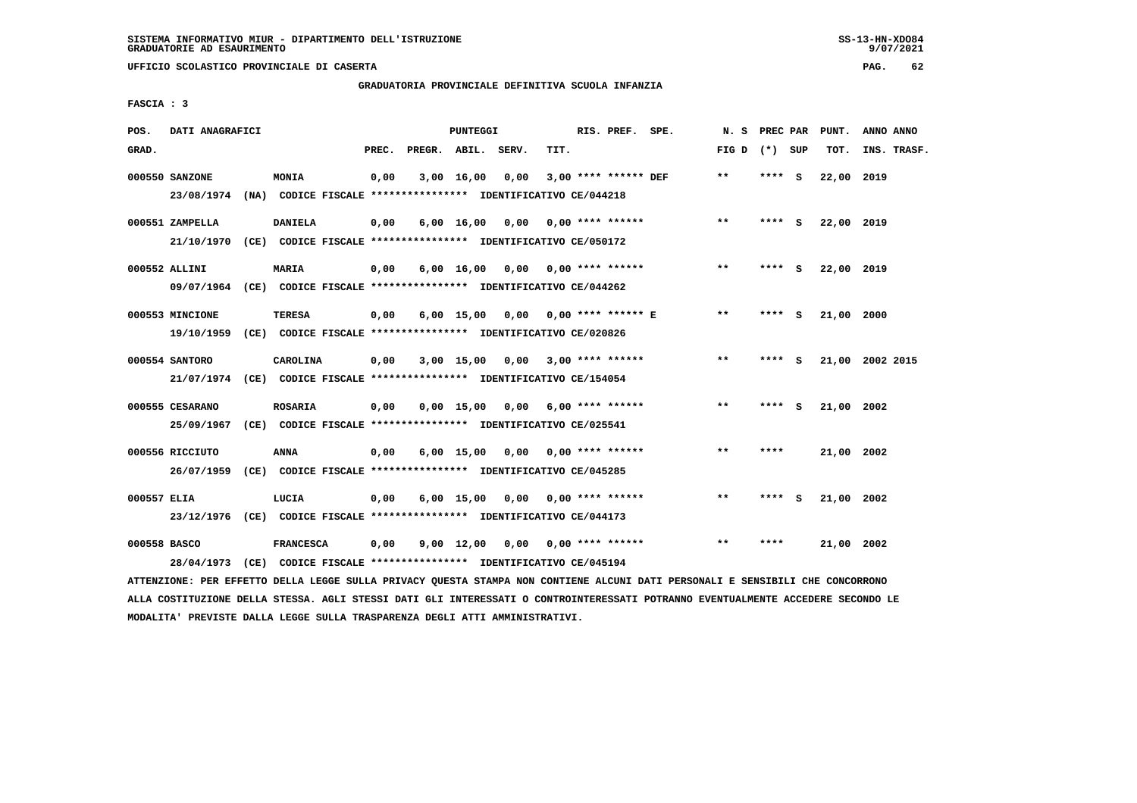# **GRADUATORIA PROVINCIALE DEFINITIVA SCUOLA INFANZIA**

 **FASCIA : 3**

| POS.         | DATI ANAGRAFICI               |                                                                                           |       | <b>PUNTEGGI</b>    |                                    |      | RIS. PREF. SPE.        | N. S            | PREC PAR |     | PUNT.      | ANNO ANNO       |
|--------------|-------------------------------|-------------------------------------------------------------------------------------------|-------|--------------------|------------------------------------|------|------------------------|-----------------|----------|-----|------------|-----------------|
| GRAD.        |                               |                                                                                           | PREC. | PREGR. ABIL.       | SERV.                              | TIT. |                        | FIG D $(*)$ SUP |          |     | TOT.       | INS. TRASF.     |
|              | 000550 SANZONE<br>23/08/1974  | MONIA<br>(NA) CODICE FISCALE **************** IDENTIFICATIVO CE/044218                    | 0,00  | $3,00$ 16,00       | 0,00                               |      | $3.00$ **** ****** DEF | $***$           | **** S   |     | 22,00 2019 |                 |
|              | 000551 ZAMPELLA               | <b>DANIELA</b><br>21/10/1970 (CE) CODICE FISCALE *************** IDENTIFICATIVO CE/050172 | 0,00  |                    | $6,00$ 16,00 0,00 0,00 **** ****** |      |                        | $***$           | **** S   |     | 22,00 2019 |                 |
|              | 000552 ALLINI                 | <b>MARIA</b><br>09/07/1964 (CE) CODICE FISCALE *************** IDENTIFICATIVO CE/044262   | 0,00  |                    | $6,00$ 16,00 0,00 0,00 **** ****** |      |                        | **              | **** S   |     | 22,00 2019 |                 |
|              | 000553 MINCIONE               | <b>TERESA</b><br>19/10/1959 (CE) CODICE FISCALE *************** IDENTIFICATIVO CE/020826  | 0,00  | $6,00$ 15,00       |                                    |      |                        | $***$           | ****     | - S | 21,00 2000 |                 |
|              | 000554 SANTORO                | CAROLINA<br>21/07/1974 (CE) CODICE FISCALE *************** IDENTIFICATIVO CE/154054       | 0,00  |                    | $3,00$ 15,00 0,00 3,00 **** ****** |      |                        | **              | **** S   |     |            | 21,00 2002 2015 |
|              | 000555 CESARANO<br>25/09/1967 | <b>ROSARIA</b><br>(CE) CODICE FISCALE **************** IDENTIFICATIVO CE/025541           | 0,00  | $0.00$ 15.00       | 0,00                               |      | $6,00$ **** ******     | $**$            | ****     | - S | 21,00      | 2002            |
|              | 000556 RICCIUTO<br>26/07/1959 | ANNA<br>(CE) CODICE FISCALE **************** IDENTIFICATIVO CE/045285                     | 0,00  |                    | $6,00$ 15,00 0,00 0,00 **** ****** |      |                        | $***$           | ****     |     | 21,00 2002 |                 |
| 000557 ELIA  |                               | LUCIA<br>23/12/1976 (CE) CODICE FISCALE *************** IDENTIFICATIVO CE/044173          | 0,00  |                    | $6,00$ 15,00 0,00 0,00 **** ****** |      |                        | **              | **** S   |     | 21,00 2002 |                 |
| 000558 BASCO | 28/04/1973                    | <b>FRANCESCA</b><br>(CE) CODICE FISCALE **************** IDENTIFICATIVO CE/045194         | 0,00  | $9,00 \quad 12,00$ | 0,00                               |      | $0.00$ **** ******     | $* *$           | ****     |     | 21,00 2002 |                 |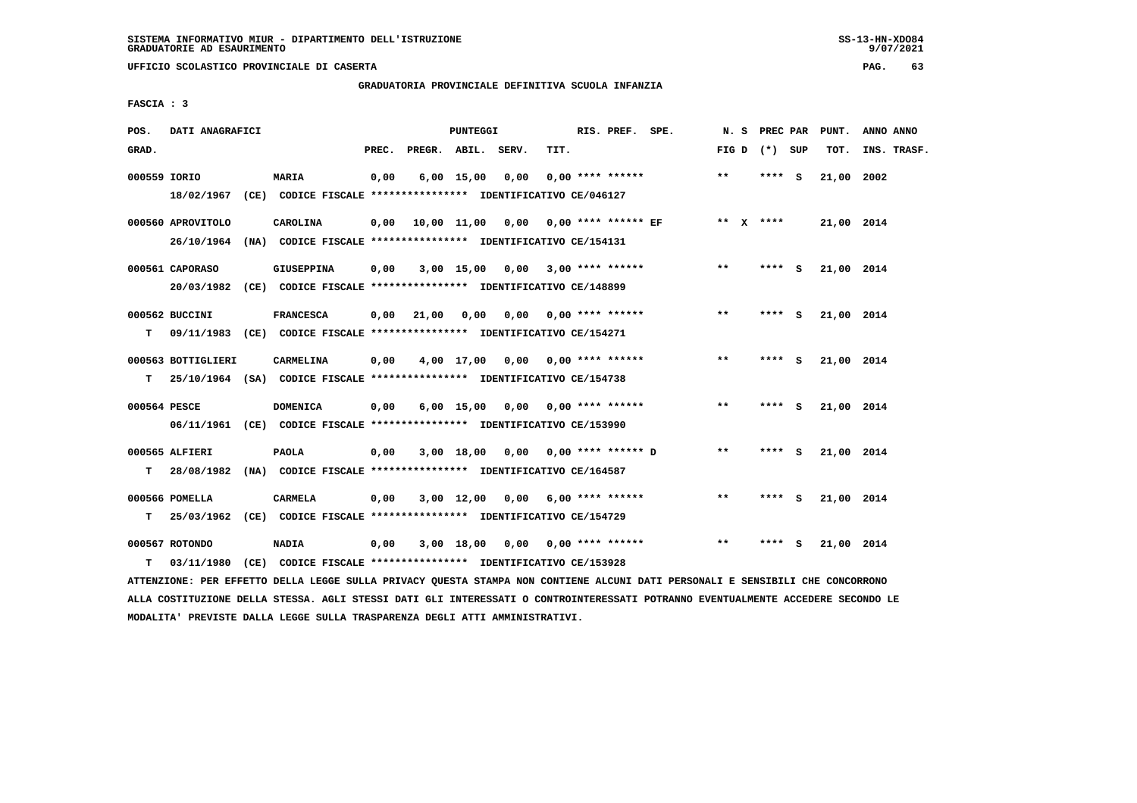**UFFICIO SCOLASTICO PROVINCIALE DI CASERTA PAG. 63**

# **GRADUATORIA PROVINCIALE DEFINITIVA SCUOLA INFANZIA**

 **FASCIA : 3**

| POS.         | DATI ANAGRAFICI                 |                                                                                              |       |              | <b>PUNTEGGI</b> |                                      |      | RIS. PREF. SPE.           |                 | N. S PREC PAR |          | PUNT.      | ANNO ANNO   |
|--------------|---------------------------------|----------------------------------------------------------------------------------------------|-------|--------------|-----------------|--------------------------------------|------|---------------------------|-----------------|---------------|----------|------------|-------------|
| GRAD.        |                                 |                                                                                              | PREC. | PREGR. ABIL. |                 | SERV.                                | TIT. |                           | FIG D $(*)$ SUP |               |          | TOT.       | INS. TRASF. |
| 000559 IORIO |                                 | MARIA<br>18/02/1967 (CE) CODICE FISCALE *************** IDENTIFICATIVO CE/046127             | 0,00  |              | $6,00$ 15,00    | 0,00                                 |      | $0.00$ **** ******        | $**$            | **** S        |          | 21,00      | 2002        |
|              | 000560 APROVITOLO<br>26/10/1964 | CAROLINA<br>(NA) CODICE FISCALE **************** IDENTIFICATIVO CE/154131                    | 0,00  |              |                 | 10,00 11,00 0,00 0,00 **** ****** EF |      |                           | ** $X$ ****     |               |          | 21,00 2014 |             |
|              | 000561 CAPORASO                 | <b>GIUSEPPINA</b><br>20/03/1982 (CE) CODICE FISCALE *************** IDENTIFICATIVO CE/148899 | 0,00  |              | 3,00 15,00      | $0,00$ 3,00 **** ******              |      |                           | $***$           | **** S        |          | 21,00 2014 |             |
| т            | 000562 BUCCINI                  | <b>FRANCESCA</b><br>09/11/1983 (CE) CODICE FISCALE *************** IDENTIFICATIVO CE/154271  | 0.00  | 21,00        | 0,00            | 0.00                                 |      | $0.00$ **** ******        | $***$           | ****          | <b>S</b> | 21,00 2014 |             |
| T.           | 000563 BOTTIGLIERI              | CARMELINA<br>25/10/1964 (SA) CODICE FISCALE *************** IDENTIFICATIVO CE/154738         | 0,00  |              | 4,00 17,00      |                                      |      | 0,00 0,00 **** ******     | $***$           | **** $S$      |          | 21,00 2014 |             |
| 000564 PESCE |                                 | <b>DOMENICA</b><br>06/11/1961 (CE) CODICE FISCALE *************** IDENTIFICATIVO CE/153990   | 0,00  |              | $6,00$ 15,00    | 0,00                                 |      | $0.00$ **** ******        | $***$           | **** S        |          | 21,00 2014 |             |
| T.           | 000565 ALFIERI                  | <b>PAOLA</b><br>28/08/1982 (NA) CODICE FISCALE **************** IDENTIFICATIVO CE/164587     | 0,00  |              | 3,00 18,00      | $0,00$ $0,00$ **** ****** D          |      |                           | $**$            | **** S        |          | 21,00 2014 |             |
| т            | 000566 POMELLA                  | CARMELA<br>25/03/1962 (CE) CODICE FISCALE *************** IDENTIFICATIVO CE/154729           | 0,00  |              | $3,00$ 12,00    |                                      |      | $0,00$ 6,00 **** ******   | $* *$           | **** S        |          | 21,00 2014 |             |
| т            | 000567 ROTONDO<br>03/11/1980    | <b>NADIA</b><br>(CE) CODICE FISCALE **************** IDENTIFICATIVO CE/153928                | 0,00  |              | 3,00 18,00      |                                      |      | $0,00$ $0,00$ **** ****** | $* *$           | ****          | - 5      | 21,00 2014 |             |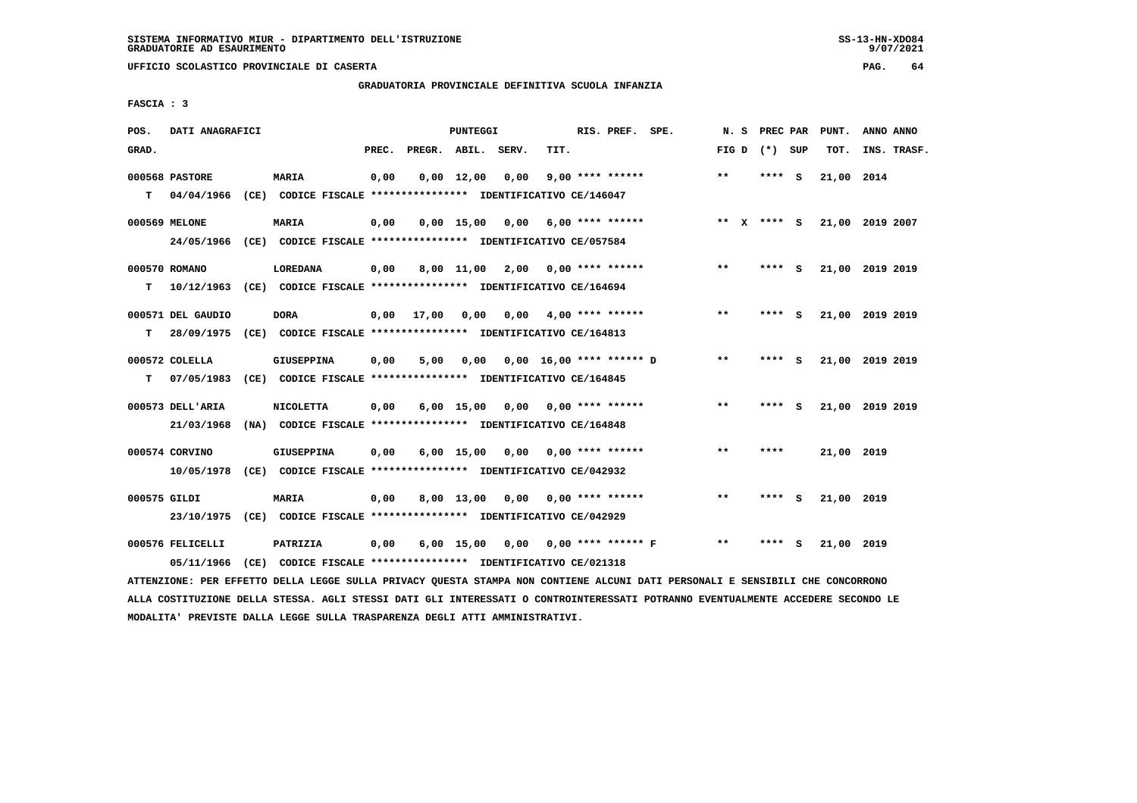**UFFICIO SCOLASTICO PROVINCIALE DI CASERTA PAG. 64**

# **GRADUATORIA PROVINCIALE DEFINITIVA SCUOLA INFANZIA**

 **FASCIA : 3**

| POS.         | DATI ANAGRAFICI              |                                                                               |       |                    | PUNTEGGI     |                                    |      | RIS. PREF. SPE.            |                           | N.S          |                 | PREC PAR | PUNT.      | ANNO ANNO       |
|--------------|------------------------------|-------------------------------------------------------------------------------|-------|--------------------|--------------|------------------------------------|------|----------------------------|---------------------------|--------------|-----------------|----------|------------|-----------------|
| GRAD.        |                              |                                                                               | PREC. | PREGR. ABIL. SERV. |              |                                    | TIT. |                            |                           |              | FIG D $(*)$ SUP |          | TOT.       | INS. TRASF.     |
| T.           | 000568 PASTORE<br>04/04/1966 | <b>MARIA</b><br>(CE) CODICE FISCALE **************** IDENTIFICATIVO CE/146047 | 0,00  |                    | $0,00$ 12,00 | 0,00                               |      | $9,00$ **** ******         |                           | **           | **** S          |          | 21,00      | 2014            |
|              |                              |                                                                               |       |                    |              |                                    |      |                            |                           |              |                 |          |            |                 |
|              | 000569 MELONE                | <b>MARIA</b>                                                                  | 0,00  |                    |              | $0,00$ 15,00 0,00                  |      | 6,00 **** ******           |                           | ** x **** S  |                 |          |            | 21,00 2019 2007 |
|              | 24/05/1966                   | (CE) CODICE FISCALE **************** IDENTIFICATIVO CE/057584                 |       |                    |              |                                    |      |                            |                           |              |                 |          |            |                 |
|              | 000570 ROMANO                | <b>LOREDANA</b>                                                               | 0,00  |                    |              | 8,00 11,00 2,00 0,00 **** ******   |      |                            |                           | $\star\star$ | **** S          |          |            | 21,00 2019 2019 |
| т            |                              | 10/12/1963 (CE) CODICE FISCALE *************** IDENTIFICATIVO CE/164694       |       |                    |              |                                    |      |                            |                           |              |                 |          |            |                 |
|              | 000571 DEL GAUDIO            | <b>DORA</b>                                                                   | 0,00  | 17,00              | 0,00         |                                    |      | $0.00 \t 4.00$ **** ****** |                           | $* *$        | ****            | - S      |            | 21,00 2019 2019 |
| т            | 28/09/1975                   | (CE) CODICE FISCALE **************** IDENTIFICATIVO CE/164813                 |       |                    |              |                                    |      |                            |                           |              |                 |          |            |                 |
|              |                              |                                                                               |       |                    |              |                                    |      |                            |                           |              |                 |          |            |                 |
|              | 000572 COLELLA               | <b>GIUSEPPINA</b>                                                             | 0,00  | 5,00               | 0,00         |                                    |      | 0,00 16,00 **** ****** D   |                           | $* *$        | **** S          |          |            | 21,00 2019 2019 |
| т            | 07/05/1983                   | (CE) CODICE FISCALE **************** IDENTIFICATIVO CE/164845                 |       |                    |              |                                    |      |                            |                           |              |                 |          |            |                 |
|              | 000573 DELL'ARIA             | <b>NICOLETTA</b>                                                              | 0,00  |                    |              | $6,00$ 15,00 0,00 0,00 **** ****** |      |                            |                           | $\star\star$ | ****            | - 5      |            | 21,00 2019 2019 |
|              | 21/03/1968                   | (NA) CODICE FISCALE **************** IDENTIFICATIVO CE/164848                 |       |                    |              |                                    |      |                            |                           |              |                 |          |            |                 |
|              | 000574 CORVINO               | <b>GIUSEPPINA</b>                                                             | 0,00  |                    |              | $6,00$ 15,00 0,00 0,00 **** ****** |      |                            |                           | $* *$        | ****            |          | 21,00 2019 |                 |
|              | 10/05/1978                   | (CE) CODICE FISCALE **************** IDENTIFICATIVO CE/042932                 |       |                    |              |                                    |      |                            |                           |              |                 |          |            |                 |
|              |                              |                                                                               |       |                    |              |                                    |      |                            |                           |              |                 |          |            |                 |
| 000575 GILDI |                              | <b>MARIA</b>                                                                  | 0,00  |                    | 8,00 13,00   |                                    |      | $0,00$ $0,00$ **** ******  |                           | $* *$        | **** S          |          | 21,00 2019 |                 |
|              | 23/10/1975                   | (CE) CODICE FISCALE **************** IDENTIFICATIVO CE/042929                 |       |                    |              |                                    |      |                            |                           |              |                 |          |            |                 |
|              | 000576 FELICELLI             | PATRIZIA                                                                      | 0,00  |                    | $6,00$ 15,00 |                                    |      |                            | $0,00$ 0,00 **** ****** F | $***$        | ****            | s        | 21,00 2019 |                 |
|              | 05/11/1966                   | (CE) CODICE FISCALE **************** IDENTIFICATIVO CE/021318                 |       |                    |              |                                    |      |                            |                           |              |                 |          |            |                 |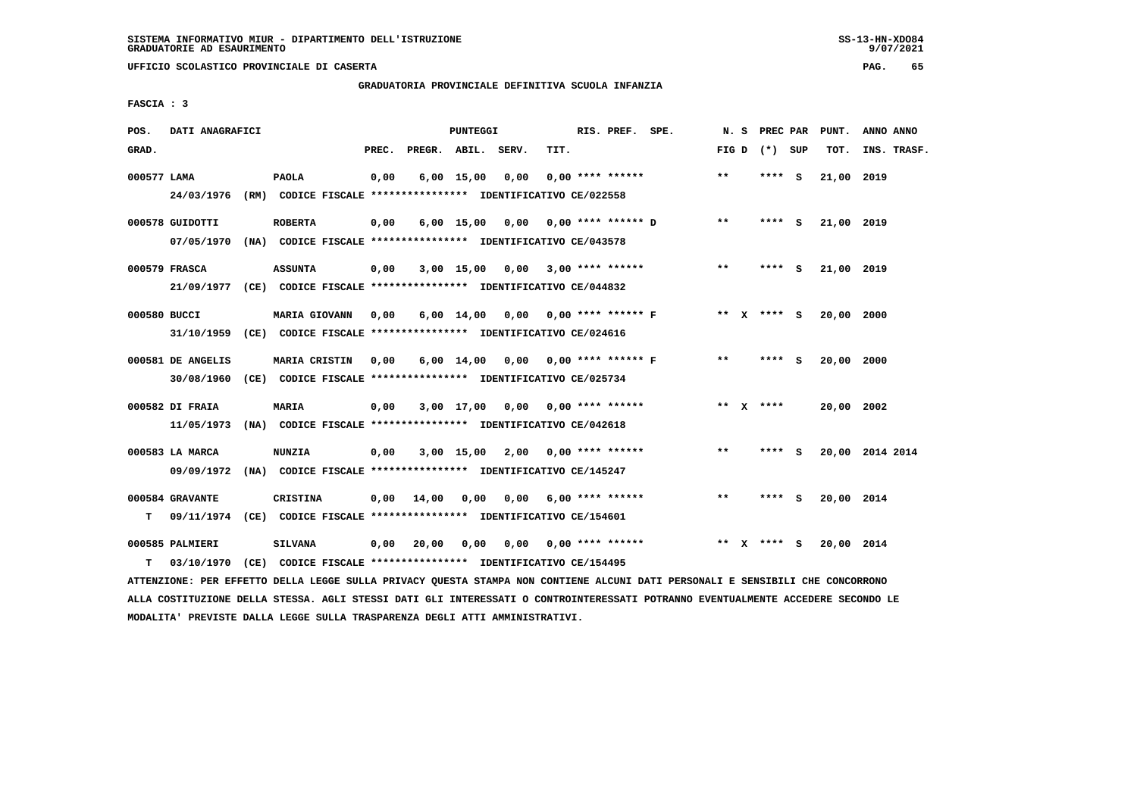## **GRADUATORIA PROVINCIALE DEFINITIVA SCUOLA INFANZIA**

 **FASCIA : 3**

| POS.         | DATI ANAGRAFICI   |                                                                          |       |                    | PUNTEGGI     |                                    |      | RIS. PREF. SPE.           |                                    | N. S  |                 | PREC PAR PUNT. | ANNO ANNO       |
|--------------|-------------------|--------------------------------------------------------------------------|-------|--------------------|--------------|------------------------------------|------|---------------------------|------------------------------------|-------|-----------------|----------------|-----------------|
| GRAD.        |                   |                                                                          | PREC. | PREGR. ABIL. SERV. |              |                                    | TIT. |                           |                                    |       | FIG D $(*)$ SUP | TOT.           | INS. TRASF.     |
| 000577 LAMA  |                   | <b>PAOLA</b>                                                             | 0,00  |                    | $6,00$ 15,00 | 0,00                               |      | $0.00$ **** ******        |                                    | $***$ | **** S          | 21,00 2019     |                 |
|              | 24/03/1976        | (RM) CODICE FISCALE **************** IDENTIFICATIVO CE/022558            |       |                    |              |                                    |      |                           |                                    |       |                 |                |                 |
|              | 000578 GUIDOTTI   | <b>ROBERTA</b>                                                           | 0,00  |                    |              |                                    |      |                           | 6,00 15,00 0,00 0,00 **** ****** D | $***$ | **** S          | 21,00 2019     |                 |
|              |                   | 07/05/1970 (NA) CODICE FISCALE *************** IDENTIFICATIVO CE/043578  |       |                    |              |                                    |      |                           |                                    |       |                 |                |                 |
|              | 000579 FRASCA     | <b>ASSUNTA</b>                                                           | 0,00  |                    |              | $3,00$ 15,00 0,00 3,00 **** ****** |      |                           |                                    | $***$ | **** S          | 21,00 2019     |                 |
|              |                   | 21/09/1977 (CE) CODICE FISCALE *************** IDENTIFICATIVO CE/044832  |       |                    |              |                                    |      |                           |                                    |       |                 |                |                 |
| 000580 BUCCI |                   | <b>MARIA GIOVANN</b>                                                     | 0,00  |                    |              |                                    |      |                           | 6,00 14,00 0,00 0,00 **** ****** F |       | ** x **** s     | 20,00 2000     |                 |
|              |                   | 31/10/1959 (CE) CODICE FISCALE *************** IDENTIFICATIVO CE/024616  |       |                    |              |                                    |      |                           |                                    |       |                 |                |                 |
|              | 000581 DE ANGELIS | <b>MARIA CRISTIN</b>                                                     | 0,00  |                    |              | 6,00 14,00 0,00 0,00 **** ****** F |      |                           |                                    | $* *$ | **** S          | 20,00 2000     |                 |
|              | 30/08/1960        | (CE) CODICE FISCALE **************** IDENTIFICATIVO CE/025734            |       |                    |              |                                    |      |                           |                                    |       |                 |                |                 |
|              | 000582 DI FRAIA   | <b>MARIA</b>                                                             | 0,00  |                    |              | $3,00$ 17,00 0,00 0,00 **** ****** |      |                           |                                    |       | ** $X$ ****     | 20,00 2002     |                 |
|              | 11/05/1973        | (NA) CODICE FISCALE **************** IDENTIFICATIVO CE/042618            |       |                    |              |                                    |      |                           |                                    |       |                 |                |                 |
|              | 000583 LA MARCA   | <b>NUNZIA</b>                                                            | 0,00  |                    |              | $3,00$ 15,00 2,00 0,00 **** ****** |      |                           |                                    | $***$ | **** S          |                | 20,00 2014 2014 |
|              | 09/09/1972        | (NA) CODICE FISCALE **************** IDENTIFICATIVO CE/145247            |       |                    |              |                                    |      |                           |                                    |       |                 |                |                 |
|              | 000584 GRAVANTE   | <b>CRISTINA</b>                                                          | 0,00  | 14,00              | 0,00         |                                    |      | $0,00$ 6,00 **** ******   |                                    | $***$ | **** S          | 20,00 2014     |                 |
| т            |                   | 09/11/1974 (CE) CODICE FISCALE **************** IDENTIFICATIVO CE/154601 |       |                    |              |                                    |      |                           |                                    |       |                 |                |                 |
|              | 000585 PALMIERI   | <b>SILVANA</b>                                                           | 0,00  | 20,00              | 0,00         |                                    |      | $0,00$ $0,00$ **** ****** |                                    |       | ** x **** S     | 20,00 2014     |                 |
| т            | 03/10/1970        | (CE) CODICE FISCALE **************** IDENTIFICATIVO CE/154495            |       |                    |              |                                    |      |                           |                                    |       |                 |                |                 |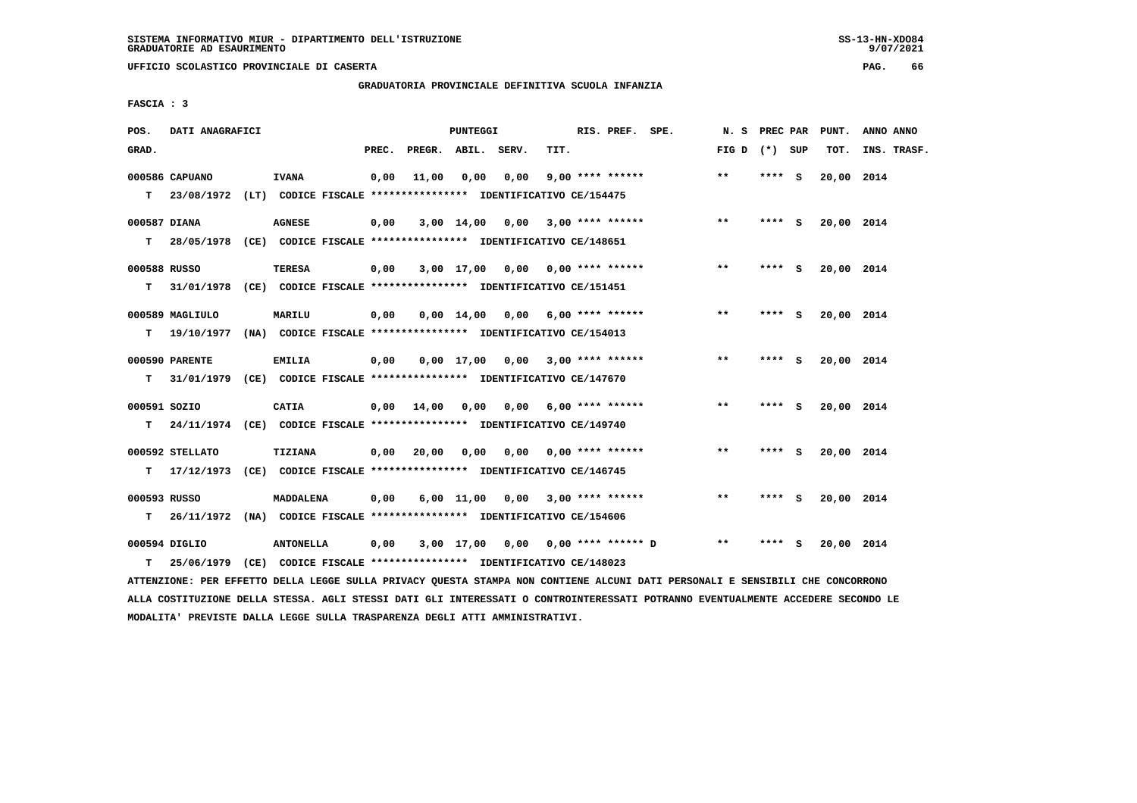**UFFICIO SCOLASTICO PROVINCIALE DI CASERTA PAG. 66**

 **GRADUATORIA PROVINCIALE DEFINITIVA SCUOLA INFANZIA**

 **FASCIA : 3**

| POS.              | DATI ANAGRAFICI             |                                                                                               |       |                    | <b>PUNTEGGI</b> |                                        |      | RIS. PREF. SPE.    | N. S            | PREC PAR |     | PUNT.      | ANNO ANNO   |
|-------------------|-----------------------------|-----------------------------------------------------------------------------------------------|-------|--------------------|-----------------|----------------------------------------|------|--------------------|-----------------|----------|-----|------------|-------------|
| GRAD.             |                             |                                                                                               | PREC. | PREGR. ABIL. SERV. |                 |                                        | TIT. |                    | FIG D $(*)$ SUP |          |     | TOT.       | INS. TRASF. |
|                   | 000586 CAPUANO              | <b>IVANA</b><br>T 23/08/1972 (LT) CODICE FISCALE *************** IDENTIFICATIVO CE/154475     | 0,00  | 11,00              | 0,00            | 0,00                                   |      | $9,00$ **** ****** | $* *$           | **** S   |     | 20,00 2014 |             |
| 000587 DIANA<br>т |                             | <b>AGNESE</b><br>28/05/1978 (CE) CODICE FISCALE *************** IDENTIFICATIVO CE/148651      | 0,00  |                    |                 | $3,00$ 14,00 0,00 3,00 **** ******     |      |                    | $* *$           | $***$ S  |     | 20,00 2014 |             |
| 000588 RUSSO<br>т |                             | <b>TERESA</b><br>31/01/1978 (CE) CODICE FISCALE *************** IDENTIFICATIVO CE/151451      | 0,00  |                    |                 | $3,00$ 17,00 0,00 0,00 **** ******     |      |                    | $***$           | **** S   |     | 20,00 2014 |             |
| т                 | 000589 MAGLIULO             | MARILU<br>19/10/1977 (NA) CODICE FISCALE *************** IDENTIFICATIVO CE/154013             | 0,00  |                    |                 | $0,00$ 14,00 0,00 6,00 **** ******     |      |                    | $**$            | **** S   |     | 20,00 2014 |             |
| T.                | 000590 PARENTE              | <b>EMILIA</b><br>31/01/1979 (CE) CODICE FISCALE *************** IDENTIFICATIVO CE/147670      | 0,00  |                    |                 | $0,00$ 17,00 0,00 3,00 **** ******     |      |                    | $* *$           | $***5$   |     | 20,00 2014 |             |
| 000591 SOZIO<br>т |                             | <b>CATIA</b><br>24/11/1974 (CE) CODICE FISCALE *************** IDENTIFICATIVO CE/149740       |       |                    |                 | $0,00$ $14,00$ $0,00$ $0,00$           |      | 6,00 **** ******   | $\star\star$    | $***$ S  |     | 20,00 2014 |             |
|                   | 000592 STELLATO             | TIZIANA<br>T 17/12/1973 (CE) CODICE FISCALE *************** IDENTIFICATIVO CE/146745          |       | $0,00$ 20,00       |                 | $0,00$ $0,00$ $0,00$ $***$ **** ****** |      |                    | $***$           | **** S   |     | 20,00 2014 |             |
| 000593 RUSSO      |                             | <b>MADDALENA</b><br>T 26/11/1972 (NA) CODICE FISCALE *************** IDENTIFICATIVO CE/154606 | 0,00  |                    |                 | $6,00$ 11,00 0,00 3,00 **** ******     |      |                    | $* *$           | **** S   |     | 20,00 2014 |             |
| т                 | 000594 DIGLIO<br>25/06/1979 | <b>ANTONELLA</b><br>(CE) CODICE FISCALE **************** IDENTIFICATIVO CE/148023             | 0,00  |                    |                 | 3,00 17,00 0,00 0,00 **** ****** D     |      |                    | $* *$           | ****     | - S | 20,00 2014 |             |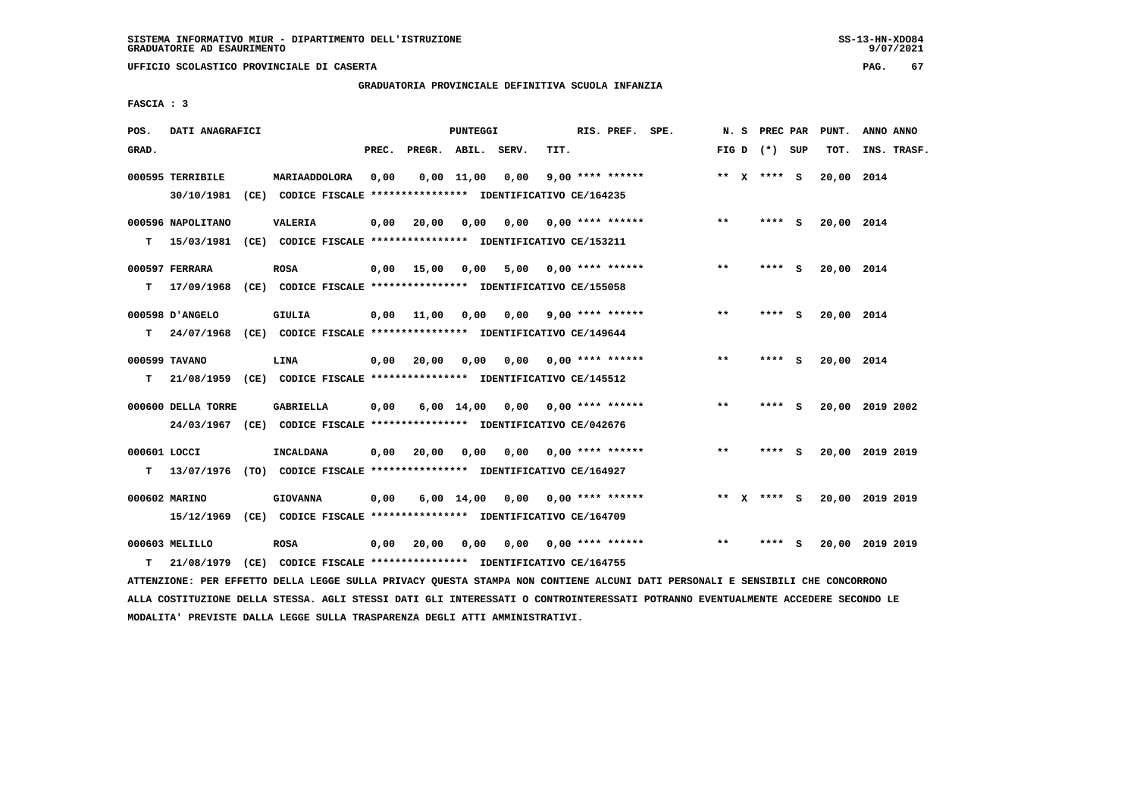**UFFICIO SCOLASTICO PROVINCIALE DI CASERTA PAG. 67**

 **GRADUATORIA PROVINCIALE DEFINITIVA SCUOLA INFANZIA**

 **FASCIA : 3**

| POS.               | DATI ANAGRAFICI                |                                                                                            |       |              | PUNTEGGI           |      |      | RIS. PREF. SPE.           |       | N. S PREC PAR   |     | PUNT.      | ANNO ANNO       |
|--------------------|--------------------------------|--------------------------------------------------------------------------------------------|-------|--------------|--------------------|------|------|---------------------------|-------|-----------------|-----|------------|-----------------|
| GRAD.              |                                |                                                                                            | PREC. |              | PREGR. ABIL. SERV. |      | TIT. |                           |       | FIG D $(*)$ SUP |     | TOT.       | INS. TRASF.     |
|                    | 000595 TERRIBILE<br>30/10/1981 | MARIAADDOLORA<br>(CE) CODICE FISCALE **************** IDENTIFICATIVO CE/164235             | 0,00  |              | $0,00$ 11,00       | 0,00 |      | $9,00$ **** ******        |       | ** X **** S     |     | 20,00 2014 |                 |
| т                  | 000596 NAPOLITANO              | <b>VALERIA</b><br>15/03/1981 (CE) CODICE FISCALE *************** IDENTIFICATIVO CE/153211  | 0,00  | 20,00        | 0,00               | 0,00 |      | $0.00$ **** ******        | $**$  | ****            | - S | 20,00 2014 |                 |
| т                  | 000597 FERRARA                 | <b>ROSA</b><br>17/09/1968 (CE) CODICE FISCALE *************** IDENTIFICATIVO CE/155058     |       | $0,00$ 15,00 | 0,00               |      |      | $5,00$ 0,00 **** ******   | $* *$ | ****            | - S | 20,00 2014 |                 |
| т                  | 000598 D'ANGELO                | GIULIA<br>24/07/1968 (CE) CODICE FISCALE *************** IDENTIFICATIVO CE/149644          |       | $0,00$ 11,00 | 0,00               | 0,00 |      | $9.00$ **** ******        | $* *$ | ****            | - S | 20,00 2014 |                 |
| т                  | 000599 TAVANO                  | LINA<br>21/08/1959 (CE) CODICE FISCALE *************** IDENTIFICATIVO CE/145512            | 0,00  | 20,00        | 0,00               | 0.00 |      | $0.00$ **** ******        | $* *$ | **** S          |     | 20,00 2014 |                 |
|                    | 000600 DELLA TORRE             | GABRIELLA<br>24/03/1967 (CE) CODICE FISCALE *************** IDENTIFICATIVO CE/042676       | 0,00  |              | 6,00 14,00         | 0,00 |      | $0.00$ **** ******        | $**$  | **** S          |     |            | 20,00 2019 2002 |
| 000601 LOCCI<br>T. |                                | INCALDANA<br>13/07/1976 (TO) CODICE FISCALE *************** IDENTIFICATIVO CE/164927       | 0,00  | 20,00        | 0,00               |      |      | $0.00$ $0.00$ **** ****** | $**$  | **** S          |     |            | 20,00 2019 2019 |
|                    | 000602 MARINO                  | <b>GIOVANNA</b><br>15/12/1969 (CE) CODICE FISCALE *************** IDENTIFICATIVO CE/164709 | 0,00  |              | $6,00$ 14,00       |      |      | $0,00$ $0,00$ **** ****** |       | ** x **** s     |     |            | 20,00 2019 2019 |
| т                  | 000603 MELILLO<br>21/08/1979   | <b>ROSA</b><br>(CE) CODICE FISCALE **************** IDENTIFICATIVO CE/164755               | 0,00  | 20,00        | 0,00               |      |      | $0,00$ $0,00$ **** ****** | $***$ | ****            | - S |            | 20,00 2019 2019 |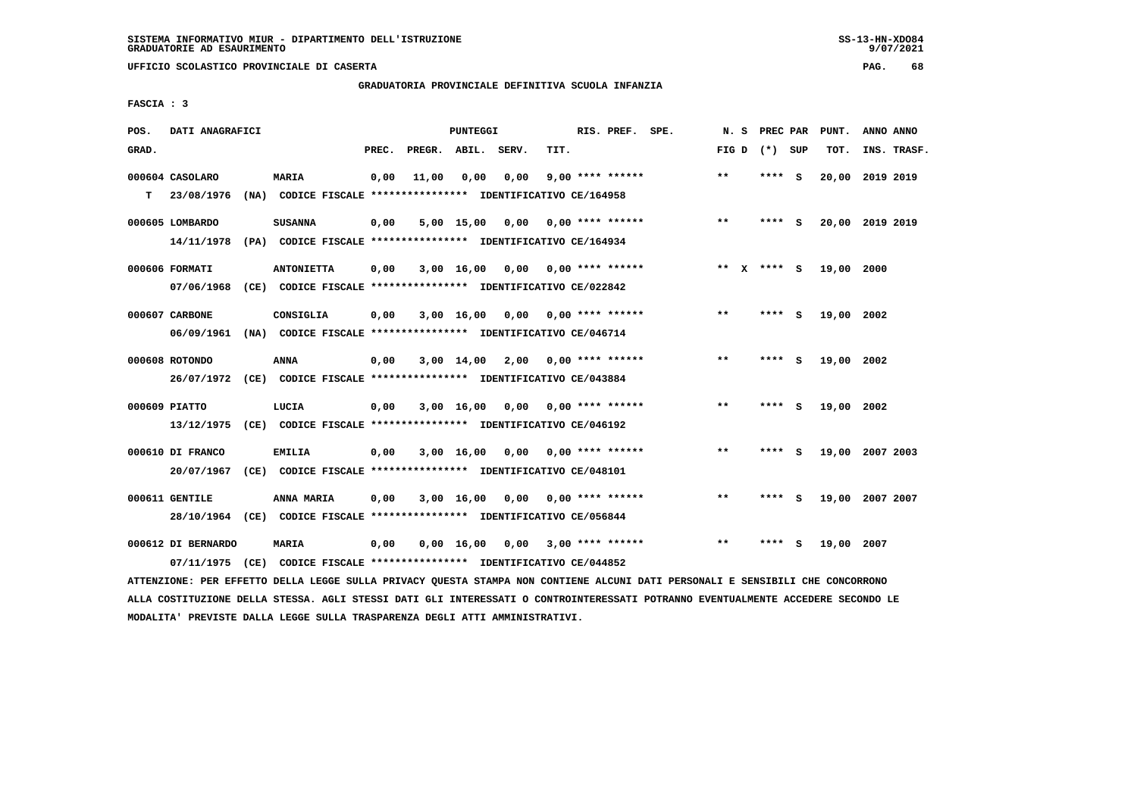**UFFICIO SCOLASTICO PROVINCIALE DI CASERTA PAG. 68**

# **GRADUATORIA PROVINCIALE DEFINITIVA SCUOLA INFANZIA**

 **FASCIA : 3**

| POS.  | DATI ANAGRAFICI                  |      |                                                                                    |       |                    | <b>PUNTEGGI</b>    |      |      | RIS. PREF.              | SPE. | N.S          | PREC PAR |          | PUNT.      | ANNO ANNO       |
|-------|----------------------------------|------|------------------------------------------------------------------------------------|-------|--------------------|--------------------|------|------|-------------------------|------|--------------|----------|----------|------------|-----------------|
| GRAD. |                                  |      |                                                                                    | PREC. | PREGR. ABIL. SERV. |                    |      | TIT. |                         |      | FIG D        | (*) SUP  |          | TOT.       | INS. TRASF.     |
| т     | 000604 CASOLARO<br>23/08/1976    |      | <b>MARIA</b><br>(NA) CODICE FISCALE **************** IDENTIFICATIVO CE/164958      | 0,00  | 11,00              | 0,00               | 0,00 |      | $9,00$ **** ******      |      | $* *$        | ****     | <b>S</b> | 20,00      | 2019 2019       |
|       | 000605 LOMBARDO<br>14/11/1978    |      | <b>SUSANNA</b><br>(PA) CODICE FISCALE **************** IDENTIFICATIVO CE/164934    | 0,00  |                    | 5,00 15,00         | 0,00 |      | $0.00$ **** ******      |      | $* *$        | **** S   |          |            | 20,00 2019 2019 |
|       | 000606 FORMATI<br>07/06/1968     |      | <b>ANTONIETTA</b><br>(CE) CODICE FISCALE **************** IDENTIFICATIVO CE/022842 | 0,00  |                    | $3,00$ 16,00       | 0,00 |      | 0,00 **** ******        |      | ** X **** S  |          |          | 19,00 2000 |                 |
|       | 000607 CARBONE<br>06/09/1961     |      | CONSIGLIA<br>(NA) CODICE FISCALE **************** IDENTIFICATIVO CE/046714         | 0,00  |                    | 3,00 16,00         | 0,00 |      | 0,00 **** ******        |      | $* *$        | ****     | s        | 19,00      | 2002            |
|       | 000608 ROTONDO                   |      | ANNA<br>26/07/1972 (CE) CODICE FISCALE *************** IDENTIFICATIVO CE/043884    | 0,00  |                    | $3,00$ 14,00       |      |      | $2,00$ 0,00 **** ****** |      | $**$         | ****     | - S      | 19,00 2002 |                 |
|       | 000609 PIATTO<br>13/12/1975      |      | LUCIA<br>(CE) CODICE FISCALE **************** IDENTIFICATIVO CE/046192             | 0,00  |                    | 3,00 16,00         | 0,00 |      | $0.00$ **** ******      |      | $* *$        | ****     | - S      | 19,00 2002 |                 |
|       | 000610 DI FRANCO<br>20/07/1967   |      | <b>EMILIA</b><br>(CE) CODICE FISCALE **************** IDENTIFICATIVO CE/048101     | 0,00  |                    | 3,00 16,00         | 0,00 |      | $0.00$ **** ******      |      | $* *$        | ****     | - S      | 19,00      | 2007 2003       |
|       | 000611 GENTILE<br>28/10/1964     |      | ANNA MARIA<br>(CE) CODICE FISCALE **************** IDENTIFICATIVO CE/056844        | 0,00  |                    | 3,00 16,00         | 0.00 |      | $0.00$ **** ******      |      | $\star\star$ | ****     | - 5      | 19,00      | 2007 2007       |
|       | 000612 DI BERNARDO<br>07/11/1975 | (CE) | MARIA<br>CODICE FISCALE **************** IDENTIFICATIVO CE/044852                  | 0,00  |                    | $0,00 \quad 16,00$ | 0,00 |      | 3,00 **** ******        |      | $* *$        | ****     | s        | 19,00 2007 |                 |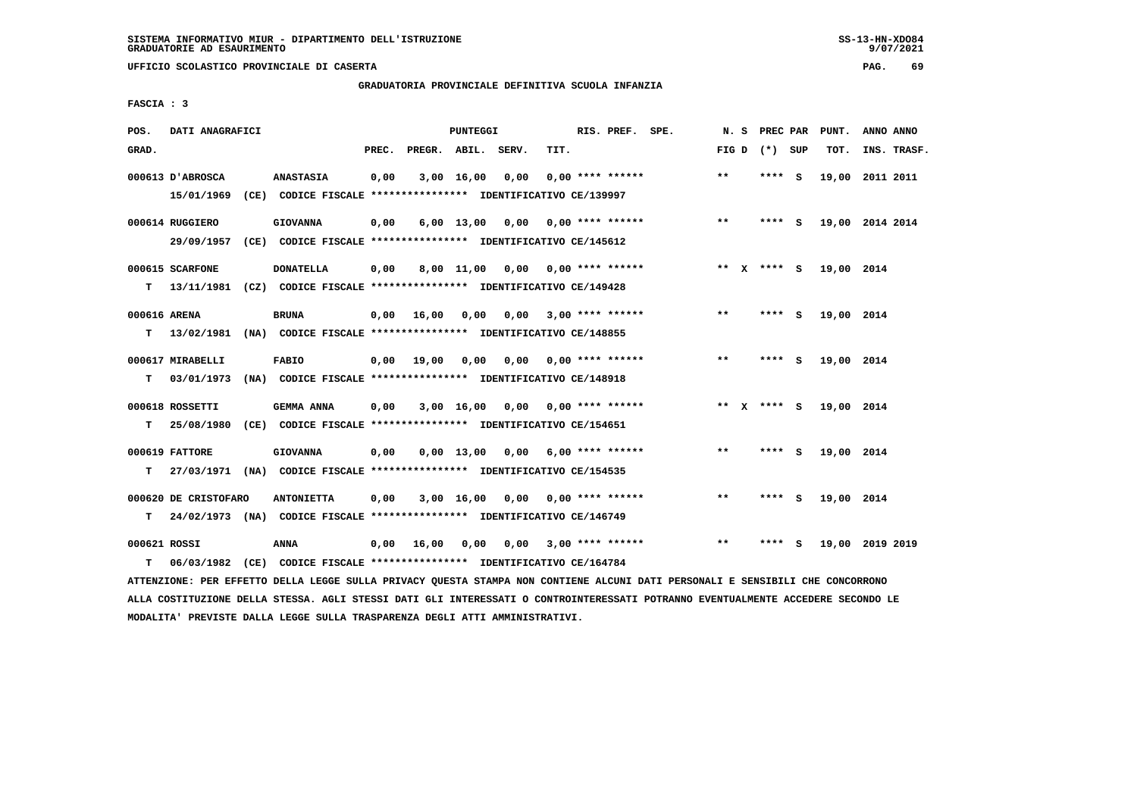**UFFICIO SCOLASTICO PROVINCIALE DI CASERTA PAG. 69**

# **GRADUATORIA PROVINCIALE DEFINITIVA SCUOLA INFANZIA**

 **FASCIA : 3**

| POS.         | DATI ANAGRAFICI      |                                                                                                                               |       |                    | PUNTEGGI   |                                    |      | RIS. PREF. SPE.           | N. S  | PREC PAR        |          | PUNT.           | ANNO ANNO   |  |
|--------------|----------------------|-------------------------------------------------------------------------------------------------------------------------------|-------|--------------------|------------|------------------------------------|------|---------------------------|-------|-----------------|----------|-----------------|-------------|--|
| GRAD.        |                      |                                                                                                                               | PREC. | PREGR. ABIL. SERV. |            |                                    | TIT. |                           |       | FIG D $(*)$ SUP |          | TOT.            | INS. TRASF. |  |
|              | 000613 D'ABROSCA     | <b>ANASTASIA</b>                                                                                                              | 0,00  |                    | 3,00 16,00 | 0,00                               |      | $0.00$ **** ******        | **    | **** S          |          | 19,00 2011 2011 |             |  |
|              | 15/01/1969           | (CE) CODICE FISCALE **************** IDENTIFICATIVO CE/139997                                                                 |       |                    |            |                                    |      |                           |       |                 |          |                 |             |  |
|              | 000614 RUGGIERO      | <b>GIOVANNA</b>                                                                                                               | 0,00  |                    |            | $6,00$ 13,00 0,00 0,00 **** ****** |      |                           | $***$ | **** S          |          | 19,00 2014 2014 |             |  |
|              | 29/09/1957           | (CE) CODICE FISCALE **************** IDENTIFICATIVO CE/145612                                                                 |       |                    |            |                                    |      |                           |       |                 |          |                 |             |  |
|              | 000615 SCARFONE      | <b>DONATELLA</b>                                                                                                              | 0,00  |                    | 8,00 11,00 |                                    |      | $0,00$ $0,00$ **** ****** |       | ** $X$ **** S   |          | 19,00 2014      |             |  |
|              |                      | T 13/11/1981 (CZ) CODICE FISCALE *************** IDENTIFICATIVO CE/149428                                                     |       |                    |            |                                    |      |                           |       |                 |          |                 |             |  |
| 000616 ARENA |                      | <b>BRUNA</b>                                                                                                                  | 0.00  | 16,00 0,00         |            | 0,00                               |      | $3,00$ **** ******        | $* *$ | **** S          |          | 19,00 2014      |             |  |
| т            | 13/02/1981           | (NA) CODICE FISCALE **************** IDENTIFICATIVO CE/148855                                                                 |       |                    |            |                                    |      |                           |       |                 |          |                 |             |  |
|              | 000617 MIRABELLI     | <b>FABIO</b>                                                                                                                  |       | $0,00$ 19,00       | 0,00       | 0,00 0,00 **** ******              |      |                           | $***$ | $***$ S         |          | 19,00 2014      |             |  |
| т            | 03/01/1973           | (NA) CODICE FISCALE **************** IDENTIFICATIVO CE/148918                                                                 |       |                    |            |                                    |      |                           |       |                 |          |                 |             |  |
|              | 000618 ROSSETTI      | GEMMA ANNA                                                                                                                    | 0,00  |                    |            | 3,00 16,00 0,00 0,00 **** ******   |      |                           |       | ** X **** S     |          | 19,00 2014      |             |  |
| т            | 25/08/1980           | (CE) CODICE FISCALE **************** IDENTIFICATIVO CE/154651                                                                 |       |                    |            |                                    |      |                           |       |                 |          |                 |             |  |
|              | 000619 FATTORE       | <b>GIOVANNA</b>                                                                                                               | 0,00  |                    |            | 0,00 13,00 0,00                    |      | $6,00$ **** ******        | $* *$ | **** S          |          | 19,00 2014      |             |  |
| т            |                      | 27/03/1971 (NA) CODICE FISCALE *************** IDENTIFICATIVO CE/154535                                                       |       |                    |            |                                    |      |                           |       |                 |          |                 |             |  |
|              | 000620 DE CRISTOFARO | <b>ANTONIETTA</b>                                                                                                             | 0,00  |                    |            | $3,00$ 16,00 0,00 0,00 **** ****** |      |                           | $**$  | **** S          |          | 19,00 2014      |             |  |
| T.           |                      | 24/02/1973 (NA) CODICE FISCALE **************** IDENTIFICATIVO CE/146749                                                      |       |                    |            |                                    |      |                           |       |                 |          |                 |             |  |
| 000621 ROSSI |                      | ANNA                                                                                                                          | 0,00  | 16,00              | 0,00       |                                    |      | $0,00$ 3,00 **** ******   | $**$  | ****            | <b>S</b> | 19,00 2019 2019 |             |  |
| т            | 06/03/1982           | (CE) CODICE FISCALE **************** IDENTIFICATIVO CE/164784                                                                 |       |                    |            |                                    |      |                           |       |                 |          |                 |             |  |
|              |                      | ATTENZIONE: PER EFFETTO DELLA LEGGE SULLA PRIVACY QUESTA STAMPA NON CONTIENE ALCUNI DATI PERSONALI E SENSIBILI CHE CONCORRONO |       |                    |            |                                    |      |                           |       |                 |          |                 |             |  |

 **ALLA COSTITUZIONE DELLA STESSA. AGLI STESSI DATI GLI INTERESSATI O CONTROINTERESSATI POTRANNO EVENTUALMENTE ACCEDERE SECONDO LE MODALITA' PREVISTE DALLA LEGGE SULLA TRASPARENZA DEGLI ATTI AMMINISTRATIVI.**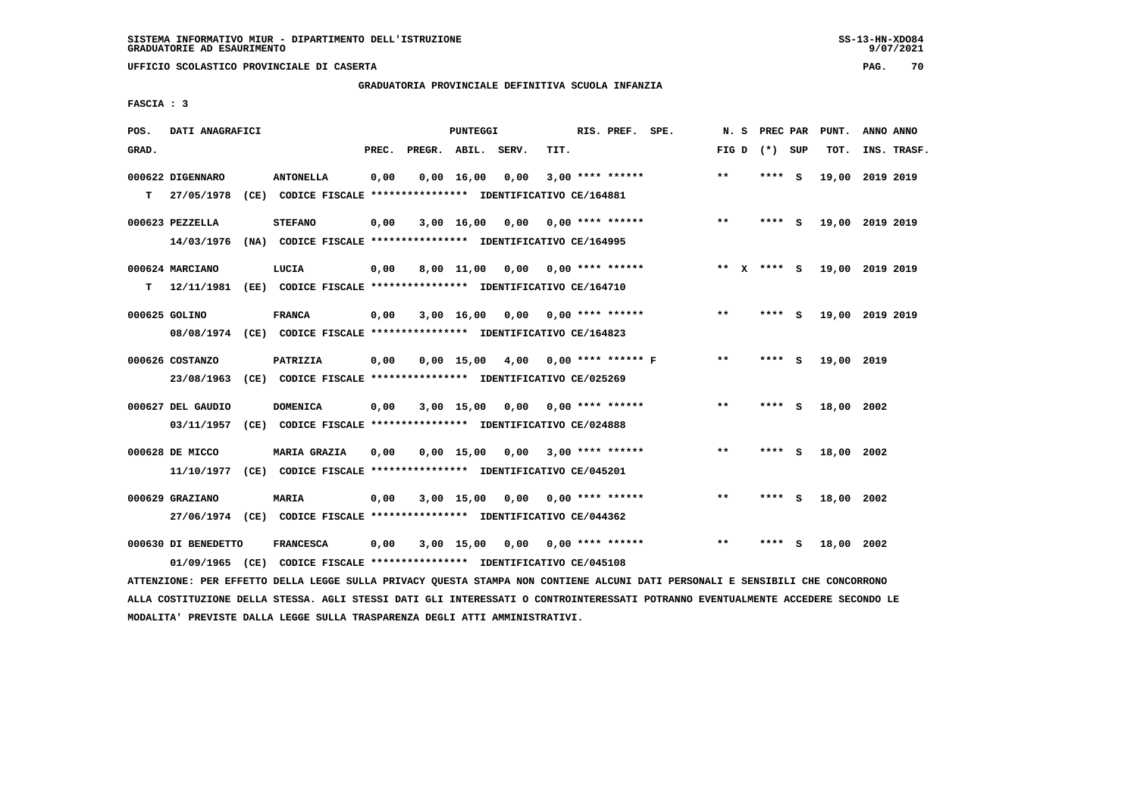# **GRADUATORIA PROVINCIALE DEFINITIVA SCUOLA INFANZIA**

 **FASCIA : 3**

| POS.  | DATI ANAGRAFICI     |      |                                                                         |       |              | PUNTEGGI           |       |      | RIS. PREF.                | SPE. | N.S     | PREC PAR |          | PUNT.           | ANNO ANNO |             |
|-------|---------------------|------|-------------------------------------------------------------------------|-------|--------------|--------------------|-------|------|---------------------------|------|---------|----------|----------|-----------------|-----------|-------------|
| GRAD. |                     |      |                                                                         | PREC. | PREGR. ABIL. |                    | SERV. | TIT. |                           |      | FIG D   | (*) SUP  |          | TOT.            |           | INS. TRASF. |
|       |                     |      |                                                                         |       |              |                    |       |      |                           |      |         |          |          |                 |           |             |
|       | 000622 DIGENNARO    |      | <b>ANTONELLA</b>                                                        | 0,00  |              | $0,00 \quad 16,00$ | 0,00  |      | $3,00$ **** ******        |      | $* *$   | ****     | - S      | 19,00           | 2019 2019 |             |
| т     | 27/05/1978          |      | (CE) CODICE FISCALE **************** IDENTIFICATIVO CE/164881           |       |              |                    |       |      |                           |      |         |          |          |                 |           |             |
|       | 000623 PEZZELLA     |      | <b>STEFANO</b>                                                          | 0,00  |              | 3,00 16,00         | 0,00  |      | $0.00$ **** ******        |      | $***$   | **** S   |          | 19,00 2019 2019 |           |             |
|       | 14/03/1976          |      | (NA) CODICE FISCALE **************** IDENTIFICATIVO CE/164995           |       |              |                    |       |      |                           |      |         |          |          |                 |           |             |
|       |                     |      |                                                                         |       |              |                    |       |      |                           |      |         |          |          |                 |           |             |
|       | 000624 MARCIANO     |      | LUCIA                                                                   | 0,00  |              | 8,00 11,00         | 0,00  |      | $0.00$ **** ******        |      | $***$ X | **** S   |          | 19,00 2019 2019 |           |             |
| т     | 12/11/1981          |      | (EE) CODICE FISCALE **************** IDENTIFICATIVO CE/164710           |       |              |                    |       |      |                           |      |         |          |          |                 |           |             |
|       | 000625 GOLINO       |      | <b>FRANCA</b>                                                           | 0,00  |              | 3,00 16,00         | 0,00  |      | $0.00$ **** ******        |      | $***$   | **** S   |          | 19,00 2019 2019 |           |             |
|       |                     |      |                                                                         |       |              |                    |       |      |                           |      |         |          |          |                 |           |             |
|       |                     |      | 08/08/1974 (CE) CODICE FISCALE *************** IDENTIFICATIVO CE/164823 |       |              |                    |       |      |                           |      |         |          |          |                 |           |             |
|       | 000626 COSTANZO     |      | PATRIZIA                                                                | 0,00  |              | $0,00$ 15,00       | 4,00  |      | $0.00$ **** ****** F      |      | $***$   | ****     | ్        | 19,00 2019      |           |             |
|       | 23/08/1963          |      | (CE) CODICE FISCALE **************** IDENTIFICATIVO CE/025269           |       |              |                    |       |      |                           |      |         |          |          |                 |           |             |
|       |                     |      |                                                                         |       |              |                    |       |      |                           |      |         |          |          |                 |           |             |
|       | 000627 DEL GAUDIO   |      | <b>DOMENICA</b>                                                         | 0,00  |              | $3,00$ 15,00       | 0,00  |      | $0.00$ **** ******        |      | $* *$   | ****     | <b>S</b> | 18,00 2002      |           |             |
|       | 03/11/1957          |      | (CE) CODICE FISCALE **************** IDENTIFICATIVO CE/024888           |       |              |                    |       |      |                           |      |         |          |          |                 |           |             |
|       | 000628 DE MICCO     |      | <b>MARIA GRAZIA</b>                                                     | 0,00  |              | $0,00$ 15,00       | 0,00  |      | $3,00$ **** ******        |      | $* *$   | ****     | - S      | 18,00           | 2002      |             |
|       | 11/10/1977          |      | (CE) CODICE FISCALE **************** IDENTIFICATIVO CE/045201           |       |              |                    |       |      |                           |      |         |          |          |                 |           |             |
|       |                     |      |                                                                         |       |              |                    |       |      |                           |      |         |          |          |                 |           |             |
|       | 000629 GRAZIANO     |      | MARIA                                                                   | 0,00  |              | $3,00$ 15,00       | 0,00  |      | $0.00$ **** ******        |      | $* *$   | **** S   |          | 18,00 2002      |           |             |
|       |                     |      | 27/06/1974 (CE) CODICE FISCALE *************** IDENTIFICATIVO CE/044362 |       |              |                    |       |      |                           |      |         |          |          |                 |           |             |
|       |                     |      | <b>FRANCESCA</b>                                                        |       |              |                    |       |      |                           |      | **      |          |          |                 |           |             |
|       | 000630 DI BENEDETTO |      |                                                                         | 0.00  |              | 3,00 15,00         |       |      | $0.00$ $0.00$ **** ****** |      |         | ****     | - S      | 18,00 2002      |           |             |
|       | 01/09/1965          | (CE) | CODICE FISCALE **************** IDENTIFICATIVO CE/045108                |       |              |                    |       |      |                           |      |         |          |          |                 |           |             |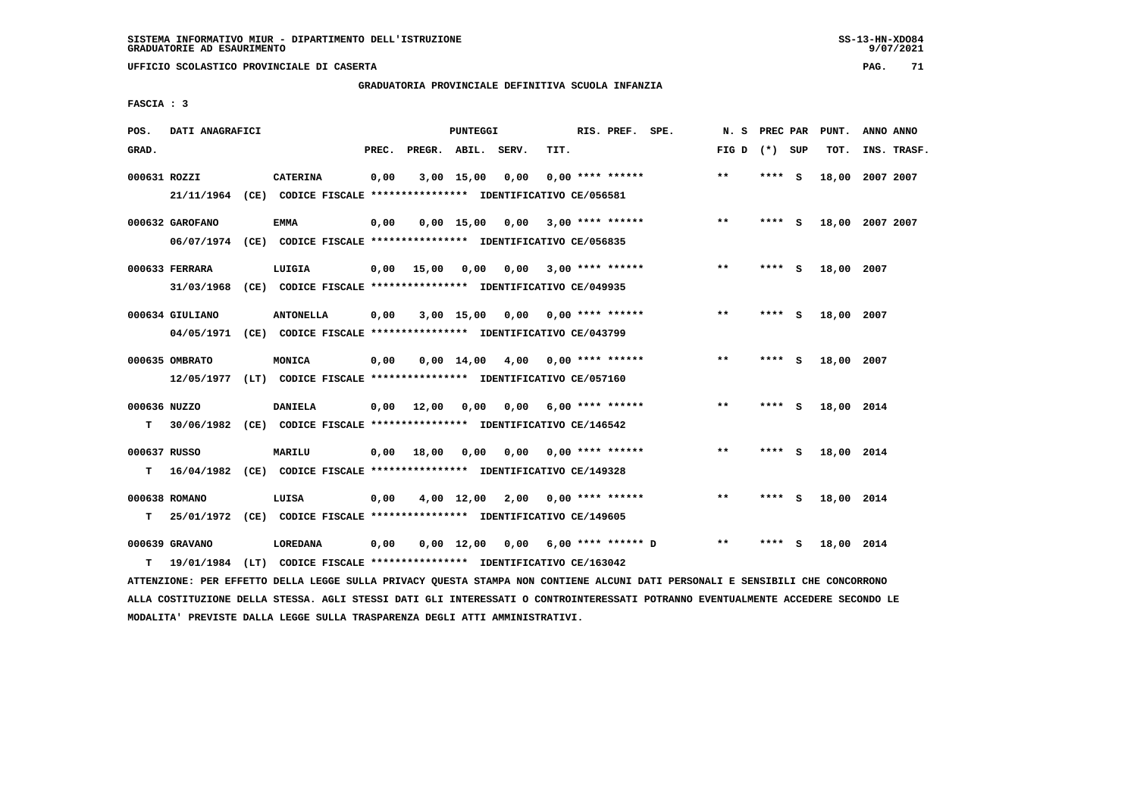## **GRADUATORIA PROVINCIALE DEFINITIVA SCUOLA INFANZIA**

 **FASCIA : 3**

| POS.         | DATI ANAGRAFICI |                                                                           |       |                    | PUNTEGGI   |                                                      |      | RIS. PREF. SPE.         | N.S   | PREC PAR |     | PUNT.      | ANNO ANNO       |
|--------------|-----------------|---------------------------------------------------------------------------|-------|--------------------|------------|------------------------------------------------------|------|-------------------------|-------|----------|-----|------------|-----------------|
| GRAD.        |                 |                                                                           | PREC. | PREGR. ABIL. SERV. |            |                                                      | TIT. |                         | FIG D | (*) SUP  |     | TOT.       | INS. TRASF.     |
| 000631 ROZZI |                 | <b>CATERINA</b>                                                           | 0,00  |                    | 3,00 15,00 | 0,00                                                 |      | $0.00$ **** ******      | $***$ | **** S   |     |            | 18,00 2007 2007 |
|              |                 | 21/11/1964 (CE) CODICE FISCALE *************** IDENTIFICATIVO CE/056581   |       |                    |            |                                                      |      |                         |       |          |     |            |                 |
|              | 000632 GAROFANO | <b>EMMA</b>                                                               | 0,00  |                    |            | $0,00$ 15,00 0,00 3,00 **** ******                   |      |                         | $* *$ | **** S   |     |            | 18,00 2007 2007 |
|              |                 | 06/07/1974 (CE) CODICE FISCALE *************** IDENTIFICATIVO CE/056835   |       |                    |            |                                                      |      |                         |       |          |     |            |                 |
|              | 000633 FERRARA  | LUIGIA                                                                    |       | $0,00$ 15,00       | 0,00       |                                                      |      | $0.00$ 3.00 **** ****** | $**$  | **** S   |     | 18,00 2007 |                 |
|              |                 | 31/03/1968 (CE) CODICE FISCALE *************** IDENTIFICATIVO CE/049935   |       |                    |            |                                                      |      |                         |       |          |     |            |                 |
|              | 000634 GIULIANO | <b>ANTONELLA</b>                                                          | 0,00  |                    |            | $3,00$ 15,00 0,00 0,00 **** ******                   |      |                         | $***$ | **** S   |     | 18,00 2007 |                 |
|              |                 | 04/05/1971 (CE) CODICE FISCALE *************** IDENTIFICATIVO CE/043799   |       |                    |            |                                                      |      |                         |       |          |     |            |                 |
|              |                 |                                                                           |       |                    |            |                                                      |      |                         |       |          |     |            |                 |
|              | 000635 OMBRATO  | MONICA                                                                    | 0,00  |                    |            | $0.00 \quad 14.00 \quad 4.00 \quad 0.00$ **** ****** |      |                         | $* *$ | **** S   |     | 18,00 2007 |                 |
|              |                 | 12/05/1977 (LT) CODICE FISCALE *************** IDENTIFICATIVO CE/057160   |       |                    |            |                                                      |      |                         |       |          |     |            |                 |
| 000636 NUZZO |                 | <b>DANIELA</b>                                                            |       | $0,00$ 12,00       | 0,00       | 0,00                                                 |      | $6,00$ **** ******      | $***$ | **** S   |     | 18,00 2014 |                 |
| T.           |                 | 30/06/1982 (CE) CODICE FISCALE **************** IDENTIFICATIVO CE/146542  |       |                    |            |                                                      |      |                         |       |          |     |            |                 |
| 000637 RUSSO |                 | <b>MARILU</b>                                                             | 0,00  | 18,00              |            | $0,00$ $0,00$ $0,00$ $***$ **** ******               |      |                         | $**$  | $***$ S  |     | 18,00 2014 |                 |
|              |                 | T 16/04/1982 (CE) CODICE FISCALE *************** IDENTIFICATIVO CE/149328 |       |                    |            |                                                      |      |                         |       |          |     |            |                 |
|              | 000638 ROMANO   | LUISA                                                                     | 0,00  |                    |            | $4,00$ 12,00 2,00 0,00 **** ******                   |      |                         | $* *$ | **** S   |     | 18,00 2014 |                 |
| т            |                 | 25/01/1972 (CE) CODICE FISCALE **************** IDENTIFICATIVO CE/149605  |       |                    |            |                                                      |      |                         |       |          |     |            |                 |
|              |                 |                                                                           |       |                    |            |                                                      |      |                         |       |          |     |            |                 |
|              | 000639 GRAVANO  | <b>LOREDANA</b>                                                           | 0,00  |                    |            | $0,00$ 12,00 0,00 6,00 **** ****** D                 |      |                         | $* *$ | ****     | - 5 | 18,00 2014 |                 |
| т            |                 | 19/01/1984 (LT) CODICE FISCALE *************** IDENTIFICATIVO CE/163042   |       |                    |            |                                                      |      |                         |       |          |     |            |                 |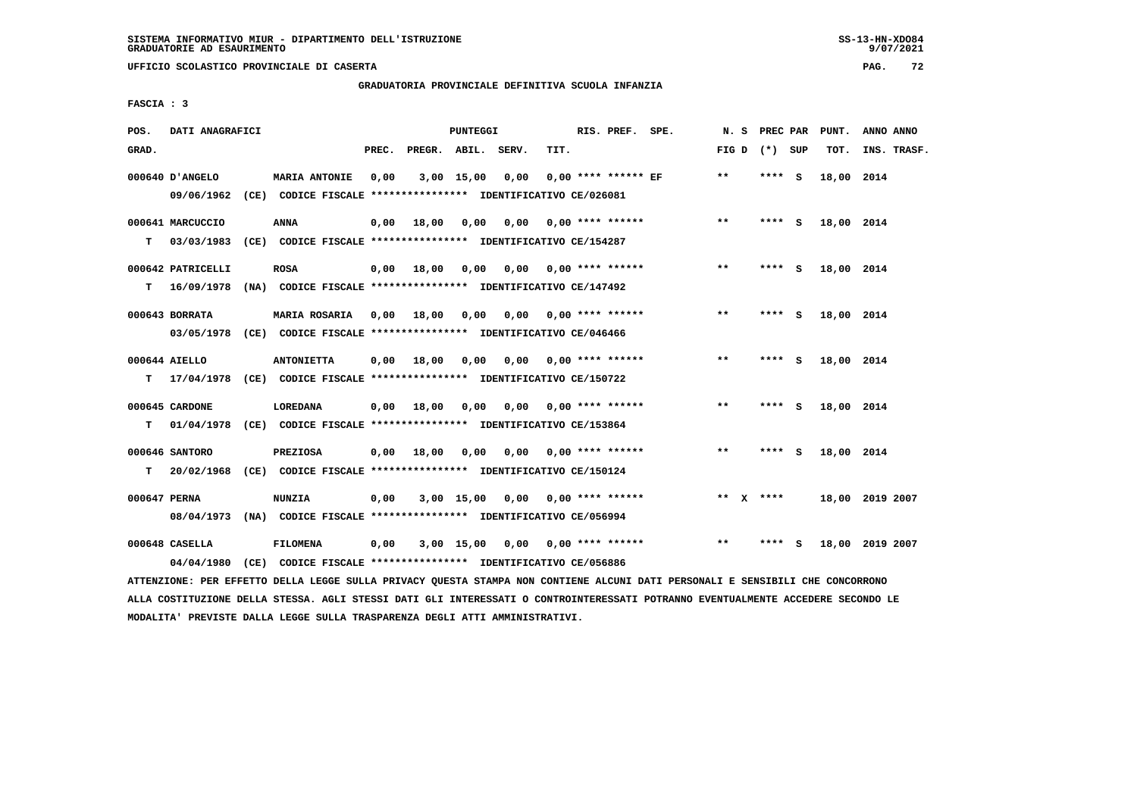## **GRADUATORIA PROVINCIALE DEFINITIVA SCUOLA INFANZIA**

 **FASCIA : 3**

| POS.    | DATI ANAGRAFICI                |                                                                                                                                                                        |       |              | PUNTEGGI     |       |      | RIS. PREF. SPE.           | N. S            | PREC PAR    | PUNT.      | ANNO ANNO       |
|---------|--------------------------------|------------------------------------------------------------------------------------------------------------------------------------------------------------------------|-------|--------------|--------------|-------|------|---------------------------|-----------------|-------------|------------|-----------------|
| GRAD.   |                                |                                                                                                                                                                        | PREC. | PREGR. ABIL. |              | SERV. | TIT. |                           | FIG D $(*)$ SUP |             | TOT.       | INS. TRASF.     |
|         | 000640 D'ANGELO<br>09/06/1962  | <b>MARIA ANTONIE</b><br>(CE) CODICE FISCALE **************** IDENTIFICATIVO CE/026081                                                                                  | 0,00  |              | $3,00$ 15,00 | 0,00  |      | $0.00$ **** ****** EF     | $***$           | **** S      | 18,00 2014 |                 |
| т       | 000641 MARCUCCIO<br>03/03/1983 | <b>ANNA</b><br>(CE) CODICE FISCALE **************** IDENTIFICATIVO CE/154287                                                                                           | 0.00  | 18,00        | 0,00         | 0.00  |      | $0.00$ **** ******        | $***$           | **** S      | 18,00 2014 |                 |
|         | 000642 PATRICELLI              | <b>ROSA</b><br>T 16/09/1978 (NA) CODICE FISCALE **************** IDENTIFICATIVO CE/147492                                                                              |       | $0,00$ 18,00 | 0,00         | 0,00  |      | $0.00$ **** ******        | $***$           | **** S      | 18,00 2014 |                 |
|         | 000643 BORRATA                 | <b>MARIA ROSARIA</b><br>03/05/1978 (CE) CODICE FISCALE *************** IDENTIFICATIVO CE/046466                                                                        |       | 0,00 18,00   | 0,00         | 0.00  |      | $0.00$ **** ******        | $* *$           | **** S      | 18,00 2014 |                 |
| т       | 000644 AIELLO                  | <b>ANTONIETTA</b><br>17/04/1978 (CE) CODICE FISCALE *************** IDENTIFICATIVO CE/150722                                                                           | 0.00  | 18,00        | 0.00         |       |      | $0.00$ $0.00$ **** ****** | $* *$           | **** S      | 18,00 2014 |                 |
|         | 000645 CARDONE                 | LOREDANA                                                                                                                                                               | 0,00  | 18,00        | 0,00         | 0,00  |      | $0.00$ **** ******        | $* *$           | **** S      | 18,00 2014 |                 |
| т<br>T. | 000646 SANTORO                 | 01/04/1978 (CE) CODICE FISCALE *************** IDENTIFICATIVO CE/153864<br><b>PREZIOSA</b><br>20/02/1968 (CE) CODICE FISCALE **************** IDENTIFICATIVO CE/150124 |       | $0,00$ 18,00 | 0,00         |       |      | $0.00$ $0.00$ **** ****** | $***$           | **** S      | 18,00 2014 |                 |
|         | 000647 PERNA                   | <b>NUNZIA</b><br>08/04/1973 (NA) CODICE FISCALE *************** IDENTIFICATIVO CE/056994                                                                               | 0,00  |              | 3,00 15,00   | 0,00  |      | $0.00$ **** ******        |                 | ** $X$ **** |            | 18,00 2019 2007 |
|         | 000648 CASELLA<br>04/04/1980   | <b>FILOMENA</b><br>(CE) CODICE FISCALE **************** IDENTIFICATIVO CE/056886                                                                                       | 0,00  |              | 3,00 15,00   | 0,00  |      | $0.00$ **** ******        | $* *$           | **** S      |            | 18,00 2019 2007 |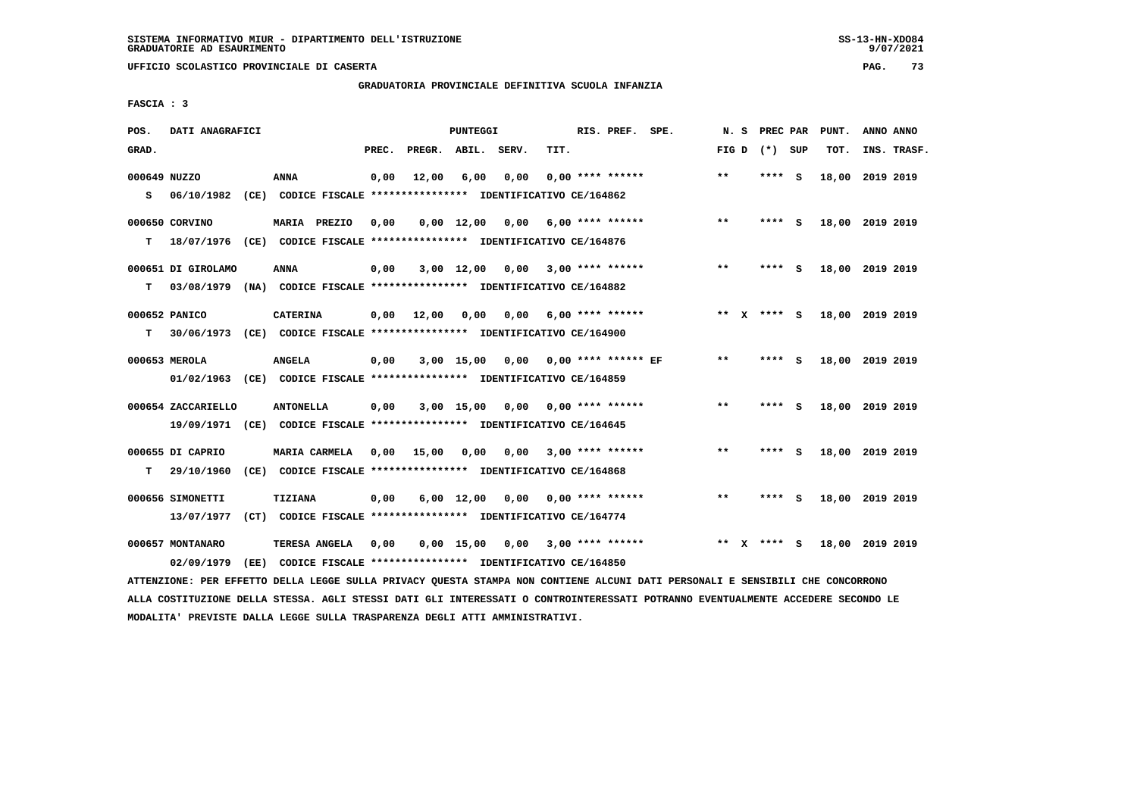# **GRADUATORIA PROVINCIALE DEFINITIVA SCUOLA INFANZIA**

 **FASCIA : 3**

| POS.              | DATI ANAGRAFICI                  |      |                                                                                       |       |        | <b>PUNTEGGI</b>    |       |      | RIS. PREF.            | SPE. | N.S          |   | PREC PAR |          | PUNT.           | ANNO ANNO |             |
|-------------------|----------------------------------|------|---------------------------------------------------------------------------------------|-------|--------|--------------------|-------|------|-----------------------|------|--------------|---|----------|----------|-----------------|-----------|-------------|
| GRAD.             |                                  |      |                                                                                       | PREC. | PREGR. | ABIL.              | SERV. | TIT. |                       |      | FIG D        |   | (*) SUP  |          | TOT.            |           | INS. TRASF. |
| 000649 NUZZO<br>s | 06/10/1982                       |      | <b>ANNA</b><br>(CE) CODICE FISCALE **************** IDENTIFICATIVO CE/164862          | 0,00  | 12,00  | 6,00               | 0,00  |      | $0.00$ **** ******    |      | $**$         |   | ****     | <b>S</b> | 18,00           | 2019 2019 |             |
| т                 | 000650 CORVINO<br>18/07/1976     |      | MARIA PREZIO<br>(CE) CODICE FISCALE **************** IDENTIFICATIVO CE/164876         | 0,00  |        | $0,00 \quad 12,00$ | 0,00  |      | $6.00$ **** ******    |      | $**$         |   | **** S   |          | 18,00 2019 2019 |           |             |
| т                 | 000651 DI GIROLAMO<br>03/08/1979 |      | <b>ANNA</b><br>(NA) CODICE FISCALE **************** IDENTIFICATIVO CE/164882          | 0,00  |        | $3,00$ 12,00       | 0,00  |      | $3,00$ **** ******    |      | $***$        |   | **** S   |          | 18,00 2019 2019 |           |             |
| т                 | 000652 PANICO<br>30/06/1973      |      | <b>CATERINA</b><br>(CE) CODICE FISCALE **************** IDENTIFICATIVO CE/164900      | 0,00  | 12,00  | 0,00               | 0,00  |      | $6.00$ **** ******    |      | $**$         |   | $***$ S  |          | 18,00           | 2019 2019 |             |
|                   | 000653 MEROLA<br>01/02/1963      |      | <b>ANGELA</b><br>(CE) CODICE FISCALE *************** IDENTIFICATIVO CE/164859         | 0,00  |        | $3,00$ 15,00       | 0.00  |      | $0.00$ **** ****** EF |      | $* *$        |   | ****     | - S      | 18,00 2019 2019 |           |             |
|                   | 000654 ZACCARIELLO<br>19/09/1971 |      | <b>ANTONELLA</b><br>(CE) CODICE FISCALE **************** IDENTIFICATIVO CE/164645     | 0,00  |        | 3,00 15,00         | 0,00  |      | $0.00$ **** ******    |      | **           |   | ****     | <b>S</b> | 18,00 2019 2019 |           |             |
| т                 | 000655 DI CAPRIO<br>29/10/1960   |      | <b>MARIA CARMELA</b><br>(CE) CODICE FISCALE **************** IDENTIFICATIVO CE/164868 | 0.00  | 15,00  | 0,00               | 0,00  |      | $3,00$ **** ******    |      | $**$         |   | ****     | - S      | 18,00           | 2019 2019 |             |
|                   | 000656 SIMONETTI<br>13/07/1977   | (CT) | <b>TIZIANA</b><br>CODICE FISCALE **************** IDENTIFICATIVO CE/164774            | 0,00  |        | $6,00 \quad 12,00$ | 0,00  |      | $0.00$ **** ******    |      | $\star\star$ |   | ****     | - S      | 18,00 2019 2019 |           |             |
|                   | 000657 MONTANARO<br>02/09/1979   | (EE) | <b>TERESA ANGELA</b><br>CODICE FISCALE **************** IDENTIFICATIVO CE/164850      | 0,00  |        | $0,00$ 15,00       | 0,00  |      | $3,00$ **** ******    |      | $* *$        | x | **** S   |          | 18,00 2019 2019 |           |             |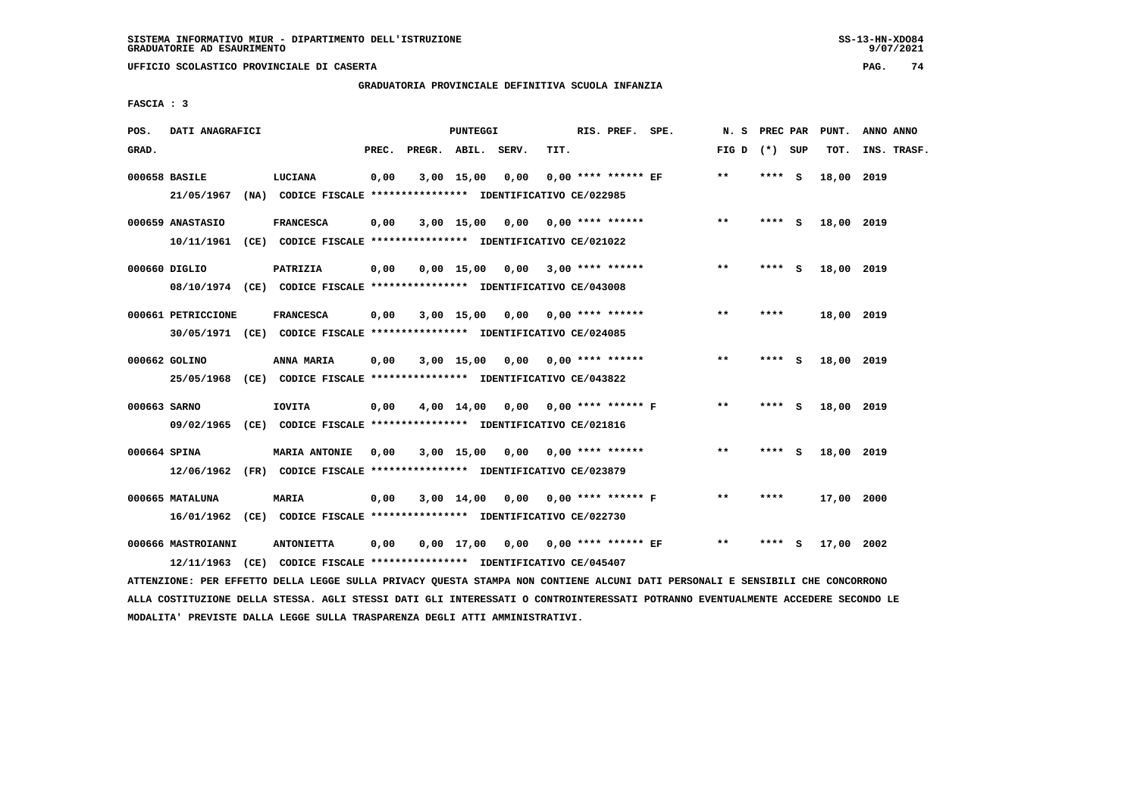# **GRADUATORIA PROVINCIALE DEFINITIVA SCUOLA INFANZIA**

 **FASCIA : 3**

| POS.         | DATI ANAGRAFICI    |                                                                         |       |                    | PUNTEGGI     |                                    |      | RIS. PREF. SPE.             |                      | N.S   | PREC PAR |     | PUNT.      | ANNO ANNO   |
|--------------|--------------------|-------------------------------------------------------------------------|-------|--------------------|--------------|------------------------------------|------|-----------------------------|----------------------|-------|----------|-----|------------|-------------|
| GRAD.        |                    |                                                                         | PREC. | PREGR. ABIL. SERV. |              |                                    | TIT. |                             |                      | FIG D | (*) SUP  |     | TOT.       | INS. TRASF. |
|              | 000658 BASILE      | LUCIANA                                                                 | 0,00  |                    | $3,00$ 15,00 | 0,00                               |      | $0.00$ **** ****** EF       |                      | $**$  | ****     | - S | 18,00 2019 |             |
|              | 21/05/1967         | (NA) CODICE FISCALE **************** IDENTIFICATIVO CE/022985           |       |                    |              |                                    |      |                             |                      |       |          |     |            |             |
|              | 000659 ANASTASIO   | <b>FRANCESCA</b>                                                        | 0,00  |                    |              | 3,00 15,00 0,00                    |      | $0.00$ **** ******          |                      | $***$ | **** S   |     | 18,00 2019 |             |
|              | 10/11/1961         | (CE) CODICE FISCALE **************** IDENTIFICATIVO CE/021022           |       |                    |              |                                    |      |                             |                      |       |          |     |            |             |
|              | 000660 DIGLIO      | PATRIZIA                                                                | 0,00  |                    |              | $0,00$ 15,00 0,00 3,00 **** ****** |      |                             |                      | $* *$ | **** S   |     | 18,00 2019 |             |
|              |                    | 08/10/1974 (CE) CODICE FISCALE *************** IDENTIFICATIVO CE/043008 |       |                    |              |                                    |      |                             |                      |       |          |     |            |             |
|              | 000661 PETRICCIONE | <b>FRANCESCA</b>                                                        | 0,00  |                    | $3,00$ 15,00 |                                    |      | $0,00$ $0,00$ **** ******   |                      | $***$ | ****     |     | 18,00 2019 |             |
|              |                    | 30/05/1971 (CE) CODICE FISCALE *************** IDENTIFICATIVO CE/024085 |       |                    |              |                                    |      |                             |                      |       |          |     |            |             |
|              | 000662 GOLINO      | ANNA MARIA                                                              | 0,00  |                    | $3,00$ 15,00 |                                    |      | $0,00$ 0,00 **** ******     |                      | $* *$ | ****     | - S | 18,00 2019 |             |
|              | 25/05/1968         | (CE) CODICE FISCALE **************** IDENTIFICATIVO CE/043822           |       |                    |              |                                    |      |                             |                      |       |          |     |            |             |
| 000663 SARNO |                    | IOVITA                                                                  | 0,00  |                    | $4,00$ 14,00 |                                    |      | $0.00$ $0.00$ **** ****** F |                      | **    | **** S   |     | 18,00 2019 |             |
|              |                    | 09/02/1965 (CE) CODICE FISCALE *************** IDENTIFICATIVO CE/021816 |       |                    |              |                                    |      |                             |                      |       |          |     |            |             |
| 000664 SPINA |                    | <b>MARIA ANTONIE</b>                                                    | 0.00  |                    | 3,00 15,00   | 0,00                               |      | $0.00$ **** ******          |                      | $**$  | ****     | - S | 18,00 2019 |             |
|              |                    | 12/06/1962 (FR) CODICE FISCALE *************** IDENTIFICATIVO CE/023879 |       |                    |              |                                    |      |                             |                      |       |          |     |            |             |
|              | 000665 MATALUNA    | <b>MARIA</b>                                                            | 0,00  |                    | 3,00 14,00   | 0,00                               |      |                             | $0.00$ **** ****** F | $**$  | ****     |     | 17,00 2000 |             |
|              |                    | 16/01/1962 (CE) CODICE FISCALE *************** IDENTIFICATIVO CE/022730 |       |                    |              |                                    |      |                             |                      |       |          |     |            |             |
|              | 000666 MASTROIANNI | <b>ANTONIETTA</b>                                                       | 0,00  |                    | $0,00$ 17,00 |                                    |      | $0,00$ 0,00 **** ****** EF  |                      | $**$  | ****     | s   | 17,00      | 2002        |
|              | 12/11/1963         | (CE) CODICE FISCALE **************** IDENTIFICATIVO CE/045407           |       |                    |              |                                    |      |                             |                      |       |          |     |            |             |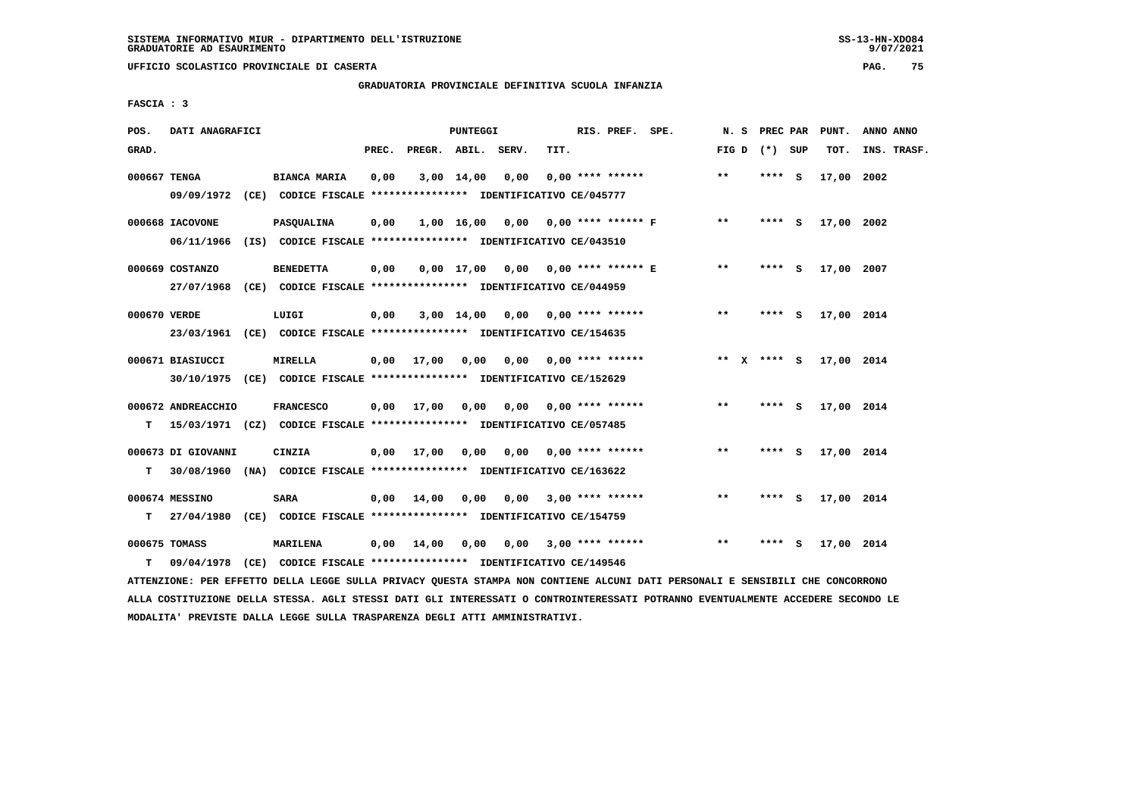**UFFICIO SCOLASTICO PROVINCIALE DI CASERTA PAG. 75**

# **GRADUATORIA PROVINCIALE DEFINITIVA SCUOLA INFANZIA**

 **FASCIA : 3**

| POS.         | DATI ANAGRAFICI    |                                                                          |       |                    | PUNTEGGI     |      |      | RIS. PREF. SPE.           |                                               | N. S            |        | PREC PAR PUNT. | ANNO ANNO   |
|--------------|--------------------|--------------------------------------------------------------------------|-------|--------------------|--------------|------|------|---------------------------|-----------------------------------------------|-----------------|--------|----------------|-------------|
| GRAD.        |                    |                                                                          | PREC. | PREGR. ABIL. SERV. |              |      | TIT. |                           |                                               | FIG D $(*)$ SUP |        | TOT.           | INS. TRASF. |
| 000667 TENGA |                    | <b>BIANCA MARIA</b>                                                      | 0,00  |                    | $3,00$ 14,00 | 0,00 |      | $0.00$ **** ******        |                                               | $***$           | **** S | 17,00 2002     |             |
|              |                    | 09/09/1972 (CE) CODICE FISCALE *************** IDENTIFICATIVO CE/045777  |       |                    |              |      |      |                           |                                               |                 |        |                |             |
|              | 000668 IACOVONE    | <b>PASOUALINA</b>                                                        | 0,00  |                    |              |      |      |                           | $1,00$ $16,00$ $0,00$ $0,00$ **** ****** F ** |                 | **** S | 17,00 2002     |             |
|              | 06/11/1966         | (IS) CODICE FISCALE *************** IDENTIFICATIVO CE/043510             |       |                    |              |      |      |                           |                                               |                 |        |                |             |
|              | 000669 COSTANZO    | <b>BENEDETTA</b>                                                         | 0,00  |                    |              |      |      |                           | 0,00 17,00 0,00 0,00 **** ****** E            | $***$           | **** S | 17,00 2007     |             |
|              |                    | 27/07/1968 (CE) CODICE FISCALE *************** IDENTIFICATIVO CE/044959  |       |                    |              |      |      |                           |                                               |                 |        |                |             |
| 000670 VERDE |                    | LUIGI                                                                    | 0,00  |                    | 3,00 14,00   |      |      | 0,00 0,00 **** ******     |                                               | $**$            | **** S | 17,00 2014     |             |
|              |                    | 23/03/1961 (CE) CODICE FISCALE *************** IDENTIFICATIVO CE/154635  |       |                    |              |      |      |                           |                                               |                 |        |                |             |
|              | 000671 BIASIUCCI   | <b>MIRELLA</b>                                                           | 0,00  | 17,00              | 0,00         |      |      | $0,00$ $0,00$ **** ****** |                                               | ** x **** S     |        | 17,00 2014     |             |
|              |                    | 30/10/1975 (CE) CODICE FISCALE *************** IDENTIFICATIVO CE/152629  |       |                    |              |      |      |                           |                                               |                 |        |                |             |
|              | 000672 ANDREACCHIO | <b>FRANCESCO</b>                                                         | 0,00  | 17,00              | 0,00         | 0,00 |      | $0.00$ **** ******        |                                               | $**$            | **** S | 17,00 2014     |             |
| т            |                    | 15/03/1971 (CZ) CODICE FISCALE *************** IDENTIFICATIVO CE/057485  |       |                    |              |      |      |                           |                                               |                 |        |                |             |
|              | 000673 DI GIOVANNI | CINZIA                                                                   |       | $0,00$ 17,00       | 0,00         |      |      | $0,00$ $0,00$ **** ****** |                                               | $***$           | **** S | 17,00 2014     |             |
| т            |                    | 30/08/1960 (NA) CODICE FISCALE **************** IDENTIFICATIVO CE/163622 |       |                    |              |      |      |                           |                                               |                 |        |                |             |
|              | 000674 MESSINO     | SARA                                                                     | 0,00  | 14,00              | 0,00         | 0,00 |      | $3,00$ **** ******        |                                               | **              | **** S | 17,00 2014     |             |
| т            |                    | 27/04/1980 (CE) CODICE FISCALE *************** IDENTIFICATIVO CE/154759  |       |                    |              |      |      |                           |                                               |                 |        |                |             |
|              | 000675 TOMASS      | MARILENA                                                                 | 0,00  | 14,00              | 0,00         |      |      | $0.00$ 3.00 **** ******   |                                               | **              | **** S | 17,00 2014     |             |
| т            | 09/04/1978         | (CE) CODICE FISCALE **************** IDENTIFICATIVO CE/149546            |       |                    |              |      |      |                           |                                               |                 |        |                |             |
|              |                    |                                                                          |       |                    |              |      |      |                           |                                               |                 |        |                |             |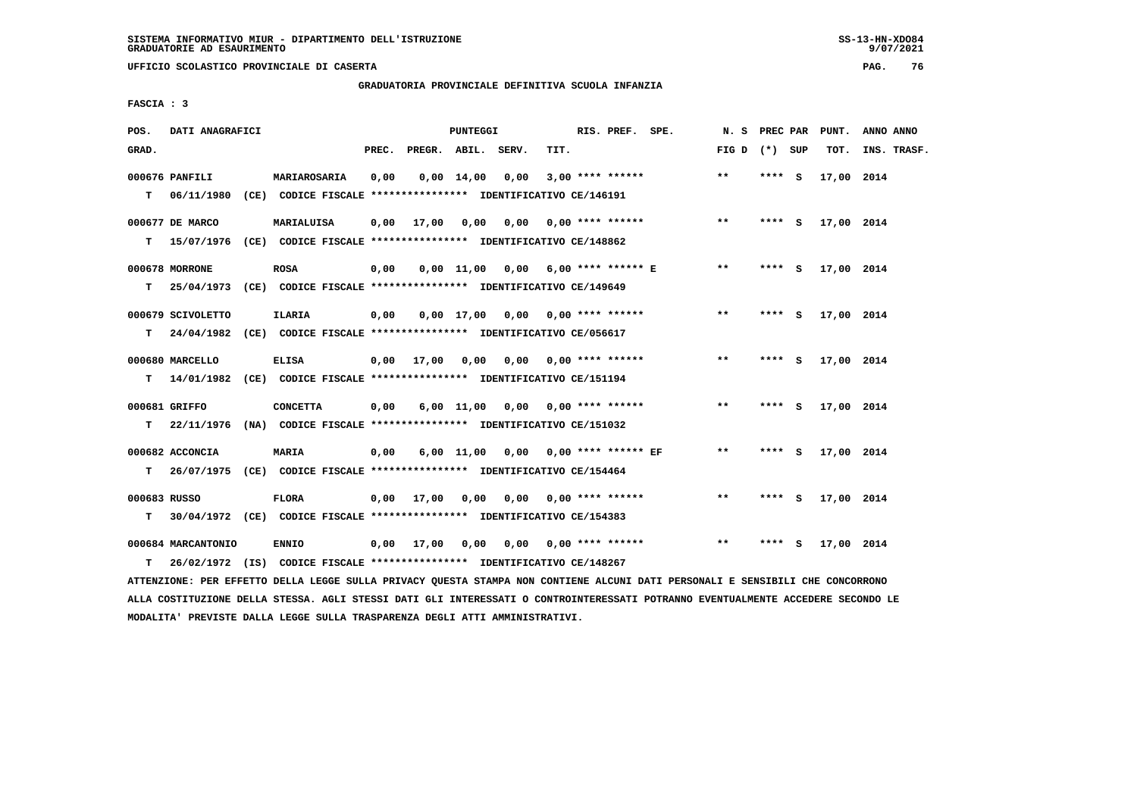**UFFICIO SCOLASTICO PROVINCIALE DI CASERTA PAG. 76**

# **GRADUATORIA PROVINCIALE DEFINITIVA SCUOLA INFANZIA**

 **FASCIA : 3**

| POS.              | DATI ANAGRAFICI              |                                                                                              |       |                       | PUNTEGGI           |                                    |      | RIS. PREF. SPE.            |                                    | N. S PREC PAR   |         |          | PUNT.      | ANNO ANNO   |
|-------------------|------------------------------|----------------------------------------------------------------------------------------------|-------|-----------------------|--------------------|------------------------------------|------|----------------------------|------------------------------------|-----------------|---------|----------|------------|-------------|
| GRAD.             |                              |                                                                                              | PREC. | PREGR. ABIL. SERV.    |                    |                                    | TIT. |                            |                                    | FIG D $(*)$ SUP |         |          | TOT.       | INS. TRASF. |
| T.                | 000676 PANFILI<br>06/11/1980 | MARIAROSARIA<br>(CE) CODICE FISCALE **************** IDENTIFICATIVO CE/146191                | 0,00  |                       | $0.00 \quad 14.00$ | 0,00                               |      | $3,00$ **** ******         |                                    | $**$            | **** S  |          | 17,00 2014 |             |
| T.                | 000677 DE MARCO              | <b>MARIALUISA</b><br>15/07/1976 (CE) CODICE FISCALE *************** IDENTIFICATIVO CE/148862 | 0,00  | 17,00                 | 0,00               | 0,00                               |      | $0.00$ **** ******         |                                    | $***$           | $***$ S |          | 17,00 2014 |             |
| т                 | 000678 MORRONE               | <b>ROSA</b><br>25/04/1973 (CE) CODICE FISCALE **************** IDENTIFICATIVO CE/149649      | 0,00  |                       |                    |                                    |      |                            | 0,00 11,00 0,00 6,00 **** ****** E | $***$           | **** S  |          | 17,00 2014 |             |
| T.                | 000679 SCIVOLETTO            | ILARIA<br>24/04/1982 (CE) CODICE FISCALE **************** IDENTIFICATIVO CE/056617           | 0,00  |                       | $0,00$ 17,00       |                                    |      | 0,00 0,00 **** ******      |                                    | $* *$           | **** S  |          | 17,00 2014 |             |
| T.                | 000680 MARCELLO              | <b>ELISA</b><br>14/01/1982 (CE) CODICE FISCALE *************** IDENTIFICATIVO CE/151194      |       | $0,00$ $17,00$ $0,00$ |                    | 0,00                               |      | $0.00$ **** ******         |                                    | $* *$           | **** S  |          | 17,00 2014 |             |
| T.                | 000681 GRIFFO                | <b>CONCETTA</b><br>22/11/1976 (NA) CODICE FISCALE **************** IDENTIFICATIVO CE/151032  | 0,00  |                       |                    | $6,00$ 11,00 0,00 0,00 **** ****** |      |                            |                                    | $***$           | $***$ S |          | 17,00 2014 |             |
| T.                | 000682 ACCONCIA              | <b>MARIA</b><br>26/07/1975 (CE) CODICE FISCALE *************** IDENTIFICATIVO CE/154464      | 0,00  |                       | $6,00$ 11,00       |                                    |      | $0,00$ 0,00 **** ****** EF |                                    | $***$           | **** S  |          | 17,00 2014 |             |
| 000683 RUSSO<br>т |                              | <b>FLORA</b><br>30/04/1972 (CE) CODICE FISCALE *************** IDENTIFICATIVO CE/154383      |       | $0,00$ 17,00          | 0,00               |                                    |      |                            |                                    | $* *$           | **** S  |          | 17,00 2014 |             |
| т                 | 000684 MARCANTONIO           | <b>ENNIO</b><br>26/02/1972 (IS) CODICE FISCALE *************** IDENTIFICATIVO CE/148267      |       | $0.00$ 17.00          | 0.00               | 0.00                               |      | $0.00$ **** ******         |                                    | $* *$           | ****    | <b>S</b> | 17,00 2014 |             |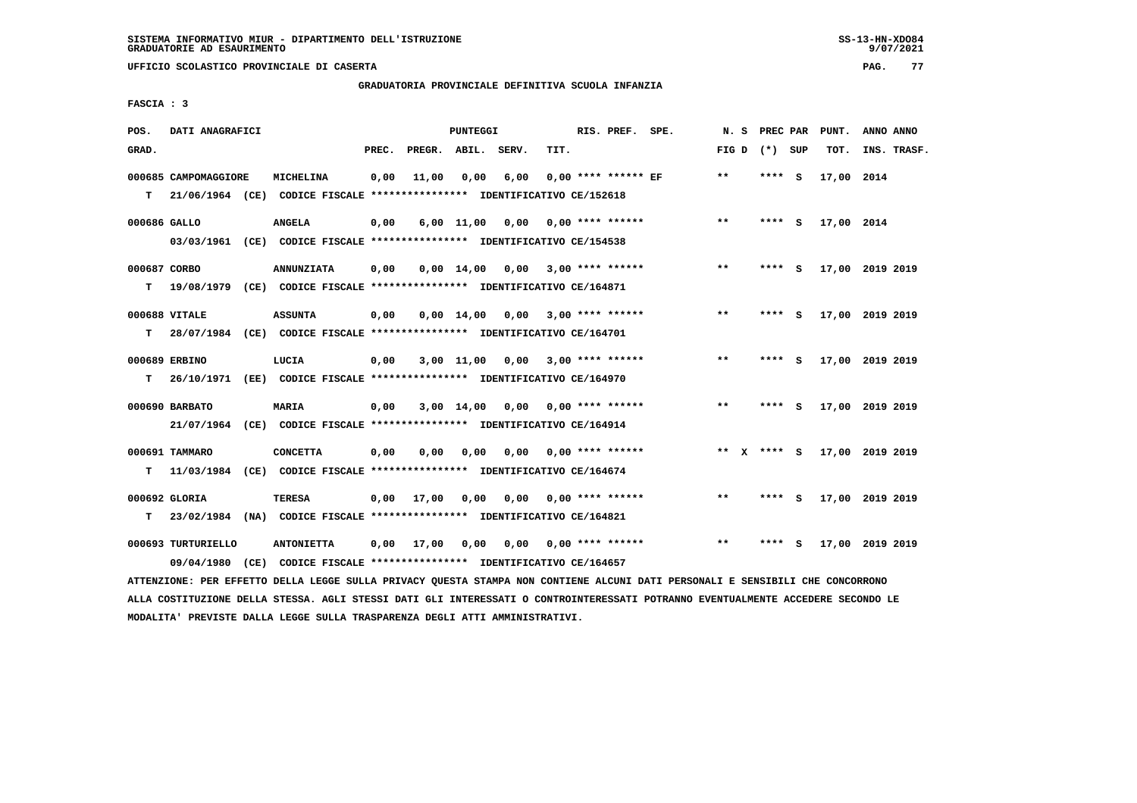### **GRADUATORIA PROVINCIALE DEFINITIVA SCUOLA INFANZIA**

 **FASCIA : 3**

| POS.         | DATI ANAGRAFICI      |      |                                                                                       |       |                    | <b>PUNTEGGI</b>       |      |      | RIS. PREF. SPE.         | N.S         | PREC PAR |          | PUNT.      | ANNO ANNO       |
|--------------|----------------------|------|---------------------------------------------------------------------------------------|-------|--------------------|-----------------------|------|------|-------------------------|-------------|----------|----------|------------|-----------------|
| GRAD.        |                      |      |                                                                                       | PREC. | PREGR. ABIL. SERV. |                       |      | TIT. |                         | FIG D       | (*) SUP  |          | TOT.       | INS. TRASF.     |
| т            | 000685 CAMPOMAGGIORE |      | MICHELINA<br>21/06/1964 (CE) CODICE FISCALE **************** IDENTIFICATIVO CE/152618 | 0,00  | 11,00              | 0,00                  | 6,00 |      | $0.00$ **** ****** EF   | **          | ****     | <b>S</b> | 17,00 2014 |                 |
|              |                      |      |                                                                                       |       |                    |                       |      |      |                         |             |          |          |            |                 |
| 000686 GALLO |                      |      | <b>ANGELA</b>                                                                         | 0,00  |                    | $6,00$ $11,00$ $0,00$ |      |      | 0,00 **** ******        | $* *$       | ****     | - S      | 17,00 2014 |                 |
|              | 03/03/1961           |      | (CE) CODICE FISCALE **************** IDENTIFICATIVO CE/154538                         |       |                    |                       |      |      |                         |             |          |          |            |                 |
| 000687 CORBO |                      |      | <b>ANNUNZIATA</b>                                                                     | 0,00  |                    | $0,00 \quad 14,00$    | 0,00 |      | 3,00 **** ******        | $**$        | ****     | <b>S</b> |            | 17,00 2019 2019 |
| т            |                      |      | 19/08/1979 (CE) CODICE FISCALE *************** IDENTIFICATIVO CE/164871               |       |                    |                       |      |      |                         |             |          |          |            |                 |
|              | 000688 VITALE        |      | <b>ASSUNTA</b>                                                                        | 0,00  |                    | $0.00 \quad 14.00$    | 0.00 |      | $3,00$ **** ******      | **          | ****     | - S      |            | 17,00 2019 2019 |
| т            |                      |      | 28/07/1984 (CE) CODICE FISCALE *************** IDENTIFICATIVO CE/164701               |       |                    |                       |      |      |                         |             |          |          |            |                 |
|              |                      |      |                                                                                       |       |                    |                       |      |      |                         |             |          |          |            |                 |
|              | 000689 ERBINO        |      | LUCIA                                                                                 | 0,00  |                    | $3,00$ 11,00          |      |      | $0,00$ 3,00 **** ****** | $***$       | ****     | - 5      |            | 17,00 2019 2019 |
| т            | 26/10/1971           |      | (EE) CODICE FISCALE **************** IDENTIFICATIVO CE/164970                         |       |                    |                       |      |      |                         |             |          |          |            |                 |
|              | 000690 BARBATO       |      | MARIA                                                                                 | 0,00  |                    | 3,00 14,00            | 0,00 |      | 0,00 **** ******        | $* *$       | ****     | <b>S</b> |            | 17,00 2019 2019 |
|              | 21/07/1964           |      | (CE) CODICE FISCALE **************** IDENTIFICATIVO CE/164914                         |       |                    |                       |      |      |                         |             |          |          |            |                 |
|              | 000691 TAMMARO       |      | <b>CONCETTA</b>                                                                       | 0,00  | 0,00               | 0,00                  | 0,00 |      | 0,00 **** ******        | ** x **** S |          |          |            | 17,00 2019 2019 |
| т            | 11/03/1984           |      | (CE) CODICE FISCALE **************** IDENTIFICATIVO CE/164674                         |       |                    |                       |      |      |                         |             |          |          |            |                 |
|              | 000692 GLORIA        |      | <b>TERESA</b>                                                                         | 0,00  | 17,00              | 0,00                  | 0,00 |      | 0,00 **** ******        | $* *$       | **** S   |          |            | 17,00 2019 2019 |
| т            |                      |      | 23/02/1984 (NA) CODICE FISCALE *************** IDENTIFICATIVO CE/164821               |       |                    |                       |      |      |                         |             |          |          |            |                 |
|              |                      |      |                                                                                       |       |                    |                       |      |      |                         |             |          |          |            |                 |
|              | 000693 TURTURIELLO   |      | <b>ANTONIETTA</b>                                                                     | 0,00  | 17,00              | 0,00                  |      |      | $0,00$ 0,00 **** ****** | $**$        |          | s        |            | 17,00 2019 2019 |
|              | 09/04/1980           | (CE) | CODICE FISCALE **************** IDENTIFICATIVO CE/164657                              |       |                    |                       |      |      |                         |             |          |          |            |                 |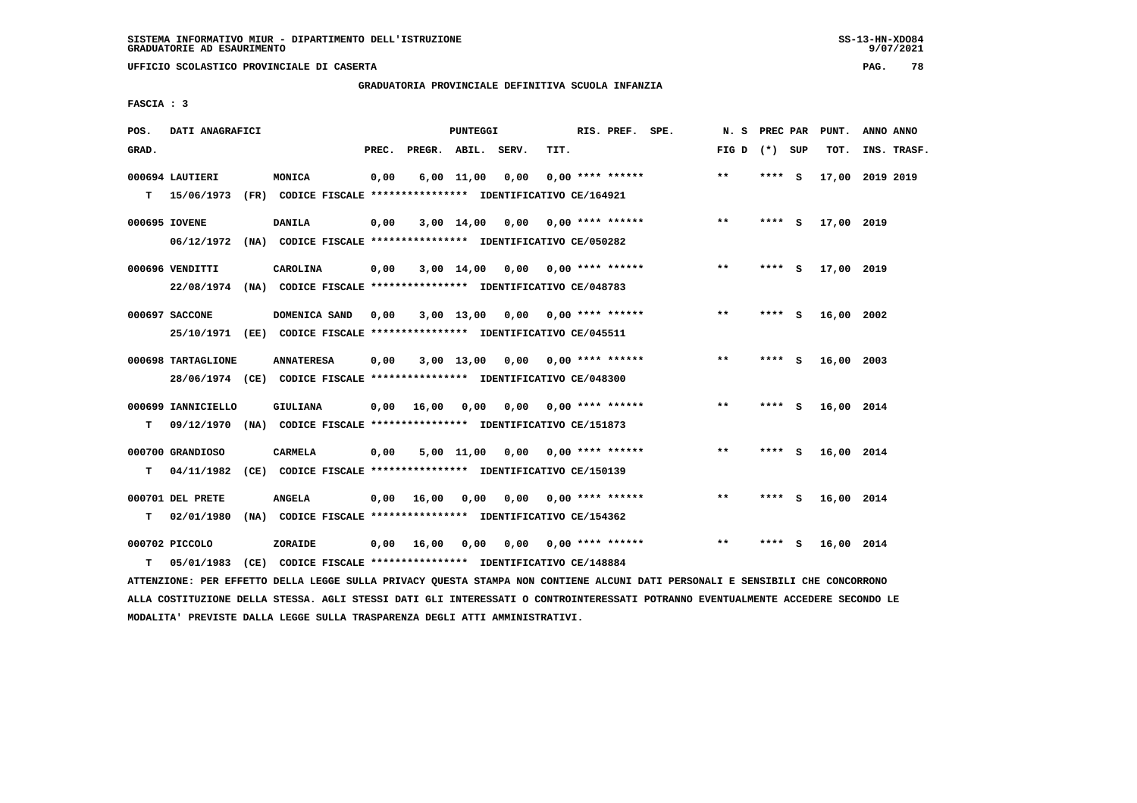**UFFICIO SCOLASTICO PROVINCIALE DI CASERTA PAG. 78**

# **GRADUATORIA PROVINCIALE DEFINITIVA SCUOLA INFANZIA**

 **FASCIA : 3**

| POS.  | DATI ANAGRAFICI                |                                                                                              |       |                    | PUNTEGGI   |                                    |      | RIS. PREF. SPE.           | N.S          | PREC PAR |          | PUNT.      | ANNO ANNO       |  |
|-------|--------------------------------|----------------------------------------------------------------------------------------------|-------|--------------------|------------|------------------------------------|------|---------------------------|--------------|----------|----------|------------|-----------------|--|
| GRAD. |                                |                                                                                              | PREC. | PREGR. ABIL. SERV. |            |                                    | TIT. |                           | FIG D        | (*) SUP  |          | TOT.       | INS. TRASF.     |  |
| т     | 000694 LAUTIERI<br>15/06/1973  | MONICA<br>(FR) CODICE FISCALE **************** IDENTIFICATIVO CE/164921                      | 0,00  |                    | 6,00 11,00 | 0,00                               |      | $0.00$ **** ******        | $***$        | ****     | - S      |            | 17,00 2019 2019 |  |
|       | 000695 IOVENE                  | <b>DANILA</b><br>06/12/1972 (NA) CODICE FISCALE **************** IDENTIFICATIVO CE/050282    | 0,00  |                    |            | 3,00 14,00 0,00                    |      | $0.00$ **** ******        | $* *$        | $***$ S  |          | 17,00 2019 |                 |  |
|       | 000696 VENDITTI                | CAROLINA<br>22/08/1974 (NA) CODICE FISCALE *************** IDENTIFICATIVO CE/048783          | 0,00  |                    |            | $3,00$ 14,00 0,00 0,00 **** ****** |      |                           | $\star\star$ | **** S   |          | 17,00 2019 |                 |  |
|       | 000697 SACCONE                 | DOMENICA SAND<br>25/10/1971 (EE) CODICE FISCALE *************** IDENTIFICATIVO CE/045511     | 0,00  |                    | 3,00 13,00 |                                    |      | $0.00$ $0.00$ **** ****** | **           | ****     | <b>S</b> | 16,00 2002 |                 |  |
|       | 000698 TARTAGLIONE             | <b>ANNATERESA</b><br>28/06/1974 (CE) CODICE FISCALE *************** IDENTIFICATIVO CE/048300 | 0,00  |                    | 3,00 13,00 |                                    |      | $0,00$ 0,00 **** ******   | $* *$        | **** $S$ |          | 16,00 2003 |                 |  |
| T.    | 000699 IANNICIELLO             | GIULIANA<br>09/12/1970 (NA) CODICE FISCALE *************** IDENTIFICATIVO CE/151873          | 0,00  | 16,00              | 0.00       |                                    |      | $0.00$ $0.00$ **** ****** | $* *$        | ****     | <b>S</b> | 16,00 2014 |                 |  |
| т     | 000700 GRANDIOSO<br>04/11/1982 | <b>CARMELA</b><br>(CE) CODICE FISCALE **************** IDENTIFICATIVO CE/150139              | 0,00  |                    | 5,00 11,00 | 0,00                               |      | $0.00$ **** ******        | $* *$        | **** S   |          | 16,00 2014 |                 |  |
| т     | 000701 DEL PRETE<br>02/01/1980 | <b>ANGELA</b><br>(NA) CODICE FISCALE **************** IDENTIFICATIVO CE/154362               | 0,00  | 16,00              | 0,00       |                                    |      | $0.00$ $0.00$ **** ****** | $* *$        | **** S   |          | 16,00 2014 |                 |  |
| т     | 000702 PICCOLO<br>05/01/1983   | ZORAIDE<br>(CE) CODICE FISCALE **************** IDENTIFICATIVO CE/148884                     | 0,00  | 16,00              | 0,00       |                                    |      | $0.00$ $0.00$ **** ****** | $* *$        | ****     | - S      | 16,00 2014 |                 |  |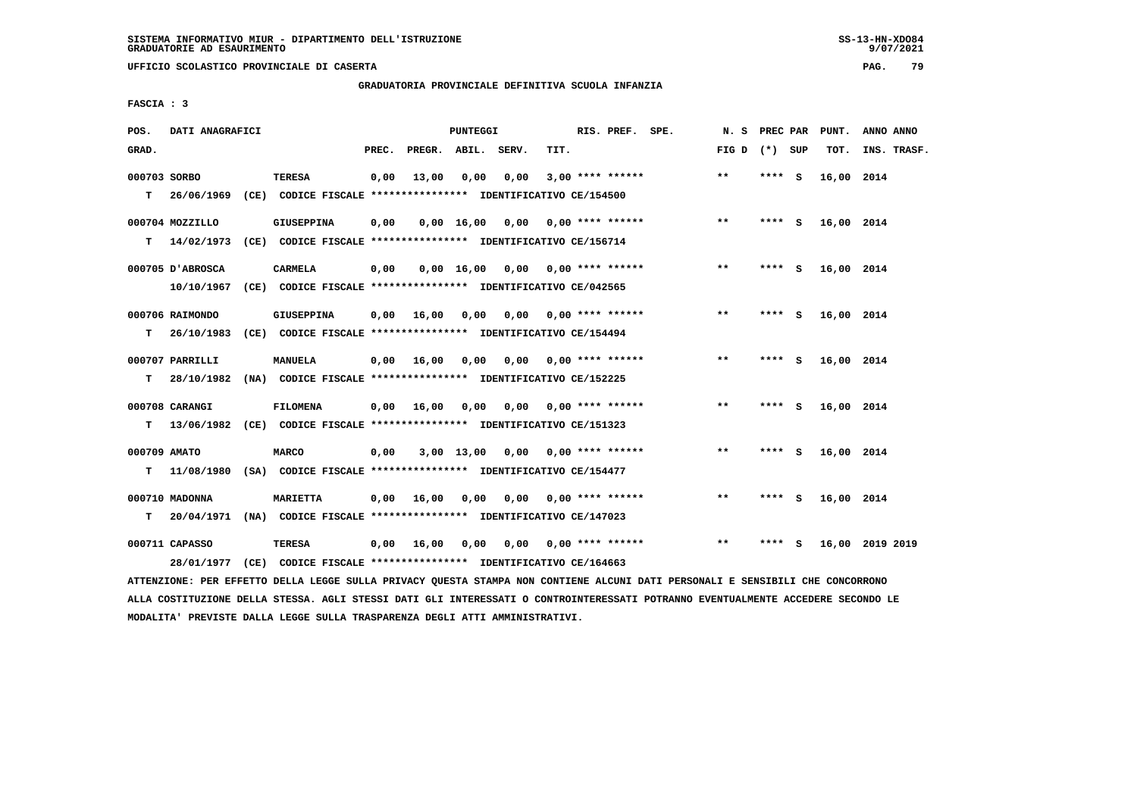**UFFICIO SCOLASTICO PROVINCIALE DI CASERTA PAG. 79**

# **GRADUATORIA PROVINCIALE DEFINITIVA SCUOLA INFANZIA**

 **FASCIA : 3**

| POS.         | DATI ANAGRAFICI  |                                                                          |       |                    | PUNTEGGI   |                                        |      | RIS. PREF. SPE.           | N. S            | PREC PAR |     | PUNT.      | ANNO ANNO       |
|--------------|------------------|--------------------------------------------------------------------------|-------|--------------------|------------|----------------------------------------|------|---------------------------|-----------------|----------|-----|------------|-----------------|
| GRAD.        |                  |                                                                          | PREC. | PREGR. ABIL. SERV. |            |                                        | TIT. |                           | FIG D $(*)$ SUP |          |     | TOT.       | INS. TRASF.     |
| 000703 SORBO |                  | <b>TERESA</b>                                                            | 0,00  | 13,00              | 0,00       | 0,00                                   |      | $3,00$ **** ******        | $***$           | **** S   |     | 16,00 2014 |                 |
| т            | 26/06/1969       | (CE) CODICE FISCALE **************** IDENTIFICATIVO CE/154500            |       |                    |            |                                        |      |                           |                 |          |     |            |                 |
|              | 000704 MOZZILLO  | <b>GIUSEPPINA</b>                                                        | 0,00  |                    |            | $0,00$ 16,00 0,00 0,00 **** ******     |      |                           | $***$           | **** S   |     | 16,00 2014 |                 |
| т            | 14/02/1973       | (CE) CODICE FISCALE **************** IDENTIFICATIVO CE/156714            |       |                    |            |                                        |      |                           |                 |          |     |            |                 |
|              | 000705 D'ABROSCA | CARMELA                                                                  | 0,00  |                    |            | $0,00$ 16,00 0,00 0,00 **** ******     |      |                           | $* *$           | **** S   |     | 16,00 2014 |                 |
|              | 10/10/1967       | (CE) CODICE FISCALE **************** IDENTIFICATIVO CE/042565            |       |                    |            |                                        |      |                           |                 |          |     |            |                 |
|              | 000706 RAIMONDO  | GIUSEPPINA                                                               | 0,00  | 16,00              | 0.00       |                                        |      | $0.00$ $0.00$ **** ****** | $***$           | **** S   |     | 16,00 2014 |                 |
| T.           | 26/10/1983       | (CE) CODICE FISCALE **************** IDENTIFICATIVO CE/154494            |       |                    |            |                                        |      |                           |                 |          |     |            |                 |
|              | 000707 PARRILLI  | <b>MANUELA</b>                                                           |       | $0,00$ 16,00       |            | $0,00$ $0,00$ $0,00$ $***$ **** ****** |      |                           | **              | **** S   |     | 16,00 2014 |                 |
| т            | 28/10/1982       | (NA) CODICE FISCALE **************** IDENTIFICATIVO CE/152225            |       |                    |            |                                        |      |                           |                 |          |     |            |                 |
|              | 000708 CARANGI   | <b>FILOMENA</b>                                                          | 0,00  | 16,00              |            | $0,00$ $0,00$ $0,00$ $***$ **** ****** |      |                           | $* *$           | $***$ S  |     | 16,00 2014 |                 |
| т            |                  | 13/06/1982 (CE) CODICE FISCALE *************** IDENTIFICATIVO CE/151323  |       |                    |            |                                        |      |                           |                 |          |     |            |                 |
| 000709 AMATO |                  | <b>MARCO</b>                                                             | 0,00  |                    | 3,00 13,00 |                                        |      | $0,00$ $0,00$ **** ****** | **              | **** S   |     | 16,00 2014 |                 |
| т            |                  | 11/08/1980 (SA) CODICE FISCALE **************** IDENTIFICATIVO CE/154477 |       |                    |            |                                        |      |                           |                 |          |     |            |                 |
|              | 000710 MADONNA   | <b>MARIETTA</b>                                                          | 0,00  | 16,00              | 0,00       |                                        |      | $0,00$ $0,00$ **** ****** | $* *$           | **** S   |     | 16,00 2014 |                 |
| T.           | 20/04/1971       | (NA) CODICE FISCALE *************** IDENTIFICATIVO CE/147023             |       |                    |            |                                        |      |                           |                 |          |     |            |                 |
|              | 000711 CAPASSO   | <b>TERESA</b>                                                            | 0,00  | 16,00              | 0,00       | 0,00                                   |      | $0.00$ **** ******        | $***$           | ****     | - 5 |            | 16,00 2019 2019 |
|              |                  | 28/01/1977 (CE) CODICE FISCALE *************** IDENTIFICATIVO CE/164663  |       |                    |            |                                        |      |                           |                 |          |     |            |                 |
|              |                  |                                                                          |       |                    |            |                                        |      |                           |                 |          |     |            |                 |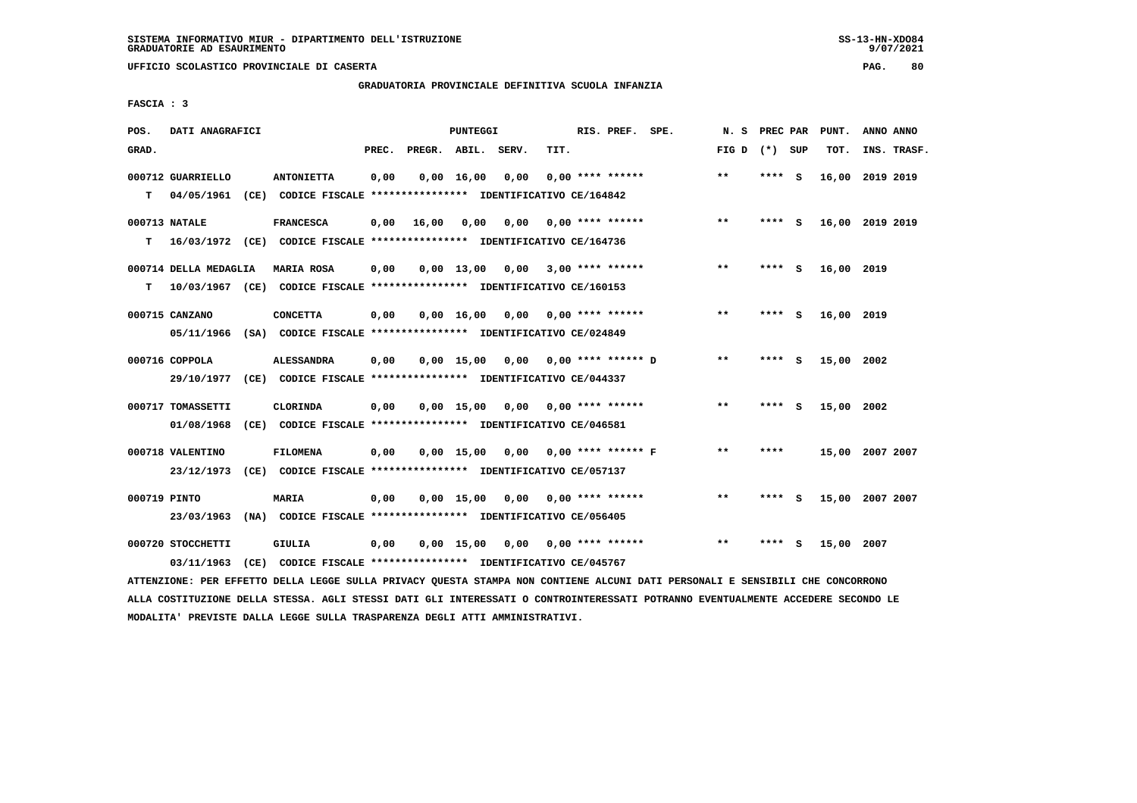# **GRADUATORIA PROVINCIALE DEFINITIVA SCUOLA INFANZIA**

 **FASCIA : 3**

| POS.         | DATI ANAGRAFICI       |                                                                           |       |                    | PUNTEGGI     |                                    |      | RIS. PREF. SPE.             | N.S          | PREC PAR |     | PUNT.           | ANNO ANNO   |  |
|--------------|-----------------------|---------------------------------------------------------------------------|-------|--------------------|--------------|------------------------------------|------|-----------------------------|--------------|----------|-----|-----------------|-------------|--|
| GRAD.        |                       |                                                                           | PREC. | PREGR. ABIL. SERV. |              |                                    | TIT. |                             | FIG D        | (*) SUP  |     | TOT.            | INS. TRASF. |  |
|              | 000712 GUARRIELLO     | <b>ANTONIETTA</b>                                                         | 0,00  |                    | $0,00$ 16,00 | 0,00                               |      | $0.00$ **** ******          | $***$        | **** S   |     | 16,00           | 2019 2019   |  |
| T.           | 04/05/1961            | (CE) CODICE FISCALE **************** IDENTIFICATIVO CE/164842             |       |                    |              |                                    |      |                             |              |          |     |                 |             |  |
|              | 000713 NATALE         | <b>FRANCESCA</b>                                                          | 0,00  | 16,00              | 0,00         | 0,00                               |      | $0,00$ **** ******          | $**$         | $***$ S  |     | 16,00 2019 2019 |             |  |
| т            |                       | 16/03/1972 (CE) CODICE FISCALE *************** IDENTIFICATIVO CE/164736   |       |                    |              |                                    |      |                             |              |          |     |                 |             |  |
|              | 000714 DELLA MEDAGLIA | <b>MARIA ROSA</b>                                                         | 0,00  |                    | $0,00$ 13,00 |                                    |      | $0,00$ 3,00 **** ******     | $***$        | ****     | - S | 16,00 2019      |             |  |
| т            |                       | $10/03/1967$ (CE) CODICE FISCALE *************** IDENTIFICATIVO CE/160153 |       |                    |              |                                    |      |                             |              |          |     |                 |             |  |
|              | 000715 CANZANO        | <b>CONCETTA</b>                                                           | 0,00  |                    | $0,00$ 16,00 | 0,00                               |      | $0.00$ **** ******          | $***$        | **** S   |     | 16,00 2019      |             |  |
|              |                       | 05/11/1966 (SA) CODICE FISCALE *************** IDENTIFICATIVO CE/024849   |       |                    |              |                                    |      |                             |              |          |     |                 |             |  |
|              | 000716 COPPOLA        | <b>ALESSANDRA</b>                                                         | 0,00  |                    | $0.00$ 15.00 | 0,00                               |      | 0,00 **** ****** D          | $**$         | ****     | - S | 15,00 2002      |             |  |
|              |                       | 29/10/1977 (CE) CODICE FISCALE *************** IDENTIFICATIVO CE/044337   |       |                    |              |                                    |      |                             |              |          |     |                 |             |  |
|              | 000717 TOMASSETTI     | CLORINDA                                                                  | 0,00  |                    |              | $0,00$ 15,00 0,00 0,00 **** ****** |      |                             | $\star\star$ | ****     | - 5 | 15,00 2002      |             |  |
|              | 01/08/1968            | (CE) CODICE FISCALE **************** IDENTIFICATIVO CE/046581             |       |                    |              |                                    |      |                             |              |          |     |                 |             |  |
|              | 000718 VALENTINO      | <b>FILOMENA</b>                                                           | 0,00  |                    | $0,00$ 15,00 |                                    |      | $0,00$ $0,00$ **** ****** F | $***$        | ****     |     | 15,00 2007 2007 |             |  |
|              | 23/12/1973            | (CE) CODICE FISCALE **************** IDENTIFICATIVO CE/057137             |       |                    |              |                                    |      |                             |              |          |     |                 |             |  |
| 000719 PINTO |                       | <b>MARIA</b>                                                              | 0,00  |                    | $0,00$ 15,00 | 0,00                               |      | $0.00$ **** ******          | $**$         | ****     | ్   | 15,00 2007 2007 |             |  |
|              | 23/03/1963            | (NA) CODICE FISCALE **************** IDENTIFICATIVO CE/056405             |       |                    |              |                                    |      |                             |              |          |     |                 |             |  |
|              | 000720 STOCCHETTI     | GIULIA                                                                    | 0,00  |                    | $0,00$ 15,00 | 0,00                               |      | $0.00$ **** ******          | $**$         | ****     | s   | 15,00           | 2007        |  |
|              | 03/11/1963            | (CE) CODICE FISCALE **************** IDENTIFICATIVO CE/045767             |       |                    |              |                                    |      |                             |              |          |     |                 |             |  |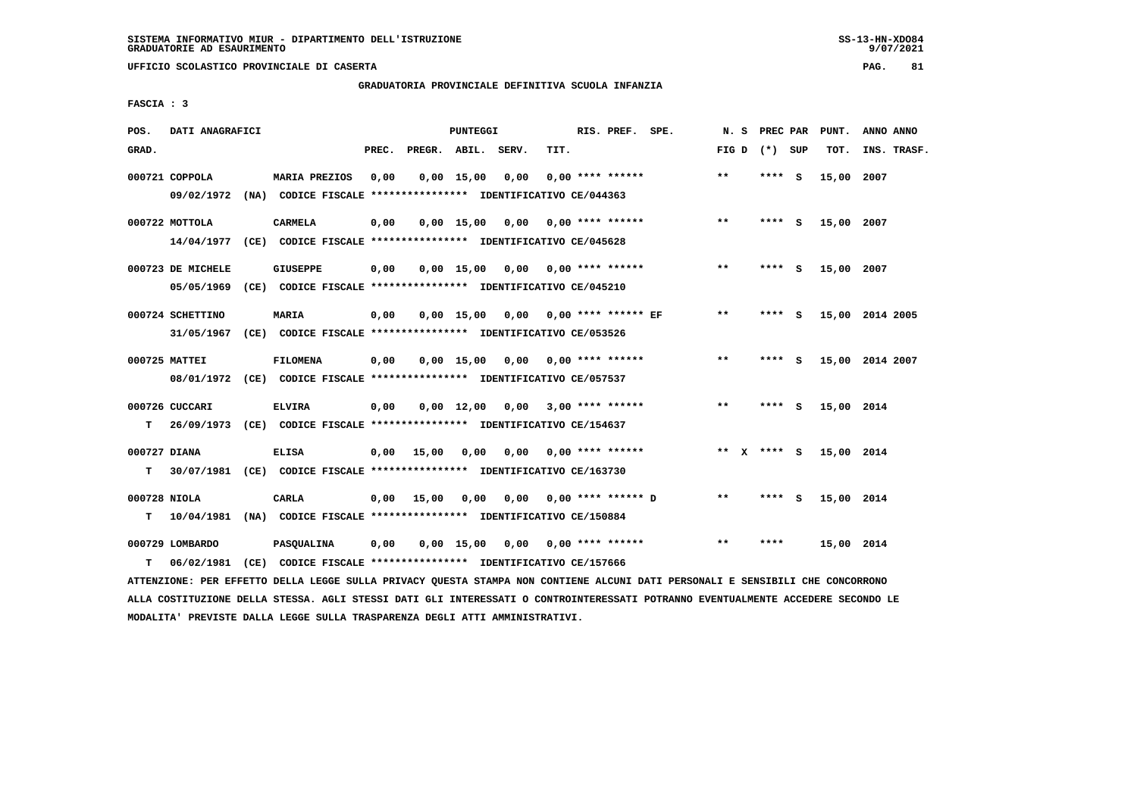# **GRADUATORIA PROVINCIALE DEFINITIVA SCUOLA INFANZIA**

 **FASCIA : 3**

| POS.         | DATI ANAGRAFICI   |                                                                          |       |                    | PUNTEGGI           |                         |      | RIS. PREF. SPE.            | N.S   | PREC PAR    |     | PUNT.      | ANNO ANNO       |
|--------------|-------------------|--------------------------------------------------------------------------|-------|--------------------|--------------------|-------------------------|------|----------------------------|-------|-------------|-----|------------|-----------------|
| GRAD.        |                   |                                                                          | PREC. | PREGR. ABIL. SERV. |                    |                         | TIT. |                            | FIG D | (*) SUP     |     | TOT.       | INS. TRASF.     |
|              | 000721 COPPOLA    | <b>MARIA PREZIOS</b>                                                     | 0,00  |                    | $0.00$ 15.00       | 0,00                    |      | $0.00$ **** ******         | $**$  | **** S      |     | 15,00      | 2007            |
|              |                   | 09/02/1972 (NA) CODICE FISCALE *************** IDENTIFICATIVO CE/044363  |       |                    |                    |                         |      |                            |       |             |     |            |                 |
|              | 000722 MOTTOLA    | <b>CARMELA</b>                                                           | 0,00  |                    | $0,00$ 15,00       | 0,00                    |      | $0.00$ **** ******         | $**$  | $***$ S     |     | 15,00 2007 |                 |
|              |                   | 14/04/1977 (CE) CODICE FISCALE *************** IDENTIFICATIVO CE/045628  |       |                    |                    |                         |      |                            |       |             |     |            |                 |
|              | 000723 DE MICHELE | <b>GIUSEPPE</b>                                                          | 0,00  |                    | $0,00$ 15,00       |                         |      | $0.00$ $0.00$ **** ******  | **    | **** S      |     | 15,00 2007 |                 |
|              | 05/05/1969        | (CE) CODICE FISCALE **************** IDENTIFICATIVO CE/045210            |       |                    |                    |                         |      |                            |       |             |     |            |                 |
|              | 000724 SCHETTINO  | MARIA                                                                    | 0,00  |                    | $0,00$ 15,00       |                         |      | $0,00$ 0,00 **** ****** EF | $***$ | **** S      |     |            | 15,00 2014 2005 |
|              | 31/05/1967        | (CE) CODICE FISCALE **************** IDENTIFICATIVO CE/053526            |       |                    |                    |                         |      |                            |       |             |     |            |                 |
|              | 000725 MATTEI     | <b>FILOMENA</b>                                                          | 0,00  |                    | $0.00$ 15.00       | 0,00                    |      | $0.00$ **** ******         | **    | **** S      |     |            | 15,00 2014 2007 |
|              |                   | 08/01/1972 (CE) CODICE FISCALE *************** IDENTIFICATIVO CE/057537  |       |                    |                    |                         |      |                            |       |             |     |            |                 |
|              | 000726 CUCCARI    | <b>ELVIRA</b>                                                            | 0,00  |                    | $0,00 \quad 12,00$ | $0.00$ 3.00 **** ****** |      |                            | $**$  | **** S      |     | 15,00 2014 |                 |
| т            |                   | 26/09/1973 (CE) CODICE FISCALE **************** IDENTIFICATIVO CE/154637 |       |                    |                    |                         |      |                            |       |             |     |            |                 |
| 000727 DIANA |                   | <b>ELISA</b>                                                             | 0,00  | 15,00              | 0,00               | 0,00                    |      | $0.00$ **** ******         |       | ** x **** S |     | 15,00 2014 |                 |
| т            |                   | 30/07/1981 (CE) CODICE FISCALE *************** IDENTIFICATIVO CE/163730  |       |                    |                    |                         |      |                            |       |             |     |            |                 |
| 000728 NIOLA |                   | CARLA                                                                    | 0,00  | 15,00              | 0,00               | 0.00                    |      | $0.00$ **** ****** D       | $* *$ | ****        | - S | 15,00 2014 |                 |
| т            | 10/04/1981        | (NA) CODICE FISCALE **************** IDENTIFICATIVO CE/150884            |       |                    |                    |                         |      |                            |       |             |     |            |                 |
|              | 000729 LOMBARDO   | PASQUALINA                                                               | 0,00  |                    | 0.00 15.00         | 0.00                    |      | $0.00$ **** ******         | $**$  | ****        |     | 15,00 2014 |                 |
| т            | 06/02/1981        | (CE) CODICE FISCALE **************** IDENTIFICATIVO CE/157666            |       |                    |                    |                         |      |                            |       |             |     |            |                 |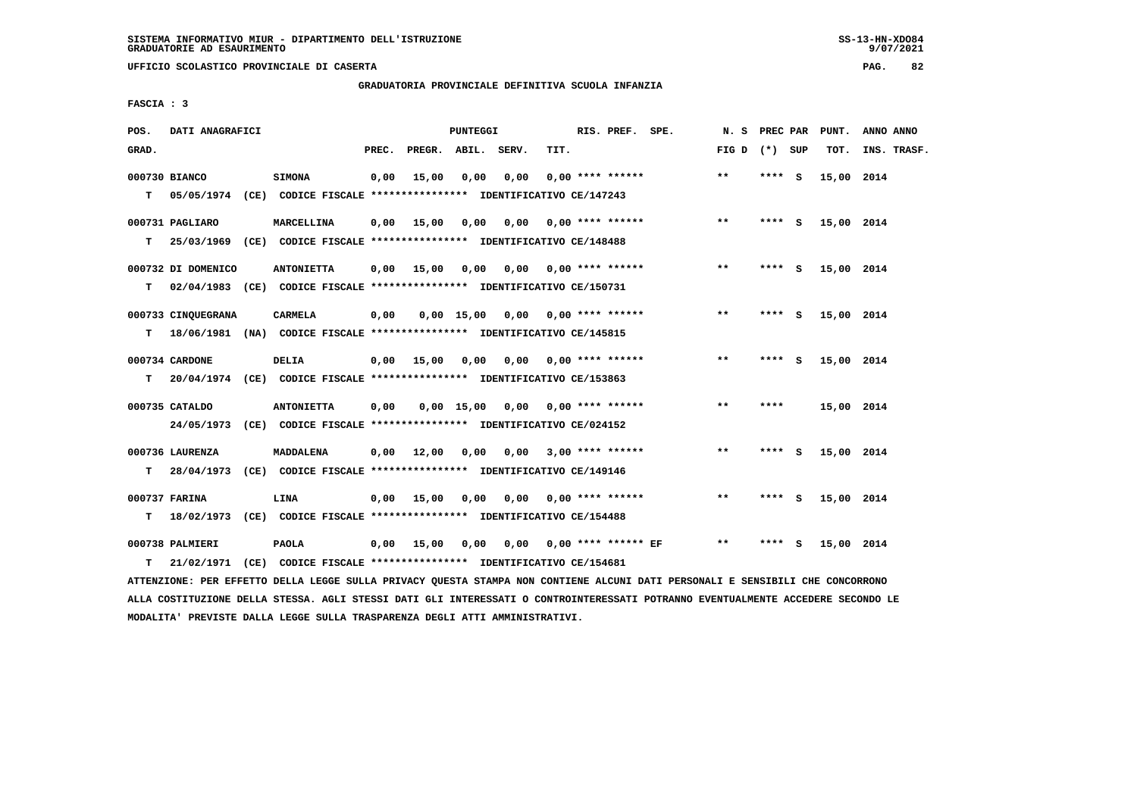**UFFICIO SCOLASTICO PROVINCIALE DI CASERTA PAG. 82**

 **GRADUATORIA PROVINCIALE DEFINITIVA SCUOLA INFANZIA**

 **FASCIA : 3**

| POS.  | DATI ANAGRAFICI               |                                                                                               |       |                    | <b>PUNTEGGI</b> |                 |      | RIS. PREF. SPE.            | N. S            | PREC PAR |     | PUNT.      | ANNO ANNO   |
|-------|-------------------------------|-----------------------------------------------------------------------------------------------|-------|--------------------|-----------------|-----------------|------|----------------------------|-----------------|----------|-----|------------|-------------|
| GRAD. |                               |                                                                                               | PREC. | PREGR. ABIL. SERV. |                 |                 | TIT. |                            | FIG D $(*)$ SUP |          |     | TOT.       | INS. TRASF. |
| T.    | 000730 BIANCO                 | <b>SIMONA</b><br>05/05/1974 (CE) CODICE FISCALE **************** IDENTIFICATIVO CE/147243     | 0,00  | 15,00              | 0,00            | 0,00            |      | $0.00$ **** ******         | **              | **** S   |     | 15,00 2014 |             |
| т     | 000731 PAGLIARO               | MARCELLINA<br>25/03/1969 (CE) CODICE FISCALE **************** IDENTIFICATIVO CE/148488        | 0,00  | 15,00              | 0,00            | 0,00            |      | 0,00 **** ******           | $* *$           | **** S   |     | 15,00 2014 |             |
| т     | 000732 DI DOMENICO            | <b>ANTONIETTA</b><br>02/04/1983 (CE) CODICE FISCALE **************** IDENTIFICATIVO CE/150731 | 0.00  | 15,00              | 0,00            |                 |      | $0,00$ 0,00 **** ******    | **              | **** S   |     | 15,00 2014 |             |
| т     | 000733 CINOUEGRANA            | <b>CARMELA</b><br>18/06/1981 (NA) CODICE FISCALE *************** IDENTIFICATIVO CE/145815     | 0,00  |                    | $0.00$ 15.00    |                 |      | $0.00$ $0.00$ **** ******  | **              | ****     | - 5 | 15,00 2014 |             |
| т     | 000734 CARDONE                | DELIA<br>20/04/1974 (CE) CODICE FISCALE *************** IDENTIFICATIVO CE/153863              | 0,00  | 15,00              | 0,00            |                 |      | $0.00$ $0.00$ **** ******  | $***$           | **** S   |     | 15,00 2014 |             |
|       | 000735 CATALDO                | <b>ANTONIETTA</b><br>24/05/1973 (CE) CODICE FISCALE *************** IDENTIFICATIVO CE/024152  | 0,00  |                    |                 | 0,00 15,00 0,00 |      | $0.00$ **** ******         | $**$            | ****     |     | 15,00 2014 |             |
| T.    | 000736 LAURENZA<br>28/04/1973 | <b>MADDALENA</b><br>(CE) CODICE FISCALE **************** IDENTIFICATIVO CE/149146             | 0,00  | 12,00              | 0,00            |                 |      | $0,00$ 3,00 **** ******    | $***$           | **** S   |     | 15,00 2014 |             |
| т     | 000737 FARINA                 | LINA<br>18/02/1973 (CE) CODICE FISCALE *************** IDENTIFICATIVO CE/154488               | 0.00  | 15,00              | 0,00            |                 |      | $0,00$ 0,00 **** ******    | $**$            | **** S   |     | 15,00 2014 |             |
| т     | 000738 PALMIERI<br>21/02/1971 | <b>PAOLA</b><br>(CE) CODICE FISCALE **************** IDENTIFICATIVO CE/154681                 | 0,00  | 15,00              | 0,00            |                 |      | $0,00$ 0,00 **** ****** EF | $***$           | ****     | - 5 | 15,00 2014 |             |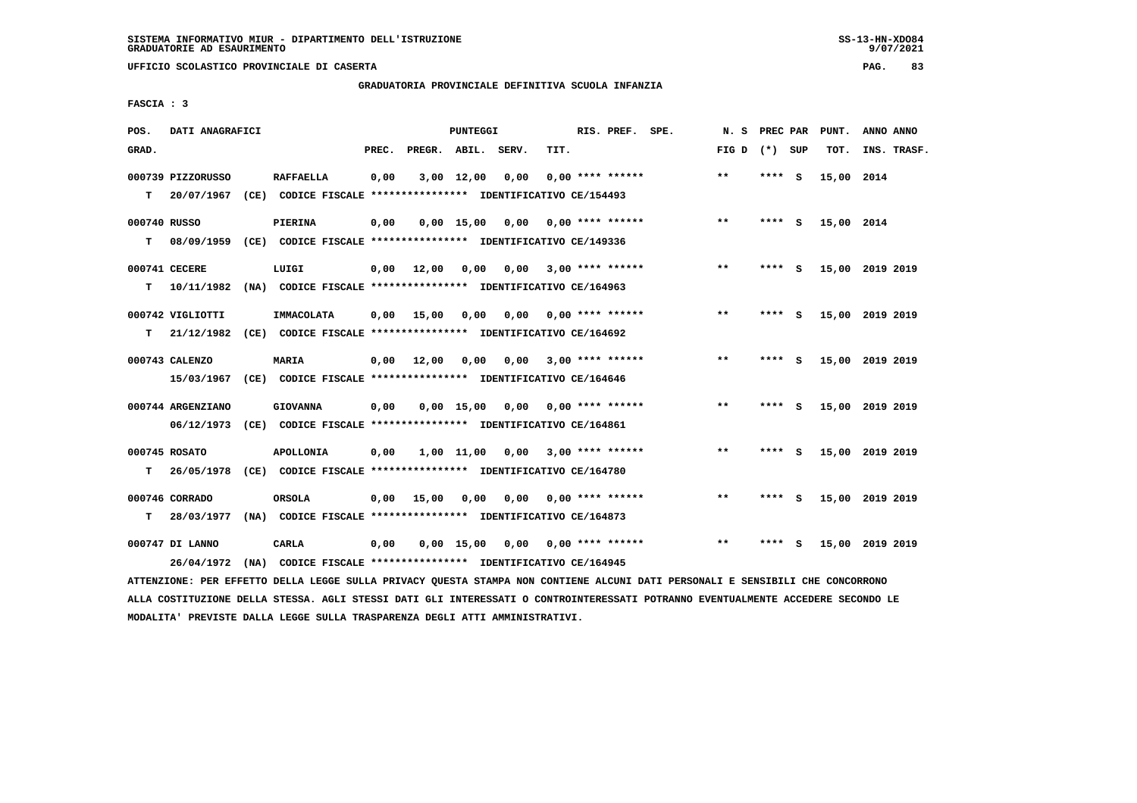**UFFICIO SCOLASTICO PROVINCIALE DI CASERTA PAG. 83**

# **GRADUATORIA PROVINCIALE DEFINITIVA SCUOLA INFANZIA**

 **FASCIA : 3**

| POS.         | DATI ANAGRAFICI              |                                                                         |       |                    | PUNTEGGI     |      |      | RIS. PREF. SPE.    | N.S             | PREC PAR |     | PUNT.           | ANNO ANNO   |  |
|--------------|------------------------------|-------------------------------------------------------------------------|-------|--------------------|--------------|------|------|--------------------|-----------------|----------|-----|-----------------|-------------|--|
| GRAD.        |                              |                                                                         | PREC. | PREGR. ABIL. SERV. |              |      | TIT. |                    | FIG D $(*)$ SUP |          |     | TOT.            | INS. TRASF. |  |
|              | 000739 PIZZORUSSO            | <b>RAFFAELLA</b>                                                        | 0,00  |                    | 3,00 12,00   | 0,00 |      | $0,00$ **** ****** | $* *$           | ****     | - S | 15,00 2014      |             |  |
| т            | 20/07/1967                   | (CE) CODICE FISCALE **************** IDENTIFICATIVO CE/154493           |       |                    |              |      |      |                    |                 |          |     |                 |             |  |
| 000740 RUSSO |                              | <b>PIERINA</b>                                                          | 0,00  |                    | $0,00$ 15,00 | 0,00 |      | 0,00 **** ******   | $***$           | ****     | - S | 15,00 2014      |             |  |
| т            | 08/09/1959                   | (CE) CODICE FISCALE **************** IDENTIFICATIVO CE/149336           |       |                    |              |      |      |                    |                 |          |     |                 |             |  |
|              | 000741 CECERE                | LUIGI                                                                   | 0,00  | 12,00              | 0.00         | 0.00 |      | $3,00$ **** ****** | $* *$           | ****     | - S | 15,00 2019 2019 |             |  |
| T.           | 10/11/1982                   | (NA) CODICE FISCALE **************** IDENTIFICATIVO CE/164963           |       |                    |              |      |      |                    |                 |          |     |                 |             |  |
|              | 000742 VIGLIOTTI             | IMMACOLATA                                                              | 0.00  | 15,00              | 0.00         | 0,00 |      | $0.00$ **** ****** | $* *$           | ****     | - S | 15,00 2019 2019 |             |  |
| т            | 21/12/1982                   | (CE) CODICE FISCALE **************** IDENTIFICATIVO CE/164692           |       |                    |              |      |      |                    |                 |          |     |                 |             |  |
|              | 000743 CALENZO               | <b>MARIA</b>                                                            | 0,00  | 12,00              | 0,00         | 0,00 |      | $3,00$ **** ****** | $***$           | ****     | - S | 15,00           | 2019 2019   |  |
|              | 15/03/1967                   | (CE) CODICE FISCALE **************** IDENTIFICATIVO CE/164646           |       |                    |              |      |      |                    |                 |          |     |                 |             |  |
|              | 000744 ARGENZIANO            | <b>GIOVANNA</b>                                                         | 0,00  |                    | 0.00 15.00   | 0,00 |      | 0,00 **** ******   | $* *$           | **** S   |     | 15,00 2019 2019 |             |  |
|              | 06/12/1973                   | (CE) CODICE FISCALE **************** IDENTIFICATIVO CE/164861           |       |                    |              |      |      |                    |                 |          |     |                 |             |  |
|              | 000745 ROSATO                | <b>APOLLONIA</b>                                                        | 0,00  |                    | 1,00 11,00   | 0,00 |      | $3,00$ **** ****** | $* *$           | ****     | - S | 15,00 2019 2019 |             |  |
| т            | 26/05/1978                   | (CE) CODICE FISCALE **************** IDENTIFICATIVO CE/164780           |       |                    |              |      |      |                    |                 |          |     |                 |             |  |
|              |                              |                                                                         |       |                    |              |      |      |                    | **              |          |     |                 |             |  |
| т            | 000746 CORRADO<br>28/03/1977 | ORSOLA<br>(NA) CODICE FISCALE **************** IDENTIFICATIVO CE/164873 | 0,00  | 15,00              | 0,00         | 0,00 |      | $0.00$ **** ****** |                 | ****     | - 5 | 15,00 2019 2019 |             |  |
|              |                              |                                                                         |       |                    |              |      |      |                    |                 |          |     |                 |             |  |
|              | 000747 DI LANNO              | CARLA                                                                   | 0,00  |                    | 0.00 15.00   | 0,00 |      | $0.00$ **** ****** | $* *$           | ****     | s   | 15,00           | 2019 2019   |  |
|              | 26/04/1972                   | (NA) CODICE FISCALE **************** IDENTIFICATIVO CE/164945           |       |                    |              |      |      |                    |                 |          |     |                 |             |  |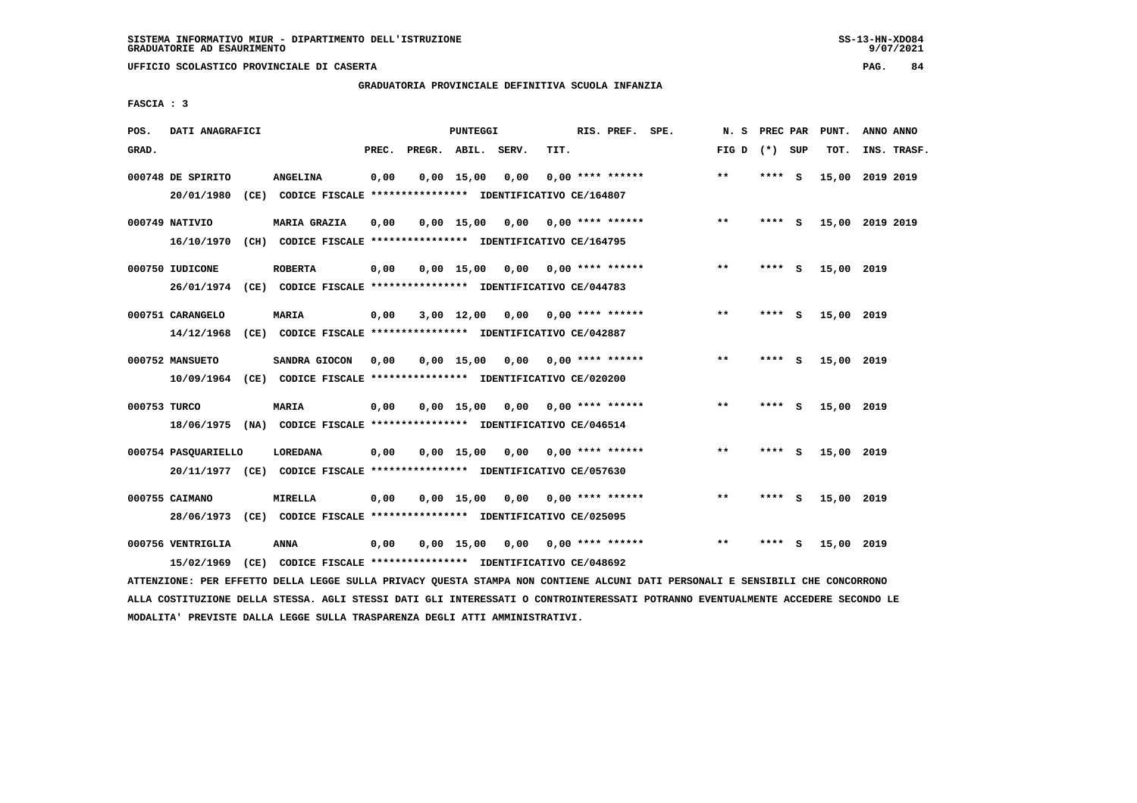# **GRADUATORIA PROVINCIALE DEFINITIVA SCUOLA INFANZIA**

 **FASCIA : 3**

| POS.         | DATI ANAGRAFICI                              |                                                                                                                                                |       |                    | PUNTEGGI     |                       |      | RIS. PREF. SPE.           | N.S   | PREC PAR |          | PUNT.           | ANNO ANNO |             |
|--------------|----------------------------------------------|------------------------------------------------------------------------------------------------------------------------------------------------|-------|--------------------|--------------|-----------------------|------|---------------------------|-------|----------|----------|-----------------|-----------|-------------|
| GRAD.        |                                              |                                                                                                                                                | PREC. | PREGR. ABIL. SERV. |              |                       | TIT. |                           | FIG D | (*) SUP  |          | TOT.            |           | INS. TRASF. |
|              | 000748 DE SPIRITO<br>20/01/1980              | <b>ANGELINA</b><br>(CE) CODICE FISCALE **************** IDENTIFICATIVO CE/164807                                                               | 0,00  |                    | 0.00 15.00   | 0,00                  |      | $0.00$ **** ******        | $***$ | **** S   |          | 15,00 2019 2019 |           |             |
|              | 000749 NATIVIO<br>16/10/1970                 | <b>MARIA GRAZIA</b><br>(CH) CODICE FISCALE **************** IDENTIFICATIVO CE/164795                                                           | 0,00  |                    | $0.00$ 15.00 | 0.00                  |      | $0.00$ **** ******        | $***$ | ****     | <b>S</b> | 15,00 2019 2019 |           |             |
|              | 000750 IUDICONE                              | <b>ROBERTA</b>                                                                                                                                 | 0,00  |                    | $0,00$ 15,00 | 0,00 0,00 **** ****** |      |                           | $* *$ | **** S   |          | 15,00 2019      |           |             |
|              | 26/01/1974<br>000751 CARANGELO<br>14/12/1968 | (CE) CODICE FISCALE **************** IDENTIFICATIVO CE/044783<br><b>MARIA</b><br>(CE) CODICE FISCALE **************** IDENTIFICATIVO CE/042887 | 0.00  |                    | $3,00$ 12,00 |                       |      | $0.00$ $0.00$ **** ****** | $***$ | **** S   |          | 15,00 2019      |           |             |
|              | 000752 MANSUETO                              | SANDRA GIOCON<br>10/09/1964 (CE) CODICE FISCALE *************** IDENTIFICATIVO CE/020200                                                       | 0,00  |                    | $0.00$ 15.00 | 0,00                  |      | $0.00$ **** ******        | $* *$ | ****     | S.       | 15,00 2019      |           |             |
| 000753 TURCO |                                              | <b>MARIA</b><br>18/06/1975 (NA) CODICE FISCALE *************** IDENTIFICATIVO CE/046514                                                        | 0,00  |                    | $0,00$ 15,00 |                       |      |                           | **    | **** S   |          | 15,00 2019      |           |             |
|              | 000754 PASQUARIELLO                          | LOREDANA<br>20/11/1977 (CE) CODICE FISCALE *************** IDENTIFICATIVO CE/057630                                                            | 0,00  |                    | $0,00$ 15,00 | 0,00                  |      | $0.00$ **** ******        | $* *$ | ****     | - S      | 15,00 2019      |           |             |
|              | 000755 CAIMANO                               | MIRELLA<br>28/06/1973 (CE) CODICE FISCALE *************** IDENTIFICATIVO CE/025095                                                             | 0,00  |                    | $0,00$ 15,00 | 0,00                  |      | $0.00$ **** ******        | $***$ | ****     | - S      | 15,00 2019      |           |             |
|              | 000756 VENTRIGLIA<br>15/02/1969              | <b>ANNA</b><br>(CE) CODICE FISCALE **************** IDENTIFICATIVO CE/048692                                                                   | 0,00  |                    | 0.00 15.00   | 0,00                  |      | 0,00 **** ******          | $* *$ | ****     | - S      | 15,00 2019      |           |             |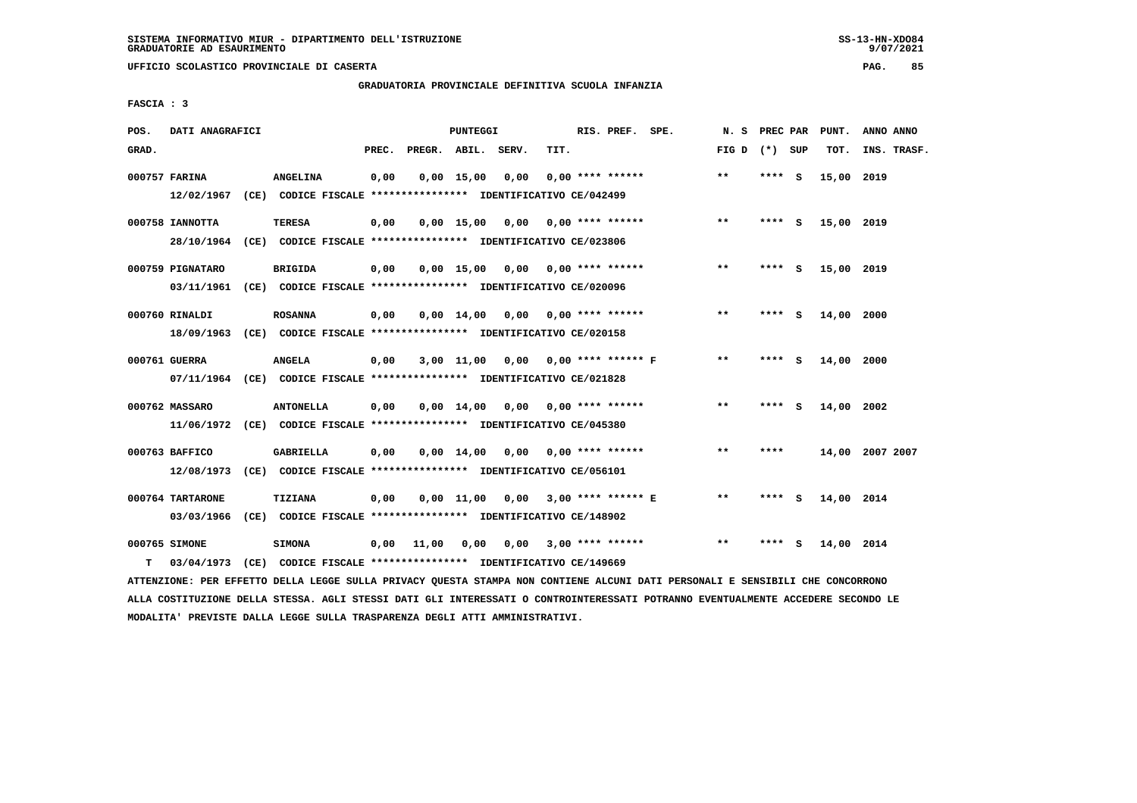**UFFICIO SCOLASTICO PROVINCIALE DI CASERTA PAG. 85**

# **GRADUATORIA PROVINCIALE DEFINITIVA SCUOLA INFANZIA**

 **FASCIA : 3**

| POS.  | DATI ANAGRAFICI  |                                                                         |       |                    | PUNTEGGI           |                                    |      | RIS. PREF. SPE.           | N.S   | PREC PAR |     | PUNT.      | ANNO ANNO       |
|-------|------------------|-------------------------------------------------------------------------|-------|--------------------|--------------------|------------------------------------|------|---------------------------|-------|----------|-----|------------|-----------------|
| GRAD. |                  |                                                                         | PREC. | PREGR. ABIL. SERV. |                    |                                    | TIT. |                           | FIG D | (*) SUP  |     | TOT.       | INS. TRASF.     |
|       | 000757 FARINA    | <b>ANGELINA</b>                                                         | 0,00  |                    | 0.00 15.00         | 0.00                               |      | $0.00$ **** ******        | $***$ | **** S   |     | 15,00 2019 |                 |
|       |                  | 12/02/1967 (CE) CODICE FISCALE *************** IDENTIFICATIVO CE/042499 |       |                    |                    |                                    |      |                           |       |          |     |            |                 |
|       | 000758 IANNOTTA  | <b>TERESA</b>                                                           | 0,00  |                    |                    | $0,00$ 15,00 0,00                  |      | $0.00$ **** ******        | **    | **** S   |     | 15,00 2019 |                 |
|       |                  | 28/10/1964 (CE) CODICE FISCALE *************** IDENTIFICATIVO CE/023806 |       |                    |                    |                                    |      |                           |       |          |     |            |                 |
|       | 000759 PIGNATARO | <b>BRIGIDA</b>                                                          | 0,00  |                    |                    | $0,00$ 15,00 0,00 0,00 **** ****** |      |                           | $***$ | **** S   |     | 15,00 2019 |                 |
|       |                  | 03/11/1961 (CE) CODICE FISCALE *************** IDENTIFICATIVO CE/020096 |       |                    |                    |                                    |      |                           |       |          |     |            |                 |
|       | 000760 RINALDI   | <b>ROSANNA</b>                                                          | 0,00  |                    | $0.00 \quad 14.00$ |                                    |      | $0,00$ 0,00 **** ******   | **    | ****     | ్   | 14,00 2000 |                 |
|       |                  | 18/09/1963 (CE) CODICE FISCALE *************** IDENTIFICATIVO CE/020158 |       |                    |                    |                                    |      |                           |       |          |     |            |                 |
|       | 000761 GUERRA    | ANGELA                                                                  | 0,00  |                    | $3,00$ $11,00$     | 0,00 0,00 **** ****** F            |      |                           | **    | **** S   |     | 14,00 2000 |                 |
|       |                  | 07/11/1964 (CE) CODICE FISCALE *************** IDENTIFICATIVO CE/021828 |       |                    |                    |                                    |      |                           |       |          |     |            |                 |
|       | 000762 MASSARO   | <b>ANTONELLA</b>                                                        | 0,00  |                    | $0,00$ 14,00       | 0,00                               |      | $0.00$ **** ******        | $***$ | ****     | - 5 | 14,00      | 2002            |
|       |                  | 11/06/1972 (CE) CODICE FISCALE *************** IDENTIFICATIVO CE/045380 |       |                    |                    |                                    |      |                           |       |          |     |            |                 |
|       |                  |                                                                         |       |                    |                    |                                    |      |                           |       |          |     |            |                 |
|       | 000763 BAFFICO   | GABRIELLA                                                               | 0,00  |                    |                    | $0,00 \quad 14,00 \quad 0,00$      |      | 0,00 **** ******          | $**$  | ****     |     |            | 14,00 2007 2007 |
|       | 12/08/1973       | (CE) CODICE FISCALE **************** IDENTIFICATIVO CE/056101           |       |                    |                    |                                    |      |                           |       |          |     |            |                 |
|       | 000764 TARTARONE | <b>TIZIANA</b>                                                          | 0,00  |                    | $0.00$ 11.00       |                                    |      | $0,00$ 3,00 **** ****** E | $**$  | **** S   |     | 14,00 2014 |                 |
|       | 03/03/1966       | (CE) CODICE FISCALE **************** IDENTIFICATIVO CE/148902           |       |                    |                    |                                    |      |                           |       |          |     |            |                 |
|       | 000765 SIMONE    | <b>SIMONA</b>                                                           | 0,00  | 11,00              | 0,00               | 0.00                               |      | $3,00$ **** ******        | $* *$ |          |     | 14,00 2014 |                 |
| т     | 03/04/1973       | (CE) CODICE FISCALE **************** IDENTIFICATIVO CE/149669           |       |                    |                    |                                    |      |                           |       |          |     |            |                 |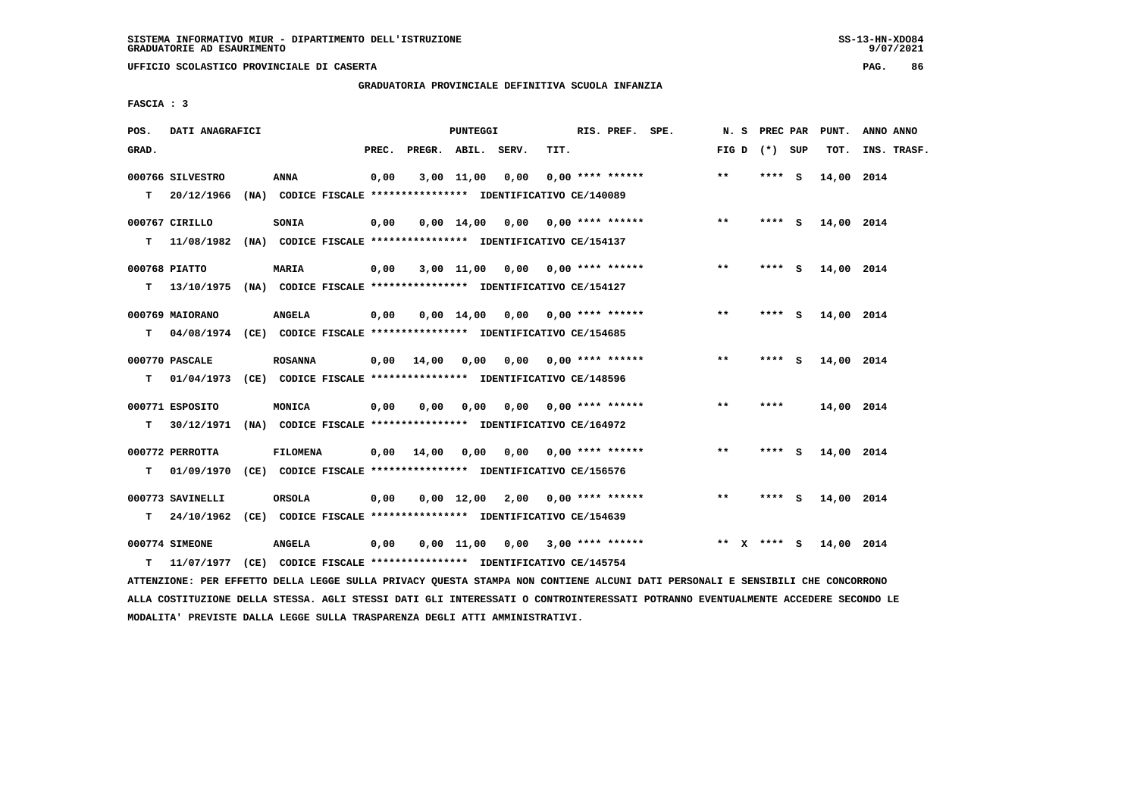**UFFICIO SCOLASTICO PROVINCIALE DI CASERTA PAG. 86**

# **GRADUATORIA PROVINCIALE DEFINITIVA SCUOLA INFANZIA**

 **FASCIA : 3**

| POS.   | DATI ANAGRAFICI                                                                                                                                                        |                 |       |              | <b>PUNTEGGI</b> |                                                                                                     |      | RIS. PREF. SPE.           | N. S  | PREC PAR        | PUNT.      | ANNO ANNO   |
|--------|------------------------------------------------------------------------------------------------------------------------------------------------------------------------|-----------------|-------|--------------|-----------------|-----------------------------------------------------------------------------------------------------|------|---------------------------|-------|-----------------|------------|-------------|
| GRAD.  |                                                                                                                                                                        |                 | PREC. | PREGR. ABIL. |                 | SERV.                                                                                               | TIT. |                           |       | FIG D $(*)$ SUP | TOT.       | INS. TRASF. |
| т      | 000766 SILVESTRO<br>20/12/1966                                                                                                                                         | <b>ANNA</b>     | 0,00  |              | 3,00 11,00      | 0,00<br>(NA) CODICE FISCALE **************** IDENTIFICATIVO CE/140089                               |      | $0.00$ **** ******        | $***$ | **** S          | 14,00 2014 |             |
| т      | 000767 CIRILLO<br>11/08/1982                                                                                                                                           | SONIA           | 0,00  |              |                 | $0,00$ 14,00 0,00 0,00 **** ******<br>(NA) CODICE FISCALE **************** IDENTIFICATIVO CE/154137 |      |                           | $***$ | $***$ S         | 14,00 2014 |             |
|        | 000768 PIATTO                                                                                                                                                          | <b>MARIA</b>    | 0,00  |              |                 | $3,00$ 11,00 0,00 0,00 **** ******                                                                  |      |                           | $**$  | **** S          | 14,00 2014 |             |
| т<br>т | 13/10/1975 (NA) CODICE FISCALE **************** IDENTIFICATIVO CE/154127<br>000769 MAIORANO<br>04/08/1974 (CE) CODICE FISCALE *************** IDENTIFICATIVO CE/154685 | <b>ANGELA</b>   | 0,00  |              | $0,00$ $14,00$  |                                                                                                     |      | $0,00$ $0,00$ **** ****** | **    | **** S          | 14,00 2014 |             |
| т      | 000770 PASCALE<br>01/04/1973                                                                                                                                           | <b>ROSANNA</b>  | 0,00  | 14,00        | 0,00            | (CE) CODICE FISCALE *************** IDENTIFICATIVO CE/148596                                        |      | $0.00$ $0.00$ **** ****** | **    | **** S          | 14,00 2014 |             |
| т      | 000771 ESPOSITO<br>30/12/1971                                                                                                                                          | MONICA          | 0,00  | 0.00         | 0,00            | 0.00<br>(NA) CODICE FISCALE **************** IDENTIFICATIVO CE/164972                               |      | $0.00$ **** ******        | $**$  | ****            | 14,00 2014 |             |
| т      | 000772 PERROTTA<br>01/09/1970                                                                                                                                          | <b>FILOMENA</b> | 0.00  | 14,00        | 0,00            | 0,00<br>(CE) CODICE FISCALE **************** IDENTIFICATIVO CE/156576                               |      | 0,00 **** ******          | $***$ | **** S          | 14,00 2014 |             |
| т      | 000773 SAVINELLI<br>24/10/1962                                                                                                                                         | ORSOLA          | 0,00  |              |                 | $0.00$ 12.00 2.00 0.00 **** ******<br>(CE) CODICE FISCALE **************** IDENTIFICATIVO CE/154639 |      |                           | $* *$ | **** S          | 14,00 2014 |             |
| т      | 000774 SIMEONE<br>11/07/1977                                                                                                                                           | <b>ANGELA</b>   | 0,00  |              |                 | $0,00$ 11,00 0,00 3,00 **** ******<br>(CE) CODICE FISCALE **************** IDENTIFICATIVO CE/145754 |      |                           | ** X  | **** S          | 14,00 2014 |             |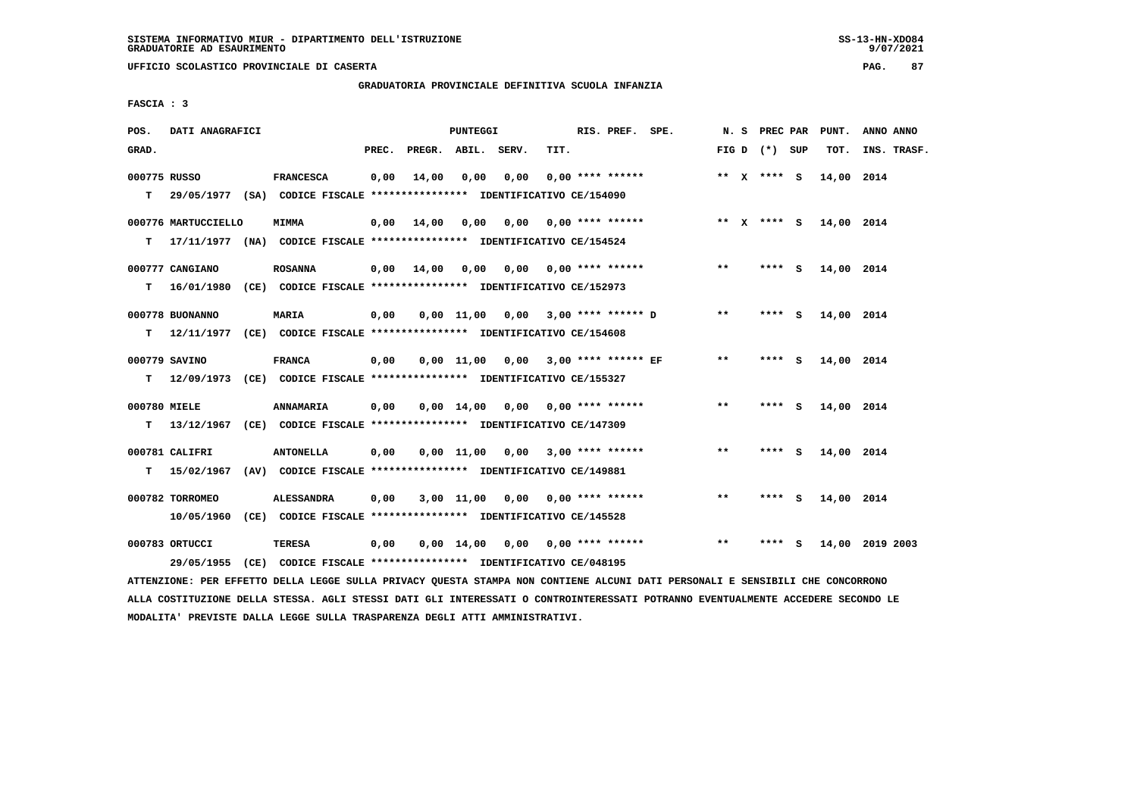# **GRADUATORIA PROVINCIALE DEFINITIVA SCUOLA INFANZIA**

 **FASCIA : 3**

| POS.         | DATI ANAGRAFICI              |                                                                                               |       |                                                       | PUNTEGGI |                                     |      | RIS. PREF. SPE.    |                                                          |       |                 | N. S PREC PAR PUNT. | ANNO ANNO       |
|--------------|------------------------------|-----------------------------------------------------------------------------------------------|-------|-------------------------------------------------------|----------|-------------------------------------|------|--------------------|----------------------------------------------------------|-------|-----------------|---------------------|-----------------|
| GRAD.        |                              |                                                                                               | PREC. | PREGR. ABIL. SERV.                                    |          |                                     | TIT. |                    |                                                          |       | FIG D $(*)$ SUP | тот.                | INS. TRASF.     |
| 000775 RUSSO |                              | <b>FRANCESCA</b><br>T 29/05/1977 (SA) CODICE FISCALE *************** IDENTIFICATIVO CE/154090 | 0,00  | 14,00                                                 | 0,00     | 0,00                                |      | $0.00$ **** ****** |                                                          |       | ** $X$ **** S   | 14,00 2014          |                 |
| т            | 000776 MARTUCCIELLO          | <b>MIMMA</b><br>17/11/1977 (NA) CODICE FISCALE **************** IDENTIFICATIVO CE/154524      |       |                                                       |          |                                     |      |                    | 0,00 14,00 0,00 0,00 0,00 **** ****** *** ** ** x **** S |       |                 | 14,00 2014          |                 |
| т            | 000777 CANGIANO              | <b>ROSANNA</b><br>16/01/1980 (CE) CODICE FISCALE *************** IDENTIFICATIVO CE/152973     |       | $0,00$ $14,00$ $0,00$ $0,00$ $0,00$ $***$ **** ****** |          |                                     |      |                    |                                                          | $***$ | **** S          | 14,00 2014          |                 |
| т            | 000778 BUONANNO              | <b>MARIA</b><br>12/11/1977 (CE) CODICE FISCALE *************** IDENTIFICATIVO CE/154608       | 0,00  |                                                       |          |                                     |      |                    | 0,00 11,00 0,00 3,00 **** ****** D                       | $***$ | **** S          | 14,00 2014          |                 |
| T.           | 000779 SAVINO                | <b>FRANCA</b><br>12/09/1973 (CE) CODICE FISCALE **************** IDENTIFICATIVO CE/155327     | 0,00  |                                                       |          | 0,00 11,00 0,00 3,00 **** ****** EF |      |                    |                                                          | $* *$ | **** S          | 14,00 2014          |                 |
| 000780 MIELE |                              | ANNAMARIA<br>T 13/12/1967 (CE) CODICE FISCALE *************** IDENTIFICATIVO CE/147309        | 0,00  |                                                       |          |                                     |      |                    | $0,00$ 14,00 0,00 0,00 **** ******                       | $***$ | **** S          | 14,00 2014          |                 |
|              | 000781 CALIFRI               | <b>ANTONELLA</b><br>T 15/02/1967 (AV) CODICE FISCALE *************** IDENTIFICATIVO CE/149881 | 0,00  |                                                       |          | $0,00$ 11,00 0,00 3,00 **** ******  |      |                    |                                                          | $***$ | **** S          | 14,00 2014          |                 |
|              | 000782 TORROMEO              | <b>ALESSANDRA</b><br>10/05/1960 (CE) CODICE FISCALE **************** IDENTIFICATIVO CE/145528 | 0,00  |                                                       |          | $3,00$ 11,00 0,00 0,00 **** ******  |      |                    |                                                          | **    | **** S          | 14,00 2014          |                 |
|              | 000783 ORTUCCI<br>29/05/1955 | TERESA<br>$(CE)$ CODICE FISCALE *************** IDENTIFICATIVO CE/048195                      | 0,00  |                                                       |          | $0,00$ 14,00 0,00 0,00 **** ******  |      |                    |                                                          | **    | **** S          |                     | 14,00 2019 2003 |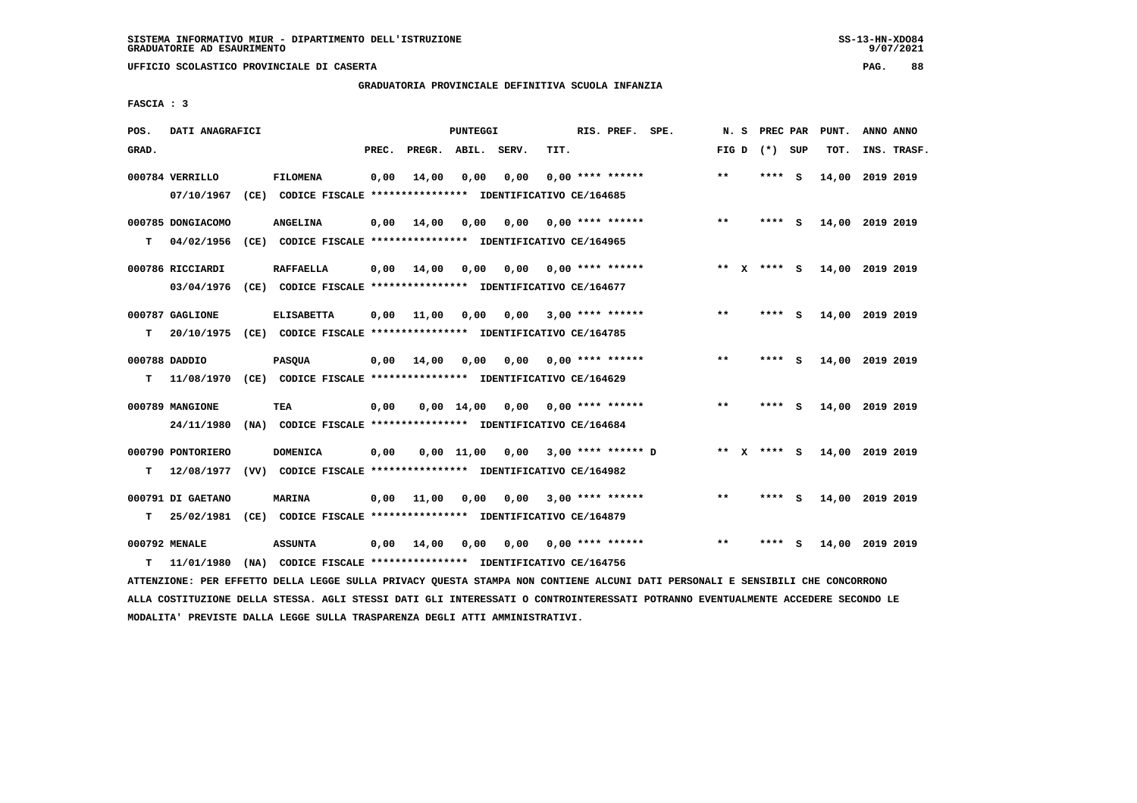**UFFICIO SCOLASTICO PROVINCIALE DI CASERTA PAG. 88**

# **GRADUATORIA PROVINCIALE DEFINITIVA SCUOLA INFANZIA**

 **FASCIA : 3**

| POS.  | DATI ANAGRAFICI   |                                                                                                                               |       |                    | PUNTEGGI           |                 |      | RIS. PREF. SPE.         |                      | N.S   | <b>PREC PAR</b> | PUNT.           | ANNO ANNO |             |
|-------|-------------------|-------------------------------------------------------------------------------------------------------------------------------|-------|--------------------|--------------------|-----------------|------|-------------------------|----------------------|-------|-----------------|-----------------|-----------|-------------|
| GRAD. |                   |                                                                                                                               | PREC. | PREGR. ABIL. SERV. |                    |                 | TIT. |                         |                      |       | FIG D $(*)$ SUP | TOT.            |           | INS. TRASF. |
|       | 000784 VERRILLO   | <b>FILOMENA</b>                                                                                                               | 0,00  | 14,00              | 0,00               | 0,00            |      | $0,00$ **** ******      |                      | $***$ | **** S          | 14,00 2019 2019 |           |             |
|       | 07/10/1967        | (CE) CODICE FISCALE **************** IDENTIFICATIVO CE/164685                                                                 |       |                    |                    |                 |      |                         |                      |       |                 |                 |           |             |
|       | 000785 DONGIACOMO | <b>ANGELINA</b>                                                                                                               | 0,00  | 14,00              | 0,00               | 0,00            |      | 0,00 **** ******        |                      | $* *$ | **** S          | 14,00 2019 2019 |           |             |
| т     | 04/02/1956        | (CE) CODICE FISCALE **************** IDENTIFICATIVO CE/164965                                                                 |       |                    |                    |                 |      |                         |                      |       |                 |                 |           |             |
|       | 000786 RICCIARDI  | <b>RAFFAELLA</b>                                                                                                              | 0,00  | 14,00              | 0,00               | 0,00            |      | $0.00$ **** ******      |                      |       | ** x **** s     | 14,00 2019 2019 |           |             |
|       | 03/04/1976        | (CE) CODICE FISCALE **************** IDENTIFICATIVO CE/164677                                                                 |       |                    |                    |                 |      |                         |                      |       |                 |                 |           |             |
|       |                   |                                                                                                                               |       |                    |                    |                 |      |                         |                      |       |                 |                 |           |             |
|       | 000787 GAGLIONE   | <b>ELISABETTA</b>                                                                                                             | 0,00  | 11,00              | 0,00               | 0,00            |      | $3,00$ **** ******      |                      | $***$ | **** S          | 14,00 2019 2019 |           |             |
| т     | 20/10/1975        | (CE) CODICE FISCALE **************** IDENTIFICATIVO CE/164785                                                                 |       |                    |                    |                 |      |                         |                      |       |                 |                 |           |             |
|       | 000788 DADDIO     | <b>PASQUA</b>                                                                                                                 | 0,00  | 14,00              | 0,00               | 0,00            |      | 0,00 **** ******        |                      | $* *$ | **** S          | 14,00 2019 2019 |           |             |
| т     | 11/08/1970        | (CE) CODICE FISCALE **************** IDENTIFICATIVO CE/164629                                                                 |       |                    |                    |                 |      |                         |                      |       |                 |                 |           |             |
|       | 000789 MANGIONE   | TEA                                                                                                                           | 0,00  |                    | $0.00 \quad 14.00$ | 0,00            |      | $0.00$ **** ******      |                      | $* *$ | **** S          | 14,00 2019 2019 |           |             |
|       | 24/11/1980        | (NA) CODICE FISCALE **************** IDENTIFICATIVO CE/164684                                                                 |       |                    |                    |                 |      |                         |                      |       |                 |                 |           |             |
|       | 000790 PONTORIERO | <b>DOMENICA</b>                                                                                                               | 0,00  |                    |                    | 0,00 11,00 0,00 |      |                         | $3.00$ **** ****** D |       | ** x **** s     | 14,00 2019 2019 |           |             |
| т     | 12/08/1977        | (VV) CODICE FISCALE **************** IDENTIFICATIVO CE/164982                                                                 |       |                    |                    |                 |      |                         |                      |       |                 |                 |           |             |
|       |                   |                                                                                                                               |       |                    |                    |                 |      |                         |                      |       |                 |                 |           |             |
|       | 000791 DI GAETANO | <b>MARINA</b>                                                                                                                 | 0,00  | 11,00              | 0,00               |                 |      | $0,00$ 3,00 **** ****** |                      | $***$ | **** S          | 14,00 2019 2019 |           |             |
| т     | 25/02/1981        | (CE) CODICE FISCALE **************** IDENTIFICATIVO CE/164879                                                                 |       |                    |                    |                 |      |                         |                      |       |                 |                 |           |             |
|       | 000792 MENALE     | <b>ASSUNTA</b>                                                                                                                | 0,00  | 14,00              | 0,00               | 0,00            |      | $0.00$ **** ******      |                      | $* *$ | **** S          | 14,00 2019 2019 |           |             |
| т     | 11/01/1980        | (NA) CODICE FISCALE **************** IDENTIFICATIVO CE/164756                                                                 |       |                    |                    |                 |      |                         |                      |       |                 |                 |           |             |
|       |                   | ATTENZIONE: PER EFFETTO DELLA LEGGE SULLA PRIVACY QUESTA STAMPA NON CONTIENE ALCUNI DATI PERSONALI E SENSIBILI CHE CONCORRONO |       |                    |                    |                 |      |                         |                      |       |                 |                 |           |             |

 **ALLA COSTITUZIONE DELLA STESSA. AGLI STESSI DATI GLI INTERESSATI O CONTROINTERESSATI POTRANNO EVENTUALMENTE ACCEDERE SECONDO LE MODALITA' PREVISTE DALLA LEGGE SULLA TRASPARENZA DEGLI ATTI AMMINISTRATIVI.**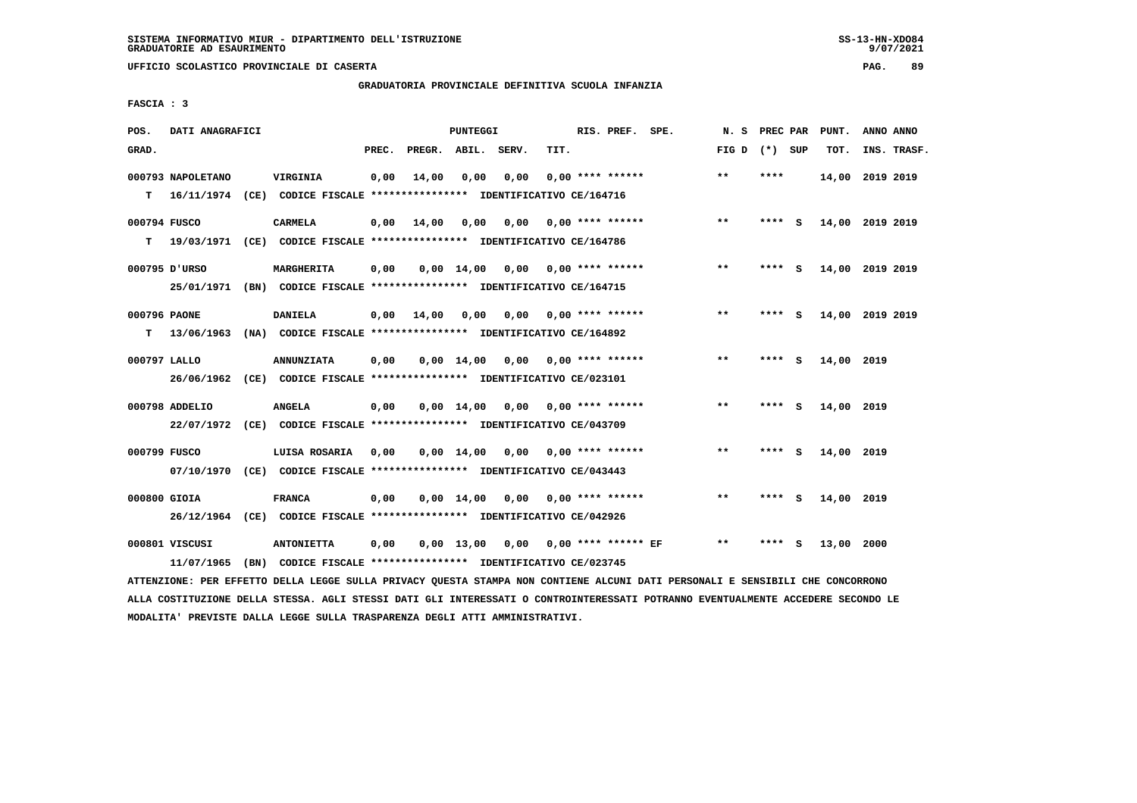# **GRADUATORIA PROVINCIALE DEFINITIVA SCUOLA INFANZIA**

 **FASCIA : 3**

| POS.         | DATI ANAGRAFICI   |                                                                         |       |                    | PUNTEGGI     |                                    |      | RIS. PREF. SPE.           |                          | N.S             | PREC PAR |     | PUNT.           | ANNO ANNO |             |
|--------------|-------------------|-------------------------------------------------------------------------|-------|--------------------|--------------|------------------------------------|------|---------------------------|--------------------------|-----------------|----------|-----|-----------------|-----------|-------------|
| GRAD.        |                   |                                                                         | PREC. | PREGR. ABIL. SERV. |              |                                    | TIT. |                           |                          | FIG D $(*)$ SUP |          |     | TOT.            |           | INS. TRASF. |
|              | 000793 NAPOLETANO | VIRGINIA                                                                | 0,00  | 14,00              | 0.00         | 0.00                               |      | $0.00$ **** ******        |                          | $***$           | ****     |     | 14,00 2019 2019 |           |             |
| т            |                   | 16/11/1974 (CE) CODICE FISCALE *************** IDENTIFICATIVO CE/164716 |       |                    |              |                                    |      |                           |                          |                 |          |     |                 |           |             |
| 000794 FUSCO |                   | <b>CARMELA</b>                                                          | 0,00  | 14,00              | 0,00         | 0,00                               |      | 0,00 **** ******          |                          | $**$            | ****     | - S | 14,00 2019 2019 |           |             |
| т            |                   | 19/03/1971 (CE) CODICE FISCALE *************** IDENTIFICATIVO CE/164786 |       |                    |              |                                    |      |                           |                          |                 |          |     |                 |           |             |
|              | 000795 D'URSO     | MARGHERITA                                                              | 0,00  |                    | 0,00 14,00   |                                    |      | $0,00$ $0,00$ **** ****** |                          | $***$           | **** S   |     | 14,00 2019 2019 |           |             |
|              |                   | 25/01/1971 (BN) CODICE FISCALE *************** IDENTIFICATIVO CE/164715 |       |                    |              |                                    |      |                           |                          |                 |          |     |                 |           |             |
| 000796 PAONE |                   | <b>DANIELA</b>                                                          | 0,00  | 14,00              | 0,00         |                                    |      | $0.00$ $0.00$ **** ****** |                          | $* *$           | ****     | - S | 14,00 2019 2019 |           |             |
| т            | 13/06/1963        | (NA) CODICE FISCALE **************** IDENTIFICATIVO CE/164892           |       |                    |              |                                    |      |                           |                          |                 |          |     |                 |           |             |
| 000797 LALLO |                   | <b>ANNUNZIATA</b>                                                       | 0,00  |                    | $0.00$ 14.00 | 0,00                               |      | 0,00 **** ******          |                          | $* *$           | **** S   |     | 14,00 2019      |           |             |
|              |                   | 26/06/1962 (CE) CODICE FISCALE *************** IDENTIFICATIVO CE/023101 |       |                    |              |                                    |      |                           |                          |                 |          |     |                 |           |             |
|              | 000798 ADDELIO    | <b>ANGELA</b>                                                           | 0,00  |                    |              | $0,00$ 14,00 0,00 0,00 **** ****** |      |                           |                          | $* *$           | **** S   |     | 14,00 2019      |           |             |
|              |                   | 22/07/1972 (CE) CODICE FISCALE *************** IDENTIFICATIVO CE/043709 |       |                    |              |                                    |      |                           |                          |                 |          |     |                 |           |             |
| 000799 FUSCO |                   | LUISA ROSARIA                                                           | 0,00  |                    |              | $0,00$ 14,00 0,00 0,00 **** ****** |      |                           |                          | $***$           | **** S   |     | 14,00 2019      |           |             |
|              |                   | 07/10/1970 (CE) CODICE FISCALE *************** IDENTIFICATIVO CE/043443 |       |                    |              |                                    |      |                           |                          |                 |          |     |                 |           |             |
| 000800 GIOIA |                   | <b>FRANCA</b>                                                           | 0,00  |                    | 0,00 14,00   |                                    |      | $0.00$ $0.00$ **** ****** |                          | **              | **** S   |     | 14,00 2019      |           |             |
|              |                   | 26/12/1964 (CE) CODICE FISCALE *************** IDENTIFICATIVO CE/042926 |       |                    |              |                                    |      |                           |                          |                 |          |     |                 |           |             |
|              | 000801 VISCUSI    | <b>ANTONIETTA</b>                                                       | 0,00  |                    | $0,00$ 13,00 |                                    |      |                           | 0,00 0,00 **** ****** EF | **              | ****     | S.  | 13,00 2000      |           |             |
|              | 11/07/1965        | (BN) CODICE FISCALE **************** IDENTIFICATIVO CE/023745           |       |                    |              |                                    |      |                           |                          |                 |          |     |                 |           |             |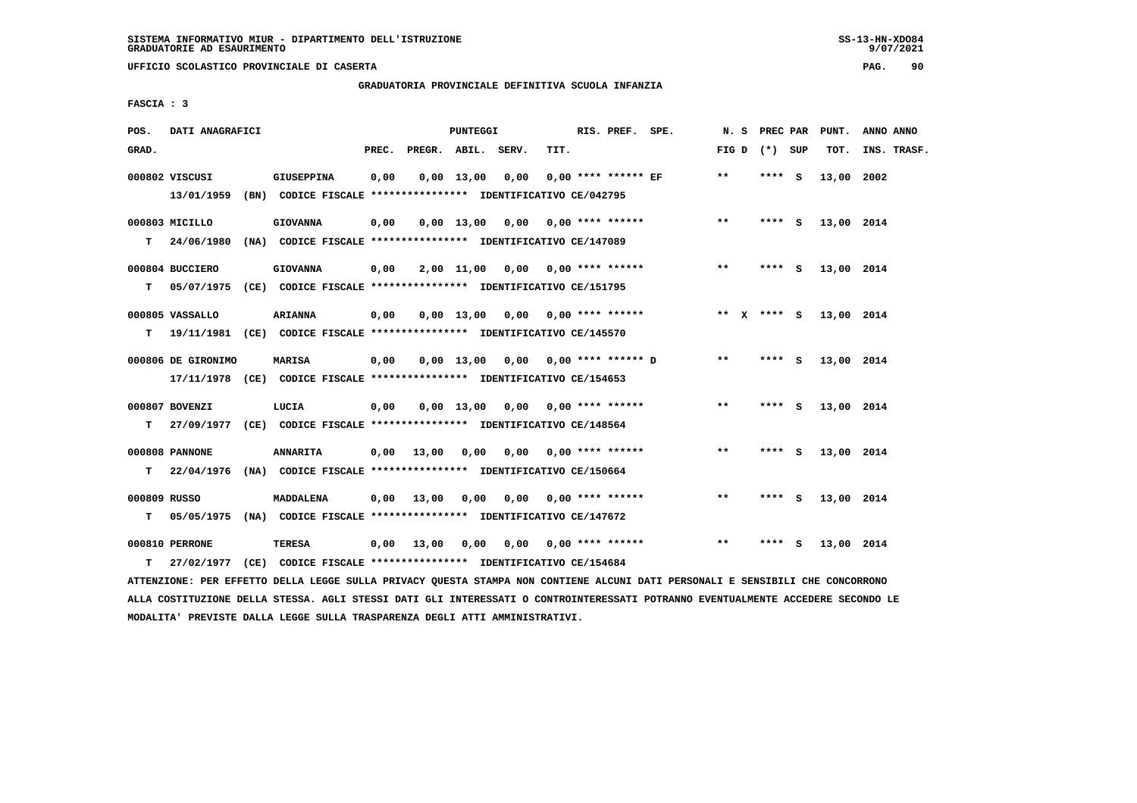### **GRADUATORIA PROVINCIALE DEFINITIVA SCUOLA INFANZIA**

 **FASCIA : 3**

| POS.              | DATI ANAGRAFICI                                                                                          |                                                                                  |       |                   | PUNTEGGI |                                    |      | RIS. PREF. SPE.           |                         |       | N. S PREC PAR   |     | PUNT.      | ANNO ANNO   |
|-------------------|----------------------------------------------------------------------------------------------------------|----------------------------------------------------------------------------------|-------|-------------------|----------|------------------------------------|------|---------------------------|-------------------------|-------|-----------------|-----|------------|-------------|
| GRAD.             |                                                                                                          |                                                                                  | PREC. |                   |          | PREGR. ABIL. SERV.                 | TIT. |                           |                         |       | FIG D $(*)$ SUP |     | TOT.       | INS. TRASF. |
|                   | 000802 VISCUSI<br>13/01/1959 (BN) CODICE FISCALE *************** IDENTIFICATIVO CE/042795                | <b>GIUSEPPINA</b>                                                                | 0,00  | $0,00$ 13,00      |          | 0,00                               |      | $0.00$ **** ****** EF     |                         | $**$  | **** S          |     | 13,00 2002 |             |
|                   | 000803 MICILLO<br>T 24/06/1980                                                                           | <b>GIOVANNA</b><br>(NA) CODICE FISCALE **************** IDENTIFICATIVO CE/147089 | 0,00  |                   |          | 0,00 13,00 0,00 0,00 **** ******   |      |                           |                         | $**$  | $***5$          |     | 13,00 2014 |             |
| т                 | 000804 BUCCIERO<br>05/07/1975 (CE) CODICE FISCALE *************** IDENTIFICATIVO CE/151795               | <b>GIOVANNA</b>                                                                  | 0,00  |                   |          | $2,00$ 11,00 0,00 0,00 **** ****** |      |                           |                         | $***$ | **** S          |     | 13,00 2014 |             |
| т                 | 000805 VASSALLO<br>19/11/1981 (CE) CODICE FISCALE *************** IDENTIFICATIVO CE/145570               | <b>ARIANNA</b>                                                                   | 0,00  | $0,00$ 13,00      |          |                                    |      |                           | $0,00$ 0,00 **** ****** |       | ** x **** s     |     | 13,00 2014 |             |
|                   | 000806 DE GIRONIMO<br>17/11/1978 (CE) CODICE FISCALE *************** IDENTIFICATIVO CE/154653            | <b>MARISA</b>                                                                    | 0,00  | $0.00$ 13.00      |          |                                    |      | 0,00 0,00 **** ****** D   |                         | $* *$ | **** S          |     | 13,00 2014 |             |
| T.                | 000807 BOVENZI<br>27/09/1977 (CE) CODICE FISCALE **************** IDENTIFICATIVO CE/148564               | LUCIA                                                                            | 0,00  |                   |          | 0,00 13,00 0,00                    |      | $0.00$ **** ******        |                         | $**$  | **** S          |     | 13,00 2014 |             |
|                   | 000808 PANNONE                                                                                           | <b>ANNARITA</b>                                                                  |       | $0,00$ 13,00 0,00 |          |                                    |      | $0.00$ $0.00$ **** ****** |                         | $**$  | **** S          |     | 13,00 2014 |             |
| т<br>000809 RUSSO | 22/04/1976 (NA) CODICE FISCALE **************** IDENTIFICATIVO CE/150664                                 | <b>MADDALENA</b>                                                                 |       | $0,00$ 13,00      | 0,00     |                                    |      | $0,00$ $0,00$ **** ****** |                         | $* *$ | **** S          |     | 13,00 2014 |             |
| т<br>т            | 05/05/1975 (NA) CODICE FISCALE **************** IDENTIFICATIVO CE/147672<br>000810 PERRONE<br>27/02/1977 | TERESA<br>(CE) CODICE FISCALE **************** IDENTIFICATIVO CE/154684          |       | 0.00 13.00        | 0,00     |                                    |      | $0,00$ $0,00$ **** ****** |                         | $***$ | ****            | - S | 13,00 2014 |             |
|                   |                                                                                                          |                                                                                  |       |                   |          |                                    |      |                           |                         |       |                 |     |            |             |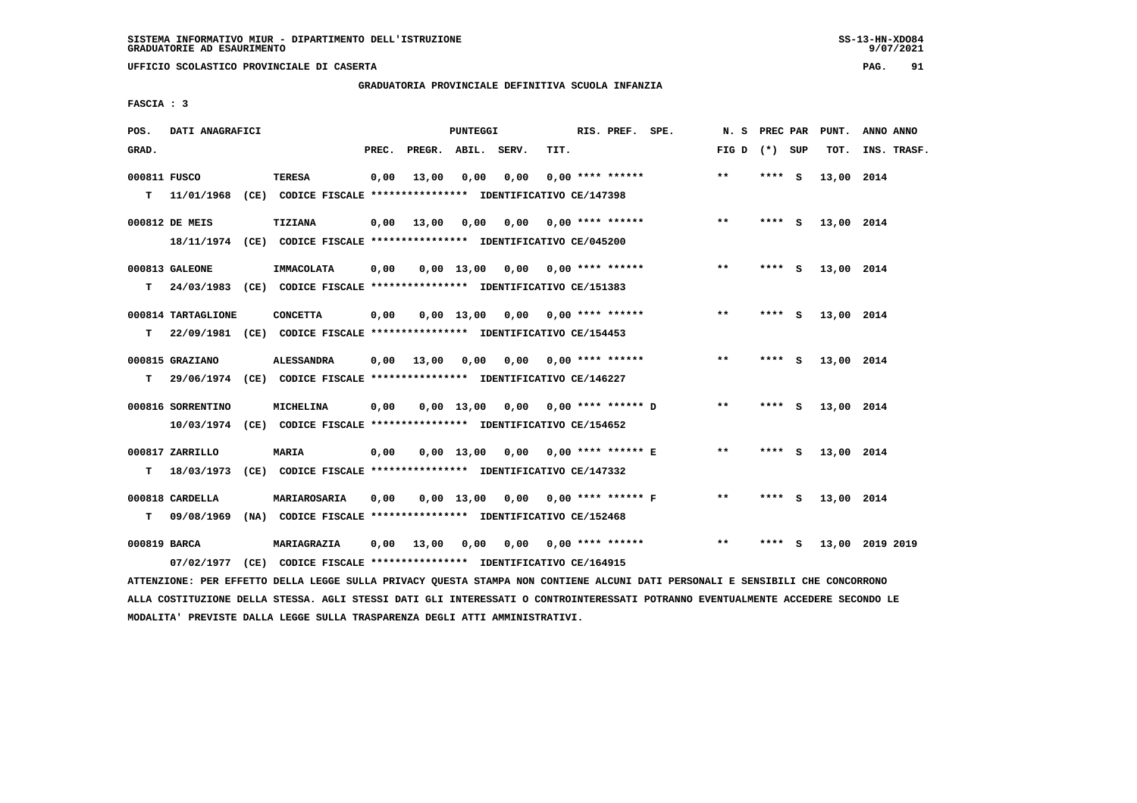**UFFICIO SCOLASTICO PROVINCIALE DI CASERTA PAG. 91**

# **GRADUATORIA PROVINCIALE DEFINITIVA SCUOLA INFANZIA**

 **FASCIA : 3**

| POS.         | DATI ANAGRAFICI    |                                                                                                                               |       |                    | PUNTEGGI |                                        |      | RIS. PREF. SPE.  |                                    | N. S PREC PAR   |         | PUNT.      | ANNO ANNO       |
|--------------|--------------------|-------------------------------------------------------------------------------------------------------------------------------|-------|--------------------|----------|----------------------------------------|------|------------------|------------------------------------|-----------------|---------|------------|-----------------|
| GRAD.        |                    |                                                                                                                               | PREC. | PREGR. ABIL. SERV. |          |                                        | TIT. |                  |                                    | FIG D $(*)$ SUP |         | тот.       | INS. TRASF.     |
| 000811 FUSCO |                    | TERESA                                                                                                                        | 0,00  | 13,00              | 0,00     | 0,00                                   |      | 0,00 **** ****** |                                    | $* *$           | **** S  | 13,00 2014 |                 |
|              | $T = 11/01/1968$   | (CE) CODICE FISCALE *************** IDENTIFICATIVO CE/147398                                                                  |       |                    |          |                                        |      |                  |                                    |                 |         |            |                 |
|              | 000812 DE MEIS     | <b>TIZIANA</b>                                                                                                                |       | $0,00$ 13,00       |          | $0,00$ $0,00$ $0,00$ $***$ **** ****** |      |                  |                                    | $***$           | $***$ S | 13,00 2014 |                 |
|              |                    | 18/11/1974 (CE) CODICE FISCALE *************** IDENTIFICATIVO CE/045200                                                       |       |                    |          |                                        |      |                  |                                    |                 |         |            |                 |
|              | 000813 GALEONE     | IMMACOLATA                                                                                                                    | 0,00  |                    |          | $0,00$ 13,00 0,00 0,00 **** ******     |      |                  |                                    | $***$           | **** S  | 13,00 2014 |                 |
|              |                    | T 24/03/1983 (CE) CODICE FISCALE *************** IDENTIFICATIVO CE/151383                                                     |       |                    |          |                                        |      |                  |                                    |                 |         |            |                 |
|              |                    |                                                                                                                               |       |                    |          |                                        |      |                  |                                    |                 |         |            |                 |
|              | 000814 TARTAGLIONE | <b>CONCETTA</b>                                                                                                               | 0,00  |                    |          | 0,00 13,00 0,00 0,00 **** ******       |      |                  |                                    | $***$           | $***$ S | 13,00 2014 |                 |
| т            |                    | 22/09/1981 (CE) CODICE FISCALE **************** IDENTIFICATIVO CE/154453                                                      |       |                    |          |                                        |      |                  |                                    |                 |         |            |                 |
|              | 000815 GRAZIANO    | <b>ALESSANDRA</b>                                                                                                             | 0,00  |                    |          | 13,00 0,00 0,00 0,00 **** ******       |      |                  |                                    | $***$           | **** S  | 13,00 2014 |                 |
| т            |                    | 29/06/1974 (CE) CODICE FISCALE *************** IDENTIFICATIVO CE/146227                                                       |       |                    |          |                                        |      |                  |                                    |                 |         |            |                 |
|              | 000816 SORRENTINO  | MICHELINA                                                                                                                     | 0,00  |                    |          | $0.00$ 13.00 0.00 0.00 **** ****** D   |      |                  |                                    | $***$           | $***$ S | 13,00 2014 |                 |
|              |                    | 10/03/1974 (CE) CODICE FISCALE *************** IDENTIFICATIVO CE/154652                                                       |       |                    |          |                                        |      |                  |                                    |                 |         |            |                 |
|              |                    |                                                                                                                               |       |                    |          |                                        |      |                  |                                    | $* *$           |         |            |                 |
|              | 000817 ZARRILLO    | MARIA                                                                                                                         | 0,00  |                    |          |                                        |      |                  | 0,00 13,00 0,00 0,00 **** ****** E |                 | **** S  | 13,00 2014 |                 |
| т            | 18/03/1973         | (CE) CODICE FISCALE **************** IDENTIFICATIVO CE/147332                                                                 |       |                    |          |                                        |      |                  |                                    |                 |         |            |                 |
|              | 000818 CARDELLA    | MARIAROSARIA                                                                                                                  | 0,00  |                    |          | $0,00$ 13,00 0,00 0,00 **** ****** F   |      |                  |                                    | $***$           | **** S  | 13,00 2014 |                 |
|              |                    | T 09/08/1969 (NA) CODICE FISCALE **************** IDENTIFICATIVO CE/152468                                                    |       |                    |          |                                        |      |                  |                                    |                 |         |            |                 |
| 000819 BARCA |                    | <b>MARIAGRAZIA</b>                                                                                                            | 0,00  | 13,00 0,00         |          |                                        |      |                  |                                    | $***$           | **** S  |            | 13,00 2019 2019 |
|              | 07/02/1977         | (CE) CODICE FISCALE **************** IDENTIFICATIVO CE/164915                                                                 |       |                    |          |                                        |      |                  |                                    |                 |         |            |                 |
|              |                    | ATTENZIONE: PER EFFETTO DELLA LEGGE SULLA PRIVACY QUESTA STAMPA NON CONTIENE ALCUNI DATI PERSONALI E SENSIBILI CHE CONCORRONO |       |                    |          |                                        |      |                  |                                    |                 |         |            |                 |

 **ALLA COSTITUZIONE DELLA STESSA. AGLI STESSI DATI GLI INTERESSATI O CONTROINTERESSATI POTRANNO EVENTUALMENTE ACCEDERE SECONDO LE MODALITA' PREVISTE DALLA LEGGE SULLA TRASPARENZA DEGLI ATTI AMMINISTRATIVI.**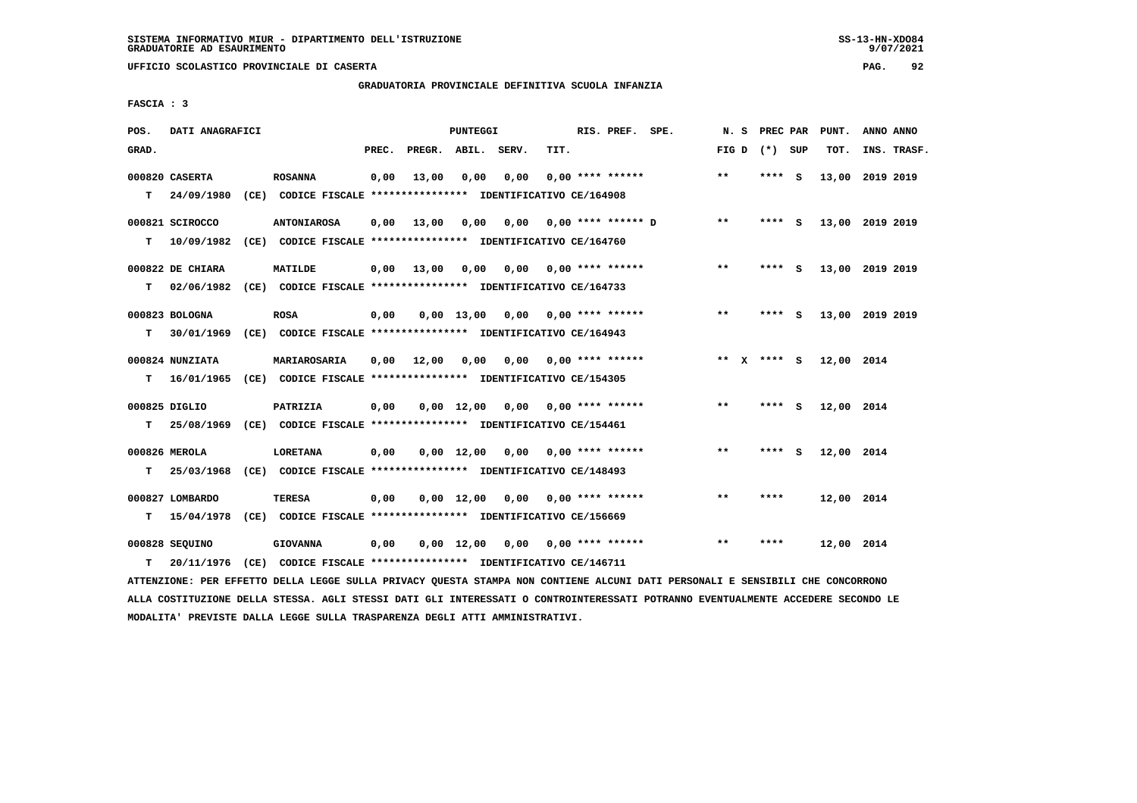# **GRADUATORIA PROVINCIALE DEFINITIVA SCUOLA INFANZIA**

 **FASCIA : 3**

| POS.  | DATI ANAGRAFICI                            |                                                                                                                                                   |       |                    | PUNTEGGI           |      |      | RIS. PREF. SPE.           |                             | N.S           | <b>PREC PAR</b> |     | PUNT.      | ANNO ANNO       |  |
|-------|--------------------------------------------|---------------------------------------------------------------------------------------------------------------------------------------------------|-------|--------------------|--------------------|------|------|---------------------------|-----------------------------|---------------|-----------------|-----|------------|-----------------|--|
| GRAD. |                                            |                                                                                                                                                   | PREC. | PREGR. ABIL. SERV. |                    |      | TIT. |                           |                             | FIG D         | (*) SUP         |     | TOT.       | INS. TRASF.     |  |
| T.    | 000820 CASERTA<br>24/09/1980               | <b>ROSANNA</b><br>(CE) CODICE FISCALE **************** IDENTIFICATIVO CE/164908                                                                   | 0,00  | 13,00              | 0,00               | 0,00 |      | $0.00$ **** ******        |                             | $* *$         | **** S          |     |            | 13,00 2019 2019 |  |
| т     | 000821 SCIROCCO<br>10/09/1982              | <b>ANTONIAROSA</b><br>(CE) CODICE FISCALE **************** IDENTIFICATIVO CE/164760                                                               | 0,00  | 13,00              | 0,00               |      |      |                           | $0,00$ $0,00$ **** ****** D | $***$         | ****            | - S |            | 13,00 2019 2019 |  |
|       | 000822 DE CHIARA                           | MATILDE                                                                                                                                           | 0.00  | 13,00              | 0.00               |      |      | $0,00$ $0,00$ **** ****** |                             | $***$         | **** S          |     |            | 13,00 2019 2019 |  |
| т     | 02/06/1982<br>000823 BOLOGNA               | (CE) CODICE FISCALE **************** IDENTIFICATIVO CE/164733<br><b>ROSA</b>                                                                      | 0,00  |                    | $0.00$ 13.00       |      |      | $0,00$ 0,00 **** ******   |                             | $* *$         | **** S          |     |            | 13,00 2019 2019 |  |
| т     | 000824 NUNZIATA                            | 30/01/1969 (CE) CODICE FISCALE *************** IDENTIFICATIVO CE/164943<br>MARIAROSARIA                                                           | 0.00  | 12,00              | 0,00               |      |      | $0.00$ $0.00$ **** ****** |                             | ** $X$ **** S |                 |     | 12,00 2014 |                 |  |
| т     | 16/01/1965                                 | (CE) CODICE FISCALE **************** IDENTIFICATIVO CE/154305                                                                                     |       |                    |                    |      |      |                           |                             |               |                 |     |            |                 |  |
| т     | 000825 DIGLIO                              | PATRIZIA<br>25/08/1969 (CE) CODICE FISCALE **************** IDENTIFICATIVO CE/154461                                                              | 0,00  |                    | $0.00$ 12.00       | 0.00 |      | $0.00$ **** ******        |                             | $***$         | **** S          |     | 12,00 2014 |                 |  |
| т     | 000826 MEROLA<br>25/03/1968                | <b>LORETANA</b><br>(CE) CODICE FISCALE *************** IDENTIFICATIVO CE/148493                                                                   | 0,00  |                    | $0,00 \quad 12,00$ | 0,00 |      | 0,00 **** ******          |                             | $* *$         | $***$ S         |     | 12,00 2014 |                 |  |
|       | 000827 LOMBARDO                            | <b>TERESA</b>                                                                                                                                     | 0,00  |                    | $0.00 \quad 12.00$ |      |      | $0.00$ $0.00$ **** ****** |                             | $* *$         | ****            |     | 12,00 2014 |                 |  |
| т     | 15/04/1978<br>000828 SEQUINO<br>20/11/1976 | (CE) CODICE FISCALE **************** IDENTIFICATIVO CE/156669<br><b>GIOVANNA</b><br>(CE) CODICE FISCALE **************** IDENTIFICATIVO CE/146711 | 0,00  |                    | $0,00$ 12,00       |      |      | $0,00$ 0,00 **** ******   |                             | $***$         | ****            |     | 12,00 2014 |                 |  |
| т     |                                            |                                                                                                                                                   |       |                    |                    |      |      |                           |                             |               |                 |     |            |                 |  |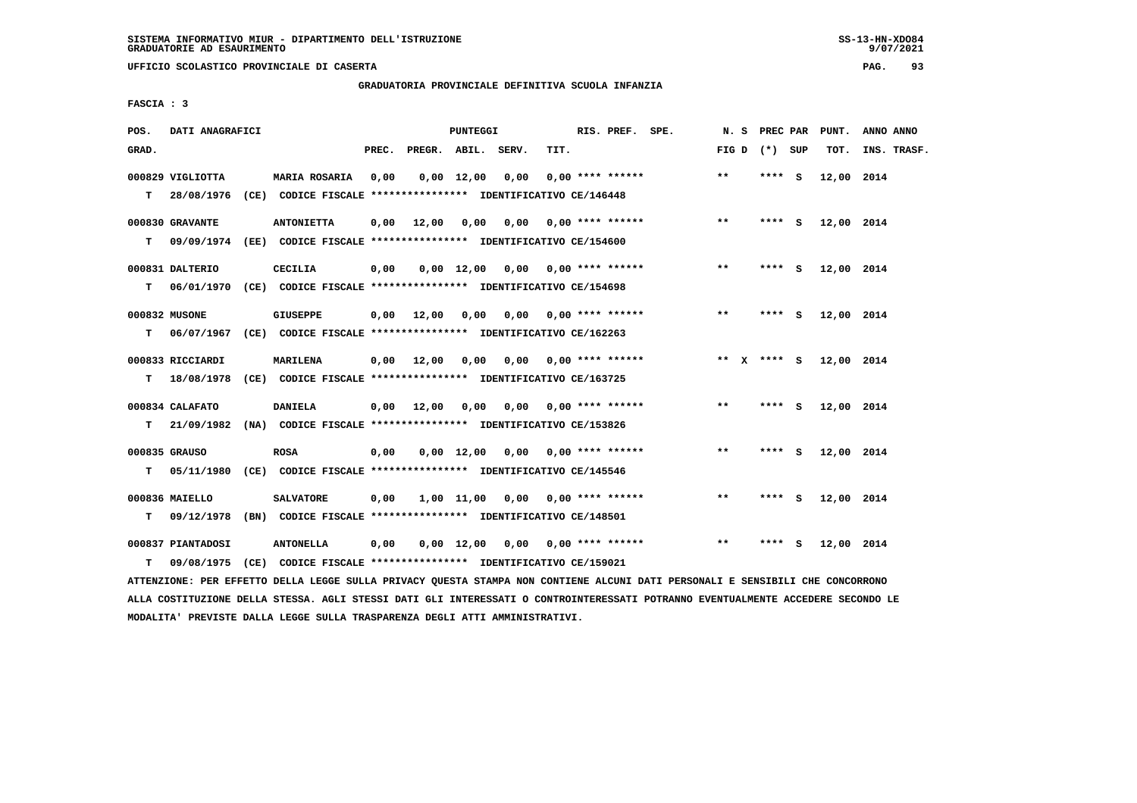**UFFICIO SCOLASTICO PROVINCIALE DI CASERTA PAG. 93**

# **GRADUATORIA PROVINCIALE DEFINITIVA SCUOLA INFANZIA**

 **FASCIA : 3**

| POS.  | DATI ANAGRAFICI                |                                                                                             |       |                       | PUNTEGGI           |                                          |      | RIS. PREF. SPE.           |                           | N. S PREC PAR   |         | PUNT.      | ANNO ANNO   |
|-------|--------------------------------|---------------------------------------------------------------------------------------------|-------|-----------------------|--------------------|------------------------------------------|------|---------------------------|---------------------------|-----------------|---------|------------|-------------|
| GRAD. |                                |                                                                                             | PREC. | PREGR. ABIL. SERV.    |                    |                                          | TIT. |                           |                           | FIG D $(*)$ SUP |         | TOT.       | INS. TRASF. |
| T.    | 000829 VIGLIOTTA<br>28/08/1976 | <b>MARIA ROSARIA</b><br>(CE) CODICE FISCALE **************** IDENTIFICATIVO CE/146448       | 0,00  |                       | $0,00 \quad 12,00$ | 0,00                                     |      | $0.00$ **** ******        |                           | $**$            | **** S  | 12,00 2014 |             |
| т     | 000830 GRAVANTE<br>09/09/1974  | <b>ANTONIETTA</b><br>(EE) CODICE FISCALE **************** IDENTIFICATIVO CE/154600          | 0,00  | 12,00 0,00            |                    | $0,00$ $0,00$ **** ******                |      |                           |                           | $**$            | $***$ S | 12,00 2014 |             |
| т     | 000831 DALTERIO                | <b>CECILIA</b><br>06/01/1970 (CE) CODICE FISCALE *************** IDENTIFICATIVO CE/154698   | 0,00  |                       |                    | $0,00$ 12,00 0,00 0,00 **** ******       |      |                           |                           | $***$           | **** S  | 12,00 2014 |             |
| т     | 000832 MUSONE                  | <b>GIUSEPPE</b><br>06/07/1967 (CE) CODICE FISCALE *************** IDENTIFICATIVO CE/162263  |       | $0,00$ 12,00          | 0,00               |                                          |      |                           | $0,00$ $0,00$ **** ****** | $* *$           | **** S  | 12,00 2014 |             |
| т     | 000833 RICCIARDI<br>18/08/1978 | MARILENA<br>(CE) CODICE FISCALE **************** IDENTIFICATIVO CE/163725                   |       | $0,00$ 12,00          | 0,00               | 0.00                                     |      | 0,00 **** ******          |                           | ** x **** S     |         | 12,00 2014 |             |
|       | 000834 CALAFATO                | <b>DANIELA</b><br>T 21/09/1982 (NA) CODICE FISCALE *************** IDENTIFICATIVO CE/153826 |       | $0,00$ $12,00$ $0,00$ |                    | 0,00                                     |      |                           | $0.00$ **** ******        | $***$           | **** S  | 12,00 2014 |             |
| T.    | 000835 GRAUSO                  | <b>ROSA</b><br>05/11/1980 (CE) CODICE FISCALE **************** IDENTIFICATIVO CE/145546     | 0,00  |                       | $0,00 \quad 12,00$ | 0,00 0,00 **** ******                    |      |                           |                           | $**$            | **** S  | 12,00 2014 |             |
| т     | 000836 MAIELLO                 | <b>SALVATORE</b><br>09/12/1978 (BN) CODICE FISCALE *************** IDENTIFICATIVO CE/148501 | 0,00  |                       |                    | $1,00$ $11,00$ $0,00$ $0,00$ **** ****** |      |                           |                           | $**$            | **** S  | 12,00 2014 |             |
| т     | 000837 PIANTADOSI              | <b>ANTONELLA</b><br>09/08/1975 (CE) CODICE FISCALE *************** IDENTIFICATIVO CE/159021 | 0,00  |                       | 0,00 12,00         |                                          |      | $0,00$ $0,00$ **** ****** |                           | $* *$           | **** S  | 12,00 2014 |             |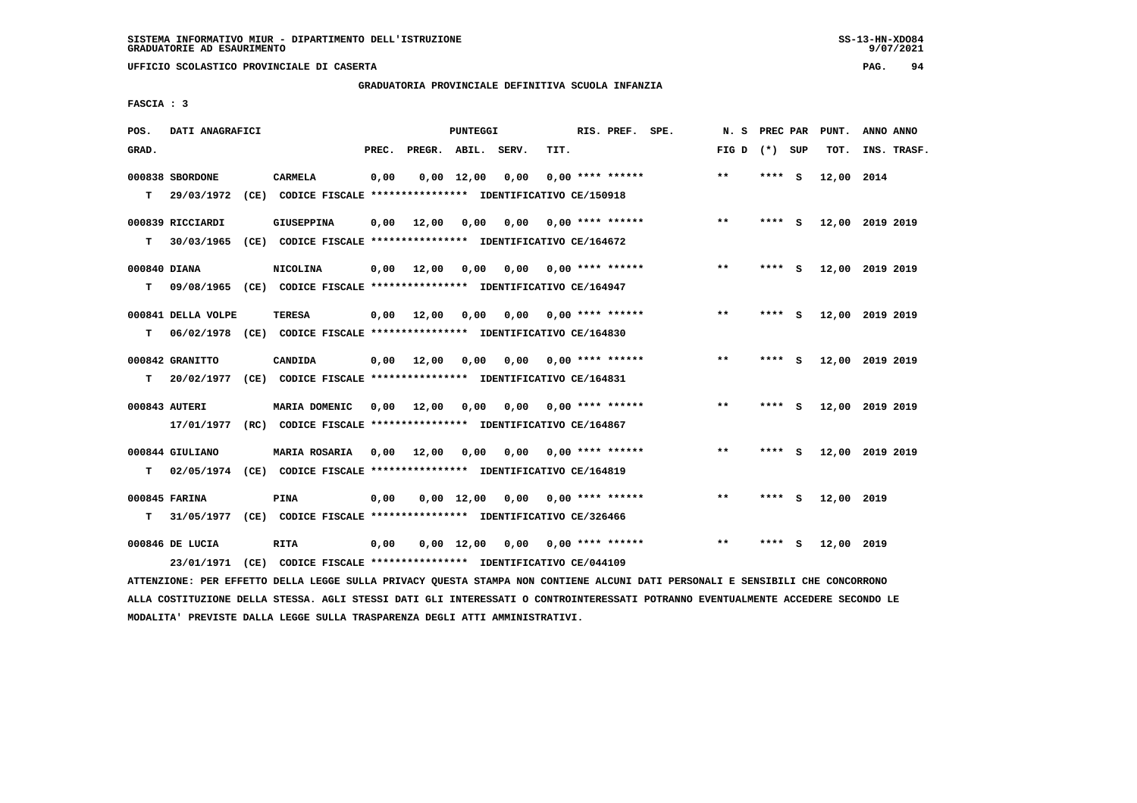**UFFICIO SCOLASTICO PROVINCIALE DI CASERTA PAG. 94**

# **GRADUATORIA PROVINCIALE DEFINITIVA SCUOLA INFANZIA**

 **FASCIA : 3**

| POS.              | DATI ANAGRAFICI                |                                                                                          |       |              | PUNTEGGI           |       |      | RIS. PREF. SPE.           | N. S            | PREC PAR |          | PUNT.      | ANNO ANNO       |
|-------------------|--------------------------------|------------------------------------------------------------------------------------------|-------|--------------|--------------------|-------|------|---------------------------|-----------------|----------|----------|------------|-----------------|
| GRAD.             |                                |                                                                                          | PREC. | PREGR. ABIL. |                    | SERV. | TIT. |                           | FIG D $(*)$ SUP |          |          | TOT.       | INS. TRASF.     |
| T.                | 000838 SBORDONE<br>29/03/1972  | <b>CARMELA</b><br>(CE) CODICE FISCALE **************** IDENTIFICATIVO CE/150918          | 0,00  |              | $0,00$ 12,00       | 0,00  |      | $0.00$ **** ******        | $**$            | **** $S$ |          | 12,00 2014 |                 |
| т                 | 000839 RICCIARDI<br>30/03/1965 | <b>GIUSEPPINA</b><br>(CE) CODICE FISCALE **************** IDENTIFICATIVO CE/164672       | 0,00  | 12,00        | 0,00               | 0,00  |      | $0.00$ **** ******        | $***$           | ****     | - S      |            | 12,00 2019 2019 |
| 000840 DIANA<br>т |                                | NICOLINA<br>09/08/1965 (CE) CODICE FISCALE *************** IDENTIFICATIVO CE/164947      | 0.00  | 12,00        | 0.00               |       |      | $0,00$ $0,00$ **** ****** | $**$            | **** S   |          |            | 12,00 2019 2019 |
| т                 | 000841 DELLA VOLPE             | <b>TERESA</b><br>06/02/1978 (CE) CODICE FISCALE *************** IDENTIFICATIVO CE/164830 | 0.00  | 12,00        | 0.00               | 0.00  |      | $0.00$ **** ******        | $***$           | ****     | - S      |            | 12,00 2019 2019 |
|                   | 000842 GRANITTO                | CANDIDA                                                                                  | 0,00  | 12,00        | 0,00               |       |      | $0,00$ $0,00$ **** ****** | $***$           | **** S   |          |            | 12,00 2019 2019 |
| т                 | 20/02/1977<br>000843 AUTERI    | (CE) CODICE FISCALE **************** IDENTIFICATIVO CE/164831<br>MARIA DOMENIC           |       | 0.00 12.00   | 0.00               | 0,00  |      | $0.00$ **** ******        | $**$            | ****     | <b>S</b> |            | 12,00 2019 2019 |
|                   | 17/01/1977<br>000844 GIULIANO  | (RC) CODICE FISCALE **************** IDENTIFICATIVO CE/164867<br><b>MARIA ROSARIA</b>    | 0,00  | 12,00        | 0,00               | 0,00  |      | $0.00$ **** ******        | $***$           | ****     | - S      |            | 12,00 2019 2019 |
| т                 | 02/05/1974<br>000845 FARINA    | (CE) CODICE FISCALE **************** IDENTIFICATIVO CE/164819<br><b>PINA</b>             | 0.00  |              | $0.00 \quad 12.00$ |       |      | $0,00$ $0,00$ **** ****** | $* *$           | **** S   |          | 12,00 2019 |                 |
| т                 | 000846 DE LUCIA                | 31/05/1977 (CE) CODICE FISCALE *************** IDENTIFICATIVO CE/326466<br><b>RITA</b>   | 0,00  |              | $0,00 \quad 12,00$ | 0,00  |      | $0.00$ **** ******        | $* *$           |          | S.       | 12,00 2019 |                 |
|                   | 23/01/1971                     | (CE) CODICE FISCALE **************** IDENTIFICATIVO CE/044109                            |       |              |                    |       |      |                           |                 |          |          |            |                 |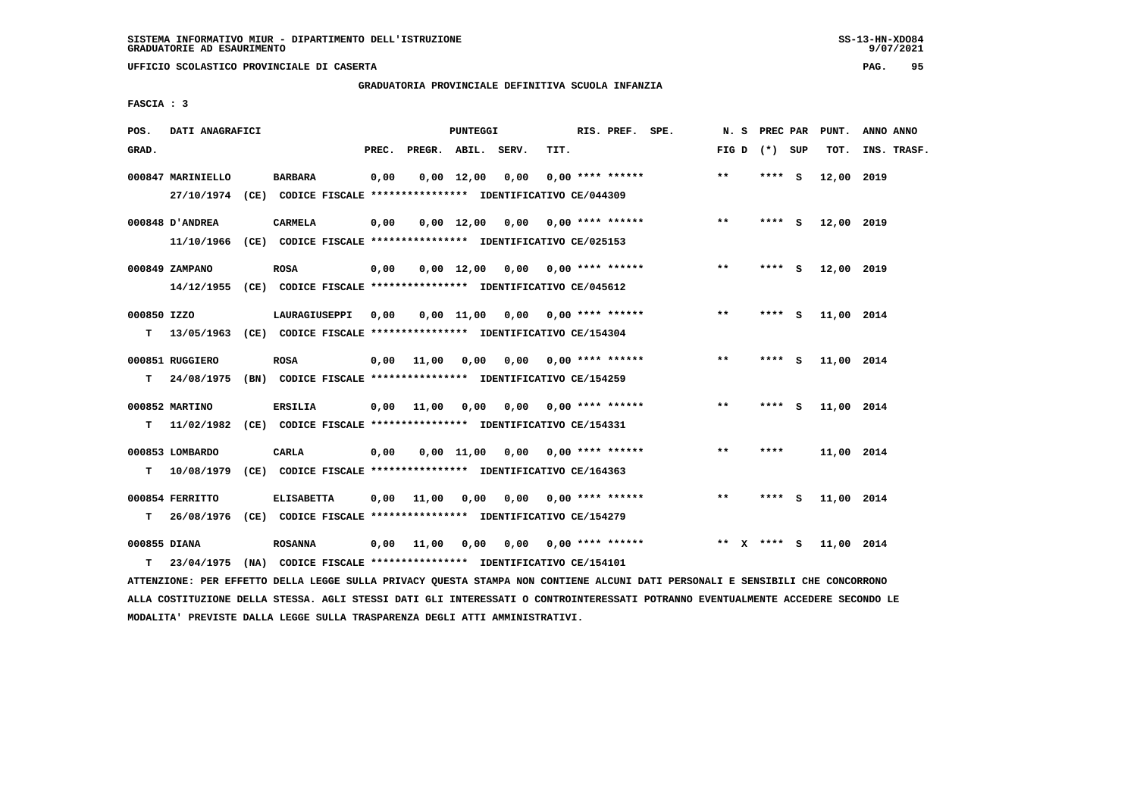**UFFICIO SCOLASTICO PROVINCIALE DI CASERTA PAG. 95**

# **GRADUATORIA PROVINCIALE DEFINITIVA SCUOLA INFANZIA**

 **FASCIA : 3**

| POS.         | DATI ANAGRAFICI   |                                                                          |       |                    | PUNTEGGI           |                                    |      | RIS. PREF. SPE.           | N.S   | PREC PAR    |          | PUNT.      | ANNO ANNO   |
|--------------|-------------------|--------------------------------------------------------------------------|-------|--------------------|--------------------|------------------------------------|------|---------------------------|-------|-------------|----------|------------|-------------|
| GRAD.        |                   |                                                                          | PREC. | PREGR. ABIL. SERV. |                    |                                    | TIT. |                           | FIG D | (*) SUP     |          | TOT.       | INS. TRASF. |
|              | 000847 MARINIELLO | <b>BARBARA</b>                                                           | 0,00  |                    | $0,00 \quad 12,00$ | 0,00                               |      | $0.00$ **** ******        | $***$ | ****        | <b>S</b> | 12,00 2019 |             |
|              |                   | 27/10/1974 (CE) CODICE FISCALE *************** IDENTIFICATIVO CE/044309  |       |                    |                    |                                    |      |                           |       |             |          |            |             |
|              | 000848 D'ANDREA   | <b>CARMELA</b>                                                           | 0,00  |                    | 0,00 12,00         | 0,00                               |      | $0.00$ **** ******        | $***$ | **** S      |          | 12,00 2019 |             |
|              |                   | 11/10/1966 (CE) CODICE FISCALE *************** IDENTIFICATIVO CE/025153  |       |                    |                    |                                    |      |                           |       |             |          |            |             |
|              | 000849 ZAMPANO    | <b>ROSA</b>                                                              | 0,00  |                    |                    | $0,00$ 12,00 0,00 0,00 **** ****** |      |                           | $***$ | **** S      |          | 12,00 2019 |             |
|              |                   | 14/12/1955 (CE) CODICE FISCALE *************** IDENTIFICATIVO CE/045612  |       |                    |                    |                                    |      |                           |       |             |          |            |             |
| 000850 IZZO  |                   | LAURAGIUSEPPI                                                            | 0.00  |                    |                    | $0.00$ 11.00 0.00 0.00 **** ****** |      |                           | **    | **** S      |          | 11,00 2014 |             |
| т            |                   | 13/05/1963 (CE) CODICE FISCALE **************** IDENTIFICATIVO CE/154304 |       |                    |                    |                                    |      |                           |       |             |          |            |             |
|              |                   |                                                                          |       |                    |                    |                                    |      |                           |       |             |          |            |             |
|              | 000851 RUGGIERO   | <b>ROSA</b>                                                              | 0,00  | 11,00              | 0,00               | 0.00                               |      | $0.00$ **** ******        | $**$  | ****        | - 5      | 11,00 2014 |             |
| т            | 24/08/1975        | (BN) CODICE FISCALE **************** IDENTIFICATIVO CE/154259            |       |                    |                    |                                    |      |                           |       |             |          |            |             |
|              | 000852 MARTINO    | <b>ERSILIA</b>                                                           | 0,00  | 11,00              | 0,00               |                                    |      | $0,00$ $0,00$ **** ****** | $* *$ | ****        | - S      | 11,00 2014 |             |
| т            |                   | 11/02/1982 (CE) CODICE FISCALE **************** IDENTIFICATIVO CE/154331 |       |                    |                    |                                    |      |                           |       |             |          |            |             |
|              | 000853 LOMBARDO   | CARLA                                                                    | 0,00  |                    | 0,00 11,00         | 0,00                               |      | $0.00$ **** ******        | $**$  | ****        |          | 11,00 2014 |             |
| т            | 10/08/1979        | (CE) CODICE FISCALE **************** IDENTIFICATIVO CE/164363            |       |                    |                    |                                    |      |                           |       |             |          |            |             |
|              | 000854 FERRITTO   | <b>ELISABETTA</b>                                                        |       | 11,00              | 0,00               | 0,00                               |      | $0.00$ **** ******        | $***$ | $***$ S     |          | 11,00 2014 |             |
|              |                   |                                                                          | 0,00  |                    |                    |                                    |      |                           |       |             |          |            |             |
| т            | 26/08/1976        | (CE) CODICE FISCALE **************** IDENTIFICATIVO CE/154279            |       |                    |                    |                                    |      |                           |       |             |          |            |             |
| 000855 DIANA |                   | <b>ROSANNA</b>                                                           | 0,00  | 11,00              | 0,00               | 0,00                               |      | $0.00$ **** ******        |       | ** x **** S |          | 11,00 2014 |             |
| т            | 23/04/1975        | (NA) CODICE FISCALE **************** IDENTIFICATIVO CE/154101            |       |                    |                    |                                    |      |                           |       |             |          |            |             |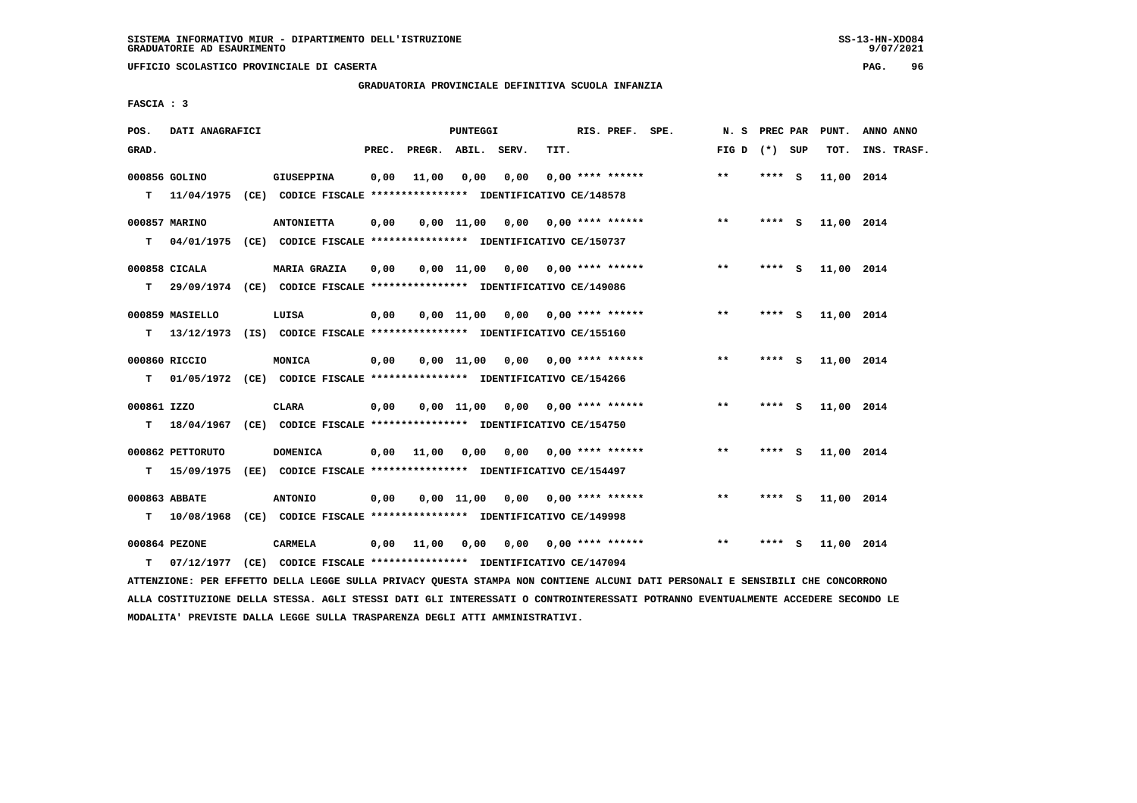**UFFICIO SCOLASTICO PROVINCIALE DI CASERTA PAG. 96**

# **GRADUATORIA PROVINCIALE DEFINITIVA SCUOLA INFANZIA**

 **FASCIA : 3**

| POS.             | DATI ANAGRAFICI  |                                                                                                |       |                    | PUNTEGGI |                                        |      | RIS. PREF. SPE.    |                                    |                 |         |     | N. S PREC PAR PUNT. | ANNO ANNO   |
|------------------|------------------|------------------------------------------------------------------------------------------------|-------|--------------------|----------|----------------------------------------|------|--------------------|------------------------------------|-----------------|---------|-----|---------------------|-------------|
| GRAD.            |                  |                                                                                                | PREC. | PREGR. ABIL. SERV. |          |                                        | TIT. |                    |                                    | FIG D $(*)$ SUP |         |     | TOT.                | INS. TRASF. |
|                  | 000856 GOLINO    | <b>GIUSEPPINA</b><br>T 11/04/1975 (CE) CODICE FISCALE *************** IDENTIFICATIVO CE/148578 | 0,00  | 11,00              | 0,00     | 0,00                                   |      | $0.00$ **** ****** |                                    | $***$           | $***$ S |     | 11,00 2014          |             |
| т                | 000857 MARINO    | <b>ANTONIETTA</b><br>04/01/1975 (CE) CODICE FISCALE *************** IDENTIFICATIVO CE/150737   | 0,00  |                    |          |                                        |      |                    | $0,00$ 11,00 0,00 0,00 **** ****** | $***$           | **** S  |     | 11,00 2014          |             |
|                  | 000858 CICALA    | <b>MARIA GRAZIA</b>                                                                            | 0,00  |                    |          | 0,00 11,00 0,00 0,00 **** ******       |      |                    |                                    | $***$           | $***$ S |     | 11,00 2014          |             |
| т                | 000859 MASIELLO  | 29/09/1974 (CE) CODICE FISCALE *************** IDENTIFICATIVO CE/149086<br>LUISA               | 0,00  |                    |          | $0,00$ 11,00 0,00 0,00 **** ******     |      |                    |                                    | $***$           | **** S  |     | 11,00 2014          |             |
| т                | 000860 RICCIO    | 13/12/1973 (IS) CODICE FISCALE *************** IDENTIFICATIVO CE/155160<br><b>MONICA</b>       | 0,00  |                    |          | $0,00$ 11,00 0,00 0,00 **** ******     |      |                    |                                    | $***$           | **** S  |     | 11,00 2014          |             |
| т<br>000861 IZZO |                  | 01/05/1972 (CE) CODICE FISCALE **************** IDENTIFICATIVO CE/154266<br><b>CLARA</b>       | 0,00  |                    |          | $0,00 \quad 11,00 \quad 0,00$          |      |                    | $0.00$ **** ******                 | $***$           | **** S  |     | 11,00 2014          |             |
| т                | 000862 PETTORUTO | 18/04/1967 (CE) CODICE FISCALE **************** IDENTIFICATIVO CE/154750<br><b>DOMENICA</b>    | 0,00  | 11,00              |          | $0,00$ $0,00$ $0,00$ $***$ **** ****** |      |                    |                                    | $***$           | $***$ S |     | 11,00 2014          |             |
|                  | T 15/09/1975     | (EE) CODICE FISCALE **************** IDENTIFICATIVO CE/154497                                  |       |                    |          |                                        |      |                    |                                    |                 |         |     |                     |             |
|                  | 000863 ABBATE    | <b>ANTONIO</b><br>T  10/08/1968 (CE) CODICE FISCALE *************** IDENTIFICATIVO CE/149998   | 0,00  |                    |          | $0,00$ 11,00 0,00 0,00 **** ******     |      |                    |                                    | $**$            | **** S  |     | 11,00 2014          |             |
| т                | 000864 PEZONE    | CARMELA<br>07/12/1977 (CE) CODICE FISCALE *************** IDENTIFICATIVO CE/147094             |       | 0,00 11,00         |          | 0,00 0,00 0,00 **** ******             |      |                    |                                    | $***$           | ****    | - 5 | 11,00 2014          |             |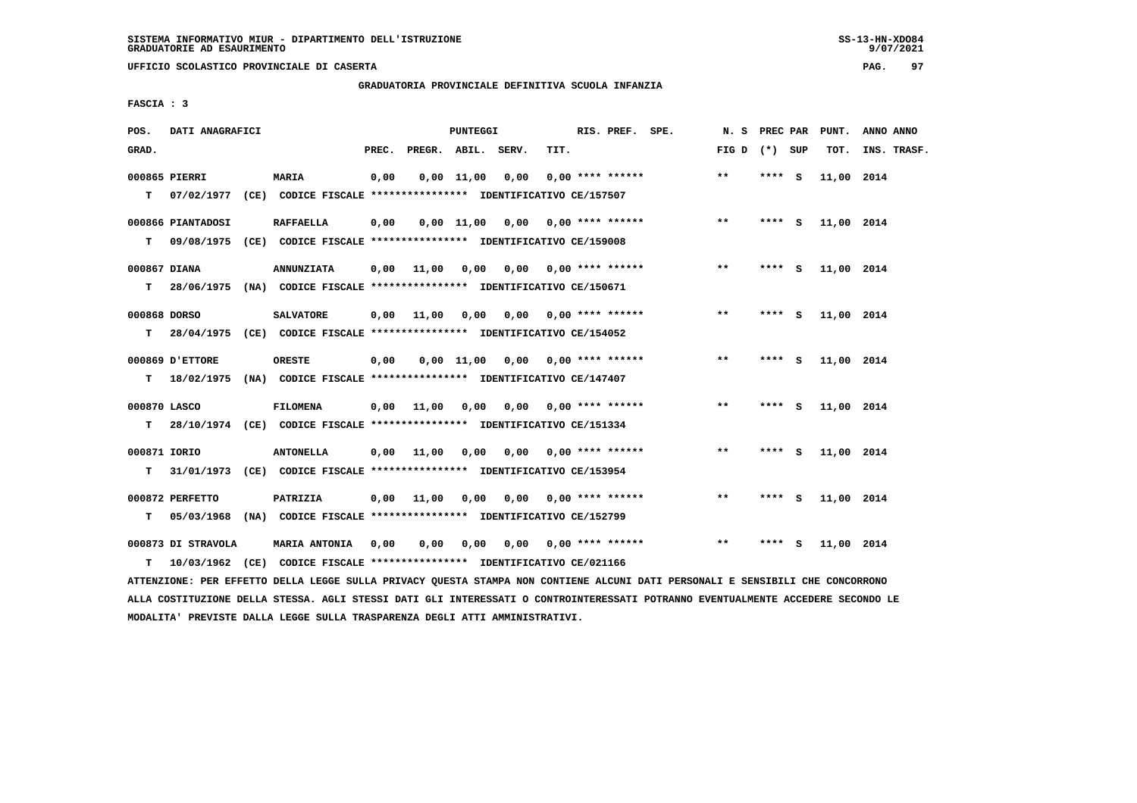**UFFICIO SCOLASTICO PROVINCIALE DI CASERTA PAG. 97**

 **GRADUATORIA PROVINCIALE DEFINITIVA SCUOLA INFANZIA**

 **FASCIA : 3**

| POS.              | DATI ANAGRAFICI                  |                                                                                              |       |              | PUNTEGGI     |                       |      | RIS. PREF. SPE.           | N.S   | PREC PAR |          | PUNT.      | ANNO ANNO   |
|-------------------|----------------------------------|----------------------------------------------------------------------------------------------|-------|--------------|--------------|-----------------------|------|---------------------------|-------|----------|----------|------------|-------------|
| GRAD.             |                                  |                                                                                              | PREC. | PREGR. ABIL. |              | SERV.                 | TIT. |                           | FIG D | (*) SUP  |          | TOT.       | INS. TRASF. |
| T.                | 000865 PIERRI                    | MARIA<br>07/02/1977 (CE) CODICE FISCALE **************** IDENTIFICATIVO CE/157507            | 0,00  |              | $0,00$ 11,00 | 0,00                  |      | $0.00$ **** ******        | $***$ | **** S   |          | 11,00 2014 |             |
| т                 | 000866 PIANTADOSI                | <b>RAFFAELLA</b><br>09/08/1975 (CE) CODICE FISCALE *************** IDENTIFICATIVO CE/159008  | 0,00  |              |              | $0,00$ $11,00$ $0,00$ |      | $0.00$ **** ******        | $***$ | **** S   |          | 11,00 2014 |             |
| 000867 DIANA<br>т |                                  | <b>ANNUNZIATA</b><br>28/06/1975 (NA) CODICE FISCALE *************** IDENTIFICATIVO CE/150671 | 0,00  | 11,00 0,00   |              |                       |      | $0,00$ $0,00$ **** ****** | $***$ | **** S   |          | 11,00 2014 |             |
| 000868 DORSO<br>т |                                  | <b>SALVATORE</b><br>28/04/1975 (CE) CODICE FISCALE *************** IDENTIFICATIVO CE/154052  | 0,00  | 11,00        | 0,00         |                       |      | $0,00$ $0,00$ **** ****** | $* *$ | **** S   |          | 11,00 2014 |             |
| т                 | 000869 D'ETTORE                  | <b>ORESTE</b><br>18/02/1975 (NA) CODICE FISCALE *************** IDENTIFICATIVO CE/147407     | 0,00  |              | $0,00$ 11,00 |                       |      | $0,00$ $0,00$ **** ****** | $* *$ | ****     | <b>S</b> | 11,00 2014 |             |
| 000870 LASCO<br>т |                                  | <b>FILOMENA</b><br>28/10/1974 (CE) CODICE FISCALE *************** IDENTIFICATIVO CE/151334   | 0,00  | 11,00        | 0,00         |                       |      | 0,00 0,00 **** ******     | $**$  | **** S   |          | 11,00 2014 |             |
| 000871 IORIO<br>т |                                  | <b>ANTONELLA</b><br>31/01/1973 (CE) CODICE FISCALE *************** IDENTIFICATIVO CE/153954  | 0,00  | 11,00        | 0,00         | 0,00                  |      | $0.00$ **** ******        | $**$  | **** S   |          | 11,00 2014 |             |
| т                 | 000872 PERFETTO<br>05/03/1968    | PATRIZIA<br>(NA) CODICE FISCALE **************** IDENTIFICATIVO CE/152799                    | 0,00  | 11,00        | 0,00         | 0,00                  |      | $0.00$ **** ******        | $***$ | **** S   |          | 11,00 2014 |             |
| т                 | 000873 DI STRAVOLA<br>10/03/1962 | <b>MARIA ANTONIA</b><br>(CE) CODICE FISCALE **************** IDENTIFICATIVO CE/021166        | 0,00  | 0,00         | 0,00         |                       |      | $0,00$ $0,00$ **** ****** | $***$ | **** S   |          | 11,00 2014 |             |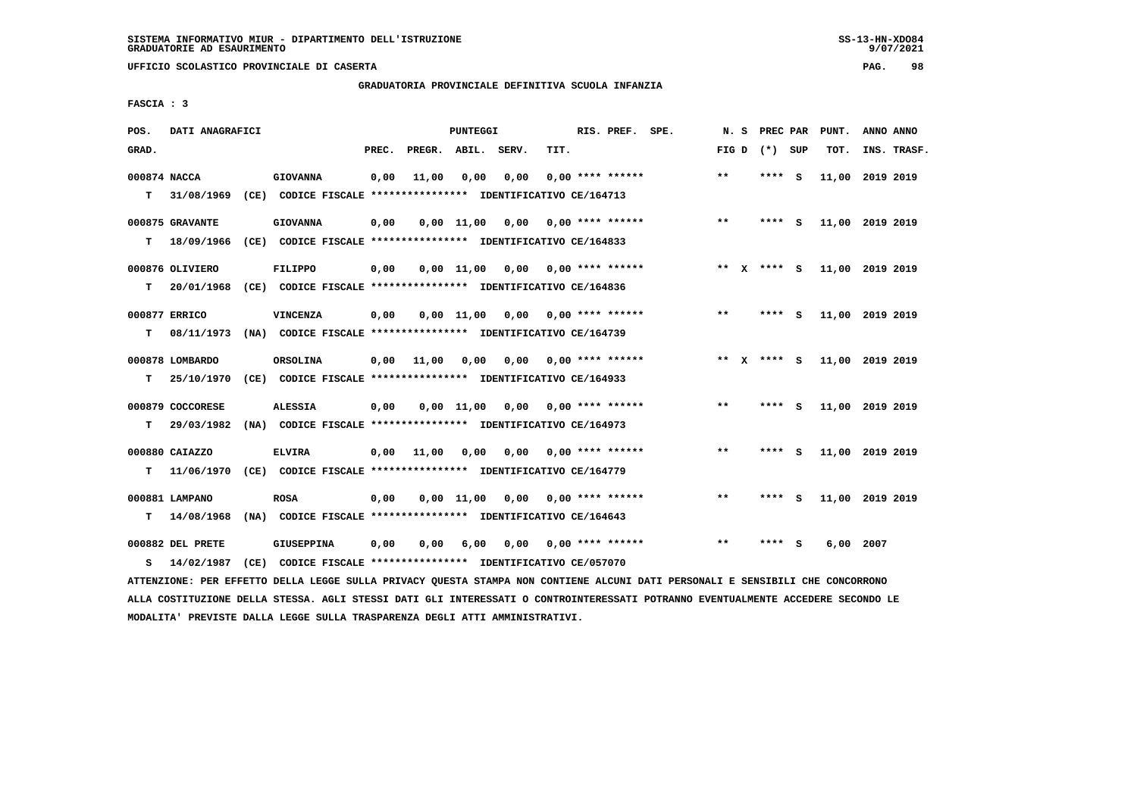**UFFICIO SCOLASTICO PROVINCIALE DI CASERTA PAG. 98**

# **GRADUATORIA PROVINCIALE DEFINITIVA SCUOLA INFANZIA**

 **FASCIA : 3**

| POS.         | DATI ANAGRAFICI  |                                                               |       |                    | PUNTEGGI           |      |      | RIS. PREF. SPE.    | N.S          | PREC PAR      |     | PUNT.           | ANNO ANNO |             |
|--------------|------------------|---------------------------------------------------------------|-------|--------------------|--------------------|------|------|--------------------|--------------|---------------|-----|-----------------|-----------|-------------|
| GRAD.        |                  |                                                               | PREC. | PREGR. ABIL. SERV. |                    |      | TIT. |                    | FIG D        | (*) SUP       |     | TOT.            |           | INS. TRASF. |
| 000874 NACCA |                  | <b>GIOVANNA</b>                                               | 0,00  | 11,00              | 0,00               | 0,00 |      | $0.00$ **** ****** | $**$         | **** S        |     | 11,00           | 2019 2019 |             |
| т            | 31/08/1969       | (CE) CODICE FISCALE **************** IDENTIFICATIVO CE/164713 |       |                    |                    |      |      |                    |              |               |     |                 |           |             |
|              | 000875 GRAVANTE  | <b>GIOVANNA</b>                                               | 0,00  |                    | 0.00 11.00         | 0,00 |      | $0.00$ **** ****** | $***$        | ****          | - S | 11,00 2019 2019 |           |             |
| т            | 18/09/1966       | (CE) CODICE FISCALE **************** IDENTIFICATIVO CE/164833 |       |                    |                    |      |      |                    |              |               |     |                 |           |             |
|              | 000876 OLIVIERO  | <b>FILIPPO</b>                                                | 0,00  |                    | $0,00 \quad 11,00$ | 0,00 |      | $0.00$ **** ****** | ** X         | $***$ S       |     | 11,00 2019 2019 |           |             |
| т            | 20/01/1968       | (CE) CODICE FISCALE **************** IDENTIFICATIVO CE/164836 |       |                    |                    |      |      |                    |              |               |     |                 |           |             |
|              | 000877 ERRICO    | VINCENZA                                                      | 0,00  |                    | 0.00 11.00         | 0,00 |      | $0.00$ **** ****** | $* *$        | **** S        |     | 11,00 2019 2019 |           |             |
| т            | 08/11/1973       | (NA) CODICE FISCALE **************** IDENTIFICATIVO CE/164739 |       |                    |                    |      |      |                    |              |               |     |                 |           |             |
|              | 000878 LOMBARDO  | ORSOLINA                                                      | 0,00  | 11,00              | 0,00               | 0,00 |      | $0.00$ **** ****** |              | ** $X$ **** S |     | 11,00 2019 2019 |           |             |
| т            | 25/10/1970       | (CE) CODICE FISCALE **************** IDENTIFICATIVO CE/164933 |       |                    |                    |      |      |                    |              |               |     |                 |           |             |
|              | 000879 COCCORESE | <b>ALESSIA</b>                                                | 0,00  |                    | $0.00$ 11.00       | 0,00 |      | $0.00$ **** ****** | $***$        | **** S        |     | 11,00 2019 2019 |           |             |
| т            | 29/03/1982       | (NA) CODICE FISCALE **************** IDENTIFICATIVO CE/164973 |       |                    |                    |      |      |                    |              |               |     |                 |           |             |
|              | 000880 CAIAZZO   | <b>ELVIRA</b>                                                 | 0,00  | 11,00              | 0,00               | 0,00 |      | $0.00$ **** ****** | $***$        | **** S        |     | 11,00 2019 2019 |           |             |
| т            | 11/06/1970       | (CE) CODICE FISCALE **************** IDENTIFICATIVO CE/164779 |       |                    |                    |      |      |                    |              |               |     |                 |           |             |
|              | 000881 LAMPANO   | <b>ROSA</b>                                                   | 0,00  |                    | $0,00 \quad 11,00$ | 0.00 |      | $0.00$ **** ****** | $**$         | ****          | - S | 11,00 2019 2019 |           |             |
| т            | 14/08/1968       | (NA) CODICE FISCALE **************** IDENTIFICATIVO CE/164643 |       |                    |                    |      |      |                    |              |               |     |                 |           |             |
|              | 000882 DEL PRETE | <b>GIUSEPPINA</b>                                             | 0,00  | 0,00               | 6,00               | 0,00 |      | $0.00$ **** ****** | $\star\star$ | ****          | - S | 6,00            | 2007      |             |
| s            | 14/02/1987       | (CE) CODICE FISCALE **************** IDENTIFICATIVO CE/057070 |       |                    |                    |      |      |                    |              |               |     |                 |           |             |